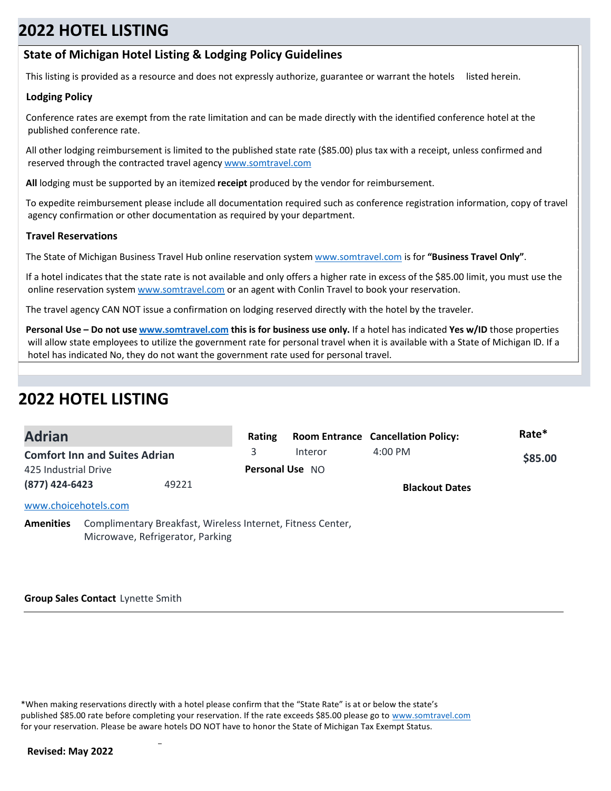### **State of Michigan Hotel Listing & Lodging Policy Guidelines**

This listing is provided as a resource and does not expressly authorize, guarantee or warrant the hotels listed herein.

### **Lodging Policy**

Conference rates are exempt from the rate limitation and can be made directly with the identified conference hotel at the published conference rate.

All other lodging reimbursement is limited to the published state rate (\$85.00) plus tax with a receipt, unless confirmed and reserved through the contracted travel agency www.somtravel.com

**All** lodging must be supported by an itemized **receipt** produced by the vendor for reimbursement.

To expedite reimbursement please include all documentation required such as conference registration information, copy of travel agency confirmation or other documentation as required by your department.

#### **Travel Reservations**

The State of Michigan Business Travel Hub online reservation system www.somtravel.com is for **"Business Travel Only"**.

If a hotel indicates that the state rate is not available and only offers a higher rate in excess of the \$85.00 limit, you must use the online reservation system www.somtravel.com or an agent with Conlin Travel to book your reservation.

The travel agency CAN NOT issue a confirmation on lodging reserved directly with the hotel by the traveler.

**Personal Use – Do not use www.somtravel.com this is for business use only.** If a hotel has indicated **Yes w/ID** those properties will allow state employees to utilize the government rate for personal travel when it is available with a State of Michigan ID. If a hotel has indicated No, they do not want the government rate used for personal travel.

# **2022 HOTEL LISTING**

| <b>Adrian</b>                        |       | Rating |                        | <b>Room Entrance Cancellation Policy:</b> | Rate*   |
|--------------------------------------|-------|--------|------------------------|-------------------------------------------|---------|
| <b>Comfort Inn and Suites Adrian</b> |       | 3.     | Interor                | $4:00 \text{ PM}$                         | \$85.00 |
| 425 Industrial Drive                 |       |        | <b>Personal Use NO</b> |                                           |         |
| (877) 424-6423                       | 49221 |        |                        | <b>Blackout Dates</b>                     |         |
| www.choicehotels.com                 |       |        |                        |                                           |         |

**Amenities** Complimentary Breakfast, Wireless Internet, Fitness Center, Microwave, Refrigerator, Parking

**Group Sales Contact** Lynette Smith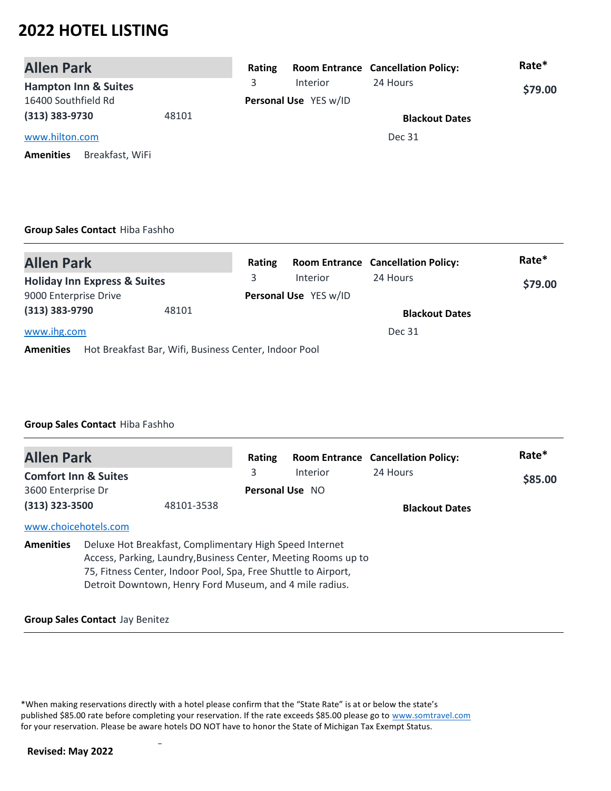| <b>Allen Park</b>                   | Rating |                       | <b>Room Entrance Cancellation Policy:</b> | Rate*   |
|-------------------------------------|--------|-----------------------|-------------------------------------------|---------|
| <b>Hampton Inn &amp; Suites</b>     | 3.     | Interior              | 24 Hours                                  | \$79.00 |
| 16400 Southfield Rd                 |        | Personal Use YES w/ID |                                           |         |
| $(313)$ 383-9730<br>48101           |        |                       | <b>Blackout Dates</b>                     |         |
| www.hilton.com                      |        |                       | Dec 31                                    |         |
| Breakfast, WiFi<br><b>Amenities</b> |        |                       |                                           |         |

### **Group Sales Contact** Hiba Fashho

| <b>Allen Park</b>                                                         | Rating |                       | <b>Room Entrance Cancellation Policy:</b> | Rate*   |
|---------------------------------------------------------------------------|--------|-----------------------|-------------------------------------------|---------|
| <b>Holiday Inn Express &amp; Suites</b>                                   | 3      | <b>Interior</b>       | 24 Hours                                  | \$79.00 |
| 9000 Enterprise Drive                                                     |        | Personal Use YES w/ID |                                           |         |
| (313) 383-9790<br>48101                                                   |        |                       | <b>Blackout Dates</b>                     |         |
| www.ihg.com                                                               |        |                       | Dec 31                                    |         |
| Hot Breakfast Bar, Wifi, Business Center, Indoor Pool<br><b>Amenities</b> |        |                       |                                           |         |

### **Group Sales Contact** Hiba Fashho

| <b>Allen Park</b>               |                                                                                                                                                                                      | Rating                 |                                                                | <b>Room Entrance Cancellation Policy:</b> | Rate*   |
|---------------------------------|--------------------------------------------------------------------------------------------------------------------------------------------------------------------------------------|------------------------|----------------------------------------------------------------|-------------------------------------------|---------|
| <b>Comfort Inn &amp; Suites</b> |                                                                                                                                                                                      | 3                      | Interior                                                       | 24 Hours                                  | \$85.00 |
| 3600 Enterprise Dr              |                                                                                                                                                                                      | <b>Personal Use NO</b> |                                                                |                                           |         |
| $(313)$ 323-3500                | 48101-3538                                                                                                                                                                           |                        |                                                                | <b>Blackout Dates</b>                     |         |
| www.choicehotels.com            |                                                                                                                                                                                      |                        |                                                                |                                           |         |
| <b>Amenities</b>                | Deluxe Hot Breakfast, Complimentary High Speed Internet<br>75, Fitness Center, Indoor Pool, Spa, Free Shuttle to Airport,<br>Detroit Downtown, Henry Ford Museum, and 4 mile radius. |                        | Access, Parking, Laundry, Business Center, Meeting Rooms up to |                                           |         |

#### **Group Sales Contact** Jay Benitez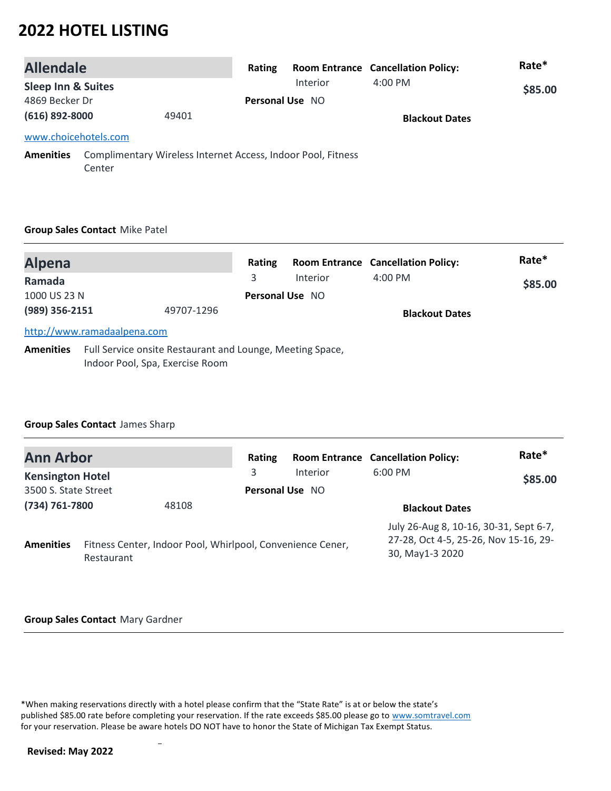| <b>Allendale</b>              |        |                                                              | Rating                 |          | <b>Room Entrance Cancellation Policy:</b> | Rate*   |
|-------------------------------|--------|--------------------------------------------------------------|------------------------|----------|-------------------------------------------|---------|
| <b>Sleep Inn &amp; Suites</b> |        |                                                              |                        | Interior | $4:00 \text{ PM}$                         | \$85.00 |
| 4869 Becker Dr                |        |                                                              | <b>Personal Use NO</b> |          |                                           |         |
| (616) 892-8000                |        | 49401                                                        |                        |          | <b>Blackout Dates</b>                     |         |
| www.choicehotels.com          |        |                                                              |                        |          |                                           |         |
| <b>Amenities</b>              | Center | Complimentary Wireless Internet Access, Indoor Pool, Fitness |                        |          |                                           |         |

#### **Group Sales Contact** Mike Patel

| <b>Alpena</b>          |                                                                                              | Rating                      |          | <b>Room Entrance Cancellation Policy:</b> | Rate*   |
|------------------------|----------------------------------------------------------------------------------------------|-----------------------------|----------|-------------------------------------------|---------|
| Ramada<br>1000 US 23 N |                                                                                              | 3<br><b>Personal Use NO</b> | Interior | $4:00$ PM                                 | \$85.00 |
| (989) 356-2151         | 49707-1296                                                                                   |                             |          | <b>Blackout Dates</b>                     |         |
|                        | http://www.ramadaalpena.com                                                                  |                             |          |                                           |         |
| <b>Amenities</b>       | Full Service onsite Restaurant and Lounge, Meeting Space,<br>Indoor Pool, Spa, Exercise Room |                             |          |                                           |         |

### **Group Sales Contact** James Sharp

| <b>Ann Arbor</b>        |            |                                                            | Rating                 |          | <b>Room Entrance Cancellation Policy:</b>                                                          | Rate*   |
|-------------------------|------------|------------------------------------------------------------|------------------------|----------|----------------------------------------------------------------------------------------------------|---------|
| <b>Kensington Hotel</b> |            |                                                            | 3                      | Interior | $6:00$ PM                                                                                          | \$85.00 |
| 3500 S. State Street    |            |                                                            | <b>Personal Use NO</b> |          |                                                                                                    |         |
| (734) 761-7800          |            | 48108                                                      |                        |          | <b>Blackout Dates</b>                                                                              |         |
| <b>Amenities</b>        | Restaurant | Fitness Center, Indoor Pool, Whirlpool, Convenience Cener, |                        |          | July 26-Aug 8, 10-16, 30-31, Sept 6-7,<br>27-28, Oct 4-5, 25-26, Nov 15-16, 29-<br>30, May1-3 2020 |         |

#### **Group Sales Contact** Mary Gardner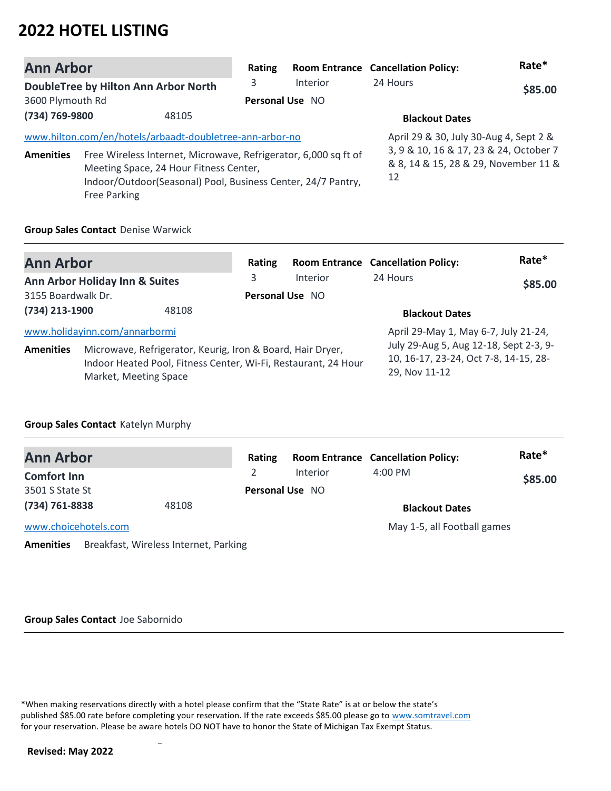| <b>Ann Arbor</b> |                                                                                                                                                                                                  | Rating                 |                 | <b>Room Entrance Cancellation Policy:</b>                                            | Rate*   |
|------------------|--------------------------------------------------------------------------------------------------------------------------------------------------------------------------------------------------|------------------------|-----------------|--------------------------------------------------------------------------------------|---------|
|                  | <b>DoubleTree by Hilton Ann Arbor North</b>                                                                                                                                                      | 3                      | <b>Interior</b> | 24 Hours                                                                             | \$85.00 |
| 3600 Plymouth Rd |                                                                                                                                                                                                  | <b>Personal Use NO</b> |                 |                                                                                      |         |
| (734) 769-9800   | 48105                                                                                                                                                                                            |                        |                 | <b>Blackout Dates</b>                                                                |         |
|                  | www.hilton.com/en/hotels/arbaadt-doubletree-ann-arbor-no                                                                                                                                         |                        |                 | April 29 & 30, July 30-Aug 4, Sept 2 &                                               |         |
| <b>Amenities</b> | Free Wireless Internet, Microwave, Refrigerator, 6,000 sq ft of<br>Meeting Space, 24 Hour Fitness Center,<br>Indoor/Outdoor(Seasonal) Pool, Business Center, 24/7 Pantry,<br><b>Free Parking</b> |                        |                 | 3, 9 & 10, 16 & 17, 23 & 24, October 7<br>& 8, 14 & 15, 28 & 29, November 11 &<br>12 |         |

#### **Group Sales Contact** Denise Warwick

| <b>Ann Arbor</b>   |                                                                                                                                                       | Rating          |                 | <b>Room Entrance Cancellation Policy:</b>                                                        | Rate*   |
|--------------------|-------------------------------------------------------------------------------------------------------------------------------------------------------|-----------------|-----------------|--------------------------------------------------------------------------------------------------|---------|
|                    | Ann Arbor Holiday Inn & Suites                                                                                                                        | 3               | <b>Interior</b> | 24 Hours                                                                                         | \$85.00 |
| 3155 Boardwalk Dr. |                                                                                                                                                       | Personal Use NO |                 |                                                                                                  |         |
| (734) 213-1900     | 48108                                                                                                                                                 |                 |                 | <b>Blackout Dates</b>                                                                            |         |
|                    | www.holidayinn.com/annarbormi                                                                                                                         |                 |                 | April 29-May 1, May 6-7, July 21-24,                                                             |         |
| <b>Amenities</b>   | Microwave, Refrigerator, Keurig, Iron & Board, Hair Dryer,<br>Indoor Heated Pool, Fitness Center, Wi-Fi, Restaurant, 24 Hour<br>Market, Meeting Space |                 |                 | July 29-Aug 5, Aug 12-18, Sept 2-3, 9-<br>10, 16-17, 23-24, Oct 7-8, 14-15, 28-<br>29, Nov 11-12 |         |

### **Group Sales Contact** Katelyn Murphy

| <b>Ann Arbor</b>     |                                       | Rating                 |          | <b>Room Entrance Cancellation Policy:</b> | Rate*   |
|----------------------|---------------------------------------|------------------------|----------|-------------------------------------------|---------|
| <b>Comfort Inn</b>   |                                       |                        | Interior | $4:00$ PM                                 | \$85.00 |
| 3501 S State St      |                                       | <b>Personal Use NO</b> |          |                                           |         |
| (734) 761-8838       | 48108                                 |                        |          | <b>Blackout Dates</b>                     |         |
| www.choicehotels.com |                                       |                        |          | May 1-5, all Football games               |         |
| <b>Amenities</b>     | Breakfast, Wireless Internet, Parking |                        |          |                                           |         |

#### **Group Sales Contact** Joe Sabornido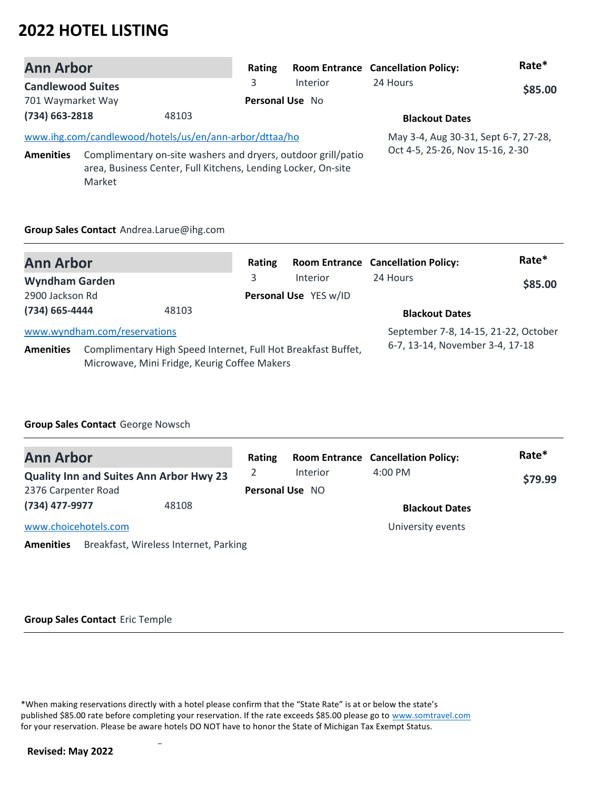| <b>Ann Arbor</b>         |        |                                                                                                                                | Rating                 |          | <b>Room Entrance Cancellation Policy:</b> | Rate*   |
|--------------------------|--------|--------------------------------------------------------------------------------------------------------------------------------|------------------------|----------|-------------------------------------------|---------|
| <b>Candlewood Suites</b> |        |                                                                                                                                | 3                      | Interior | 24 Hours                                  | \$85.00 |
| 701 Waymarket Way        |        |                                                                                                                                | <b>Personal Use No</b> |          |                                           |         |
| $(734)$ 663-2818         |        | 48103                                                                                                                          |                        |          | <b>Blackout Dates</b>                     |         |
|                          |        | www.ihg.com/candlewood/hotels/us/en/ann-arbor/dttaa/ho                                                                         |                        |          | May 3-4, Aug 30-31, Sept 6-7, 27-28,      |         |
| <b>Amenities</b>         | Market | Complimentary on-site washers and dryers, outdoor grill/patio<br>area, Business Center, Full Kitchens, Lending Locker, On-site |                        |          | Oct 4-5, 25-26, Nov 15-16, 2-30           |         |

#### **Group Sales Contact** Andrea.Larue@ihg.com

| <b>Ann Arbor</b>      |                                                                                                               | Rating |                       | <b>Room Entrance Cancellation Policy:</b> | Rate*   |
|-----------------------|---------------------------------------------------------------------------------------------------------------|--------|-----------------------|-------------------------------------------|---------|
| <b>Wyndham Garden</b> |                                                                                                               | 3.     | Interior              | 24 Hours                                  | \$85.00 |
| 2900 Jackson Rd       |                                                                                                               |        | Personal Use YES w/ID |                                           |         |
| (734) 665-4444        | 48103                                                                                                         |        |                       | <b>Blackout Dates</b>                     |         |
|                       | www.wyndham.com/reservations                                                                                  |        |                       | September 7-8, 14-15, 21-22, October      |         |
| <b>Amenities</b>      | Complimentary High Speed Internet, Full Hot Breakfast Buffet,<br>Microwave, Mini Fridge, Keurig Coffee Makers |        |                       | 6-7, 13-14, November 3-4, 17-18           |         |

### **Group Sales Contact** George Nowsch

| <b>Ann Arbor</b>                                          | Rating |                 | <b>Room Entrance Cancellation Policy:</b> | Rate*   |
|-----------------------------------------------------------|--------|-----------------|-------------------------------------------|---------|
| <b>Quality Inn and Suites Ann Arbor Hwy 23</b>            |        | Interior        | $4:00$ PM                                 | \$79.99 |
| 2376 Carpenter Road                                       |        | Personal Use NO |                                           |         |
| (734) 477-9977<br>48108                                   |        |                 | <b>Blackout Dates</b>                     |         |
| www.choicehotels.com                                      |        |                 | University events                         |         |
| Breakfast, Wireless Internet, Parking<br><b>Amenities</b> |        |                 |                                           |         |

#### **Group Sales Contact** Eric Temple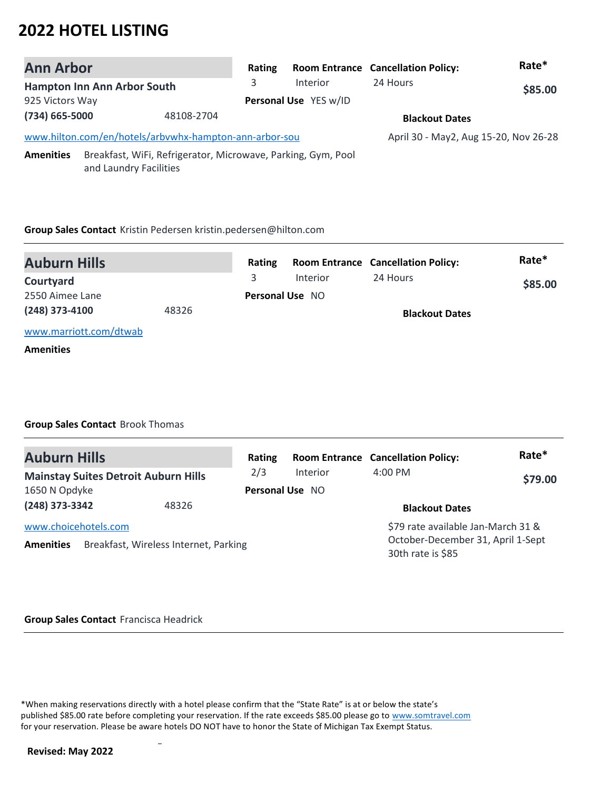| <b>Ann Arbor</b> |                                                                                        | Rating |                       | <b>Room Entrance Cancellation Policy:</b> | Rate*   |
|------------------|----------------------------------------------------------------------------------------|--------|-----------------------|-------------------------------------------|---------|
|                  | Hampton Inn Ann Arbor South                                                            | 3      | <b>Interior</b>       | 24 Hours                                  | \$85.00 |
| 925 Victors Way  |                                                                                        |        | Personal Use YES w/ID |                                           |         |
| (734) 665-5000   | 48108-2704                                                                             |        |                       | <b>Blackout Dates</b>                     |         |
|                  | www.hilton.com/en/hotels/arbvwhx-hampton-ann-arbor-sou                                 |        |                       | April 30 - May2, Aug 15-20, Nov 26-28     |         |
| <b>Amenities</b> | Breakfast, WiFi, Refrigerator, Microwave, Parking, Gym, Pool<br>and Laundry Facilities |        |                       |                                           |         |

#### **Group Sales Contact** Kristin Pedersen kristin.pedersen@hilton.com

| <b>Auburn Hills</b>    |       | Rating |                        | <b>Room Entrance Cancellation Policy:</b> | Rate*   |
|------------------------|-------|--------|------------------------|-------------------------------------------|---------|
| Courtyard              |       |        | Interior               | 24 Hours                                  | \$85.00 |
| 2550 Aimee Lane        |       |        | <b>Personal Use NO</b> |                                           |         |
| (248) 373-4100         | 48326 |        |                        | <b>Blackout Dates</b>                     |         |
| www.marriott.com/dtwab |       |        |                        |                                           |         |

#### **Amenities**

### **Group Sales Contact** Brook Thomas

| <b>Auburn Hills</b>                      |                                             | Rating                 |          | <b>Room Entrance Cancellation Policy:</b>                                                    | Rate*   |
|------------------------------------------|---------------------------------------------|------------------------|----------|----------------------------------------------------------------------------------------------|---------|
|                                          | <b>Mainstay Suites Detroit Auburn Hills</b> | 2/3                    | Interior | $4:00$ PM                                                                                    | \$79.00 |
| 1650 N Opdyke                            |                                             | <b>Personal Use NO</b> |          |                                                                                              |         |
| (248) 373-3342                           | 48326                                       |                        |          | <b>Blackout Dates</b>                                                                        |         |
| www.choicehotels.com<br><b>Amenities</b> | Breakfast, Wireless Internet, Parking       |                        |          | \$79 rate available Jan-March 31 &<br>October-December 31, April 1-Sept<br>30th rate is \$85 |         |

#### **Group Sales Contact** Francisca Headrick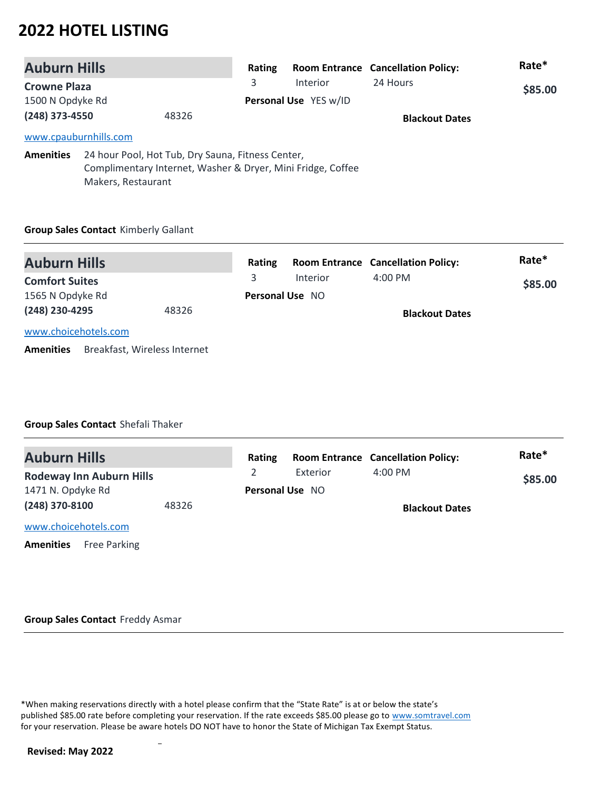| <b>Auburn Hills</b>     |                                                             | Rating |                       | <b>Room Entrance Cancellation Policy:</b> | Rate*   |
|-------------------------|-------------------------------------------------------------|--------|-----------------------|-------------------------------------------|---------|
| <b>Crowne Plaza</b>     |                                                             | 3      | <b>Interior</b>       | 24 Hours                                  | \$85.00 |
| 1500 N Opdyke Rd        |                                                             |        | Personal Use YES w/ID |                                           |         |
| (248) 373-4550<br>48326 |                                                             |        |                       | <b>Blackout Dates</b>                     |         |
|                         | www.cpauburnhills.com                                       |        |                       |                                           |         |
| <b>Amenities</b>        | 24 hour Pool, Hot Tub, Dry Sauna, Fitness Center,           |        |                       |                                           |         |
|                         | Complimentary Internet, Washer & Dryer, Mini Fridge, Coffee |        |                       |                                           |         |
|                         | Makers, Restaurant                                          |        |                       |                                           |         |

### **Group Sales Contact** Kimberly Gallant

| <b>Auburn Hills</b>                              | Rating |                        | <b>Room Entrance Cancellation Policy:</b> | Rate*   |
|--------------------------------------------------|--------|------------------------|-------------------------------------------|---------|
| <b>Comfort Suites</b>                            | 3      | <b>Interior</b>        | $4:00 \text{ PM}$                         | \$85.00 |
| 1565 N Opdyke Rd                                 |        | <b>Personal Use NO</b> |                                           |         |
| (248) 230-4295<br>48326                          |        |                        | <b>Blackout Dates</b>                     |         |
| www.choicehotels.com                             |        |                        |                                           |         |
| Breakfast, Wireless Internet<br><b>Amenities</b> |        |                        |                                           |         |

### **Group Sales Contact** Shefali Thaker

| <b>Auburn Hills</b>                     | Rating |                        | <b>Room Entrance Cancellation Policy:</b> | Rate*   |
|-----------------------------------------|--------|------------------------|-------------------------------------------|---------|
| <b>Rodeway Inn Auburn Hills</b>         |        | Exterior               | $4:00$ PM                                 | \$85.00 |
| 1471 N. Opdyke Rd                       |        | <b>Personal Use NO</b> |                                           |         |
| (248) 370-8100<br>48326                 |        |                        | <b>Blackout Dates</b>                     |         |
| www.choicehotels.com                    |        |                        |                                           |         |
| <b>Free Parking</b><br><b>Amenities</b> |        |                        |                                           |         |

#### **Group Sales Contact** Freddy Asmar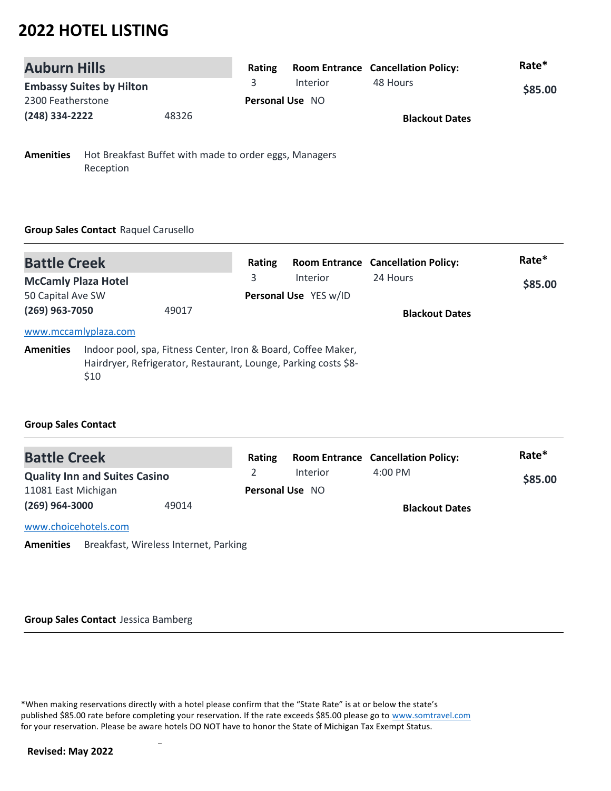| <b>Auburn Hills</b>             |       | Rating |                        | <b>Room Entrance Cancellation Policy:</b> | Rate*   |
|---------------------------------|-------|--------|------------------------|-------------------------------------------|---------|
| <b>Embassy Suites by Hilton</b> |       |        | Interior               | 48 Hours                                  | \$85.00 |
| 2300 Featherstone               |       |        | <b>Personal Use NO</b> |                                           |         |
| (248) 334-2222                  | 48326 |        |                        | <b>Blackout Dates</b>                     |         |

**Amenities** Hot Breakfast Buffet with made to order eggs, Managers Reception

### **Group Sales Contact** Raquel Carusello

| <b>Battle Creek</b>                             |                      | Rating                                                                                                                           |                                          | <b>Room Entrance Cancellation Policy:</b> | Rate*   |
|-------------------------------------------------|----------------------|----------------------------------------------------------------------------------------------------------------------------------|------------------------------------------|-------------------------------------------|---------|
| <b>McCamly Plaza Hotel</b><br>50 Capital Ave SW |                      | 3                                                                                                                                | <b>Interior</b><br>Personal Use YES w/ID | 24 Hours                                  | \$85.00 |
| (269) 963-7050                                  |                      | 49017                                                                                                                            |                                          | <b>Blackout Dates</b>                     |         |
|                                                 | www.mccamlyplaza.com |                                                                                                                                  |                                          |                                           |         |
| <b>Amenities</b>                                | \$10                 | Indoor pool, spa, Fitness Center, Iron & Board, Coffee Maker,<br>Hairdryer, Refrigerator, Restaurant, Lounge, Parking costs \$8- |                                          |                                           |         |

### **Group Sales Contact**

| <b>Battle Creek</b>                  |       | Rating                 |          | <b>Room Entrance Cancellation Policy:</b> | Rate*   |
|--------------------------------------|-------|------------------------|----------|-------------------------------------------|---------|
| <b>Quality Inn and Suites Casino</b> |       |                        | Interior | $4:00$ PM                                 | \$85.00 |
| 11081 East Michigan                  |       | <b>Personal Use NO</b> |          |                                           |         |
| $(269)$ 964-3000                     | 49014 |                        |          | <b>Blackout Dates</b>                     |         |
| www.choicehotels.com                 |       |                        |          |                                           |         |

**Amenities** Breakfast, Wireless Internet, Parking

#### **Group Sales Contact** Jessica Bamberg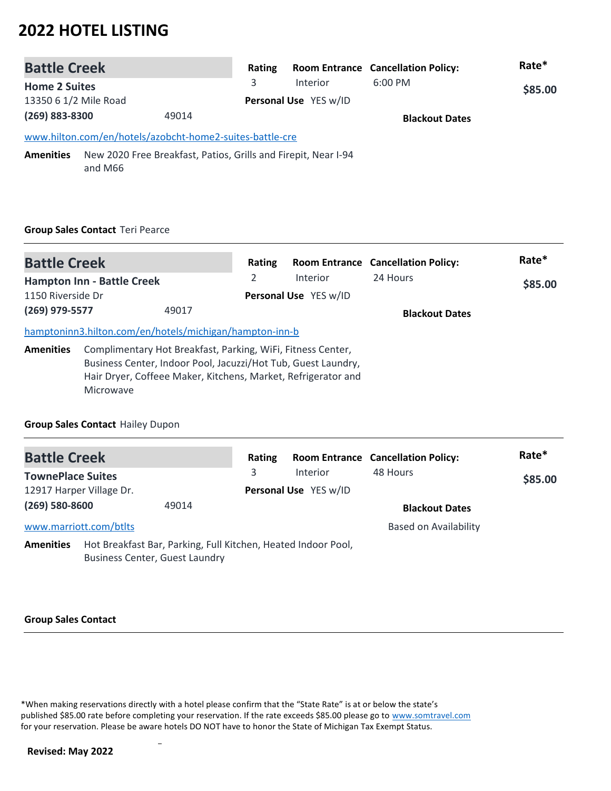| <b>Battle Creek</b>   |                                                                           |                       | Rating |          | <b>Room Entrance Cancellation Policy:</b> | Rate*   |
|-----------------------|---------------------------------------------------------------------------|-----------------------|--------|----------|-------------------------------------------|---------|
| <b>Home 2 Suites</b>  |                                                                           |                       | 3      | Interior | $6:00$ PM                                 | \$85.00 |
| 13350 6 1/2 Mile Road |                                                                           | Personal Use YES w/ID |        |          |                                           |         |
| (269) 883-8300        |                                                                           | 49014                 |        |          | <b>Blackout Dates</b>                     |         |
|                       | www.hilton.com/en/hotels/azobcht-home2-suites-battle-cre                  |                       |        |          |                                           |         |
| <b>Amenities</b>      | New 2020 Free Breakfast, Patios, Grills and Firepit, Near I-94<br>and M66 |                       |        |          |                                           |         |

### **Group Sales Contact** Teri Pearce

| <b>Battle Creek</b> |                                                                                                                                                                                                            | Rating |                       | <b>Room Entrance Cancellation Policy:</b> | Rate*   |
|---------------------|------------------------------------------------------------------------------------------------------------------------------------------------------------------------------------------------------------|--------|-----------------------|-------------------------------------------|---------|
|                     | <b>Hampton Inn - Battle Creek</b>                                                                                                                                                                          | 2      | <b>Interior</b>       | 24 Hours                                  | \$85.00 |
| 1150 Riverside Dr   |                                                                                                                                                                                                            |        | Personal Use YES w/ID |                                           |         |
| (269) 979-5577      | 49017                                                                                                                                                                                                      |        |                       | <b>Blackout Dates</b>                     |         |
|                     | hamptoninn3.hilton.com/en/hotels/michigan/hampton-inn-b                                                                                                                                                    |        |                       |                                           |         |
| <b>Amenities</b>    | Complimentary Hot Breakfast, Parking, WiFi, Fitness Center,<br>Business Center, Indoor Pool, Jacuzzi/Hot Tub, Guest Laundry,<br>Hair Dryer, Coffeee Maker, Kitchens, Market, Refrigerator and<br>Microwave |        |                       |                                           |         |

### **Group Sales Contact** Hailey Dupon

| <b>Battle Creek</b>      |                                                                                                        |       | Rating |                       | <b>Room Entrance Cancellation Policy:</b> | Rate*   |
|--------------------------|--------------------------------------------------------------------------------------------------------|-------|--------|-----------------------|-------------------------------------------|---------|
| <b>TownePlace Suites</b> |                                                                                                        |       | 3      | Interior              | 48 Hours                                  | \$85.00 |
| 12917 Harper Village Dr. |                                                                                                        |       |        | Personal Use YES w/ID |                                           |         |
| $(269) 580 - 8600$       |                                                                                                        | 49014 |        |                       | <b>Blackout Dates</b>                     |         |
| www.marriott.com/btlts   |                                                                                                        |       |        |                       | <b>Based on Availability</b>              |         |
| <b>Amenities</b>         | Hot Breakfast Bar, Parking, Full Kitchen, Heated Indoor Pool,<br><b>Business Center, Guest Laundry</b> |       |        |                       |                                           |         |

#### **Group Sales Contact**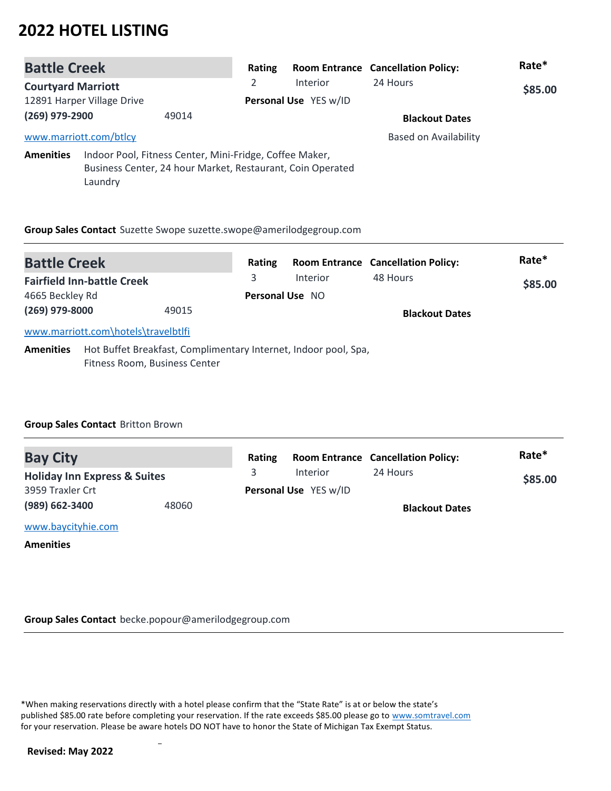| <b>Battle Creek</b>        |                        |                                                                                                                       | Rating                |                 | <b>Room Entrance Cancellation Policy:</b> | Rate*   |
|----------------------------|------------------------|-----------------------------------------------------------------------------------------------------------------------|-----------------------|-----------------|-------------------------------------------|---------|
| <b>Courtyard Marriott</b>  |                        |                                                                                                                       | 2                     | <b>Interior</b> | 24 Hours                                  | \$85.00 |
| 12891 Harper Village Drive |                        |                                                                                                                       | Personal Use YES w/ID |                 |                                           |         |
| (269) 979-2900             |                        | 49014                                                                                                                 |                       |                 | <b>Blackout Dates</b>                     |         |
|                            | www.marriott.com/btlcy |                                                                                                                       |                       |                 | <b>Based on Availability</b>              |         |
| <b>Amenities</b>           | Laundry                | Indoor Pool, Fitness Center, Mini-Fridge, Coffee Maker,<br>Business Center, 24 hour Market, Restaurant, Coin Operated |                       |                 |                                           |         |

**Group Sales Contact** Suzette Swope suzette.swope@amerilodgegroup.com

| <b>Battle Creek</b>               |                                     |       | Rating                 |                                                                 | <b>Room Entrance Cancellation Policy:</b> | Rate* |
|-----------------------------------|-------------------------------------|-------|------------------------|-----------------------------------------------------------------|-------------------------------------------|-------|
| <b>Fairfield Inn-battle Creek</b> |                                     | 3     | <b>Interior</b>        | 48 Hours                                                        | \$85.00                                   |       |
| 4665 Beckley Rd                   |                                     |       | <b>Personal Use NO</b> |                                                                 |                                           |       |
| (269) 979-8000                    |                                     | 49015 |                        |                                                                 | <b>Blackout Dates</b>                     |       |
|                                   | www.marriott.com\hotels\travelbtlfi |       |                        |                                                                 |                                           |       |
| <b>Amenities</b>                  | Fitness Room, Business Center       |       |                        | Hot Buffet Breakfast, Complimentary Internet, Indoor pool, Spa, |                                           |       |

### **Group Sales Contact** Britton Brown

| <b>Bay City</b>                         |       | Rating |                       | <b>Room Entrance Cancellation Policy:</b> | Rate*   |
|-----------------------------------------|-------|--------|-----------------------|-------------------------------------------|---------|
| <b>Holiday Inn Express &amp; Suites</b> |       |        | Interior              | 24 Hours                                  | \$85.00 |
| 3959 Traxler Crt                        |       |        | Personal Use YES w/ID |                                           |         |
| (989) 662-3400                          | 48060 |        |                       | <b>Blackout Dates</b>                     |         |
| www.baycityhie.com                      |       |        |                       |                                           |         |
|                                         |       |        |                       |                                           |         |

**Amenities**

**Group Sales Contact** becke.popour@amerilodgegroup.com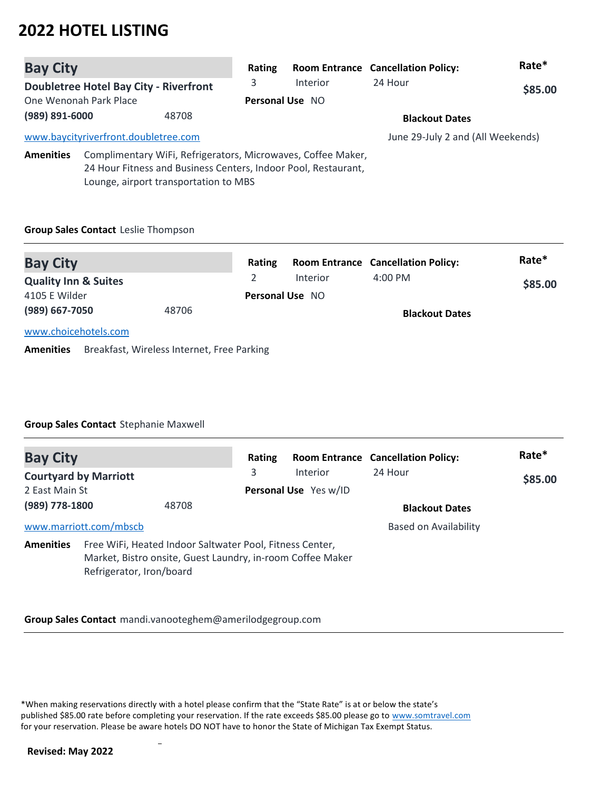| <b>Bay City</b>                 |                                               | Rating                                                                                                                                                                  |        | <b>Room Entrance Cancellation Policy:</b> | Rate*                                     |         |
|---------------------------------|-----------------------------------------------|-------------------------------------------------------------------------------------------------------------------------------------------------------------------------|--------|-------------------------------------------|-------------------------------------------|---------|
|                                 | <b>Doubletree Hotel Bay City - Riverfront</b> |                                                                                                                                                                         | 3      | <b>Interior</b>                           | 24 Hour                                   | \$85.00 |
|                                 | One Wenonah Park Place                        |                                                                                                                                                                         |        | Personal Use NO                           |                                           |         |
| (989) 891-6000<br>48708         |                                               |                                                                                                                                                                         |        | <b>Blackout Dates</b>                     |                                           |         |
|                                 | www.baycityriverfront.doubletree.com          |                                                                                                                                                                         |        |                                           | June 29-July 2 and (All Weekends)         |         |
| <b>Amenities</b>                |                                               | Complimentary WiFi, Refrigerators, Microwaves, Coffee Maker,<br>24 Hour Fitness and Business Centers, Indoor Pool, Restaurant,<br>Lounge, airport transportation to MBS |        |                                           |                                           |         |
|                                 | Group Sales Contact Leslie Thompson           |                                                                                                                                                                         |        |                                           |                                           |         |
| <b>Bay City</b>                 |                                               |                                                                                                                                                                         | Rating |                                           | <b>Room Entrance Cancellation Policy:</b> | Rate*   |
| <b>Quality Inn &amp; Suites</b> |                                               |                                                                                                                                                                         | 2      | <b>Interior</b>                           | 4:00 PM                                   | \$85.00 |
| 4105 E Wilder                   |                                               |                                                                                                                                                                         |        | Personal Use NO                           |                                           |         |
| (989) 667-7050                  |                                               | 48706                                                                                                                                                                   |        |                                           | <b>Blackout Dates</b>                     |         |

[www.choicehotels.com](http://www.choicehotels.com)

**Amenities** Breakfast, Wireless Internet, Free Parking

### **Group Sales Contact** Stephanie Maxwell

| <b>Bay City</b>  |                              |                                                                                                                        | Rating |                       | <b>Room Entrance Cancellation Policy:</b> | Rate*   |
|------------------|------------------------------|------------------------------------------------------------------------------------------------------------------------|--------|-----------------------|-------------------------------------------|---------|
|                  | <b>Courtyard by Marriott</b> |                                                                                                                        | 3      | Interior              | 24 Hour                                   | \$85.00 |
| 2 East Main St   |                              |                                                                                                                        |        | Personal Use Yes w/ID |                                           |         |
| (989) 778-1800   |                              | 48708                                                                                                                  |        |                       | <b>Blackout Dates</b>                     |         |
|                  | www.marriott.com/mbscb       |                                                                                                                        |        |                       | Based on Availability                     |         |
| <b>Amenities</b> | Refrigerator, Iron/board     | Free WiFi, Heated Indoor Saltwater Pool, Fitness Center,<br>Market, Bistro onsite, Guest Laundry, in-room Coffee Maker |        |                       |                                           |         |

**Group Sales Contact** mandi.vanooteghem@amerilodgegroup.com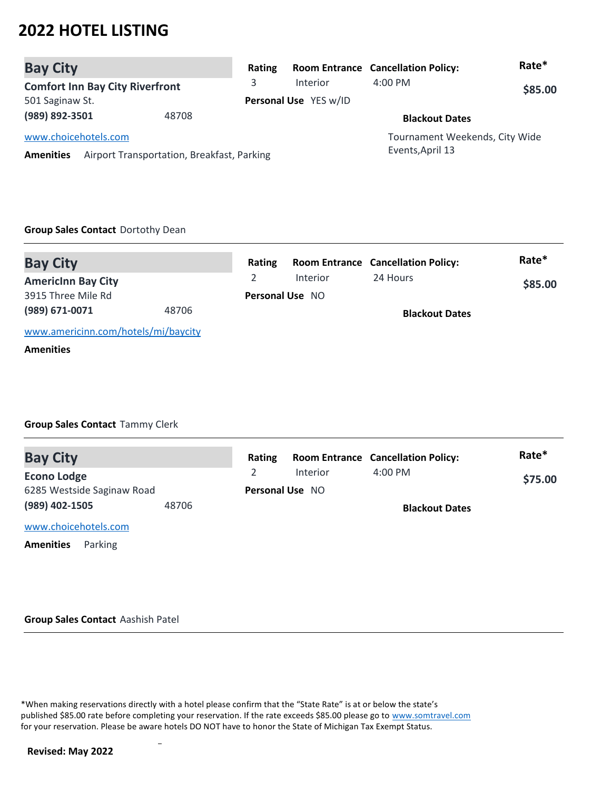| <b>Bay City</b>      |                                            | Rating |                       | <b>Room Entrance Cancellation Policy:</b> | Rate*   |
|----------------------|--------------------------------------------|--------|-----------------------|-------------------------------------------|---------|
|                      | <b>Comfort Inn Bay City Riverfront</b>     | 3      | Interior              | $4:00 \text{ PM}$                         | \$85.00 |
| 501 Saginaw St.      |                                            |        | Personal Use YES w/ID |                                           |         |
| (989) 892-3501       | 48708                                      |        |                       | <b>Blackout Dates</b>                     |         |
| www.choicehotels.com |                                            |        |                       | Tournament Weekends, City Wide            |         |
| <b>Amenities</b>     | Airport Transportation, Breakfast, Parking |        |                       | Events, April 13                          |         |

#### **Group Sales Contact** Dortothy Dean

| <b>Bay City</b>                     |       | Rating |                        | <b>Room Entrance Cancellation Policy:</b> | Rate*   |
|-------------------------------------|-------|--------|------------------------|-------------------------------------------|---------|
| <b>Americinn Bay City</b>           |       |        | Interior               | 24 Hours                                  | \$85.00 |
| 3915 Three Mile Rd                  |       |        | <b>Personal Use NO</b> |                                           |         |
| (989) 671-0071                      | 48706 |        |                        | <b>Blackout Dates</b>                     |         |
| www.americinn.com/hotels/mi/baycity |       |        |                        |                                           |         |
| <b>Amenities</b>                    |       |        |                        |                                           |         |

### **Group Sales Contact** Tammy Clerk

| <b>Bay City</b>             | Rating |                        | <b>Room Entrance Cancellation Policy:</b> | Rate*   |
|-----------------------------|--------|------------------------|-------------------------------------------|---------|
| <b>Econo Lodge</b>          |        | Interior               | $4:00$ PM                                 | \$75.00 |
| 6285 Westside Saginaw Road  |        | <b>Personal Use NO</b> |                                           |         |
| (989) 402-1505<br>48706     |        |                        | <b>Blackout Dates</b>                     |         |
| www.choicehotels.com        |        |                        |                                           |         |
| <b>Amenities</b><br>Parking |        |                        |                                           |         |

#### **Group Sales Contact** Aashish Patel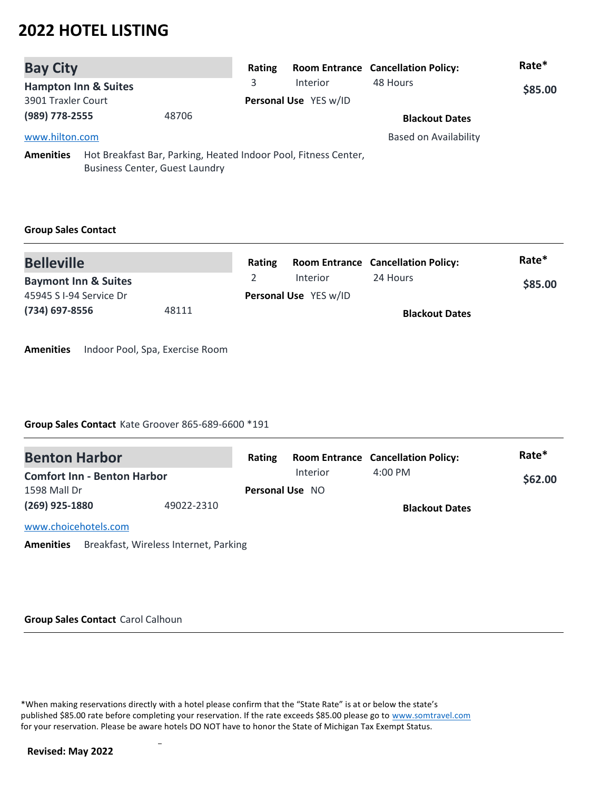| <b>Bay City</b>                 |                                                                                                          | Rating |                       | <b>Room Entrance Cancellation Policy:</b> | Rate*   |
|---------------------------------|----------------------------------------------------------------------------------------------------------|--------|-----------------------|-------------------------------------------|---------|
| <b>Hampton Inn &amp; Suites</b> |                                                                                                          | 3      | Interior              | 48 Hours                                  | \$85.00 |
| 3901 Traxler Court              |                                                                                                          |        | Personal Use YES w/ID |                                           |         |
| (989) 778-2555                  | 48706                                                                                                    |        |                       | <b>Blackout Dates</b>                     |         |
| www.hilton.com                  |                                                                                                          |        |                       | <b>Based on Availability</b>              |         |
| <b>Amenities</b>                | Hot Breakfast Bar, Parking, Heated Indoor Pool, Fitness Center,<br><b>Business Center, Guest Laundry</b> |        |                       |                                           |         |

### **Group Sales Contact**

| <b>Belleville</b>               |       | <b>Rating</b> |                              | <b>Room Entrance Cancellation Policy:</b> | Rate*   |
|---------------------------------|-------|---------------|------------------------------|-------------------------------------------|---------|
| <b>Baymont Inn &amp; Suites</b> |       |               | <b>Interior</b>              | 24 Hours                                  | \$85.00 |
| 45945 S I-94 Service Dr         |       |               | <b>Personal Use</b> YES w/ID |                                           |         |
| (734) 697-8556                  | 48111 |               |                              | <b>Blackout Dates</b>                     |         |

**Amenities** Indoor Pool, Spa, Exercise Room

### **Group Sales Contact** Kate Groover 865-689-6600 \*191

| <b>Benton Harbor</b>               |            | Rating                 |          | <b>Room Entrance Cancellation Policy:</b> | Rate*   |
|------------------------------------|------------|------------------------|----------|-------------------------------------------|---------|
| <b>Comfort Inn - Benton Harbor</b> |            |                        | Interior | $4:00 \text{ PM}$                         | \$62.00 |
| 1598 Mall Dr                       |            | <b>Personal Use NO</b> |          |                                           |         |
| $(269)$ 925-1880                   | 49022-2310 |                        |          | <b>Blackout Dates</b>                     |         |
| www.choicehotels.com               |            |                        |          |                                           |         |

**Amenities** Breakfast, Wireless Internet, Parking

#### **Group Sales Contact** Carol Calhoun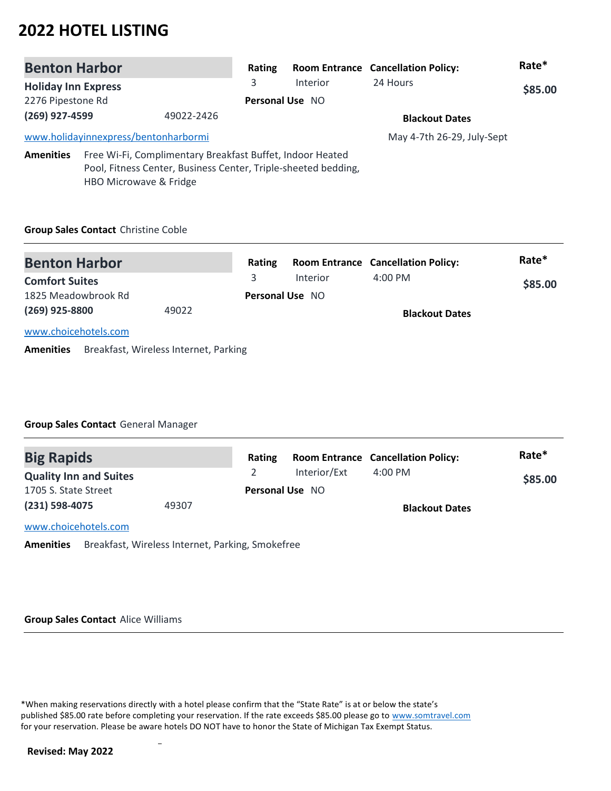| <b>Benton Harbor</b><br><b>Holiday Inn Express</b><br>2276 Pipestone Rd                                                                                                                                                 |                                      | Rating          |                 | <b>Room Entrance Cancellation Policy:</b> | Rate*                      |  |
|-------------------------------------------------------------------------------------------------------------------------------------------------------------------------------------------------------------------------|--------------------------------------|-----------------|-----------------|-------------------------------------------|----------------------------|--|
|                                                                                                                                                                                                                         |                                      | 3               | <b>Interior</b> | 24 Hours                                  | \$85.00                    |  |
|                                                                                                                                                                                                                         |                                      |                 | Personal Use NO |                                           |                            |  |
| (269) 927-4599                                                                                                                                                                                                          |                                      | 49022-2426      |                 |                                           | <b>Blackout Dates</b>      |  |
|                                                                                                                                                                                                                         | www.holidayinnexpress/bentonharbormi |                 |                 |                                           | May 4-7th 26-29, July-Sept |  |
| Free Wi-Fi, Complimentary Breakfast Buffet, Indoor Heated<br><b>Amenities</b><br>Pool, Fitness Center, Business Center, Triple-sheeted bedding,<br>HBO Microwave & Fridge<br><b>Group Sales Contact Christine Coble</b> |                                      |                 |                 |                                           |                            |  |
|                                                                                                                                                                                                                         |                                      |                 |                 |                                           |                            |  |
| <b>Benton Harbor</b><br><b>Comfort Suites</b>                                                                                                                                                                           |                                      | Rating<br>3     | <b>Interior</b> | <b>Room Entrance Cancellation Policy:</b> | Rate*<br>\$85.00           |  |
|                                                                                                                                                                                                                         |                                      |                 |                 | 4:00 PM                                   |                            |  |
| 1825 Meadowbrook Rd                                                                                                                                                                                                     |                                      | Personal Use NO |                 |                                           |                            |  |

**Blackout Dates**

[www.choicehotels.com](http://www.choicehotels.com)

**(269) 925-8800** 

**Amenities** Breakfast, Wireless Internet, Parking

49022

### **Group Sales Contact** General Manager

| <b>Big Rapids</b>             |       | Rating |                        | <b>Room Entrance Cancellation Policy:</b> | Rate*   |
|-------------------------------|-------|--------|------------------------|-------------------------------------------|---------|
| <b>Quality Inn and Suites</b> |       |        | Interior/Ext           | $4:00$ PM                                 | \$85.00 |
| 1705 S. State Street          |       |        | <b>Personal Use NO</b> |                                           |         |
| (231) 598-4075                | 49307 |        |                        | <b>Blackout Dates</b>                     |         |
| www.choicehotels.com          |       |        |                        |                                           |         |

**Amenities** Breakfast, Wireless Internet, Parking, Smokefree

#### **Group Sales Contact** Alice Williams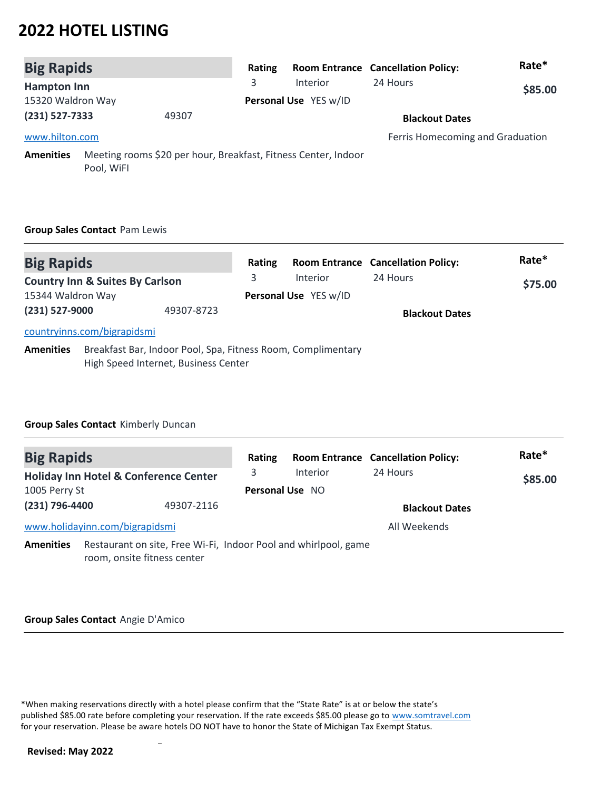| <b>Big Rapids</b>  |                                                                              | Rating |                       | <b>Room Entrance Cancellation Policy:</b> | Rate*   |
|--------------------|------------------------------------------------------------------------------|--------|-----------------------|-------------------------------------------|---------|
| <b>Hampton Inn</b> |                                                                              | 3      | <b>Interior</b>       | 24 Hours                                  | \$85.00 |
| 15320 Waldron Way  |                                                                              |        | Personal Use YES w/ID |                                           |         |
| $(231) 527 - 7333$ | 49307                                                                        |        |                       | <b>Blackout Dates</b>                     |         |
| www.hilton.com     |                                                                              |        |                       | Ferris Homecoming and Graduation          |         |
| <b>Amenities</b>   | Meeting rooms \$20 per hour, Breakfast, Fitness Center, Indoor<br>Pool, WiFI |        |                       |                                           |         |

### **Group Sales Contact** Pam Lewis

| <b>Big Rapids</b> |                                                                                                      | Rating |                       | <b>Room Entrance Cancellation Policy:</b> | Rate*   |
|-------------------|------------------------------------------------------------------------------------------------------|--------|-----------------------|-------------------------------------------|---------|
|                   | <b>Country Inn &amp; Suites By Carlson</b>                                                           | 3      | <b>Interior</b>       | 24 Hours                                  | \$75.00 |
| 15344 Waldron Way |                                                                                                      |        | Personal Use YES w/ID |                                           |         |
| (231) 527-9000    | 49307-8723                                                                                           |        |                       | <b>Blackout Dates</b>                     |         |
|                   | countryinns.com/bigrapidsmi                                                                          |        |                       |                                           |         |
| <b>Amenities</b>  | Breakfast Bar, Indoor Pool, Spa, Fitness Room, Complimentary<br>High Speed Internet, Business Center |        |                       |                                           |         |

### **Group Sales Contact** Kimberly Duncan

| <b>Big Rapids</b> |                                                                                                | Rating                 |          | <b>Room Entrance Cancellation Policy:</b> | Rate*   |
|-------------------|------------------------------------------------------------------------------------------------|------------------------|----------|-------------------------------------------|---------|
|                   | <b>Holiday Inn Hotel &amp; Conference Center</b>                                               | 3                      | Interior | 24 Hours                                  | \$85.00 |
| 1005 Perry St     |                                                                                                | <b>Personal Use NO</b> |          |                                           |         |
| (231) 796-4400    | 49307-2116                                                                                     |                        |          | <b>Blackout Dates</b>                     |         |
|                   | www.holidayinn.com/bigrapidsmi                                                                 |                        |          | All Weekends                              |         |
| <b>Amenities</b>  | Restaurant on site, Free Wi-Fi, Indoor Pool and whirlpool, game<br>room, onsite fitness center |                        |          |                                           |         |

### **Group Sales Contact** Angie D'Amico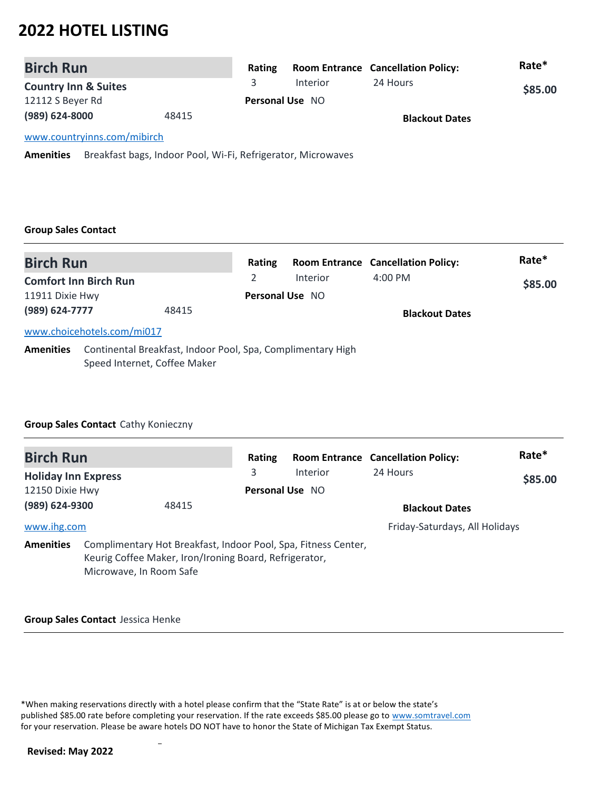| <b>Birch Run</b>                |       | Rating |                        | <b>Room Entrance Cancellation Policy:</b> | Rate*   |
|---------------------------------|-------|--------|------------------------|-------------------------------------------|---------|
| <b>Country Inn &amp; Suites</b> |       |        | Interior               | 24 Hours                                  | \$85.00 |
| 12112 S Beyer Rd                |       |        | <b>Personal Use NO</b> |                                           |         |
| (989) 624-8000                  | 48415 |        |                        | <b>Blackout Dates</b>                     |         |
| www.countryinns.com/mibirch     |       |        |                        |                                           |         |
|                                 |       |        |                        |                                           |         |

**Amenities** Breakfast bags, Indoor Pool, Wi-Fi, Refrigerator, Microwaves

#### **Group Sales Contact**

| <b>Birch Run</b>             |                                                                                             | Rating |                        | <b>Room Entrance Cancellation Policy:</b> | Rate*   |
|------------------------------|---------------------------------------------------------------------------------------------|--------|------------------------|-------------------------------------------|---------|
| <b>Comfort Inn Birch Run</b> |                                                                                             |        | Interior               | $4:00$ PM                                 | \$85.00 |
| 11911 Dixie Hwy              |                                                                                             |        | <b>Personal Use NO</b> |                                           |         |
| (989) 624-7777               | 48415                                                                                       |        |                        | <b>Blackout Dates</b>                     |         |
|                              | www.choicehotels.com/mi017                                                                  |        |                        |                                           |         |
| <b>Amenities</b>             | Continental Breakfast, Indoor Pool, Spa, Complimentary High<br>Speed Internet, Coffee Maker |        |                        |                                           |         |

### **Group Sales Contact** Cathy Konieczny

| <b>Birch Run</b>           |                                                                                                                                                     | Rating |                 | <b>Room Entrance Cancellation Policy:</b> | Rate*   |
|----------------------------|-----------------------------------------------------------------------------------------------------------------------------------------------------|--------|-----------------|-------------------------------------------|---------|
| <b>Holiday Inn Express</b> |                                                                                                                                                     | 3      | Interior        | 24 Hours                                  | \$85.00 |
| 12150 Dixie Hwy            |                                                                                                                                                     |        | Personal Use NO |                                           |         |
| (989) 624-9300             |                                                                                                                                                     | 48415  |                 | <b>Blackout Dates</b>                     |         |
| www.ihg.com                |                                                                                                                                                     |        |                 | Friday-Saturdays, All Holidays            |         |
| <b>Amenities</b>           | Complimentary Hot Breakfast, Indoor Pool, Spa, Fitness Center,<br>Keurig Coffee Maker, Iron/Ironing Board, Refrigerator,<br>Microwave, In Room Safe |        |                 |                                           |         |

#### **Group Sales Contact** Jessica Henke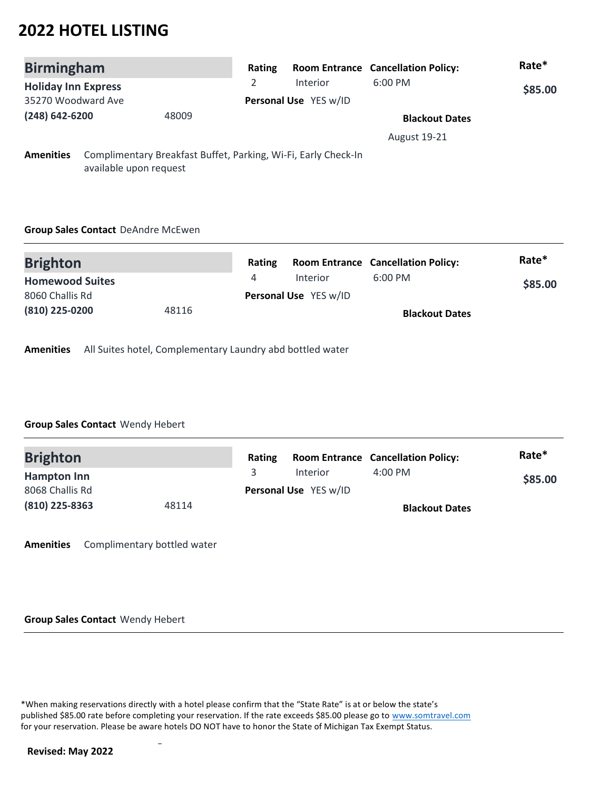| <b>Birmingham</b>          |                        |       | Rating                |                                                                | <b>Room Entrance Cancellation Policy:</b> | Rate*   |
|----------------------------|------------------------|-------|-----------------------|----------------------------------------------------------------|-------------------------------------------|---------|
| <b>Holiday Inn Express</b> |                        |       | 2                     | Interior                                                       | $6:00$ PM                                 | \$85.00 |
| 35270 Woodward Ave         |                        |       | Personal Use YES w/ID |                                                                |                                           |         |
| (248) 642-6200             |                        | 48009 |                       |                                                                | <b>Blackout Dates</b>                     |         |
|                            |                        |       |                       |                                                                | <b>August 19-21</b>                       |         |
| <b>Amenities</b>           | available upon request |       |                       | Complimentary Breakfast Buffet, Parking, Wi-Fi, Early Check-In |                                           |         |

### **Group Sales Contact** DeAndre McEwen

| <b>Brighton</b>        |       | <b>Rating</b> |                       | <b>Room Entrance Cancellation Policy:</b> | Rate*   |
|------------------------|-------|---------------|-----------------------|-------------------------------------------|---------|
| <b>Homewood Suites</b> |       |               | Interior              | $6:00$ PM                                 | \$85.00 |
| 8060 Challis Rd        |       |               | Personal Use YES w/ID |                                           |         |
| (810) 225-0200         | 48116 |               |                       | <b>Blackout Dates</b>                     |         |

**Amenities** All Suites hotel, Complementary Laundry abd bottled water

### **Group Sales Contact** Wendy Hebert

| <b>Brighton</b>    |       | Rating |                       | <b>Room Entrance Cancellation Policy:</b> | Rate*   |
|--------------------|-------|--------|-----------------------|-------------------------------------------|---------|
| <b>Hampton Inn</b> |       |        | Interior              | $4:00 \text{ PM}$                         | \$85.00 |
| 8068 Challis Rd    |       |        | Personal Use YES w/ID |                                           |         |
| (810) 225-8363     | 48114 |        |                       | <b>Blackout Dates</b>                     |         |

**Amenities** Complimentary bottled water

**Group Sales Contact** Wendy Hebert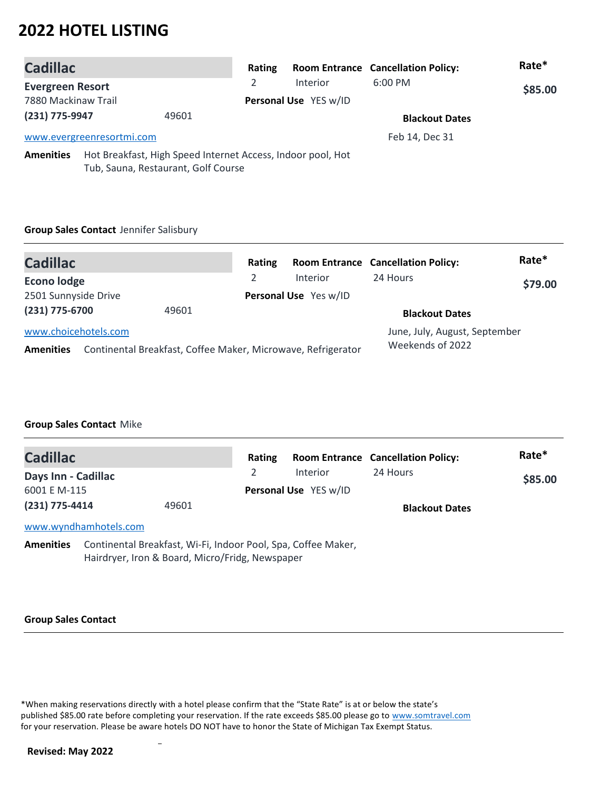| <b>Cadillac</b>         |                                                                                                    | Rating |                       | <b>Room Entrance Cancellation Policy:</b> | Rate*   |  |
|-------------------------|----------------------------------------------------------------------------------------------------|--------|-----------------------|-------------------------------------------|---------|--|
| <b>Evergreen Resort</b> |                                                                                                    | 2      | Interior              | $6:00$ PM                                 | \$85.00 |  |
| 7880 Mackinaw Trail     |                                                                                                    |        | Personal Use YES w/ID |                                           |         |  |
| (231) 775-9947          | 49601                                                                                              |        |                       | <b>Blackout Dates</b>                     |         |  |
|                         | www.evergreenresortmi.com                                                                          |        |                       | Feb 14, Dec 31                            |         |  |
| <b>Amenities</b>        | Hot Breakfast, High Speed Internet Access, Indoor pool, Hot<br>Tub, Sauna, Restaurant, Golf Course |        |                       |                                           |         |  |

### **Group Sales Contact** Jennifer Salisbury

| <b>Cadillac</b>                                                                                          | Rating |                       | <b>Room Entrance Cancellation Policy:</b>         | Rate*   |
|----------------------------------------------------------------------------------------------------------|--------|-----------------------|---------------------------------------------------|---------|
| <b>Econo lodge</b>                                                                                       |        | Interior              | 24 Hours                                          | \$79.00 |
| 2501 Sunnyside Drive                                                                                     |        | Personal Use Yes w/ID |                                                   |         |
| (231) 775-6700<br>49601                                                                                  |        |                       | <b>Blackout Dates</b>                             |         |
| www.choicehotels.com<br>Continental Breakfast, Coffee Maker, Microwave, Refrigerator<br><b>Amenities</b> |        |                       | June, July, August, September<br>Weekends of 2022 |         |

### **Group Sales Contact** Mike

| <b>Cadillac</b>                                                                                                                      |                       |  | Rating                |                       | <b>Room Entrance Cancellation Policy:</b> | Rate*   |
|--------------------------------------------------------------------------------------------------------------------------------------|-----------------------|--|-----------------------|-----------------------|-------------------------------------------|---------|
| Days Inn - Cadillac                                                                                                                  |                       |  |                       | <b>Interior</b>       | 24 Hours                                  | \$85.00 |
| 6001 E M-115                                                                                                                         |                       |  | Personal Use YES w/ID |                       |                                           |         |
| $(231)$ 775-4414<br>49601                                                                                                            |                       |  |                       | <b>Blackout Dates</b> |                                           |         |
|                                                                                                                                      | www.wyndhamhotels.com |  |                       |                       |                                           |         |
| Continental Breakfast, Wi-Fi, Indoor Pool, Spa, Coffee Maker,<br><b>Amenities</b><br>Hairdryer, Iron & Board, Micro/Fridg, Newspaper |                       |  |                       |                       |                                           |         |

#### **Group Sales Contact**

\*When making reservations directly with a hotel please confirm that the "State Rate" is at or below the state's published \$85.00 rate before completing your reservation. If the rate exceeds \$85.00 please go to www.somtravel.com for your reservation. Please be aware hotels DO NOT have to honor the State of Michigan Tax Exempt Status.

 $\overline{a}$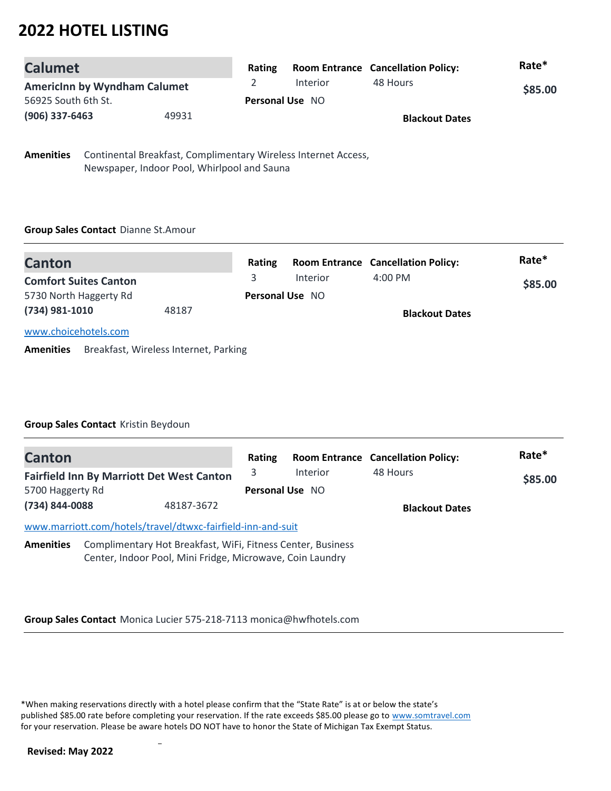| <b>Calumet</b>                      |       | <b>Rating</b> |                        | <b>Room Entrance Cancellation Policy:</b> | Rate*   |
|-------------------------------------|-------|---------------|------------------------|-------------------------------------------|---------|
| <b>Americinn by Wyndham Calumet</b> |       |               | Interior               | 48 Hours                                  | \$85.00 |
| 56925 South 6th St.                 |       |               | <b>Personal Use NO</b> |                                           |         |
| $(906)$ 337-6463                    | 49931 |               |                        | <b>Blackout Dates</b>                     |         |

**Amenities** Continental Breakfast, Complimentary Wireless Internet Access, Newspaper, Indoor Pool, Whirlpool and Sauna

### **Group Sales Contact** Dianne St.Amour

| <b>Canton</b>                |       | Rating |                        | <b>Room Entrance Cancellation Policy:</b> | Rate*   |  |
|------------------------------|-------|--------|------------------------|-------------------------------------------|---------|--|
| <b>Comfort Suites Canton</b> |       |        | Interior               | $4:00 \text{ PM}$                         | \$85.00 |  |
| 5730 North Haggerty Rd       |       |        | <b>Personal Use NO</b> |                                           |         |  |
| (734) 981-1010               | 48187 |        |                        | <b>Blackout Dates</b>                     |         |  |
| www.choicehotels.com         |       |        |                        |                                           |         |  |

**Amenities** Breakfast, Wireless Internet, Parking

### **Group Sales Contact** Kristin Beydoun

| <b>Canton</b>                                                                                                                                |                                                             | Rating                 |          | <b>Room Entrance Cancellation Policy:</b> | Rate*   |
|----------------------------------------------------------------------------------------------------------------------------------------------|-------------------------------------------------------------|------------------------|----------|-------------------------------------------|---------|
|                                                                                                                                              | <b>Fairfield Inn By Marriott Det West Canton</b>            | 3                      | Interior | 48 Hours                                  | \$85.00 |
| 5700 Haggerty Rd                                                                                                                             |                                                             | <b>Personal Use NO</b> |          |                                           |         |
| (734) 844-0088                                                                                                                               | 48187-3672                                                  |                        |          | <b>Blackout Dates</b>                     |         |
|                                                                                                                                              | www.marriott.com/hotels/travel/dtwxc-fairfield-inn-and-suit |                        |          |                                           |         |
| Complimentary Hot Breakfast, WiFi, Fitness Center, Business<br><b>Amenities</b><br>Center, Indoor Pool, Mini Fridge, Microwave, Coin Laundry |                                                             |                        |          |                                           |         |

**Group Sales Contact** Monica Lucier 575-218-7113 monica@hwfhotels.com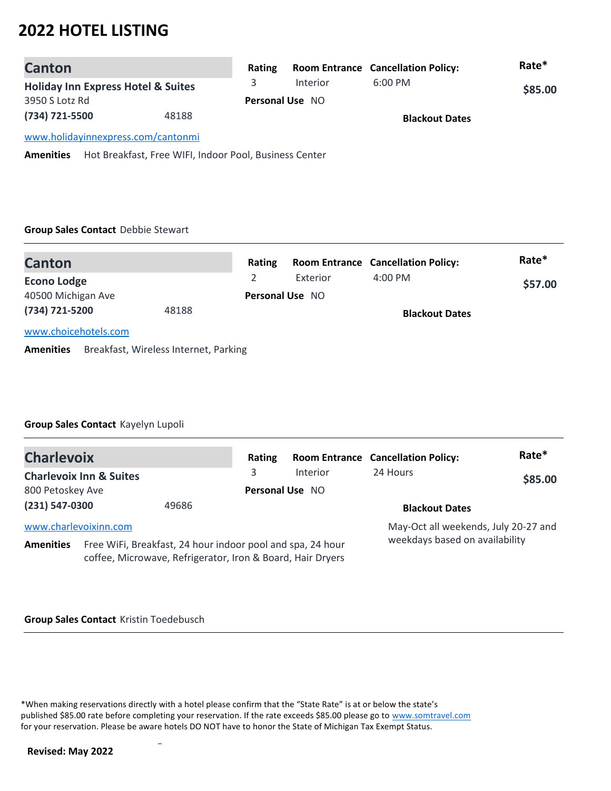| <b>Canton</b>                                 |       | Rating                 |          | <b>Room Entrance Cancellation Policy:</b> | Rate*   |
|-----------------------------------------------|-------|------------------------|----------|-------------------------------------------|---------|
| <b>Holiday Inn Express Hotel &amp; Suites</b> |       |                        | Interior | $6:00$ PM                                 | \$85.00 |
| 3950 S Lotz Rd                                |       | <b>Personal Use NO</b> |          |                                           |         |
| (734) 721-5500                                | 48188 | <b>Blackout Dates</b>  |          |                                           |         |
| www.holidayinnexpress.com/cantonmi            |       |                        |          |                                           |         |

**Amenities** Hot Breakfast, Free WIFI, Indoor Pool, Business Center

### **Group Sales Contact** Debbie Stewart

| <b>Canton</b>        |       | Rating |                        | <b>Room Entrance Cancellation Policy:</b> | Rate*   |  |
|----------------------|-------|--------|------------------------|-------------------------------------------|---------|--|
| <b>Econo Lodge</b>   |       |        | Exterior               | $4:00 \text{ PM}$                         | \$57.00 |  |
| 40500 Michigan Ave   |       |        | <b>Personal Use NO</b> |                                           |         |  |
| (734) 721-5200       | 48188 |        |                        | <b>Blackout Dates</b>                     |         |  |
| www.choicehotels.com |       |        |                        |                                           |         |  |

**Amenities** Breakfast, Wireless Internet, Parking

### **Group Sales Contact** Kayelyn Lupoli

| <b>Charlevoix</b>                                                                                                                            |                                    |       | Rating                         |                 | <b>Room Entrance Cancellation Policy:</b> | Rate*   |
|----------------------------------------------------------------------------------------------------------------------------------------------|------------------------------------|-------|--------------------------------|-----------------|-------------------------------------------|---------|
|                                                                                                                                              | <b>Charlevoix Inn &amp; Suites</b> |       | 3                              | <b>Interior</b> | 24 Hours                                  | \$85.00 |
| 800 Petoskey Ave                                                                                                                             |                                    |       | Personal Use NO                |                 |                                           |         |
| (231) 547-0300                                                                                                                               |                                    | 49686 |                                |                 | <b>Blackout Dates</b>                     |         |
| www.charlevoixinn.com                                                                                                                        |                                    |       |                                |                 | May-Oct all weekends, July 20-27 and      |         |
| Free WiFi, Breakfast, 24 hour indoor pool and spa, 24 hour<br><b>Amenities</b><br>coffee, Microwave, Refrigerator, Iron & Board, Hair Dryers |                                    |       | weekdays based on availability |                 |                                           |         |

#### **Group Sales Contact** Kristin Toedebusch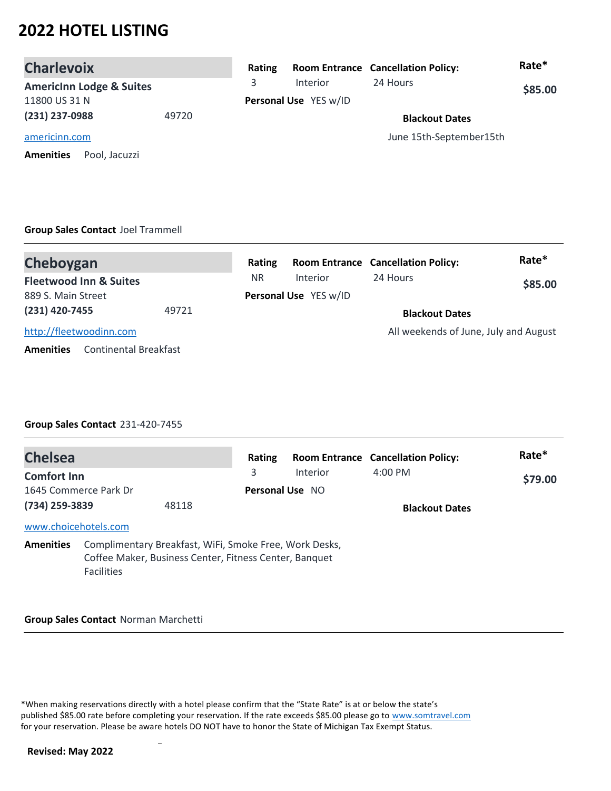| <b>Charlevoix</b>                   | Rating |                       | <b>Room Entrance Cancellation Policy:</b> | Rate*   |
|-------------------------------------|--------|-----------------------|-------------------------------------------|---------|
| <b>Americinn Lodge &amp; Suites</b> | 3      | <b>Interior</b>       | 24 Hours                                  | \$85.00 |
| 11800 US 31 N                       |        | Personal Use YES w/ID |                                           |         |
| (231) 237-0988<br>49720             |        |                       | <b>Blackout Dates</b>                     |         |
| americinn.com                       |        |                       | June 15th-September15th                   |         |
| <b>Amenities</b><br>Pool, Jacuzzi   |        |                       |                                           |         |

#### **Group Sales Contact** Joel Trammell

| Cheboygan                                        |       | Rating                |          | <b>Room Entrance Cancellation Policy:</b> | Rate*   |  |
|--------------------------------------------------|-------|-----------------------|----------|-------------------------------------------|---------|--|
| <b>Fleetwood Inn &amp; Suites</b>                |       | <b>NR</b>             | Interior | 24 Hours                                  | \$85.00 |  |
| 889 S. Main Street                               |       | Personal Use YES w/ID |          |                                           |         |  |
| (231) 420-7455                                   | 49721 |                       |          | <b>Blackout Dates</b>                     |         |  |
| http://fleetwoodinn.com                          |       |                       |          | All weekends of June, July and August     |         |  |
| <b>Continental Breakfast</b><br><b>Amenities</b> |       |                       |          |                                           |         |  |

### **Group Sales Contact** 231-420-7455

| <b>Chelsea</b>       |                       |                                                                                                                  | Rating          |          | <b>Room Entrance Cancellation Policy:</b> | Rate*   |
|----------------------|-----------------------|------------------------------------------------------------------------------------------------------------------|-----------------|----------|-------------------------------------------|---------|
| <b>Comfort Inn</b>   |                       |                                                                                                                  | 3               | Interior | $4:00 \text{ PM}$                         | \$79.00 |
|                      | 1645 Commerce Park Dr |                                                                                                                  | Personal Use NO |          |                                           |         |
| (734) 259-3839       |                       | 48118                                                                                                            |                 |          | <b>Blackout Dates</b>                     |         |
| www.choicehotels.com |                       |                                                                                                                  |                 |          |                                           |         |
| <b>Amenities</b>     | <b>Facilities</b>     | Complimentary Breakfast, WiFi, Smoke Free, Work Desks,<br>Coffee Maker, Business Center, Fitness Center, Banquet |                 |          |                                           |         |

#### **Group Sales Contact** Norman Marchetti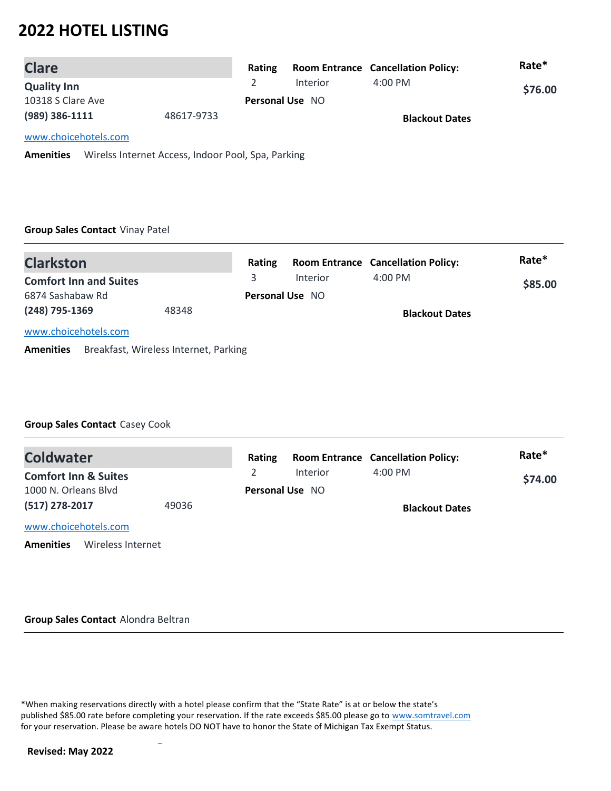| <b>Clare</b>         |            | Rating                 |          | <b>Room Entrance Cancellation Policy:</b> | Rate*   |
|----------------------|------------|------------------------|----------|-------------------------------------------|---------|
| <b>Quality Inn</b>   |            |                        | Interior | $4:00 \text{ PM}$                         | \$76.00 |
| 10318 S Clare Ave    |            | <b>Personal Use NO</b> |          |                                           |         |
| (989) 386-1111       | 48617-9733 |                        |          | <b>Blackout Dates</b>                     |         |
| www.choicehotels.com |            |                        |          |                                           |         |

**Amenities** Wirelss Internet Access, Indoor Pool, Spa, Parking

#### **Group Sales Contact** Vinay Patel

| <b>Clarkston</b>              |       | Rating |                        | <b>Room Entrance Cancellation Policy:</b> | Rate*   |
|-------------------------------|-------|--------|------------------------|-------------------------------------------|---------|
| <b>Comfort Inn and Suites</b> |       | 3.     | Interior               | $4:00 \text{ PM}$                         | \$85.00 |
| 6874 Sashabaw Rd              |       |        | <b>Personal Use NO</b> |                                           |         |
| (248) 795-1369                | 48348 |        |                        | <b>Blackout Dates</b>                     |         |
| www.choicehotels.com          |       |        |                        |                                           |         |

**Amenities** Breakfast, Wireless Internet, Parking

### **Group Sales Contact** Casey Cook

| <b>Coldwater</b>                                        |  | Rating |                        | <b>Room Entrance Cancellation Policy:</b> | Rate*   |
|---------------------------------------------------------|--|--------|------------------------|-------------------------------------------|---------|
| <b>Comfort Inn &amp; Suites</b><br>1000 N. Orleans Blvd |  |        | <b>Interior</b>        | $4:00$ PM                                 | \$74.00 |
|                                                         |  |        | <b>Personal Use NO</b> |                                           |         |
| (517) 278-2017<br>49036                                 |  |        |                        | <b>Blackout Dates</b>                     |         |
| www.choicehotels.com                                    |  |        |                        |                                           |         |
| Wireless Internet<br><b>Amenities</b>                   |  |        |                        |                                           |         |

#### **Group Sales Contact** Alondra Beltran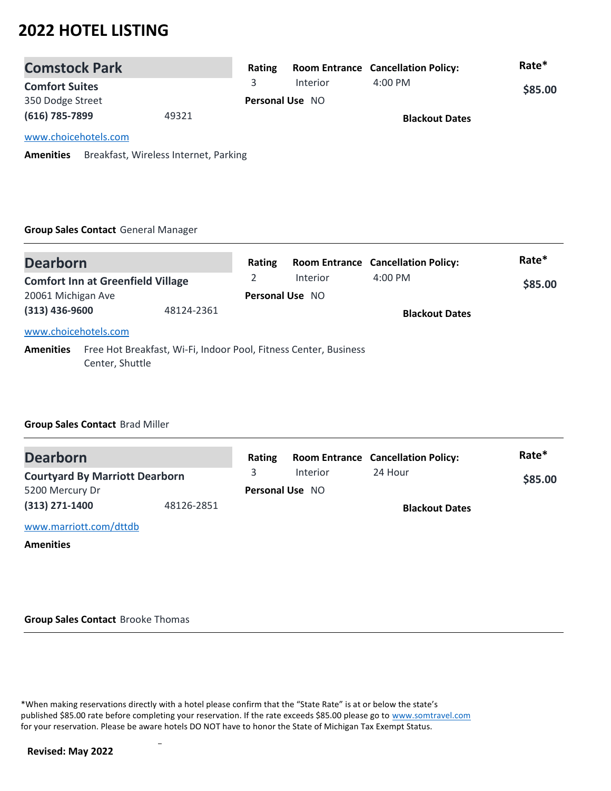| <b>Comstock Park</b>                                      |  | Rating |                        | <b>Room Entrance Cancellation Policy:</b> | Rate*   |
|-----------------------------------------------------------|--|--------|------------------------|-------------------------------------------|---------|
| <b>Comfort Suites</b>                                     |  | 3.     | Interior               | $4:00 \text{ PM}$                         | \$85.00 |
| 350 Dodge Street                                          |  |        | <b>Personal Use NO</b> |                                           |         |
| (616) 785-7899<br>49321                                   |  |        |                        | <b>Blackout Dates</b>                     |         |
| www.choicehotels.com                                      |  |        |                        |                                           |         |
| Breakfast, Wireless Internet, Parking<br><b>Amenities</b> |  |        |                        |                                           |         |

### **Group Sales Contact** General Manager

| <b>Dearborn</b>                |                                          |  | Rating                 |                                                                  | <b>Room Entrance Cancellation Policy:</b> | Rate*   |
|--------------------------------|------------------------------------------|--|------------------------|------------------------------------------------------------------|-------------------------------------------|---------|
|                                | <b>Comfort Inn at Greenfield Village</b> |  | 2                      | Interior                                                         | $4:00$ PM                                 | \$85.00 |
| 20061 Michigan Ave             |                                          |  | <b>Personal Use NO</b> |                                                                  |                                           |         |
| $(313)$ 436-9600<br>48124-2361 |                                          |  |                        | <b>Blackout Dates</b>                                            |                                           |         |
| www.choicehotels.com           |                                          |  |                        |                                                                  |                                           |         |
| <b>Amenities</b>               | Center, Shuttle                          |  |                        | Free Hot Breakfast, Wi-Fi, Indoor Pool, Fitness Center, Business |                                           |         |

### **Group Sales Contact** Brad Miller

| <b>Dearborn</b>                       |            | Rating |                        | <b>Room Entrance Cancellation Policy:</b> | Rate*   |
|---------------------------------------|------------|--------|------------------------|-------------------------------------------|---------|
| <b>Courtyard By Marriott Dearborn</b> |            |        | Interior               | 24 Hour                                   | \$85.00 |
| 5200 Mercury Dr                       |            |        | <b>Personal Use NO</b> |                                           |         |
| $(313)$ 271-1400                      | 48126-2851 |        |                        | <b>Blackout Dates</b>                     |         |
| www.marriott.com/dttdb                |            |        |                        |                                           |         |

**Amenities**

**Group Sales Contact** Brooke Thomas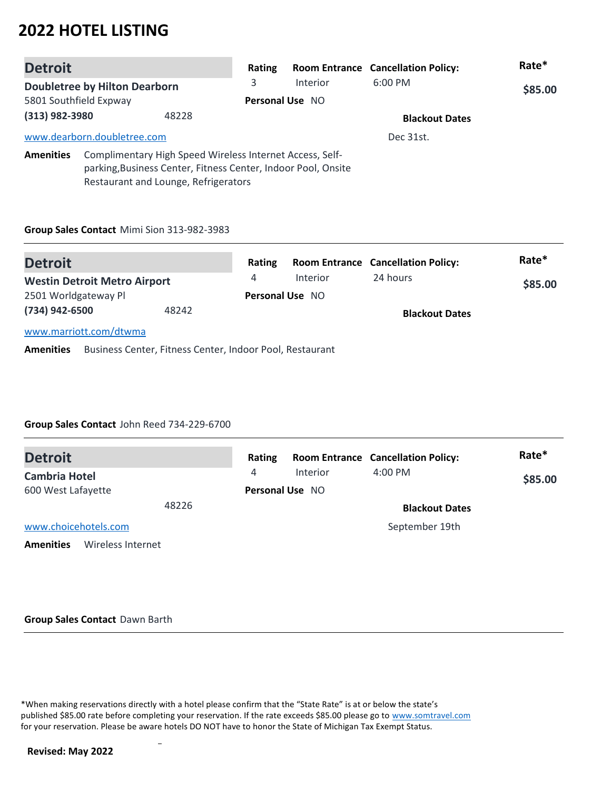| <b>Detroit</b>                                                                                                                                                                        |                             | Rating |                 | <b>Room Entrance Cancellation Policy:</b> | Rate*   |  |
|---------------------------------------------------------------------------------------------------------------------------------------------------------------------------------------|-----------------------------|--------|-----------------|-------------------------------------------|---------|--|
| <b>Doubletree by Hilton Dearborn</b>                                                                                                                                                  |                             | 3      | <b>Interior</b> | $6:00$ PM                                 | \$85.00 |  |
| 5801 Southfield Expway                                                                                                                                                                |                             |        | Personal Use NO |                                           |         |  |
| (313) 982-3980<br>48228                                                                                                                                                               |                             |        |                 | <b>Blackout Dates</b>                     |         |  |
|                                                                                                                                                                                       | www.dearborn.doubletree.com |        |                 | Dec 31st.                                 |         |  |
| Complimentary High Speed Wireless Internet Access, Self-<br><b>Amenities</b><br>parking, Business Center, Fitness Center, Indoor Pool, Onsite<br>Restaurant and Lounge, Refrigerators |                             |        |                 |                                           |         |  |

#### **Group Sales Contact** Mimi Sion 313-982-3983

| <b>Detroit</b>                      |       | Rating                 |          | <b>Room Entrance Cancellation Policy:</b> | Rate*   |
|-------------------------------------|-------|------------------------|----------|-------------------------------------------|---------|
| <b>Westin Detroit Metro Airport</b> |       | 4                      | Interior | 24 hours                                  | \$85.00 |
| 2501 Worldgateway Pl                |       | <b>Personal Use NO</b> |          |                                           |         |
| (734) 942-6500                      | 48242 |                        |          | <b>Blackout Dates</b>                     |         |
| www.marriott.com/dtwma              |       |                        |          |                                           |         |

**Amenities** Business Center, Fitness Center, Indoor Pool, Restaurant

### **Group Sales Contact** John Reed 734-229-6700

| <b>Detroit</b>                        | Rating |                        | <b>Room Entrance Cancellation Policy:</b> | Rate*   |
|---------------------------------------|--------|------------------------|-------------------------------------------|---------|
| <b>Cambria Hotel</b>                  | 4      | <b>Interior</b>        | $4:00$ PM                                 | \$85.00 |
| 600 West Lafayette                    |        | <b>Personal Use NO</b> |                                           |         |
| 48226                                 |        |                        | <b>Blackout Dates</b>                     |         |
| www.choicehotels.com                  |        |                        | September 19th                            |         |
| <b>Amenities</b><br>Wireless Internet |        |                        |                                           |         |

#### **Group Sales Contact** Dawn Barth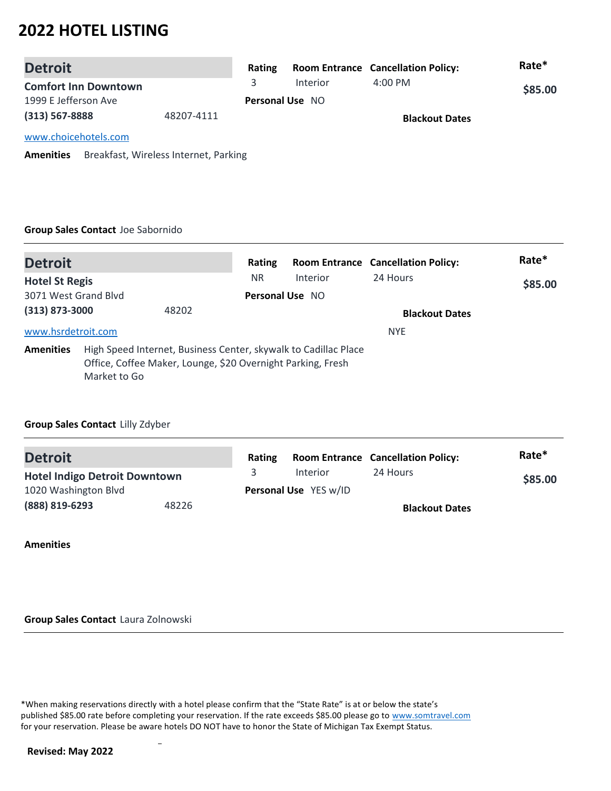| <b>Detroit</b>              |            | Rating |                        | <b>Room Entrance Cancellation Policy:</b> | Rate*   |
|-----------------------------|------------|--------|------------------------|-------------------------------------------|---------|
| <b>Comfort Inn Downtown</b> |            |        | Interior               | $4:00 \, \text{PM}$                       | \$85.00 |
| 1999 E Jefferson Ave        |            |        | <b>Personal Use NO</b> |                                           |         |
| $(313) 567 - 8888$          | 48207-4111 |        |                        | <b>Blackout Dates</b>                     |         |
| www.choicehotels.com        |            |        |                        |                                           |         |

**Amenities** Breakfast, Wireless Internet, Parking

#### **Group Sales Contact** Joe Sabornido

| <b>Detroit</b>        |                                                                                                                                                | Rating                 |          | <b>Room Entrance Cancellation Policy:</b> | Rate*   |
|-----------------------|------------------------------------------------------------------------------------------------------------------------------------------------|------------------------|----------|-------------------------------------------|---------|
| <b>Hotel St Regis</b> |                                                                                                                                                | <b>NR</b>              | Interior | 24 Hours                                  | \$85.00 |
| 3071 West Grand Blyd  |                                                                                                                                                | <b>Personal Use NO</b> |          |                                           |         |
| (313) 873-3000        | 48202                                                                                                                                          |                        |          | <b>Blackout Dates</b>                     |         |
| www.hsrdetroit.com    |                                                                                                                                                |                        |          | <b>NYE</b>                                |         |
| <b>Amenities</b>      | High Speed Internet, Business Center, skywalk to Cadillac Place<br>Office, Coffee Maker, Lounge, \$20 Overnight Parking, Fresh<br>Market to Go |                        |          |                                           |         |

### **Group Sales Contact** Lilly Zdyber

| <b>Detroit</b>                       |       | Rating |                              | <b>Room Entrance Cancellation Policy:</b> | Rate*   |
|--------------------------------------|-------|--------|------------------------------|-------------------------------------------|---------|
| <b>Hotel Indigo Detroit Downtown</b> |       |        | <b>Interior</b>              | 24 Hours                                  | \$85.00 |
| 1020 Washington Blvd                 |       |        | <b>Personal Use</b> YES w/ID |                                           |         |
| (888) 819-6293                       | 48226 |        |                              | <b>Blackout Dates</b>                     |         |

**Amenities**

**Group Sales Contact** Laura Zolnowski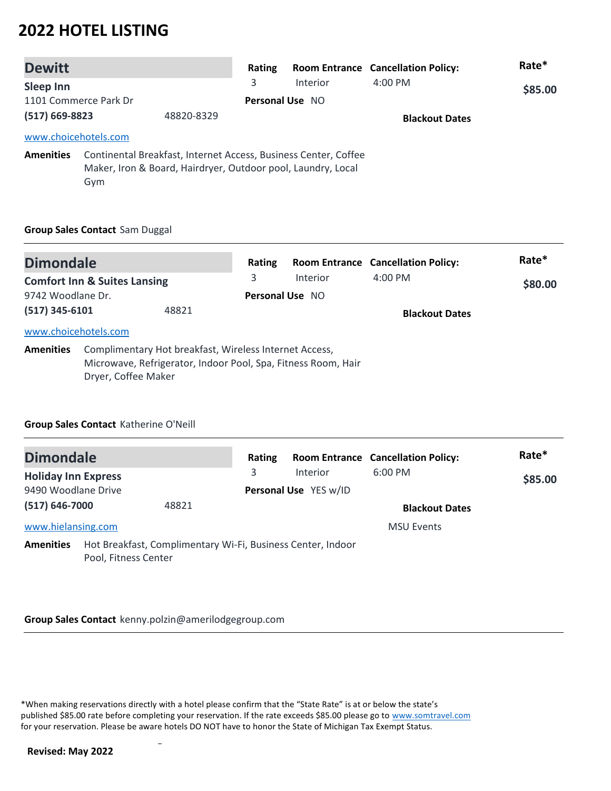| <b>Dewitt</b>                    |                      |                                                              | Rating                 |                                                                 | <b>Room Entrance Cancellation Policy:</b> | Rate*   |
|----------------------------------|----------------------|--------------------------------------------------------------|------------------------|-----------------------------------------------------------------|-------------------------------------------|---------|
| Sleep Inn                        |                      |                                                              | 3                      | <b>Interior</b>                                                 | $4:00 \text{ PM}$                         | \$85.00 |
| 1101 Commerce Park Dr            |                      |                                                              | <b>Personal Use NO</b> |                                                                 |                                           |         |
| $(517) 669 - 8823$<br>48820-8329 |                      |                                                              |                        | <b>Blackout Dates</b>                                           |                                           |         |
|                                  | www.choicehotels.com |                                                              |                        |                                                                 |                                           |         |
| <b>Amenities</b>                 | Gym                  | Maker, Iron & Board, Hairdryer, Outdoor pool, Laundry, Local |                        | Continental Breakfast, Internet Access, Business Center, Coffee |                                           |         |

### **Group Sales Contact** Sam Duggal

| <b>Dimondale</b>                         |                                                                                                                                                | Rating |                             | <b>Room Entrance Cancellation Policy:</b> | Rate*   |
|------------------------------------------|------------------------------------------------------------------------------------------------------------------------------------------------|--------|-----------------------------|-------------------------------------------|---------|
| 9742 Woodlane Dr.                        | <b>Comfort Inn &amp; Suites Lansing</b>                                                                                                        | 3      | Interior<br>Personal Use NO | $4:00$ PM                                 | \$80.00 |
| $(517)$ 345-6101<br>www.choicehotels.com | 48821                                                                                                                                          |        |                             | <b>Blackout Dates</b>                     |         |
| <b>Amenities</b>                         | Complimentary Hot breakfast, Wireless Internet Access,<br>Microwave, Refrigerator, Indoor Pool, Spa, Fitness Room, Hair<br>Dryer, Coffee Maker |        |                             |                                           |         |

### **Group Sales Contact** Katherine O'Neill

| <b>Dimondale</b>           |                      |                                                             | Rating |                       | <b>Room Entrance Cancellation Policy:</b> | Rate*   |
|----------------------------|----------------------|-------------------------------------------------------------|--------|-----------------------|-------------------------------------------|---------|
| <b>Holiday Inn Express</b> |                      |                                                             | 3      | Interior              | $6:00$ PM                                 | \$85.00 |
| 9490 Woodlane Drive        |                      |                                                             |        | Personal Use YES w/ID |                                           |         |
| $(517) 646 - 7000$         |                      | 48821                                                       |        |                       | <b>Blackout Dates</b>                     |         |
| www.hielansing.com         |                      |                                                             |        |                       | <b>MSU Events</b>                         |         |
| <b>Amenities</b>           | Pool, Fitness Center | Hot Breakfast, Complimentary Wi-Fi, Business Center, Indoor |        |                       |                                           |         |

#### **Group Sales Contact** kenny.polzin@amerilodgegroup.com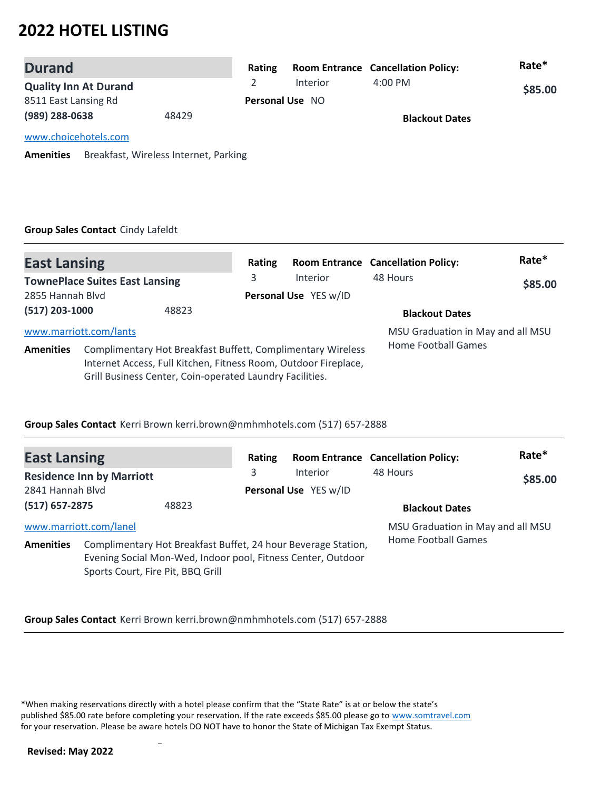| <b>Durand</b>                |                                       | Rating |                        | <b>Room Entrance Cancellation Policy:</b> | Rate*   |
|------------------------------|---------------------------------------|--------|------------------------|-------------------------------------------|---------|
| <b>Quality Inn At Durand</b> |                                       |        | Interior               | $4:00 \text{ PM}$                         | \$85.00 |
| 8511 East Lansing Rd         |                                       |        | <b>Personal Use NO</b> |                                           |         |
| (989) 288-0638               | 48429                                 |        |                        | <b>Blackout Dates</b>                     |         |
| www.choicehotels.com         |                                       |        |                        |                                           |         |
| <b>Amenities</b>             | Breakfast, Wireless Internet, Parking |        |                        |                                           |         |

### **Group Sales Contact** Cindy Lafeldt

| <b>East Lansing</b>                                       |                                                                                                                                                                                            |       | Rating                            |          | <b>Room Entrance Cancellation Policy:</b> | Rate* |
|-----------------------------------------------------------|--------------------------------------------------------------------------------------------------------------------------------------------------------------------------------------------|-------|-----------------------------------|----------|-------------------------------------------|-------|
| <b>TownePlace Suites East Lansing</b><br>2855 Hannah Blyd |                                                                                                                                                                                            | 3     | Interior<br>Personal Use YES w/ID | 48 Hours | \$85.00                                   |       |
| $(517)$ 203-1000                                          |                                                                                                                                                                                            | 48823 |                                   |          | <b>Blackout Dates</b>                     |       |
| www.marriott.com/lants                                    |                                                                                                                                                                                            |       |                                   |          | MSU Graduation in May and all MSU         |       |
| <b>Amenities</b>                                          | Complimentary Hot Breakfast Buffett, Complimentary Wireless<br>Internet Access, Full Kitchen, Fitness Room, Outdoor Fireplace,<br>Grill Business Center, Coin-operated Laundry Facilities. |       |                                   |          | Home Football Games                       |       |

### **Group Sales Contact** Kerri Brown kerri.brown@nmhmhotels.com (517) 657-2888

| <b>East Lansing</b>                        |                                   |                                                                                                                               | Rating |                                          | <b>Room Entrance Cancellation Policy:</b>                | Rate*   |
|--------------------------------------------|-----------------------------------|-------------------------------------------------------------------------------------------------------------------------------|--------|------------------------------------------|----------------------------------------------------------|---------|
| 2841 Hannah Blvd                           | <b>Residence Inn by Marriott</b>  |                                                                                                                               | 3      | <b>Interior</b><br>Personal Use YES w/ID | 48 Hours                                                 | \$85.00 |
| $(517)$ 657-2875                           |                                   | 48823                                                                                                                         |        |                                          | <b>Blackout Dates</b>                                    |         |
| www.marriott.com/lanel<br><b>Amenities</b> | Sports Court, Fire Pit, BBQ Grill | Complimentary Hot Breakfast Buffet, 24 hour Beverage Station,<br>Evening Social Mon-Wed, Indoor pool, Fitness Center, Outdoor |        |                                          | MSU Graduation in May and all MSU<br>Home Football Games |         |

**Group Sales Contact** Kerri Brown kerri.brown@nmhmhotels.com (517) 657-2888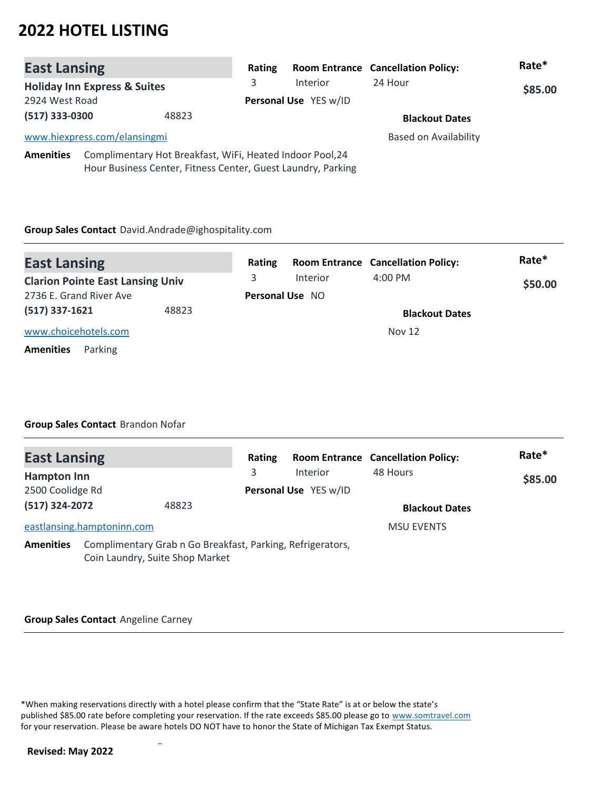| <b>East Lansing</b> |                                         |                                                                                                                           | Rating                |          | <b>Room Entrance Cancellation Policy:</b> | Rate*   |
|---------------------|-----------------------------------------|---------------------------------------------------------------------------------------------------------------------------|-----------------------|----------|-------------------------------------------|---------|
|                     | <b>Holiday Inn Express &amp; Suites</b> |                                                                                                                           | 3                     | Interior | 24 Hour                                   | \$85.00 |
| 2924 West Road      |                                         |                                                                                                                           | Personal Use YES w/ID |          |                                           |         |
| (517) 333-0300      |                                         | 48823                                                                                                                     |                       |          | <b>Blackout Dates</b>                     |         |
|                     | www.hiexpress.com/elansingmi            |                                                                                                                           |                       |          | <b>Based on Availability</b>              |         |
| <b>Amenities</b>    |                                         | Complimentary Hot Breakfast, WiFi, Heated Indoor Pool, 24<br>Hour Business Center, Fitness Center, Guest Laundry, Parking |                       |          |                                           |         |

#### **Group Sales Contact** David.Andrade@ighospitality.com

| <b>East Lansing</b>                     |       | Rating |                        | <b>Room Entrance Cancellation Policy:</b> | Rate*   |
|-----------------------------------------|-------|--------|------------------------|-------------------------------------------|---------|
| <b>Clarion Pointe East Lansing Univ</b> |       | 3.     | <b>Interior</b>        | $4:00 \text{ PM}$                         | \$50.00 |
| 2736 E. Grand River Ave                 |       |        | <b>Personal Use NO</b> |                                           |         |
| $(517)$ 337-1621                        | 48823 |        |                        | <b>Blackout Dates</b>                     |         |
| www.choicehotels.com                    |       |        |                        | <b>Nov 12</b>                             |         |
| Parking<br><b>Amenities</b>             |       |        |                        |                                           |         |

### **Group Sales Contact** Brandon Nofar

| <b>East Lansing</b> |                                                                                               | Rating |                       | <b>Room Entrance Cancellation Policy:</b> | Rate*   |
|---------------------|-----------------------------------------------------------------------------------------------|--------|-----------------------|-------------------------------------------|---------|
| <b>Hampton Inn</b>  |                                                                                               | 3      | <b>Interior</b>       | 48 Hours                                  | \$85.00 |
| 2500 Coolidge Rd    |                                                                                               |        | Personal Use YES w/ID |                                           |         |
| (517) 324-2072      | 48823                                                                                         |        |                       | <b>Blackout Dates</b>                     |         |
|                     | eastlansing.hamptoninn.com                                                                    |        |                       | <b>MSU EVENTS</b>                         |         |
| <b>Amenities</b>    | Complimentary Grab n Go Breakfast, Parking, Refrigerators,<br>Coin Laundry, Suite Shop Market |        |                       |                                           |         |

#### **Group Sales Contact** Angeline Carney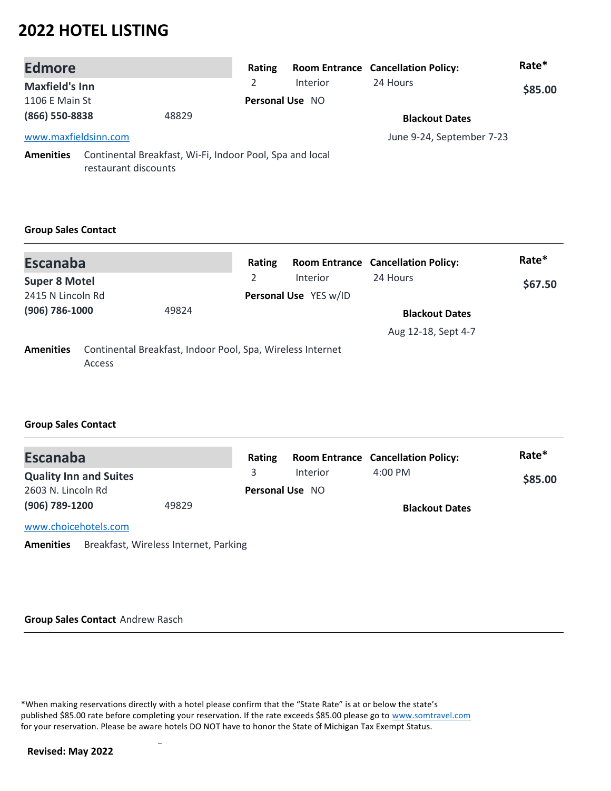| <b>Edmore</b>         |                                                                                  | Rating |                        | <b>Room Entrance Cancellation Policy:</b> | Rate*   |
|-----------------------|----------------------------------------------------------------------------------|--------|------------------------|-------------------------------------------|---------|
| <b>Maxfield's Inn</b> |                                                                                  | 2      | Interior               | 24 Hours                                  | \$85.00 |
| 1106 E Main St        |                                                                                  |        | <b>Personal Use NO</b> |                                           |         |
| (866) 550-8838        | 48829                                                                            |        |                        | <b>Blackout Dates</b>                     |         |
| www.maxfieldsinn.com  |                                                                                  |        |                        | June 9-24, September 7-23                 |         |
| <b>Amenities</b>      | Continental Breakfast, Wi-Fi, Indoor Pool, Spa and local<br>restaurant discounts |        |                        |                                           |         |

### **Group Sales Contact**

| <b>Escanaba</b>         |        |                                                            | Rating         |                       | <b>Room Entrance Cancellation Policy:</b> | Rate*   |
|-------------------------|--------|------------------------------------------------------------|----------------|-----------------------|-------------------------------------------|---------|
| <b>Super 8 Motel</b>    |        |                                                            | $\mathfrak{D}$ | <b>Interior</b>       | 24 Hours                                  | \$67.50 |
| 2415 N Lincoln Rd       |        |                                                            |                | Personal Use YES w/ID |                                           |         |
| (906) 786-1000<br>49824 |        |                                                            |                | <b>Blackout Dates</b> |                                           |         |
|                         |        |                                                            |                |                       | Aug 12-18, Sept 4-7                       |         |
| <b>Amenities</b>        | Access | Continental Breakfast, Indoor Pool, Spa, Wireless Internet |                |                       |                                           |         |

### **Group Sales Contact**

| <b>Escanaba</b>               |       | Rating |                        | <b>Room Entrance Cancellation Policy:</b> | Rate*   |
|-------------------------------|-------|--------|------------------------|-------------------------------------------|---------|
| <b>Quality Inn and Suites</b> |       |        | Interior               | $4:00 \text{ PM}$                         | \$85.00 |
| 2603 N. Lincoln Rd            |       |        | <b>Personal Use NO</b> |                                           |         |
| (906) 789-1200                | 49829 |        |                        | <b>Blackout Dates</b>                     |         |
| www.choicehotels.com          |       |        |                        |                                           |         |
|                               |       |        |                        |                                           |         |

**Amenities** Breakfast, Wireless Internet, Parking

#### **Group Sales Contact** Andrew Rasch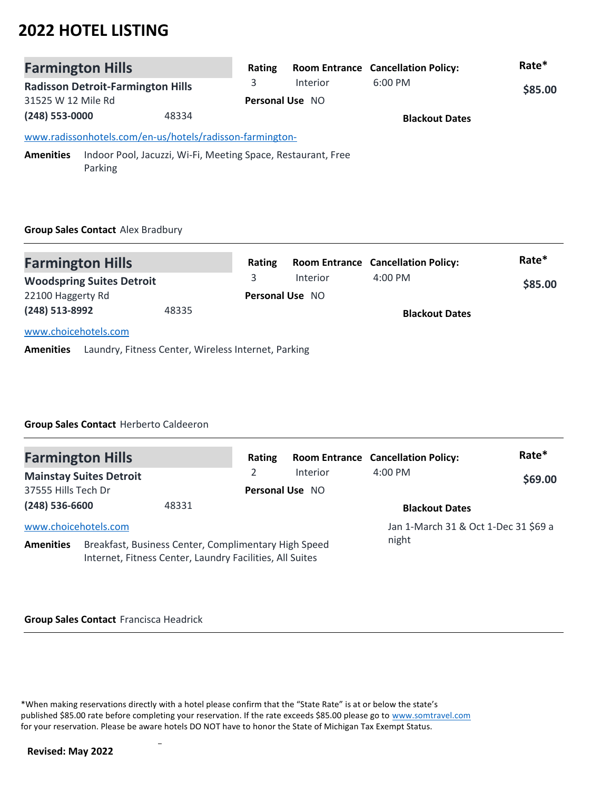| <b>Farmington Hills</b>                                                              | Rating |                        | <b>Room Entrance Cancellation Policy:</b> | Rate*   |
|--------------------------------------------------------------------------------------|--------|------------------------|-------------------------------------------|---------|
| <b>Radisson Detroit-Farmington Hills</b>                                             | 3      | <b>Interior</b>        | $6:00$ PM                                 | \$85.00 |
| 31525 W 12 Mile Rd                                                                   |        | <b>Personal Use NO</b> |                                           |         |
| (248) 553-0000<br>48334                                                              |        |                        | <b>Blackout Dates</b>                     |         |
| www.radissonhotels.com/en-us/hotels/radisson-farmington-                             |        |                        |                                           |         |
| Amenities<br>Indoor Pool, Jacuzzi, Wi-Fi, Meeting Space, Restaurant, Free<br>Parking |        |                        |                                           |         |

### **Group Sales Contact** Alex Bradbury

| <b>Farmington Hills</b>          |       | Rating |                        | <b>Room Entrance Cancellation Policy:</b> | Rate*   |
|----------------------------------|-------|--------|------------------------|-------------------------------------------|---------|
| <b>Woodspring Suites Detroit</b> |       |        | Interior               | $4:00$ PM                                 | \$85.00 |
| 22100 Haggerty Rd                |       |        | <b>Personal Use NO</b> |                                           |         |
| (248) 513-8992                   | 48335 |        |                        | <b>Blackout Dates</b>                     |         |
| www.choicehotels.com             |       |        |                        |                                           |         |

**Amenities** Laundry, Fitness Center, Wireless Internet, Parking

### **Group Sales Contact** Herberto Caldeeron

| <b>Farmington Hills</b> |                                |                                                                                                                  | Rating          |                 | <b>Room Entrance Cancellation Policy:</b> | Rate*   |
|-------------------------|--------------------------------|------------------------------------------------------------------------------------------------------------------|-----------------|-----------------|-------------------------------------------|---------|
|                         | <b>Mainstay Suites Detroit</b> |                                                                                                                  |                 | <b>Interior</b> | $4:00$ PM                                 | \$69.00 |
| 37555 Hills Tech Dr     |                                |                                                                                                                  | Personal Use NO |                 |                                           |         |
| $(248)$ 536-6600        |                                | 48331                                                                                                            |                 |                 | <b>Blackout Dates</b>                     |         |
| www.choicehotels.com    |                                |                                                                                                                  |                 |                 | Jan 1-March 31 & Oct 1-Dec 31 \$69 a      |         |
| <b>Amenities</b>        |                                | Breakfast, Business Center, Complimentary High Speed<br>Internet, Fitness Center, Laundry Facilities, All Suites |                 |                 | night                                     |         |

#### **Group Sales Contact** Francisca Headrick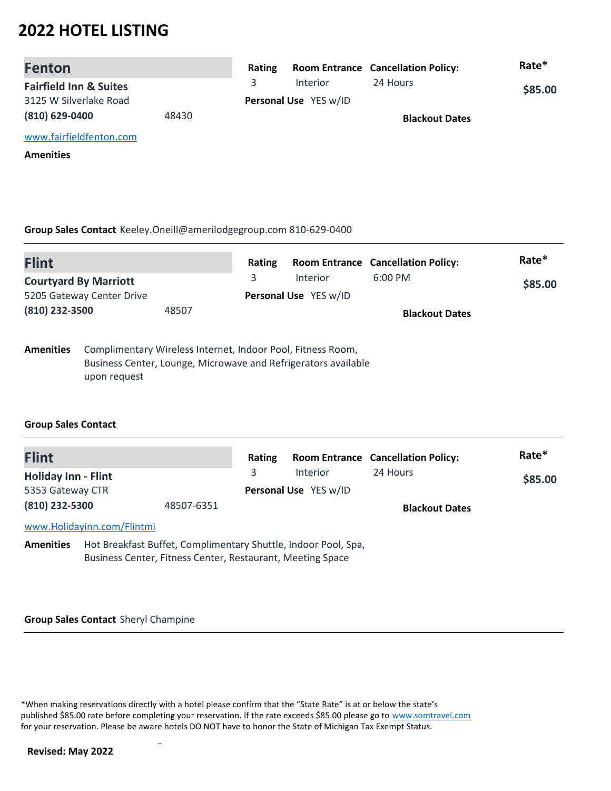| <b>Fenton</b>                     |       | Rating |                       | <b>Room Entrance Cancellation Policy:</b> | Rate*   |
|-----------------------------------|-------|--------|-----------------------|-------------------------------------------|---------|
| <b>Fairfield Inn &amp; Suites</b> |       | 3      | <b>Interior</b>       | 24 Hours                                  | \$85.00 |
| 3125 W Silverlake Road            |       |        | Personal Use YES w/ID |                                           |         |
| $(810)$ 629-0400                  | 48430 |        |                       | <b>Blackout Dates</b>                     |         |
| www.fairfieldfenton.com           |       |        |                       |                                           |         |
| <b>Amenities</b>                  |       |        |                       |                                           |         |

#### **Group Sales Contact** Keeley.Oneill@amerilodgegroup.com 810-629-0400

| <b>Flint</b>                                              |              |       | Rating                                         |                                                                                                                               | <b>Room Entrance Cancellation Policy:</b> | Rate* |
|-----------------------------------------------------------|--------------|-------|------------------------------------------------|-------------------------------------------------------------------------------------------------------------------------------|-------------------------------------------|-------|
| <b>Courtyard By Marriott</b><br>5205 Gateway Center Drive |              | 3     | $6:00$ PM<br>Interior<br>Personal Use YES w/ID |                                                                                                                               |                                           |       |
| (810) 232-3500                                            |              | 48507 |                                                |                                                                                                                               | <b>Blackout Dates</b>                     |       |
| <b>Amenities</b>                                          | upon request |       |                                                | Complimentary Wireless Internet, Indoor Pool, Fitness Room,<br>Business Center, Lounge, Microwave and Refrigerators available |                                           |       |

### **Group Sales Contact**

| <b>Flint</b>               |                            |                                                                                                                              | Rating |                       | <b>Room Entrance Cancellation Policy:</b> | Rate*   |
|----------------------------|----------------------------|------------------------------------------------------------------------------------------------------------------------------|--------|-----------------------|-------------------------------------------|---------|
| <b>Holiday Inn - Flint</b> |                            |                                                                                                                              | 3      | Interior              | 24 Hours                                  | \$85.00 |
| 5353 Gateway CTR           |                            |                                                                                                                              |        | Personal Use YES w/ID |                                           |         |
| (810) 232-5300             |                            | 48507-6351                                                                                                                   |        |                       | <b>Blackout Dates</b>                     |         |
|                            | www.Holidayinn.com/Flintmi |                                                                                                                              |        |                       |                                           |         |
| <b>Amenities</b>           |                            | Hot Breakfast Buffet, Complimentary Shuttle, Indoor Pool, Spa,<br>Business Center, Fitness Center, Restaurant, Meeting Space |        |                       |                                           |         |

#### **Group Sales Contact** Sheryl Champine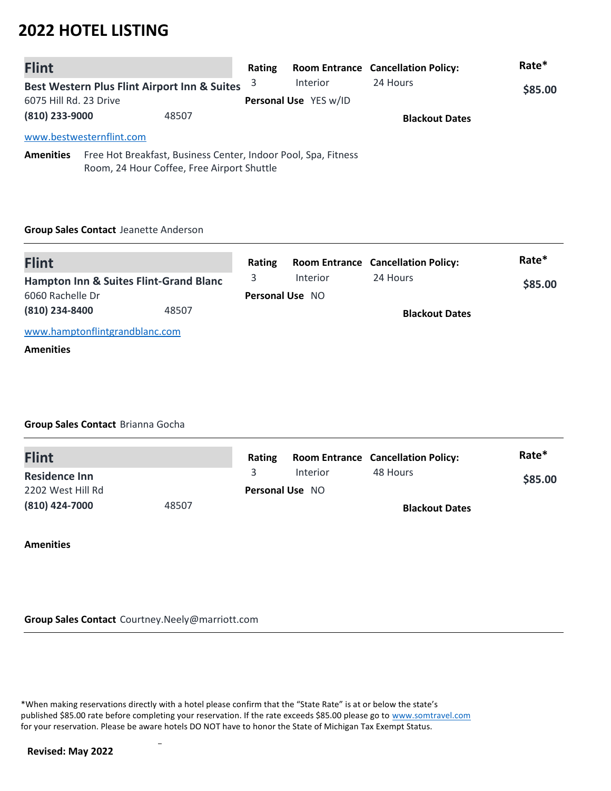| <b>Flint</b>           |                                                                                                              | Rating |                       | <b>Room Entrance Cancellation Policy:</b> | Rate*   |
|------------------------|--------------------------------------------------------------------------------------------------------------|--------|-----------------------|-------------------------------------------|---------|
|                        | Best Western Plus Flint Airport Inn & Suites                                                                 | 3      | Interior              | 24 Hours                                  | \$85.00 |
| 6075 Hill Rd. 23 Drive |                                                                                                              |        | Personal Use YES w/ID |                                           |         |
| (810) 233-9000         | 48507                                                                                                        |        |                       | <b>Blackout Dates</b>                     |         |
|                        | www.bestwesternflint.com                                                                                     |        |                       |                                           |         |
| <b>Amenities</b>       | Free Hot Breakfast, Business Center, Indoor Pool, Spa, Fitness<br>Room, 24 Hour Coffee, Free Airport Shuttle |        |                       |                                           |         |

#### **Group Sales Contact** Jeanette Anderson

| <b>Flint</b>                                      |       | Rating                 |                 | <b>Room Entrance Cancellation Policy:</b> | Rate*   |
|---------------------------------------------------|-------|------------------------|-----------------|-------------------------------------------|---------|
| <b>Hampton Inn &amp; Suites Flint-Grand Blanc</b> |       |                        | <b>Interior</b> | 24 Hours                                  | \$85.00 |
| 6060 Rachelle Dr                                  |       | <b>Personal Use NO</b> |                 |                                           |         |
| (810) 234-8400                                    | 48507 |                        |                 | <b>Blackout Dates</b>                     |         |
| www.hamptonflintgrandblanc.com                    |       |                        |                 |                                           |         |
| <b>Amenities</b>                                  |       |                        |                 |                                           |         |

### **Group Sales Contact** Brianna Gocha

| <b>Flint</b>         |       | Rating |                        | <b>Room Entrance Cancellation Policy:</b> | Rate*   |
|----------------------|-------|--------|------------------------|-------------------------------------------|---------|
| <b>Residence Inn</b> |       |        | Interior               | 48 Hours                                  | \$85.00 |
| 2202 West Hill Rd    |       |        | <b>Personal Use NO</b> |                                           |         |
| (810) 424-7000       | 48507 |        |                        | <b>Blackout Dates</b>                     |         |

**Amenities**

**Group Sales Contact** Courtney.Neely@marriott.com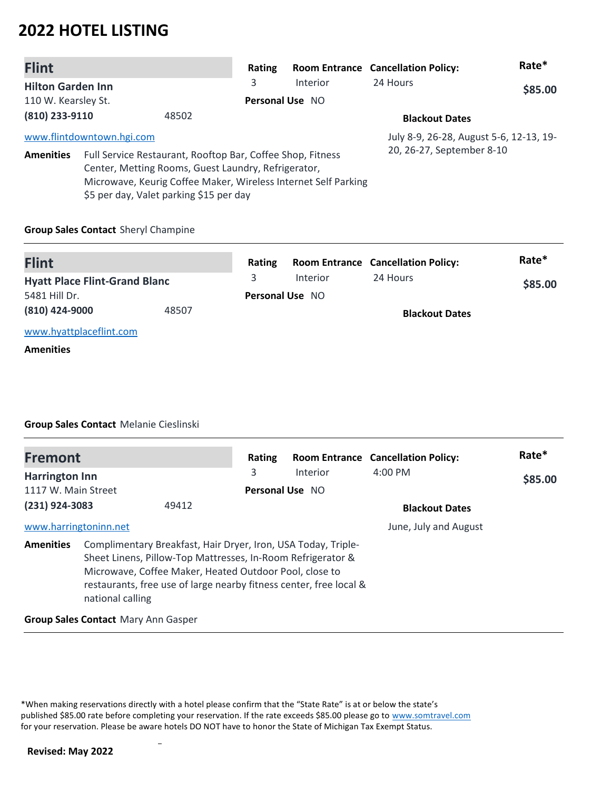| <b>Flint</b>             |                           |                                                                                                                                                                                                                                | Rating                 |                 | <b>Room Entrance Cancellation Policy:</b> | Rate*   |
|--------------------------|---------------------------|--------------------------------------------------------------------------------------------------------------------------------------------------------------------------------------------------------------------------------|------------------------|-----------------|-------------------------------------------|---------|
| <b>Hilton Garden Inn</b> |                           |                                                                                                                                                                                                                                | 3                      | <b>Interior</b> | 24 Hours                                  | \$85.00 |
| 110 W. Kearsley St.      |                           |                                                                                                                                                                                                                                | <b>Personal Use NO</b> |                 |                                           |         |
| (810) 233-9110           |                           | 48502                                                                                                                                                                                                                          |                        |                 | <b>Blackout Dates</b>                     |         |
|                          | www.flintdowntown.hgi.com |                                                                                                                                                                                                                                |                        |                 | July 8-9, 26-28, August 5-6, 12-13, 19-   |         |
| <b>Amenities</b>         |                           | Full Service Restaurant, Rooftop Bar, Coffee Shop, Fitness<br>Center, Metting Rooms, Guest Laundry, Refrigerator,<br>Microwave, Keurig Coffee Maker, Wireless Internet Self Parking<br>\$5 per day, Valet parking \$15 per day |                        |                 | 20, 26-27, September 8-10                 |         |

### **Group Sales Contact** Sheryl Champine

| <b>Flint</b>                         |       | Rating |                        | <b>Room Entrance Cancellation Policy:</b> | Rate*   |
|--------------------------------------|-------|--------|------------------------|-------------------------------------------|---------|
| <b>Hyatt Place Flint-Grand Blanc</b> |       |        | Interior               | 24 Hours                                  | \$85.00 |
| 5481 Hill Dr.                        |       |        | <b>Personal Use NO</b> |                                           |         |
| (810) 424-9000                       | 48507 |        |                        | <b>Blackout Dates</b>                     |         |
| www.hyattplaceflint.com              |       |        |                        |                                           |         |
|                                      |       |        |                        |                                           |         |

#### **Amenities**

### **Group Sales Contact** Melanie Cieslinski

| <b>Fremont</b>                                                                                                                                                                                                                                                                                       |                                            |       | Rating          |          | <b>Room Entrance Cancellation Policy:</b> | Rate*   |
|------------------------------------------------------------------------------------------------------------------------------------------------------------------------------------------------------------------------------------------------------------------------------------------------------|--------------------------------------------|-------|-----------------|----------|-------------------------------------------|---------|
| <b>Harrington Inn</b>                                                                                                                                                                                                                                                                                |                                            |       | 3               | Interior | $4:00$ PM                                 | \$85.00 |
| 1117 W. Main Street                                                                                                                                                                                                                                                                                  |                                            |       | Personal Use NO |          |                                           |         |
| (231) 924-3083                                                                                                                                                                                                                                                                                       |                                            | 49412 |                 |          | <b>Blackout Dates</b>                     |         |
| www.harringtoninn.net                                                                                                                                                                                                                                                                                |                                            |       |                 |          | June, July and August                     |         |
| Complimentary Breakfast, Hair Dryer, Iron, USA Today, Triple-<br><b>Amenities</b><br>Sheet Linens, Pillow-Top Mattresses, In-Room Refrigerator &<br>Microwave, Coffee Maker, Heated Outdoor Pool, close to<br>restaurants, free use of large nearby fitness center, free local &<br>national calling |                                            |       |                 |          |                                           |         |
|                                                                                                                                                                                                                                                                                                      | <b>Group Sales Contact Mary Ann Gasper</b> |       |                 |          |                                           |         |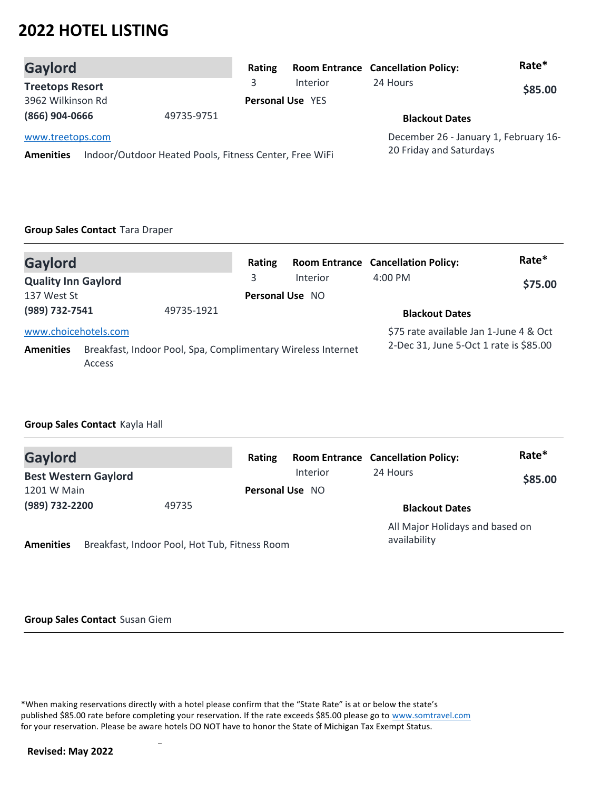| Gaylord                                                                                        | Rating     |                         | <b>Room Entrance Cancellation Policy:</b>                        | Rate*   |
|------------------------------------------------------------------------------------------------|------------|-------------------------|------------------------------------------------------------------|---------|
| <b>Treetops Resort</b>                                                                         | 3          | Interior                | 24 Hours                                                         | \$85.00 |
| 3962 Wilkinson Rd                                                                              |            | <b>Personal Use YES</b> |                                                                  |         |
| (866) 904-0666                                                                                 | 49735-9751 |                         | <b>Blackout Dates</b>                                            |         |
| www.treetops.com<br>Indoor/Outdoor Heated Pools, Fitness Center, Free WiFi<br><b>Amenities</b> |            |                         | December 26 - January 1, February 16-<br>20 Friday and Saturdays |         |

#### **Group Sales Contact** Tara Draper

| <b>Gaylord</b>                                                                             |  | Rating                                 |          | <b>Room Entrance Cancellation Policy:</b> | Rate*                                  |  |
|--------------------------------------------------------------------------------------------|--|----------------------------------------|----------|-------------------------------------------|----------------------------------------|--|
| <b>Quality Inn Gaylord</b>                                                                 |  | 3                                      | Interior | $4:00 \, \text{PM}$                       | \$75.00                                |  |
| 137 West St                                                                                |  | <b>Personal Use NO</b>                 |          |                                           |                                        |  |
| (989) 732-7541<br>49735-1921                                                               |  |                                        |          | <b>Blackout Dates</b>                     |                                        |  |
| www.choicehotels.com                                                                       |  |                                        |          |                                           | \$75 rate available Jan 1-June 4 & Oct |  |
| Breakfast, Indoor Pool, Spa, Complimentary Wireless Internet<br><b>Amenities</b><br>Access |  | 2-Dec 31, June 5-Oct 1 rate is \$85.00 |          |                                           |                                        |  |

### **Group Sales Contact** Kayla Hall

| <b>Gaylord</b><br><b>Best Western Gaylord</b> |                                               | Rating                 |          | <b>Room Entrance Cancellation Policy:</b><br>24 Hours | Rate*   |
|-----------------------------------------------|-----------------------------------------------|------------------------|----------|-------------------------------------------------------|---------|
|                                               |                                               |                        | Interior |                                                       | \$85.00 |
| 1201 W Main                                   |                                               | <b>Personal Use NO</b> |          |                                                       |         |
| (989) 732-2200<br>49735                       |                                               |                        |          | <b>Blackout Dates</b>                                 |         |
| <b>Amenities</b>                              | Breakfast, Indoor Pool, Hot Tub, Fitness Room |                        |          | All Major Holidays and based on<br>availability       |         |

### **Group Sales Contact** Susan Giem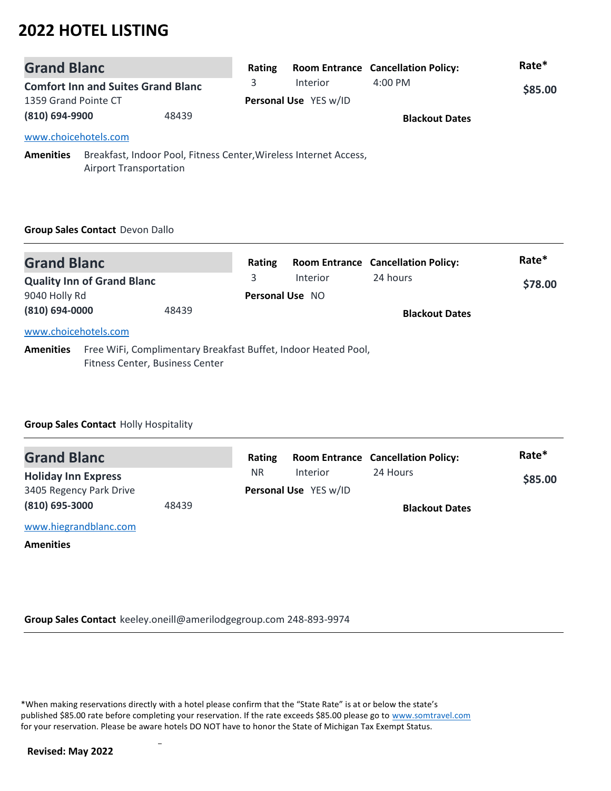| <b>Grand Blanc</b>                                                                                                     |                      | Rating |                       | <b>Room Entrance Cancellation Policy:</b> | Rate*   |  |
|------------------------------------------------------------------------------------------------------------------------|----------------------|--------|-----------------------|-------------------------------------------|---------|--|
| <b>Comfort Inn and Suites Grand Blanc</b>                                                                              |                      | 3      | Interior              | $4:00 \, \text{PM}$                       | \$85.00 |  |
| 1359 Grand Pointe CT                                                                                                   |                      |        | Personal Use YES w/ID |                                           |         |  |
| (810) 694-9900<br>48439                                                                                                |                      |        |                       | <b>Blackout Dates</b>                     |         |  |
|                                                                                                                        | www.choicehotels.com |        |                       |                                           |         |  |
| Breakfast, Indoor Pool, Fitness Center, Wireless Internet Access,<br><b>Amenities</b><br><b>Airport Transportation</b> |                      |        |                       |                                           |         |  |

### **Group Sales Contact** Devon Dallo

| <b>Grand Blanc</b>                                 |                                                                                                   | Rating                      |          | <b>Room Entrance Cancellation Policy:</b> | Rate*   |
|----------------------------------------------------|---------------------------------------------------------------------------------------------------|-----------------------------|----------|-------------------------------------------|---------|
| <b>Quality Inn of Grand Blanc</b><br>9040 Holly Rd |                                                                                                   | 3<br><b>Personal Use NO</b> | Interior | 24 hours                                  | \$78.00 |
| (810) 694-0000<br>48439                            |                                                                                                   |                             |          | <b>Blackout Dates</b>                     |         |
| www.choicehotels.com                               |                                                                                                   |                             |          |                                           |         |
| <b>Amenities</b>                                   | Free WiFi, Complimentary Breakfast Buffet, Indoor Heated Pool,<br>Fitness Center, Business Center |                             |          |                                           |         |

### **Group Sales Contact** Holly Hospitality

| <b>Grand Blanc</b>         |       | Rating    |                       | <b>Room Entrance Cancellation Policy:</b> | Rate*   |
|----------------------------|-------|-----------|-----------------------|-------------------------------------------|---------|
| <b>Holiday Inn Express</b> |       | <b>NR</b> | <b>Interior</b>       | 24 Hours                                  | \$85.00 |
| 3405 Regency Park Drive    |       |           | Personal Use YES w/ID |                                           |         |
| $(810)$ 695-3000           | 48439 |           |                       | <b>Blackout Dates</b>                     |         |
| www.hiegrandblanc.com      |       |           |                       |                                           |         |
| <b>Amenities</b>           |       |           |                       |                                           |         |

**Group Sales Contact** keeley.oneill@amerilodgegroup.com 248-893-9974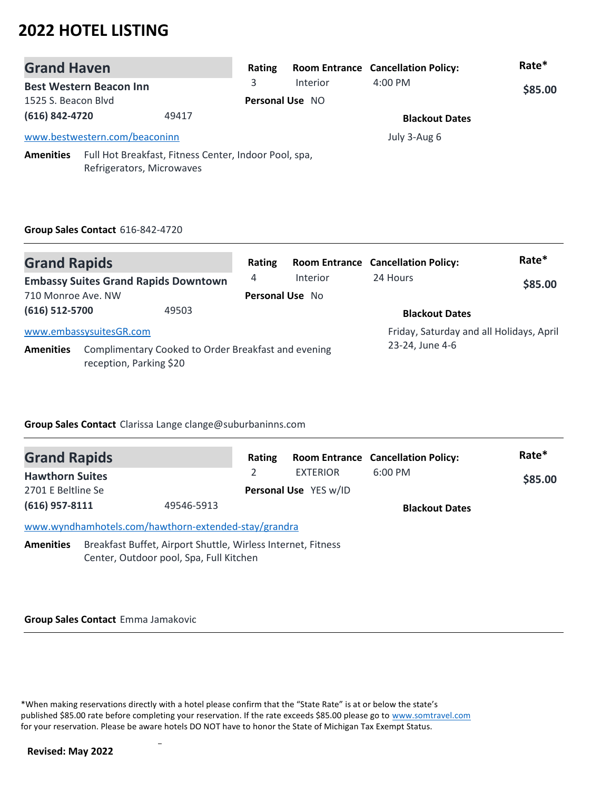| <b>Grand Haven</b>                                                                                     |  | Rating |                        | <b>Room Entrance Cancellation Policy:</b> | Rate*        |  |
|--------------------------------------------------------------------------------------------------------|--|--------|------------------------|-------------------------------------------|--------------|--|
| <b>Best Western Beacon Inn</b>                                                                         |  | 3.     | Interior               | $4:00$ PM                                 | \$85.00      |  |
| 1525 S. Beacon Blvd                                                                                    |  |        | <b>Personal Use NO</b> |                                           |              |  |
| (616) 842-4720<br>49417                                                                                |  |        |                        | <b>Blackout Dates</b>                     |              |  |
| www.bestwestern.com/beaconinn                                                                          |  |        |                        |                                           | July 3-Aug 6 |  |
| Full Hot Breakfast, Fitness Center, Indoor Pool, spa,<br><b>Amenities</b><br>Refrigerators, Microwaves |  |        |                        |                                           |              |  |

### **Group Sales Contact** 616-842-4720

| <b>Grand Rapids</b>                                                                                |                         | Rating                                   |                 | <b>Room Entrance Cancellation Policy:</b> | Rate*   |
|----------------------------------------------------------------------------------------------------|-------------------------|------------------------------------------|-----------------|-------------------------------------------|---------|
| <b>Embassy Suites Grand Rapids Downtown</b>                                                        |                         | 4                                        | <b>Interior</b> | 24 Hours                                  | \$85.00 |
| 710 Monroe Ave. NW                                                                                 |                         | Personal Use No                          |                 |                                           |         |
| (616) 512-5700<br>49503                                                                            |                         |                                          |                 | <b>Blackout Dates</b>                     |         |
|                                                                                                    | www.embassysuitesGR.com | Friday, Saturday and all Holidays, April |                 |                                           |         |
| Complimentary Cooked to Order Breakfast and evening<br><b>Amenities</b><br>reception, Parking \$20 |                         |                                          |                 | 23-24, June 4-6                           |         |

### **Group Sales Contact** Clarissa Lange clange@suburbaninns.com

| <b>Grand Rapids</b>            |                                                                                                         | Rating |                       | <b>Room Entrance Cancellation Policy:</b> | Rate*   |  |
|--------------------------------|---------------------------------------------------------------------------------------------------------|--------|-----------------------|-------------------------------------------|---------|--|
| <b>Hawthorn Suites</b>         |                                                                                                         |        | <b>EXTERIOR</b>       | $6:00$ PM                                 | \$85.00 |  |
| 2701 E Beltline Se             |                                                                                                         |        | Personal Use YES w/ID |                                           |         |  |
| $(616)$ 957-8111<br>49546-5913 |                                                                                                         |        |                       | <b>Blackout Dates</b>                     |         |  |
|                                | www.wyndhamhotels.com/hawthorn-extended-stay/grandra                                                    |        |                       |                                           |         |  |
| <b>Amenities</b>               | Breakfast Buffet, Airport Shuttle, Wirless Internet, Fitness<br>Center, Outdoor pool, Spa, Full Kitchen |        |                       |                                           |         |  |

**Group Sales Contact** Emma Jamakovic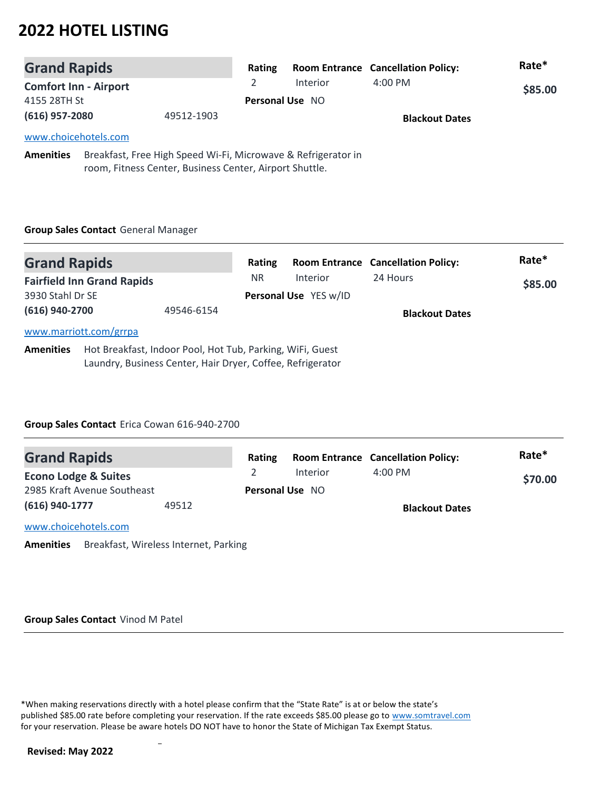| <b>Grand Rapids</b>          |                                                               | Rating                 |                 | <b>Room Entrance Cancellation Policy:</b> | Rate*   |
|------------------------------|---------------------------------------------------------------|------------------------|-----------------|-------------------------------------------|---------|
| <b>Comfort Inn - Airport</b> |                                                               |                        | <b>Interior</b> | $4:00 \text{ PM}$                         | \$85.00 |
| 4155 28TH St                 |                                                               | <b>Personal Use NO</b> |                 |                                           |         |
| $(616)$ 957-2080             | 49512-1903                                                    |                        |                 | <b>Blackout Dates</b>                     |         |
| www.choicehotels.com         |                                                               |                        |                 |                                           |         |
| <b>Amenities</b>             | Breakfast, Free High Speed Wi-Fi, Microwave & Refrigerator in |                        |                 |                                           |         |

room, Fitness Center, Business Center, Airport Shuttle.

# **Group Sales Contact** General Manager

| <b>Grand Rapids</b> |                                   |                                                                                                                         | Rating         |                                   | <b>Room Entrance Cancellation Policy:</b> | Rate*   |
|---------------------|-----------------------------------|-------------------------------------------------------------------------------------------------------------------------|----------------|-----------------------------------|-------------------------------------------|---------|
| 3930 Stahl Dr SE    | <b>Fairfield Inn Grand Rapids</b> |                                                                                                                         | N <sub>R</sub> | Interior<br>Personal Use YES w/ID | 24 Hours                                  | \$85.00 |
| (616) 940-2700      |                                   | 49546-6154                                                                                                              |                |                                   | <b>Blackout Dates</b>                     |         |
|                     | www.marriott.com/grrpa            |                                                                                                                         |                |                                   |                                           |         |
| <b>Amenities</b>    |                                   | Hot Breakfast, Indoor Pool, Hot Tub, Parking, WiFi, Guest<br>Laundry, Business Center, Hair Dryer, Coffee, Refrigerator |                |                                   |                                           |         |

## **Group Sales Contact** Erica Cowan 616-940-2700

| <b>Grand Rapids</b>             |       | Rating |                        | <b>Room Entrance Cancellation Policy:</b> | Rate*   |
|---------------------------------|-------|--------|------------------------|-------------------------------------------|---------|
| <b>Econo Lodge &amp; Suites</b> |       |        | Interior               | $4:00$ PM                                 | \$70.00 |
| 2985 Kraft Avenue Southeast     |       |        | <b>Personal Use NO</b> |                                           |         |
| (616) 940-1777                  | 49512 |        |                        | <b>Blackout Dates</b>                     |         |
| www.choicehotels.com            |       |        |                        |                                           |         |
|                                 |       |        |                        |                                           |         |

**Amenities** Breakfast, Wireless Internet, Parking

#### **Group Sales Contact** Vinod M Patel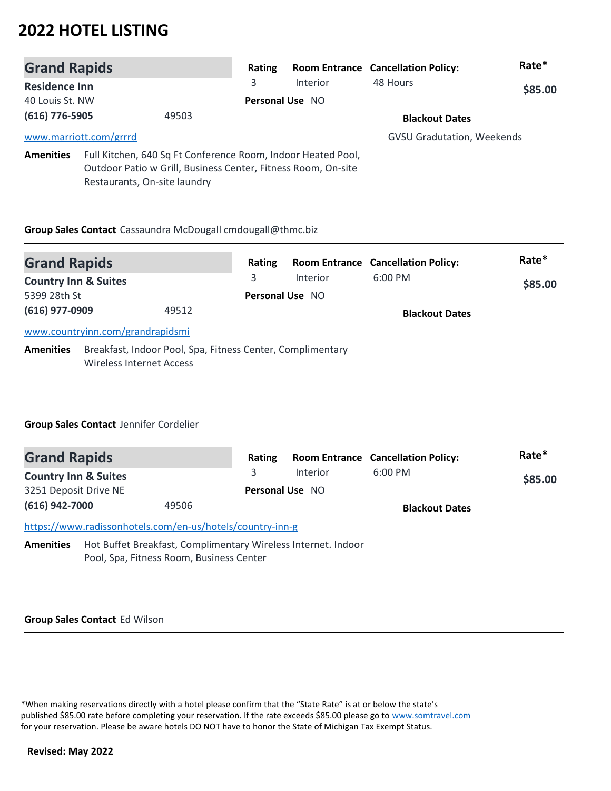| <b>Grand Rapids</b>  |                                                                                                                                                               | Rating                 |                 | <b>Room Entrance Cancellation Policy:</b> | Rate*   |  |
|----------------------|---------------------------------------------------------------------------------------------------------------------------------------------------------------|------------------------|-----------------|-------------------------------------------|---------|--|
| <b>Residence Inn</b> |                                                                                                                                                               | 3                      | <b>Interior</b> | 48 Hours                                  | \$85.00 |  |
| 40 Louis St. NW      |                                                                                                                                                               | <b>Personal Use NO</b> |                 |                                           |         |  |
| (616) 776-5905       | 49503                                                                                                                                                         |                        |                 | <b>Blackout Dates</b>                     |         |  |
|                      | www.marriott.com/grrrd                                                                                                                                        |                        |                 | <b>GVSU Gradutation, Weekends</b>         |         |  |
| <b>Amenities</b>     | Full Kitchen, 640 Sq Ft Conference Room, Indoor Heated Pool,<br>Outdoor Patio w Grill, Business Center, Fitness Room, On-site<br>Restaurants, On-site laundry |                        |                 |                                           |         |  |

# **Group Sales Contact** Cassaundra McDougall cmdougall@thmc.biz

| <b>Grand Rapids</b>             |                                                                                               | Rating |                        | <b>Room Entrance Cancellation Policy:</b> | Rate*   |
|---------------------------------|-----------------------------------------------------------------------------------------------|--------|------------------------|-------------------------------------------|---------|
| <b>Country Inn &amp; Suites</b> |                                                                                               | 3      | <b>Interior</b>        | $6:00$ PM                                 | \$85.00 |
| 5399 28th St                    |                                                                                               |        | <b>Personal Use NO</b> |                                           |         |
| (616) 977-0909                  | 49512                                                                                         |        |                        | <b>Blackout Dates</b>                     |         |
|                                 | www.countryinn.com/grandrapidsmi                                                              |        |                        |                                           |         |
| <b>Amenities</b>                | Breakfast, Indoor Pool, Spa, Fitness Center, Complimentary<br><b>Wireless Internet Access</b> |        |                        |                                           |         |

## **Group Sales Contact** Jennifer Cordelier

| <b>Grand Rapids</b>             |                                                                                                           | Rating |                 | <b>Room Entrance Cancellation Policy:</b> | Rate*   |
|---------------------------------|-----------------------------------------------------------------------------------------------------------|--------|-----------------|-------------------------------------------|---------|
| <b>Country Inn &amp; Suites</b> |                                                                                                           | 3      | Interior        | $6:00$ PM                                 | \$85.00 |
| 3251 Deposit Drive NE           |                                                                                                           |        | Personal Use NO |                                           |         |
| (616) 942-7000                  | 49506                                                                                                     |        |                 | <b>Blackout Dates</b>                     |         |
|                                 | https://www.radissonhotels.com/en-us/hotels/country-inn-g                                                 |        |                 |                                           |         |
| <b>Amenities</b>                | Hot Buffet Breakfast, Complimentary Wireless Internet. Indoor<br>Pool, Spa, Fitness Room, Business Center |        |                 |                                           |         |

## **Group Sales Contact** Ed Wilson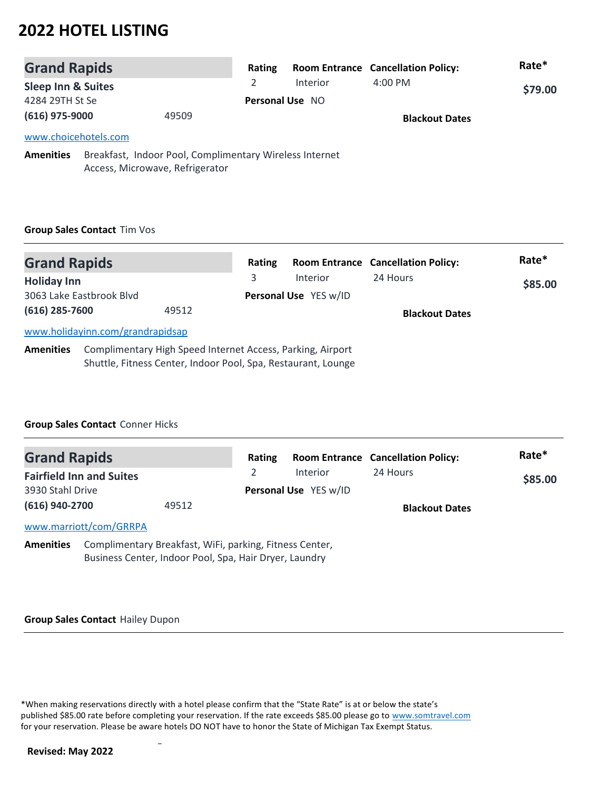| <b>Grand Rapids</b>           |                                                                                            |                        | Rating |          | <b>Room Entrance Cancellation Policy:</b> | Rate*   |
|-------------------------------|--------------------------------------------------------------------------------------------|------------------------|--------|----------|-------------------------------------------|---------|
| <b>Sleep Inn &amp; Suites</b> |                                                                                            |                        |        | Interior | $4:00$ PM                                 | \$79.00 |
| 4284 29TH St Se               |                                                                                            | <b>Personal Use NO</b> |        |          |                                           |         |
| $(616)$ 975-9000              |                                                                                            | 49509                  |        |          | <b>Blackout Dates</b>                     |         |
| www.choicehotels.com          |                                                                                            |                        |        |          |                                           |         |
| <b>Amenities</b>              | Breakfast, Indoor Pool, Complimentary Wireless Internet<br>Access, Microwave, Refrigerator |                        |        |          |                                           |         |

# **Group Sales Contact** Tim Vos

| <b>Grand Rapids</b> |                                                                                                                             | Rating |                       | <b>Room Entrance Cancellation Policy:</b> | Rate*   |
|---------------------|-----------------------------------------------------------------------------------------------------------------------------|--------|-----------------------|-------------------------------------------|---------|
| <b>Holiday Inn</b>  |                                                                                                                             | 3      | <b>Interior</b>       | 24 Hours                                  | \$85.00 |
|                     | 3063 Lake Eastbrook Blvd                                                                                                    |        | Personal Use YES w/ID |                                           |         |
| (616) 285-7600      | 49512                                                                                                                       |        |                       | <b>Blackout Dates</b>                     |         |
|                     | www.holidayinn.com/grandrapidsap                                                                                            |        |                       |                                           |         |
| <b>Amenities</b>    | Complimentary High Speed Internet Access, Parking, Airport<br>Shuttle, Fitness Center, Indoor Pool, Spa, Restaurant, Lounge |        |                       |                                           |         |

### **Group Sales Contact** Conner Hicks

| <b>Grand Rapids</b> |                                                         | Rating |                       | <b>Room Entrance Cancellation Policy:</b> | Rate*   |
|---------------------|---------------------------------------------------------|--------|-----------------------|-------------------------------------------|---------|
|                     | <b>Fairfield Inn and Suites</b>                         |        | <b>Interior</b>       | 24 Hours                                  | \$85.00 |
| 3930 Stahl Drive    |                                                         |        | Personal Use YES w/ID |                                           |         |
| (616) 940-2700      | 49512                                                   |        |                       | <b>Blackout Dates</b>                     |         |
|                     | www.marriott/com/GRRPA                                  |        |                       |                                           |         |
| <b>Amenities</b>    | Complimentary Breakfast, WiFi, parking, Fitness Center, |        |                       |                                           |         |

Business Center, Indoor Pool, Spa, Hair Dryer, Laundry

#### **Group Sales Contact** Hailey Dupon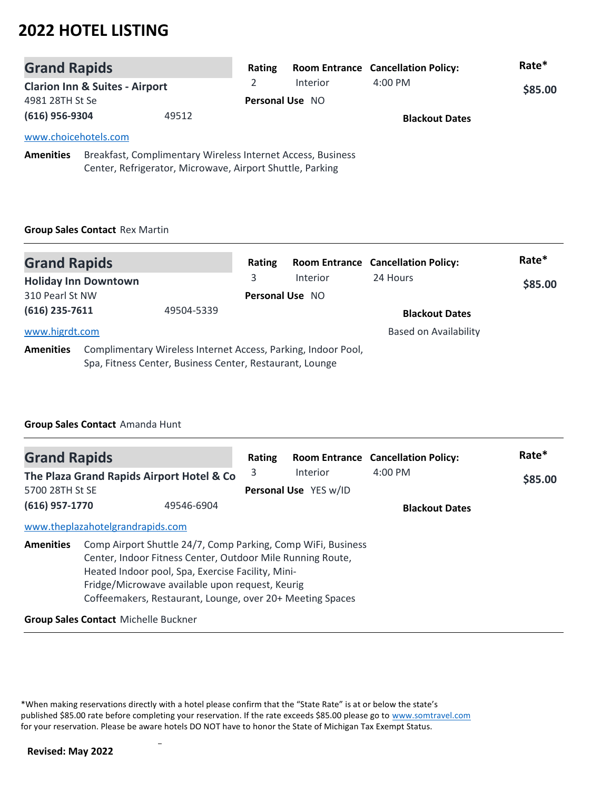| <b>Grand Rapids</b>  |                                           | Rating                                                                                                                   |                 | <b>Room Entrance Cancellation Policy:</b> | Rate*   |
|----------------------|-------------------------------------------|--------------------------------------------------------------------------------------------------------------------------|-----------------|-------------------------------------------|---------|
|                      | <b>Clarion Inn &amp; Suites - Airport</b> |                                                                                                                          | <b>Interior</b> | $4:00$ PM                                 | \$85.00 |
| 4981 28TH St Se      |                                           |                                                                                                                          | Personal Use NO |                                           |         |
| $(616)$ 956-9304     |                                           | 49512                                                                                                                    |                 | <b>Blackout Dates</b>                     |         |
| www.choicehotels.com |                                           |                                                                                                                          |                 |                                           |         |
| <b>Amenities</b>     |                                           | Breakfast, Complimentary Wireless Internet Access, Business<br>Center, Refrigerator, Microwave, Airport Shuttle, Parking |                 |                                           |         |

# **Group Sales Contact** Rex Martin

| <b>Grand Rapids</b> |                             |                                                                                                                           | Rating                 |          | <b>Room Entrance Cancellation Policy:</b> | Rate*   |
|---------------------|-----------------------------|---------------------------------------------------------------------------------------------------------------------------|------------------------|----------|-------------------------------------------|---------|
|                     | <b>Holiday Inn Downtown</b> |                                                                                                                           | 3                      | Interior | 24 Hours                                  | \$85.00 |
| 310 Pearl St NW     |                             |                                                                                                                           | <b>Personal Use NO</b> |          |                                           |         |
| $(616)$ 235-7611    |                             | 49504-5339                                                                                                                |                        |          | <b>Blackout Dates</b>                     |         |
| www.higrdt.com      |                             |                                                                                                                           |                        |          | <b>Based on Availability</b>              |         |
| <b>Amenities</b>    |                             | Complimentary Wireless Internet Access, Parking, Indoor Pool,<br>Spa, Fitness Center, Business Center, Restaurant, Lounge |                        |          |                                           |         |

### **Group Sales Contact** Amanda Hunt

| <b>Grand Rapids</b>          |                                             |                                                                                                                                                                                                                                                                                                 | Rating |                              | <b>Room Entrance Cancellation Policy:</b> | Rate*   |
|------------------------------|---------------------------------------------|-------------------------------------------------------------------------------------------------------------------------------------------------------------------------------------------------------------------------------------------------------------------------------------------------|--------|------------------------------|-------------------------------------------|---------|
|                              |                                             | The Plaza Grand Rapids Airport Hotel & Co                                                                                                                                                                                                                                                       | 3      | <b>Interior</b>              | $4:00$ PM                                 | \$85.00 |
| 5700 28TH St SE              |                                             |                                                                                                                                                                                                                                                                                                 |        | <b>Personal Use</b> YES w/ID |                                           |         |
| (616) 957-1770<br>49546-6904 |                                             |                                                                                                                                                                                                                                                                                                 |        |                              | <b>Blackout Dates</b>                     |         |
|                              | www.theplazahotelgrandrapids.com            |                                                                                                                                                                                                                                                                                                 |        |                              |                                           |         |
| <b>Amenities</b>             |                                             | Comp Airport Shuttle 24/7, Comp Parking, Comp WiFi, Business<br>Center, Indoor Fitness Center, Outdoor Mile Running Route,<br>Heated Indoor pool, Spa, Exercise Facility, Mini-<br>Fridge/Microwave available upon request, Keurig<br>Coffeemakers, Restaurant, Lounge, over 20+ Meeting Spaces |        |                              |                                           |         |
|                              | <b>Group Sales Contact Michelle Buckner</b> |                                                                                                                                                                                                                                                                                                 |        |                              |                                           |         |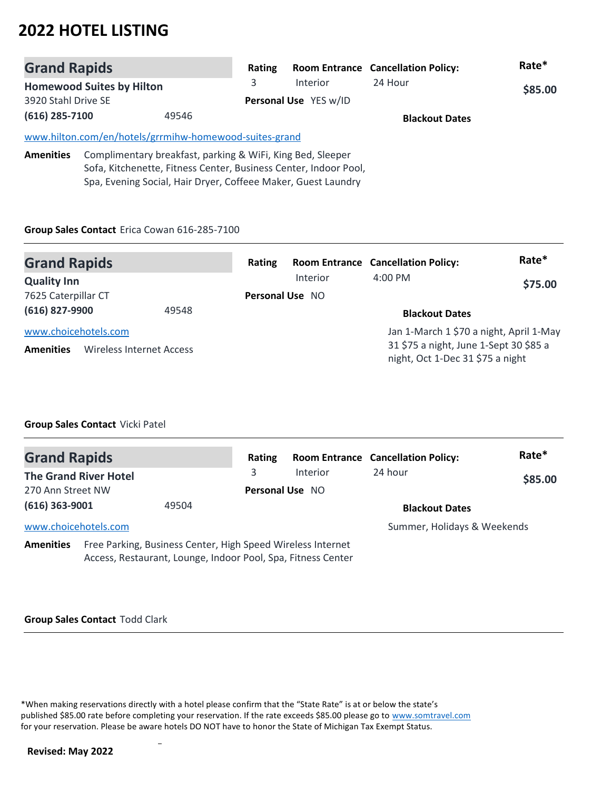| <b>Grand Rapids</b> |                                  |                                                            | Rating                |                                                                  | <b>Room Entrance Cancellation Policy:</b> | Rate*   |
|---------------------|----------------------------------|------------------------------------------------------------|-----------------------|------------------------------------------------------------------|-------------------------------------------|---------|
|                     | <b>Homewood Suites by Hilton</b> |                                                            | 3                     | Interior                                                         | 24 Hour                                   | \$85.00 |
| 3920 Stahl Drive SE |                                  |                                                            | Personal Use YES w/ID |                                                                  |                                           |         |
| $(616)$ 285-7100    |                                  | 49546                                                      |                       |                                                                  | <b>Blackout Dates</b>                     |         |
|                     |                                  | www.hilton.com/en/hotels/grrmihw-homewood-suites-grand     |                       |                                                                  |                                           |         |
| <b>Amenities</b>    |                                  | Complimentary breakfast, parking & WiFi, King Bed, Sleeper |                       | Sofa, Kitchenette, Fitness Center, Business Center, Indoor Pool, |                                           |         |

Spa, Evening Social, Hair Dryer, Coffeee Maker, Guest Laundry

### **Group Sales Contact** Erica Cowan 616-285-7100

| <b>Grand Rapids</b>                      |                                 | Rating          |          | <b>Room Entrance Cancellation Policy:</b>                                                                             | Rate*   |
|------------------------------------------|---------------------------------|-----------------|----------|-----------------------------------------------------------------------------------------------------------------------|---------|
| <b>Quality Inn</b>                       |                                 |                 | Interior | $4:00 \text{ PM}$                                                                                                     | \$75.00 |
| 7625 Caterpillar CT                      |                                 | Personal Use NO |          |                                                                                                                       |         |
| (616) 827-9900                           | 49548                           |                 |          | <b>Blackout Dates</b>                                                                                                 |         |
| www.choicehotels.com<br><b>Amenities</b> | <b>Wireless Internet Access</b> |                 |          | Jan 1-March 1 \$70 a night, April 1-May<br>31 \$75 a night, June 1-Sept 30 \$85 a<br>night, Oct 1-Dec 31 \$75 a night |         |

### **Group Sales Contact** Vicki Patel

| <b>Grand Rapids</b>  |                              |                                                                                                                             | Rating          |          | <b>Room Entrance Cancellation Policy:</b> | Rate*   |
|----------------------|------------------------------|-----------------------------------------------------------------------------------------------------------------------------|-----------------|----------|-------------------------------------------|---------|
|                      | <b>The Grand River Hotel</b> |                                                                                                                             | 3               | Interior | 24 hour                                   | \$85.00 |
| 270 Ann Street NW    |                              |                                                                                                                             | Personal Use NO |          |                                           |         |
| $(616)$ 363-9001     |                              | 49504                                                                                                                       |                 |          | <b>Blackout Dates</b>                     |         |
| www.choicehotels.com |                              |                                                                                                                             |                 |          | Summer, Holidays & Weekends               |         |
| <b>Amenities</b>     |                              | Free Parking, Business Center, High Speed Wireless Internet<br>Access, Restaurant, Lounge, Indoor Pool, Spa, Fitness Center |                 |          |                                           |         |

#### **Group Sales Contact** Todd Clark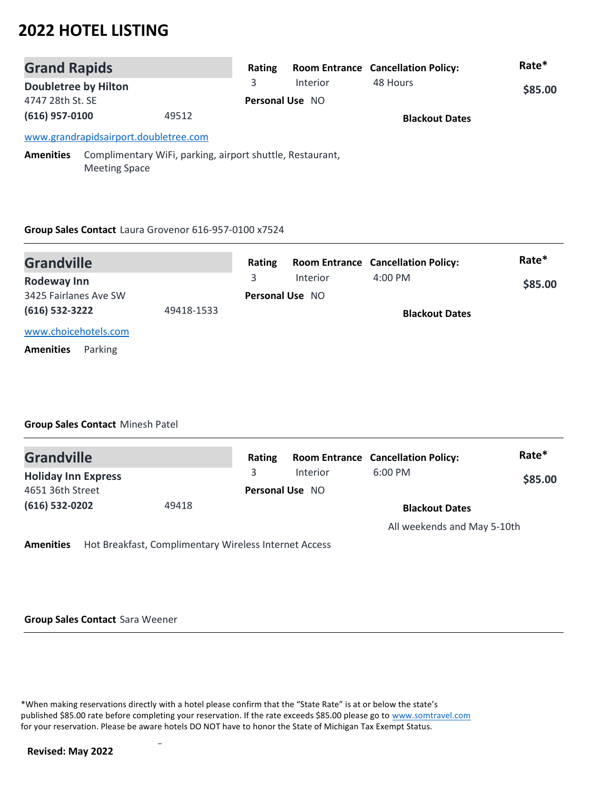| <b>Grand Rapids</b>         |                                       |                                                           | Rating                 |                       | <b>Room Entrance Cancellation Policy:</b> | Rate*   |
|-----------------------------|---------------------------------------|-----------------------------------------------------------|------------------------|-----------------------|-------------------------------------------|---------|
| <b>Doubletree by Hilton</b> |                                       |                                                           | 3                      | Interior              | 48 Hours                                  | \$85.00 |
| 4747 28th St. SE            |                                       |                                                           | <b>Personal Use NO</b> |                       |                                           |         |
| $(616)$ 957-0100<br>49512   |                                       |                                                           |                        | <b>Blackout Dates</b> |                                           |         |
|                             | www.grandrapidsairport.doubletree.com |                                                           |                        |                       |                                           |         |
| <b>Amenities</b>            | <b>Meeting Space</b>                  | Complimentary WiFi, parking, airport shuttle, Restaurant, |                        |                       |                                           |         |

# **Group Sales Contact** Laura Grovenor 616-957-0100 x7524

| <b>Grandville</b>           |            | Rating |                        | <b>Room Entrance Cancellation Policy:</b> | Rate*   |
|-----------------------------|------------|--------|------------------------|-------------------------------------------|---------|
| Rodeway Inn                 |            | 3      | <b>Interior</b>        | $4:00 \text{ PM}$                         | \$85.00 |
| 3425 Fairlanes Ave SW       |            |        | <b>Personal Use NO</b> |                                           |         |
| (616) 532-3222              | 49418-1533 |        |                        | <b>Blackout Dates</b>                     |         |
| www.choicehotels.com        |            |        |                        |                                           |         |
| Parking<br><b>Amenities</b> |            |        |                        |                                           |         |

### **Group Sales Contact** Minesh Patel

| <b>Grandville</b>          |       | Rating |                        | <b>Room Entrance Cancellation Policy:</b> | Rate*   |
|----------------------------|-------|--------|------------------------|-------------------------------------------|---------|
| <b>Holiday Inn Express</b> |       |        | Interior               | $6:00$ PM                                 | \$85.00 |
| 4651 36th Street           |       |        | <b>Personal Use NO</b> |                                           |         |
| (616) 532-0202             | 49418 |        |                        | <b>Blackout Dates</b>                     |         |
|                            |       |        |                        | All weekends and May 5-10th               |         |

**Amenities** Hot Breakfast, Complimentary Wireless Internet Access

**Group Sales Contact** Sara Weener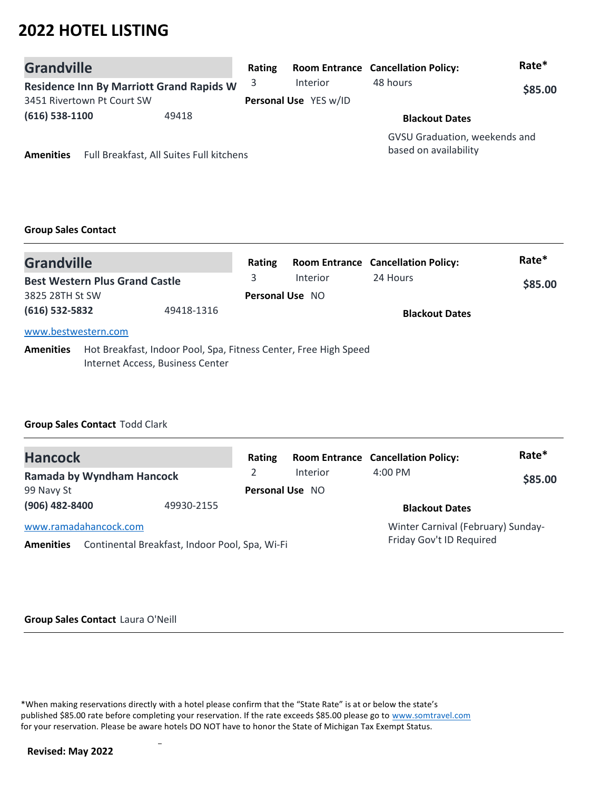| <b>Grandville</b>          |                                                 | Rating                |          | <b>Room Entrance Cancellation Policy:</b>              | Rate*   |
|----------------------------|-------------------------------------------------|-----------------------|----------|--------------------------------------------------------|---------|
|                            | <b>Residence Inn By Marriott Grand Rapids W</b> | 3                     | Interior | 48 hours                                               | \$85.00 |
| 3451 Rivertown Pt Court SW |                                                 | Personal Use YES w/ID |          |                                                        |         |
| $(616)$ 538-1100           | 49418                                           |                       |          | <b>Blackout Dates</b>                                  |         |
| <b>Amenities</b>           | Full Breakfast, All Suites Full kitchens        |                       |          | GVSU Graduation, weekends and<br>based on availability |         |

# **Group Sales Contact**

| <b>Grandville</b>            |                                                                                                      | Rating                 |                 | <b>Room Entrance Cancellation Policy:</b> | Rate*   |
|------------------------------|------------------------------------------------------------------------------------------------------|------------------------|-----------------|-------------------------------------------|---------|
|                              | <b>Best Western Plus Grand Castle</b>                                                                | 3                      | <b>Interior</b> | 24 Hours                                  | \$85.00 |
| 3825 28TH St SW              |                                                                                                      | <b>Personal Use NO</b> |                 |                                           |         |
| (616) 532-5832<br>49418-1316 |                                                                                                      |                        |                 | <b>Blackout Dates</b>                     |         |
| www.bestwestern.com          |                                                                                                      |                        |                 |                                           |         |
| <b>Amenities</b>             | Hot Breakfast, Indoor Pool, Spa, Fitness Center, Free High Speed<br>Internet Access, Business Center |                        |                 |                                           |         |

## **Group Sales Contact** Todd Clark

| <b>Hancock</b>                                                                              | Rating                 |          | <b>Room Entrance Cancellation Policy:</b>                      | Rate*   |
|---------------------------------------------------------------------------------------------|------------------------|----------|----------------------------------------------------------------|---------|
| <b>Ramada by Wyndham Hancock</b>                                                            |                        | Interior | $4:00 \text{ PM}$                                              | \$85.00 |
| 99 Navy St                                                                                  | <b>Personal Use NO</b> |          |                                                                |         |
| (906) 482-8400<br>49930-2155                                                                |                        |          | <b>Blackout Dates</b>                                          |         |
| www.ramadahancock.com<br>Continental Breakfast, Indoor Pool, Spa, Wi-Fi<br><b>Amenities</b> |                        |          | Winter Carnival (February) Sunday-<br>Friday Gov't ID Required |         |

#### **Group Sales Contact** Laura O'Neill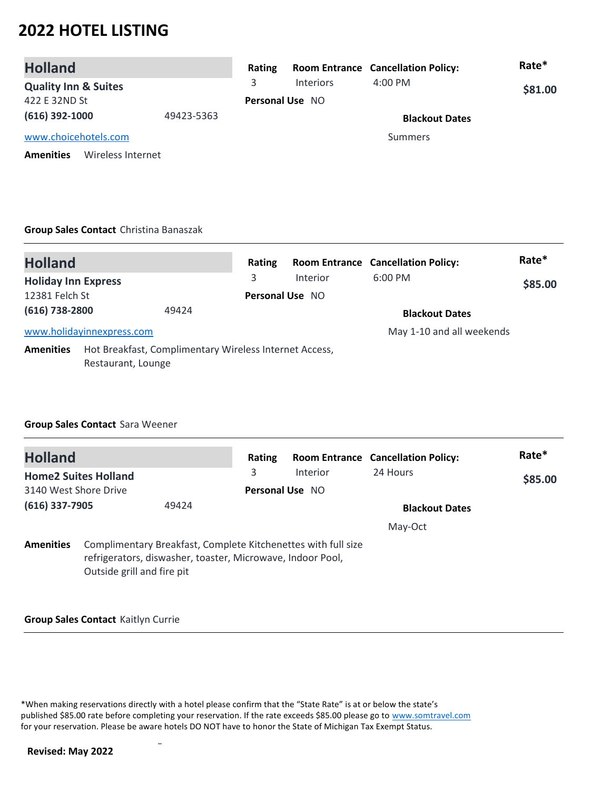| <b>Holland</b>                        |            | Rating                 |                  | <b>Room Entrance Cancellation Policy:</b> | Rate*   |
|---------------------------------------|------------|------------------------|------------------|-------------------------------------------|---------|
| <b>Quality Inn &amp; Suites</b>       |            | 3.                     | <b>Interiors</b> | $4:00$ PM                                 | \$81.00 |
| 422 E 32ND St                         |            | <b>Personal Use NO</b> |                  |                                           |         |
| $(616)$ 392-1000                      | 49423-5363 |                        |                  | <b>Blackout Dates</b>                     |         |
| www.choicehotels.com                  |            |                        |                  | Summers                                   |         |
| <b>Amenities</b><br>Wireless Internet |            |                        |                  |                                           |         |

#### **Group Sales Contact** Christina Banaszak

| <b>Holland</b>                                                                                   |       | Rating                 |          | <b>Room Entrance Cancellation Policy:</b> | Rate*   |
|--------------------------------------------------------------------------------------------------|-------|------------------------|----------|-------------------------------------------|---------|
| <b>Holiday Inn Express</b>                                                                       |       | 3                      | Interior | $6:00$ PM                                 | \$85.00 |
| 12381 Felch St                                                                                   |       | <b>Personal Use NO</b> |          |                                           |         |
| (616) 738-2800                                                                                   | 49424 |                        |          | <b>Blackout Dates</b>                     |         |
| www.holidayinnexpress.com                                                                        |       |                        |          | May 1-10 and all weekends                 |         |
| Hot Breakfast, Complimentary Wireless Internet Access,<br><b>Amenities</b><br>Restaurant, Lounge |       |                        |          |                                           |         |

### **Group Sales Contact** Sara Weener

| <b>Holland</b>            |                             |                                                                                                                             | Rating |                       | <b>Room Entrance Cancellation Policy:</b> | Rate*   |
|---------------------------|-----------------------------|-----------------------------------------------------------------------------------------------------------------------------|--------|-----------------------|-------------------------------------------|---------|
|                           | <b>Home2 Suites Holland</b> |                                                                                                                             | 3      | Interior              | 24 Hours                                  | \$85.00 |
| 3140 West Shore Drive     |                             | <b>Personal Use NO</b>                                                                                                      |        |                       |                                           |         |
| $(616)$ 337-7905<br>49424 |                             |                                                                                                                             |        | <b>Blackout Dates</b> |                                           |         |
|                           |                             |                                                                                                                             |        |                       | May-Oct                                   |         |
| <b>Amenities</b>          | Outside grill and fire pit  | Complimentary Breakfast, Complete Kitchenettes with full size<br>refrigerators, diswasher, toaster, Microwave, Indoor Pool, |        |                       |                                           |         |

#### **Group Sales Contact** Kaitlyn Currie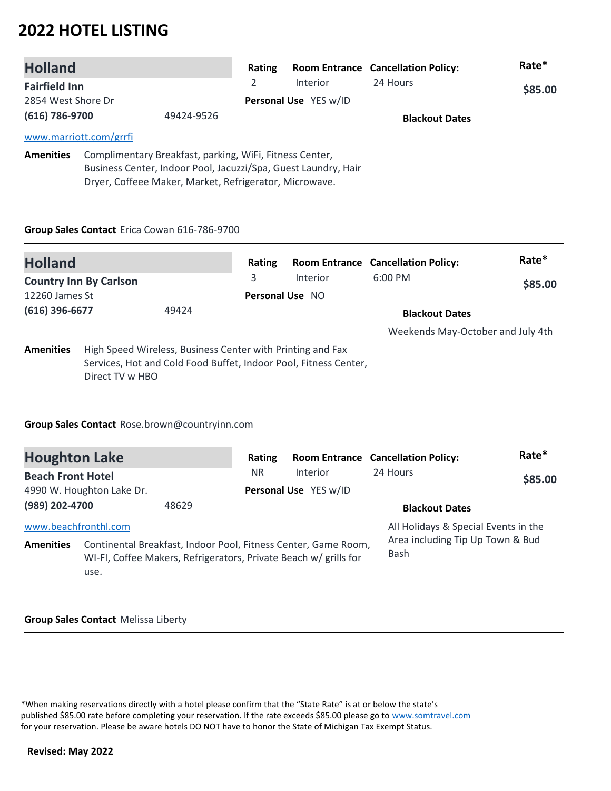| <b>Holland</b>                                                                                                                                                                                          |                        |   | Rating                |                       | <b>Room Entrance Cancellation Policy:</b> | Rate* |
|---------------------------------------------------------------------------------------------------------------------------------------------------------------------------------------------------------|------------------------|---|-----------------------|-----------------------|-------------------------------------------|-------|
| <b>Fairfield Inn</b>                                                                                                                                                                                    |                        | 2 | <b>Interior</b>       | 24 Hours              | \$85.00                                   |       |
| 2854 West Shore Dr                                                                                                                                                                                      |                        |   | Personal Use YES w/ID |                       |                                           |       |
| (616) 786-9700<br>49424-9526                                                                                                                                                                            |                        |   |                       | <b>Blackout Dates</b> |                                           |       |
|                                                                                                                                                                                                         | www.marriott.com/grrfi |   |                       |                       |                                           |       |
| Complimentary Breakfast, parking, WiFi, Fitness Center,<br><b>Amenities</b><br>Business Center, Indoor Pool, Jacuzzi/Spa, Guest Laundry, Hair<br>Dryer, Coffeee Maker, Market, Refrigerator, Microwave. |                        |   |                       |                       |                                           |       |

### **Group Sales Contact** Erica Cowan 616-786-9700

| <b>Holland</b>          |                                                                                                                                                   | Rating                 |          | <b>Room Entrance Cancellation Policy:</b> | Rate*   |
|-------------------------|---------------------------------------------------------------------------------------------------------------------------------------------------|------------------------|----------|-------------------------------------------|---------|
|                         | <b>Country Inn By Carlson</b>                                                                                                                     | 3                      | Interior | $6:00$ PM                                 | \$85.00 |
| 12260 James St          |                                                                                                                                                   | <b>Personal Use NO</b> |          |                                           |         |
| (616) 396-6677<br>49424 |                                                                                                                                                   |                        |          | <b>Blackout Dates</b>                     |         |
|                         |                                                                                                                                                   |                        |          | Weekends May-October and July 4th         |         |
| <b>Amenities</b>        | High Speed Wireless, Business Center with Printing and Fax<br>Services, Hot and Cold Food Buffet, Indoor Pool, Fitness Center,<br>Direct TV w HBO |                        |          |                                           |         |

### **Group Sales Contact** Rose.brown@countryinn.com

| <b>Houghton Lake</b>                     |                           |                                                                  | Rating    |                                                                | <b>Room Entrance Cancellation Policy:</b>                                               | Rate*   |
|------------------------------------------|---------------------------|------------------------------------------------------------------|-----------|----------------------------------------------------------------|-----------------------------------------------------------------------------------------|---------|
| <b>Beach Front Hotel</b>                 | 4990 W. Houghton Lake Dr. |                                                                  | <b>NR</b> | Interior<br>Personal Use YES w/ID                              | 24 Hours                                                                                | \$85.00 |
| (989) 202-4700                           |                           | 48629                                                            |           |                                                                | <b>Blackout Dates</b>                                                                   |         |
| www.beachfronthl.com<br><b>Amenities</b> | use.                      | WI-FI, Coffee Makers, Refrigerators, Private Beach w/ grills for |           | Continental Breakfast, Indoor Pool, Fitness Center, Game Room, | All Holidays & Special Events in the<br>Area including Tip Up Town & Bud<br><b>Bash</b> |         |

#### **Group Sales Contact** Melissa Liberty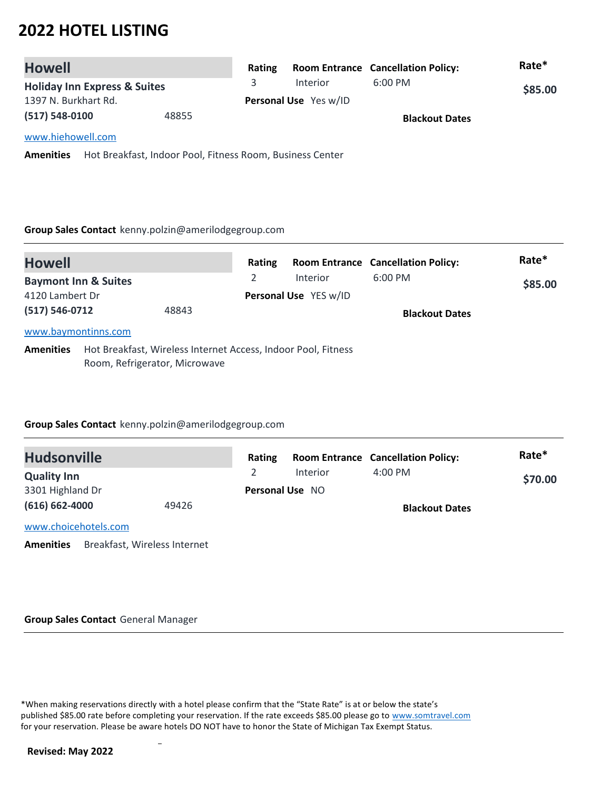| <b>Howell</b>                           |                                                           | Rating |                       | <b>Room Entrance Cancellation Policy:</b> | Rate*   |
|-----------------------------------------|-----------------------------------------------------------|--------|-----------------------|-------------------------------------------|---------|
| <b>Holiday Inn Express &amp; Suites</b> |                                                           | 3      | Interior              | $6:00$ PM                                 | \$85.00 |
| 1397 N. Burkhart Rd.                    |                                                           |        | Personal Use Yes w/ID |                                           |         |
| $(517) 548 - 0100$                      | 48855                                                     |        |                       | <b>Blackout Dates</b>                     |         |
| www.hiehowell.com                       |                                                           |        |                       |                                           |         |
| <b>Amenities</b>                        | Hot Breakfast, Indoor Pool, Fitness Room, Business Center |        |                       |                                           |         |

#### **Group Sales Contact** kenny.polzin@amerilodgegroup.com

| <b>Howell</b>                                                                                                      |  |                                               | Rating |                       | <b>Room Entrance Cancellation Policy:</b> | Rate* |
|--------------------------------------------------------------------------------------------------------------------|--|-----------------------------------------------|--------|-----------------------|-------------------------------------------|-------|
| <b>Baymont Inn &amp; Suites</b><br>4120 Lambert Dr                                                                 |  | 2<br><b>Interior</b><br>Personal Use YES w/ID |        | $6:00$ PM             | \$85.00                                   |       |
| $(517) 546 - 0712$<br>48843                                                                                        |  |                                               |        | <b>Blackout Dates</b> |                                           |       |
| www.baymontinns.com                                                                                                |  |                                               |        |                       |                                           |       |
| Hot Breakfast, Wireless Internet Access, Indoor Pool, Fitness<br><b>Amenities</b><br>Room, Refrigerator, Microwave |  |                                               |        |                       |                                           |       |

### **Group Sales Contact** kenny.polzin@amerilodgegroup.com

| <b>Hudsonville</b>                               | Rating                 |                 | <b>Room Entrance Cancellation Policy:</b> | Rate*   |
|--------------------------------------------------|------------------------|-----------------|-------------------------------------------|---------|
| <b>Quality Inn</b>                               |                        | <b>Interior</b> | $4:00$ PM                                 | \$70.00 |
| 3301 Highland Dr                                 | <b>Personal Use NO</b> |                 |                                           |         |
| $(616) 662 - 4000$<br>49426                      |                        |                 | <b>Blackout Dates</b>                     |         |
| www.choicehotels.com                             |                        |                 |                                           |         |
| Breakfast, Wireless Internet<br><b>Amenities</b> |                        |                 |                                           |         |

#### **Group Sales Contact** General Manager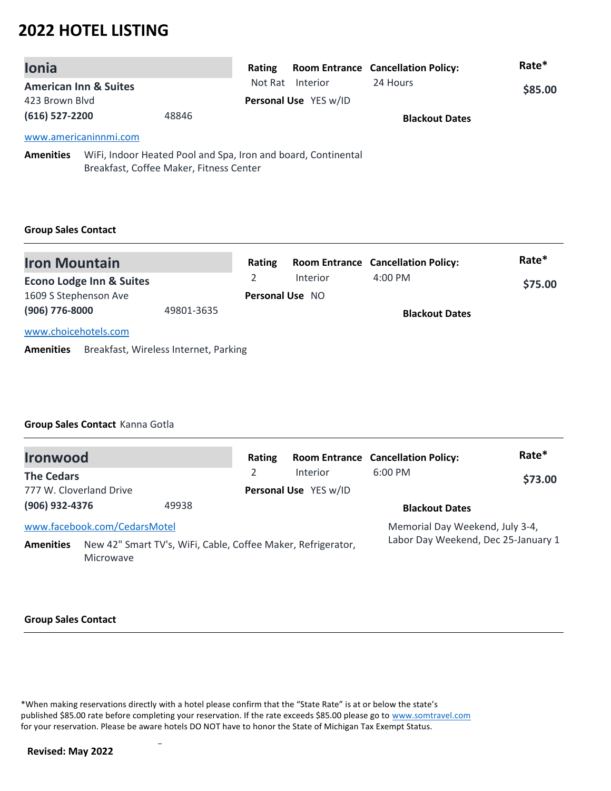| <b>Ionia</b>     |                                                                                                          | Rating  |                       | <b>Room Entrance Cancellation Policy:</b> | Rate*   |
|------------------|----------------------------------------------------------------------------------------------------------|---------|-----------------------|-------------------------------------------|---------|
|                  | <b>American Inn &amp; Suites</b>                                                                         | Not Rat | Interior              | 24 Hours                                  | \$85.00 |
| 423 Brown Blyd   |                                                                                                          |         | Personal Use YES w/ID |                                           |         |
| $(616)$ 527-2200 | 48846                                                                                                    |         |                       | <b>Blackout Dates</b>                     |         |
|                  | www.americaninnmi.com                                                                                    |         |                       |                                           |         |
| <b>Amenities</b> | WiFi, Indoor Heated Pool and Spa, Iron and board, Continental<br>Breakfast, Coffee Maker, Fitness Center |         |                       |                                           |         |

### **Group Sales Contact**

| <b>Iron Mountain</b>                |            | Rating |                        | <b>Room Entrance Cancellation Policy:</b> | Rate*   |
|-------------------------------------|------------|--------|------------------------|-------------------------------------------|---------|
| <b>Econo Lodge Inn &amp; Suites</b> |            |        | Interior               | $4:00 \text{ PM}$                         | \$75.00 |
| 1609 S Stephenson Ave               |            |        | <b>Personal Use NO</b> |                                           |         |
| (906) 776-8000                      | 49801-3635 |        |                        | <b>Blackout Dates</b>                     |         |
| www.choicehotels.com                |            |        |                        |                                           |         |

**Amenities** Breakfast, Wireless Internet, Parking

### **Group Sales Contact** Kanna Gotla

| <b>Ironwood</b>         |                                                                           |       | Rating        |                       | <b>Room Entrance Cancellation Policy:</b> | Rate*   |
|-------------------------|---------------------------------------------------------------------------|-------|---------------|-----------------------|-------------------------------------------|---------|
| <b>The Cedars</b>       |                                                                           |       | $\mathcal{P}$ | <b>Interior</b>       | $6:00$ PM                                 | \$73.00 |
| 777 W. Cloverland Drive |                                                                           |       |               | Personal Use YES w/ID |                                           |         |
| (906) 932-4376          |                                                                           | 49938 |               |                       | <b>Blackout Dates</b>                     |         |
|                         | www.facebook.com/CedarsMotel                                              |       |               |                       | Memorial Day Weekend, July 3-4,           |         |
| <b>Amenities</b>        | New 42" Smart TV's, WiFi, Cable, Coffee Maker, Refrigerator,<br>Microwave |       |               |                       | Labor Day Weekend, Dec 25-January 1       |         |

#### **Group Sales Contact**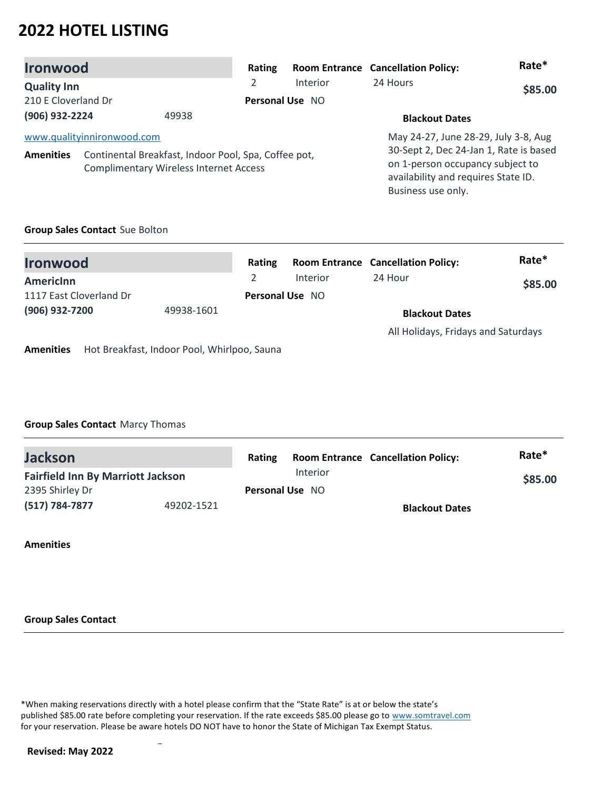| <b>Ironwood</b>                                                                                                           | Rating         |                 | <b>Room Entrance Cancellation Policy:</b>                                                                                               | Rate*   |
|---------------------------------------------------------------------------------------------------------------------------|----------------|-----------------|-----------------------------------------------------------------------------------------------------------------------------------------|---------|
| <b>Quality Inn</b>                                                                                                        | $\overline{2}$ | Interior        | 24 Hours                                                                                                                                | \$85.00 |
| 210 E Cloverland Dr                                                                                                       |                | Personal Use NO |                                                                                                                                         |         |
| (906) 932-2224<br>49938                                                                                                   |                |                 | <b>Blackout Dates</b>                                                                                                                   |         |
| www.qualityinnironwood.com                                                                                                |                |                 | May 24-27, June 28-29, July 3-8, Aug                                                                                                    |         |
| Continental Breakfast, Indoor Pool, Spa, Coffee pot,<br><b>Amenities</b><br><b>Complimentary Wireless Internet Access</b> |                |                 | 30-Sept 2, Dec 24-Jan 1, Rate is based<br>on 1-person occupancy subject to<br>availability and requires State ID.<br>Business use only. |         |

### **Group Sales Contact** Sue Bolton

| <b>Ironwood</b>                                                 | Rating                 |          | <b>Room Entrance Cancellation Policy:</b> | Rate*   |
|-----------------------------------------------------------------|------------------------|----------|-------------------------------------------|---------|
| Americinn                                                       |                        | Interior | 24 Hour                                   | \$85.00 |
| 1117 East Cloverland Dr                                         | <b>Personal Use NO</b> |          |                                           |         |
| (906) 932-7200<br>49938-1601                                    |                        |          | <b>Blackout Dates</b>                     |         |
|                                                                 |                        |          | All Holidays, Fridays and Saturdays       |         |
| Hot Breakfast, Indoor Pool, Whirlpoo, Sauna<br><b>Amenities</b> |                        |          |                                           |         |

### **Group Sales Contact** Marcy Thomas

| <b>Jackson</b><br><b>Fairfield Inn By Marriott Jackson</b> |            | <b>Rating</b>          |  | <b>Room Entrance Cancellation Policy:</b> | Rate*   |
|------------------------------------------------------------|------------|------------------------|--|-------------------------------------------|---------|
|                                                            |            | Interior               |  |                                           | \$85.00 |
| 2395 Shirley Dr                                            |            | <b>Personal Use NO</b> |  |                                           |         |
| $(517) 784 - 7877$                                         | 49202-1521 |                        |  | <b>Blackout Dates</b>                     |         |

### **Amenities**

#### **Group Sales Contact**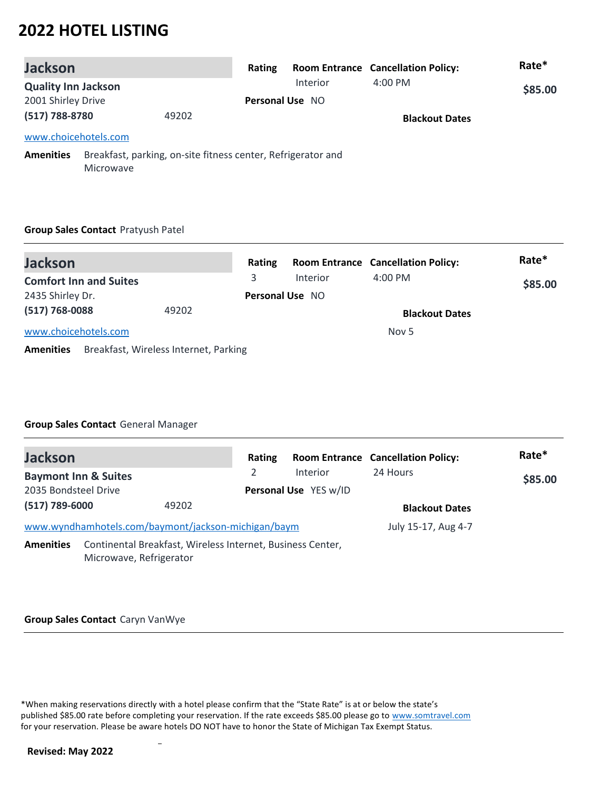| <b>Jackson</b>             |                                                                                  | Rating |                        | <b>Room Entrance Cancellation Policy:</b> | Rate*   |
|----------------------------|----------------------------------------------------------------------------------|--------|------------------------|-------------------------------------------|---------|
| <b>Quality Inn Jackson</b> |                                                                                  |        | <b>Interior</b>        | $4:00 \text{ PM}$                         | \$85.00 |
| 2001 Shirley Drive         |                                                                                  |        | <b>Personal Use NO</b> |                                           |         |
| (517) 788-8780             | 49202                                                                            |        |                        | <b>Blackout Dates</b>                     |         |
| www.choicehotels.com       |                                                                                  |        |                        |                                           |         |
| <b>Amenities</b>           | Breakfast, parking, on-site fitness center, Refrigerator and<br><b>Microwave</b> |        |                        |                                           |         |

#### **Group Sales Contact** Pratyush Patel

| <b>Jackson</b>                |                                       | Rating                 |                 | <b>Room Entrance Cancellation Policy:</b> | Rate*   |
|-------------------------------|---------------------------------------|------------------------|-----------------|-------------------------------------------|---------|
| <b>Comfort Inn and Suites</b> |                                       | 3                      | <b>Interior</b> | $4:00 \text{ PM}$                         | \$85.00 |
| 2435 Shirley Dr.              |                                       | <b>Personal Use NO</b> |                 |                                           |         |
| $(517)$ 768-0088              | 49202                                 |                        |                 | <b>Blackout Dates</b>                     |         |
| www.choicehotels.com          |                                       |                        |                 | Nov 5                                     |         |
| <b>Amenities</b>              | Breakfast, Wireless Internet, Parking |                        |                 |                                           |         |

## **Group Sales Contact** General Manager

| <b>Jackson</b>                                      |                                                            | Rating |                       | <b>Room Entrance Cancellation Policy:</b> | Rate*   |
|-----------------------------------------------------|------------------------------------------------------------|--------|-----------------------|-------------------------------------------|---------|
| <b>Baymont Inn &amp; Suites</b>                     |                                                            |        | Interior              | 24 Hours                                  | \$85.00 |
| 2035 Bondsteel Drive                                |                                                            |        | Personal Use YES w/ID |                                           |         |
| (517) 789-6000                                      | 49202                                                      |        |                       | <b>Blackout Dates</b>                     |         |
| www.wyndhamhotels.com/baymont/jackson-michigan/baym |                                                            |        |                       | July 15-17, Aug 4-7                       |         |
| <b>Amenities</b>                                    | Continental Breakfast, Wireless Internet, Business Center, |        |                       |                                           |         |

Microwave, Refrigerator

#### **Group Sales Contact** Caryn VanWye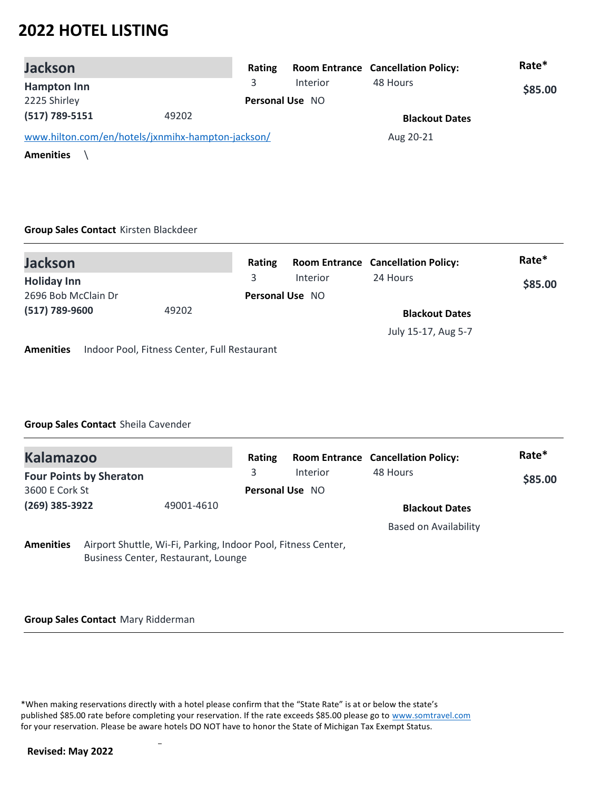| <b>Jackson</b>                                    |       | Rating |                        | <b>Room Entrance Cancellation Policy:</b> | Rate*   |
|---------------------------------------------------|-------|--------|------------------------|-------------------------------------------|---------|
| <b>Hampton Inn</b>                                |       |        | <b>Interior</b>        | 48 Hours                                  | \$85.00 |
| 2225 Shirley                                      |       |        | <b>Personal Use NO</b> |                                           |         |
| $(517) 789 - 5151$                                | 49202 |        |                        | <b>Blackout Dates</b>                     |         |
| www.hilton.com/en/hotels/jxnmihx-hampton-jackson/ |       |        |                        | Aug 20-21                                 |         |
| <b>Amenities</b>                                  |       |        |                        |                                           |         |

#### **Group Sales Contact** Kirsten Blackdeer

| <b>Jackson</b>      |                                              | Rating |                        | <b>Room Entrance Cancellation Policy:</b> | Rate*   |  |
|---------------------|----------------------------------------------|--------|------------------------|-------------------------------------------|---------|--|
| <b>Holiday Inn</b>  |                                              | 3.     | Interior               | 24 Hours                                  | \$85.00 |  |
| 2696 Bob McClain Dr |                                              |        | <b>Personal Use NO</b> |                                           |         |  |
| (517) 789-9600      | 49202                                        |        |                        | <b>Blackout Dates</b>                     |         |  |
|                     |                                              |        |                        | July 15-17, Aug 5-7                       |         |  |
| <b>Amenities</b>    | Indoor Pool, Fitness Center, Full Restaurant |        |                        |                                           |         |  |

### **Group Sales Contact** Sheila Cavender

| <b>Kalamazoo</b> |                                |                                                                                                      | Rating                 |          | <b>Room Entrance Cancellation Policy:</b> | Rate*   |
|------------------|--------------------------------|------------------------------------------------------------------------------------------------------|------------------------|----------|-------------------------------------------|---------|
|                  | <b>Four Points by Sheraton</b> |                                                                                                      | 3                      | Interior | 48 Hours                                  | \$85.00 |
| 3600 E Cork St   |                                |                                                                                                      | <b>Personal Use NO</b> |          |                                           |         |
| (269) 385-3922   |                                | 49001-4610                                                                                           |                        |          | <b>Blackout Dates</b>                     |         |
|                  |                                |                                                                                                      |                        |          | <b>Based on Availability</b>              |         |
| <b>Amenities</b> |                                | Airport Shuttle, Wi-Fi, Parking, Indoor Pool, Fitness Center,<br>Business Center, Restaurant, Lounge |                        |          |                                           |         |

#### **Group Sales Contact** Mary Ridderman

 $\overline{a}$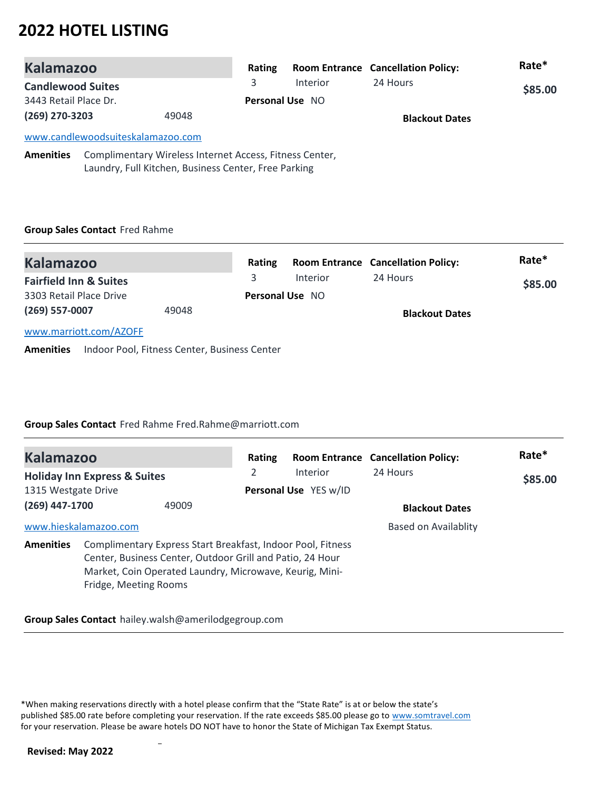| <b>Kalamazoo</b>                                                                                                                    |                                   |  | Rating          |                       | <b>Room Entrance Cancellation Policy:</b> | Rate*   |
|-------------------------------------------------------------------------------------------------------------------------------------|-----------------------------------|--|-----------------|-----------------------|-------------------------------------------|---------|
| <b>Candlewood Suites</b>                                                                                                            |                                   |  | 3               | <b>Interior</b>       | 24 Hours                                  | \$85.00 |
| 3443 Retail Place Dr.                                                                                                               |                                   |  | Personal Use NO |                       |                                           |         |
| (269) 270-3203<br>49048                                                                                                             |                                   |  |                 | <b>Blackout Dates</b> |                                           |         |
|                                                                                                                                     | www.candlewoodsuiteskalamazoo.com |  |                 |                       |                                           |         |
| <b>Amenities</b><br>Complimentary Wireless Internet Access, Fitness Center,<br>Laundry, Full Kitchen, Business Center, Free Parking |                                   |  |                 |                       |                                           |         |

# **Group Sales Contact** Fred Rahme

| <b>Kalamazoo</b>                  |       | Rating                 |          | <b>Room Entrance Cancellation Policy:</b> | Rate*   |
|-----------------------------------|-------|------------------------|----------|-------------------------------------------|---------|
| <b>Fairfield Inn &amp; Suites</b> |       |                        | Interior | 24 Hours                                  | \$85.00 |
| 3303 Retail Place Drive           |       | <b>Personal Use NO</b> |          |                                           |         |
| $(269)$ 557-0007                  | 49048 |                        |          | <b>Blackout Dates</b>                     |         |
| www.marriott.com/AZOFF            |       |                        |          |                                           |         |

**Amenities** Indoor Pool, Fitness Center, Business Center

# **Group Sales Contact** Fred Rahme Fred.Rahme@marriott.com

| <b>Kalamazoo</b>    |                                         |                                                                                                                                                                                     | Rating |                       | <b>Room Entrance Cancellation Policy:</b> | Rate*   |
|---------------------|-----------------------------------------|-------------------------------------------------------------------------------------------------------------------------------------------------------------------------------------|--------|-----------------------|-------------------------------------------|---------|
|                     | <b>Holiday Inn Express &amp; Suites</b> |                                                                                                                                                                                     | 2      | <b>Interior</b>       | 24 Hours                                  | \$85.00 |
| 1315 Westgate Drive |                                         |                                                                                                                                                                                     |        | Personal Use YES w/ID |                                           |         |
| $(269)$ 447-1700    |                                         | 49009                                                                                                                                                                               |        |                       | <b>Blackout Dates</b>                     |         |
|                     | www.hieskalamazoo.com                   |                                                                                                                                                                                     |        |                       | Based on Availablity                      |         |
| <b>Amenities</b>    | Fridge, Meeting Rooms                   | Complimentary Express Start Breakfast, Indoor Pool, Fitness<br>Center, Business Center, Outdoor Grill and Patio, 24 Hour<br>Market, Coin Operated Laundry, Microwave, Keurig, Mini- |        |                       |                                           |         |

## **Group Sales Contact** hailey.walsh@amerilodgegroup.com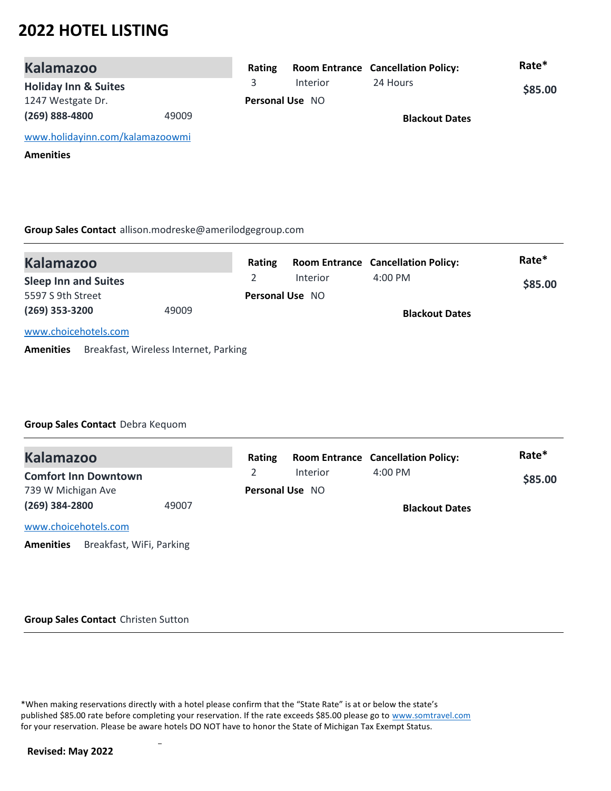| <b>Kalamazoo</b>                |       | Rating |                        | <b>Room Entrance Cancellation Policy:</b> | Rate*   |
|---------------------------------|-------|--------|------------------------|-------------------------------------------|---------|
| <b>Holiday Inn &amp; Suites</b> |       |        | <b>Interior</b>        | 24 Hours                                  | \$85.00 |
| 1247 Westgate Dr.               |       |        | <b>Personal Use NO</b> |                                           |         |
| $(269)$ 888-4800                | 49009 |        |                        | <b>Blackout Dates</b>                     |         |
| www.holidayinn.com/kalamazoowmi |       |        |                        |                                           |         |
| <b>Amenities</b>                |       |        |                        |                                           |         |

**Group Sales Contact** allison.modreske@amerilodgegroup.com

| <b>Kalamazoo</b>            |                                       | Rating                 |          | <b>Room Entrance Cancellation Policy:</b> | Rate*   |
|-----------------------------|---------------------------------------|------------------------|----------|-------------------------------------------|---------|
| <b>Sleep Inn and Suites</b> |                                       |                        | Interior | $4:00 \text{ PM}$                         | \$85.00 |
| 5597 S 9th Street           |                                       | <b>Personal Use NO</b> |          |                                           |         |
| $(269)$ 353-3200            | 49009                                 |                        |          | <b>Blackout Dates</b>                     |         |
| www.choicehotels.com        |                                       |                        |          |                                           |         |
| <b>Amenities</b>            | Breakfast, Wireless Internet, Parking |                        |          |                                           |         |

**Group Sales Contact** Debra Kequom

| <b>Kalamazoo</b>                             |       | Rating |                        | <b>Room Entrance Cancellation Policy:</b> | Rate*   |
|----------------------------------------------|-------|--------|------------------------|-------------------------------------------|---------|
| <b>Comfort Inn Downtown</b>                  |       |        | Interior               | $4:00 \text{ PM}$                         | \$85.00 |
| 739 W Michigan Ave                           |       |        | <b>Personal Use NO</b> |                                           |         |
| $(269)$ 384-2800                             | 49007 |        |                        | <b>Blackout Dates</b>                     |         |
| www.choicehotels.com                         |       |        |                        |                                           |         |
| Breakfast, WiFi, Parking<br><b>Amenities</b> |       |        |                        |                                           |         |

#### **Group Sales Contact** Christen Sutton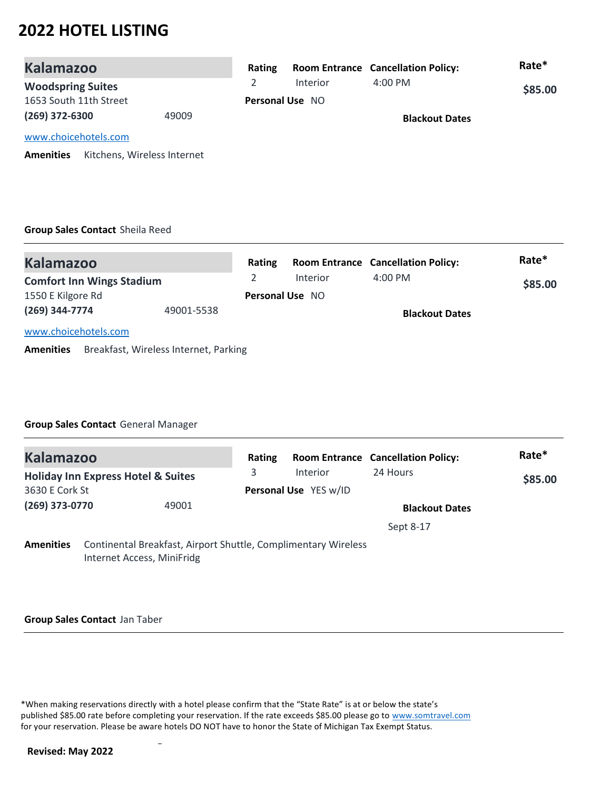| <b>Kalamazoo</b>         |                             | Rating |                        | <b>Room Entrance Cancellation Policy:</b> | Rate*   |
|--------------------------|-----------------------------|--------|------------------------|-------------------------------------------|---------|
| <b>Woodspring Suites</b> |                             |        | Interior               | $4:00 \text{ PM}$                         | \$85.00 |
| 1653 South 11th Street   |                             |        | <b>Personal Use NO</b> |                                           |         |
| $(269)$ 372-6300         | 49009                       |        |                        | <b>Blackout Dates</b>                     |         |
| www.choicehotels.com     |                             |        |                        |                                           |         |
| <b>Amenities</b>         | Kitchens, Wireless Internet |        |                        |                                           |         |

## **Group Sales Contact** Sheila Reed

| <b>Kalamazoo</b>                 |                                       | Rating |                        | <b>Room Entrance Cancellation Policy:</b> | Rate*   |
|----------------------------------|---------------------------------------|--------|------------------------|-------------------------------------------|---------|
| <b>Comfort Inn Wings Stadium</b> |                                       |        | <b>Interior</b>        | $4:00 \text{ PM}$                         | \$85.00 |
| 1550 E Kilgore Rd                |                                       |        | <b>Personal Use NO</b> |                                           |         |
| (269) 344-7774                   | 49001-5538                            |        |                        | <b>Blackout Dates</b>                     |         |
| www.choicehotels.com             |                                       |        |                        |                                           |         |
| <b>Amenities</b>                 | Breakfast, Wireless Internet, Parking |        |                        |                                           |         |

#### **Group Sales Contact** General Manager

| <b>Kalamazoo</b> |                                                                                              |       | Rating |                       | <b>Room Entrance Cancellation Policy:</b> | Rate*   |
|------------------|----------------------------------------------------------------------------------------------|-------|--------|-----------------------|-------------------------------------------|---------|
|                  | <b>Holiday Inn Express Hotel &amp; Suites</b>                                                |       | 3      | <b>Interior</b>       | 24 Hours                                  | \$85.00 |
| 3630 E Cork St   |                                                                                              |       |        | Personal Use YES w/ID |                                           |         |
| (269) 373-0770   |                                                                                              | 49001 |        |                       | <b>Blackout Dates</b>                     |         |
|                  |                                                                                              |       |        |                       | Sept 8-17                                 |         |
| <b>Amenities</b> | Continental Breakfast, Airport Shuttle, Complimentary Wireless<br>Internet Access, MiniFridg |       |        |                       |                                           |         |

#### **Group Sales Contact** Jan Taber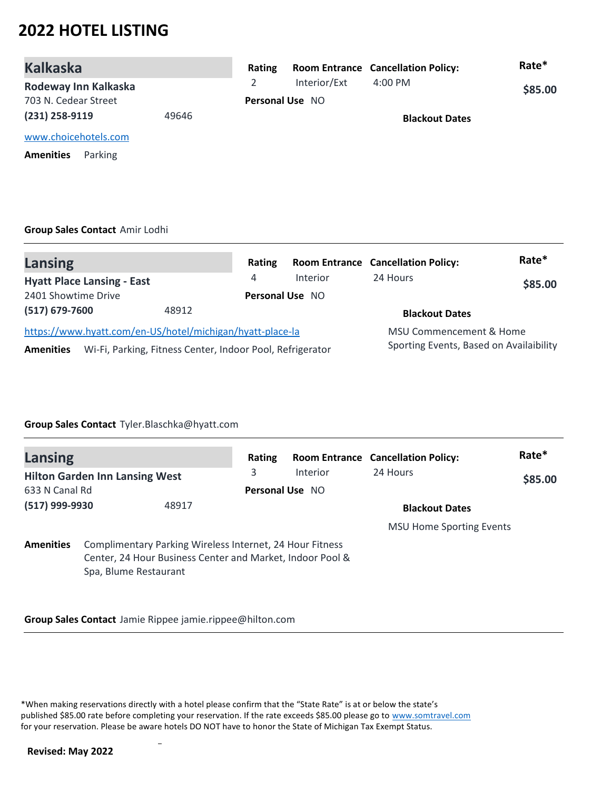| <b>Kalkaska</b>             |       | Rating |                        | <b>Room Entrance Cancellation Policy:</b> | Rate*   |
|-----------------------------|-------|--------|------------------------|-------------------------------------------|---------|
| Rodeway Inn Kalkaska        |       |        | Interior/Ext           | 4:00 PM                                   | \$85.00 |
| 703 N. Cedear Street        |       |        | <b>Personal Use NO</b> |                                           |         |
| (231) 258-9119              | 49646 |        |                        | <b>Blackout Dates</b>                     |         |
| www.choicehotels.com        |       |        |                        |                                           |         |
| Parking<br><b>Amenities</b> |       |        |                        |                                           |         |
|                             |       |        |                        |                                           |         |

### **Group Sales Contact** Amir Lodhi

| <b>Lansing</b>                                                                | Rating                 |          | <b>Room Entrance Cancellation Policy:</b> | Rate*   |
|-------------------------------------------------------------------------------|------------------------|----------|-------------------------------------------|---------|
| <b>Hyatt Place Lansing - East</b>                                             | 4                      | Interior | 24 Hours                                  | \$85.00 |
| 2401 Showtime Drive                                                           | <b>Personal Use NO</b> |          |                                           |         |
| (517) 679-7600<br>48912                                                       |                        |          | <b>Blackout Dates</b>                     |         |
| https://www.hyatt.com/en-US/hotel/michigan/hyatt-place-la                     |                        |          | MSU Commencement & Home                   |         |
| Wi-Fi, Parking, Fitness Center, Indoor Pool, Refrigerator<br><b>Amenities</b> |                        |          | Sporting Events, Based on Availaibility   |         |

### **Group Sales Contact** Tyler.Blaschka@hyatt.com

| <b>Lansing</b>   |                                                                                                                                                | Rating |                 | <b>Room Entrance Cancellation Policy:</b> | Rate*   |  |
|------------------|------------------------------------------------------------------------------------------------------------------------------------------------|--------|-----------------|-------------------------------------------|---------|--|
|                  | <b>Hilton Garden Inn Lansing West</b>                                                                                                          | 3      | <b>Interior</b> | 24 Hours                                  | \$85.00 |  |
| 633 N Canal Rd   |                                                                                                                                                |        | Personal Use NO |                                           |         |  |
| (517) 999-9930   | 48917                                                                                                                                          |        |                 | <b>Blackout Dates</b>                     |         |  |
|                  |                                                                                                                                                |        |                 | <b>MSU Home Sporting Events</b>           |         |  |
| <b>Amenities</b> | Complimentary Parking Wireless Internet, 24 Hour Fitness<br>Center, 24 Hour Business Center and Market, Indoor Pool &<br>Spa, Blume Restaurant |        |                 |                                           |         |  |

**Group Sales Contact** Jamie Rippee jamie.rippee@hilton.com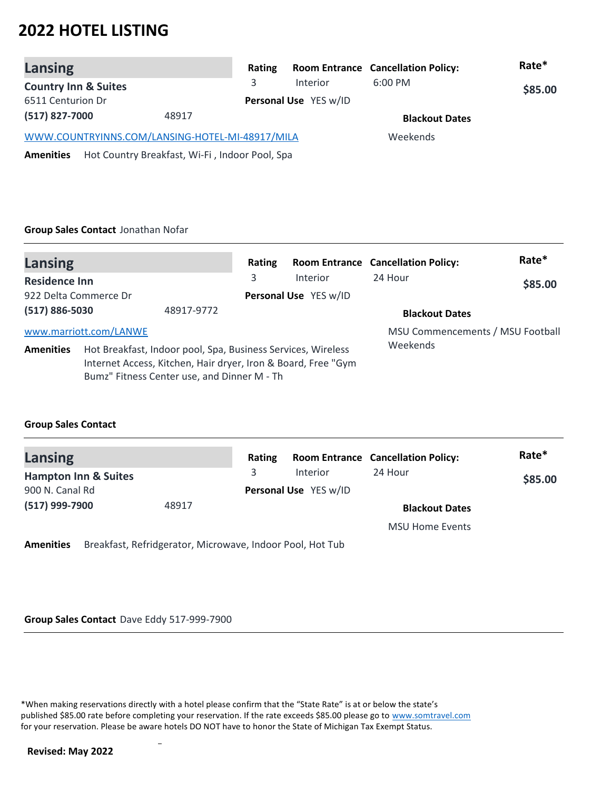| Lansing                                                            | Rating |                       | <b>Room Entrance Cancellation Policy:</b> | Rate*   |
|--------------------------------------------------------------------|--------|-----------------------|-------------------------------------------|---------|
| <b>Country Inn &amp; Suites</b>                                    | 3.     | Interior              | $6:00$ PM                                 | \$85.00 |
| 6511 Centurion Dr                                                  |        | Personal Use YES w/ID |                                           |         |
| (517) 827-7000<br>48917                                            |        |                       | <b>Blackout Dates</b>                     |         |
| WWW.COUNTRYINNS.COM/LANSING-HOTEL-MI-48917/MILA                    |        | Weekends              |                                           |         |
| Hot Country Breakfast, Wi-Fi, Indoor Pool, Spa<br><b>Amenities</b> |        |                       |                                           |         |

#### **Group Sales Contact** Jonathan Nofar

| <b>Lansing</b>                                                                                                                                                                                   |                        |            | Rating   |                                   | <b>Room Entrance Cancellation Policy:</b> | Rate*   |
|--------------------------------------------------------------------------------------------------------------------------------------------------------------------------------------------------|------------------------|------------|----------|-----------------------------------|-------------------------------------------|---------|
| <b>Residence Inn</b><br>922 Delta Commerce Dr                                                                                                                                                    |                        |            | 3        | Interior<br>Personal Use YES w/ID | 24 Hour                                   | \$85.00 |
| (517) 886-5030                                                                                                                                                                                   |                        | 48917-9772 |          |                                   | <b>Blackout Dates</b>                     |         |
|                                                                                                                                                                                                  | www.marriott.com/LANWE |            |          |                                   | MSU Commencements / MSU Football          |         |
| Hot Breakfast, Indoor pool, Spa, Business Services, Wireless<br><b>Amenities</b><br>Internet Access, Kitchen, Hair dryer, Iron & Board, Free "Gym<br>Bumz" Fitness Center use, and Dinner M - Th |                        |            | Weekends |                                   |                                           |         |

### **Group Sales Contact**

| <b>Lansing</b>                  |       | Rating |                       | <b>Room Entrance Cancellation Policy:</b> | Rate*   |  |
|---------------------------------|-------|--------|-----------------------|-------------------------------------------|---------|--|
| <b>Hampton Inn &amp; Suites</b> |       | 3.     | <b>Interior</b>       | 24 Hour                                   | \$85.00 |  |
| 900 N. Canal Rd                 |       |        | Personal Use YES w/ID |                                           |         |  |
| (517) 999-7900                  | 48917 |        |                       | <b>Blackout Dates</b>                     |         |  |
|                                 |       |        |                       | <b>MSU Home Events</b>                    |         |  |

**Amenities** Breakfast, Refridgerator, Microwave, Indoor Pool, Hot Tub

#### **Group Sales Contact** Dave Eddy 517-999-7900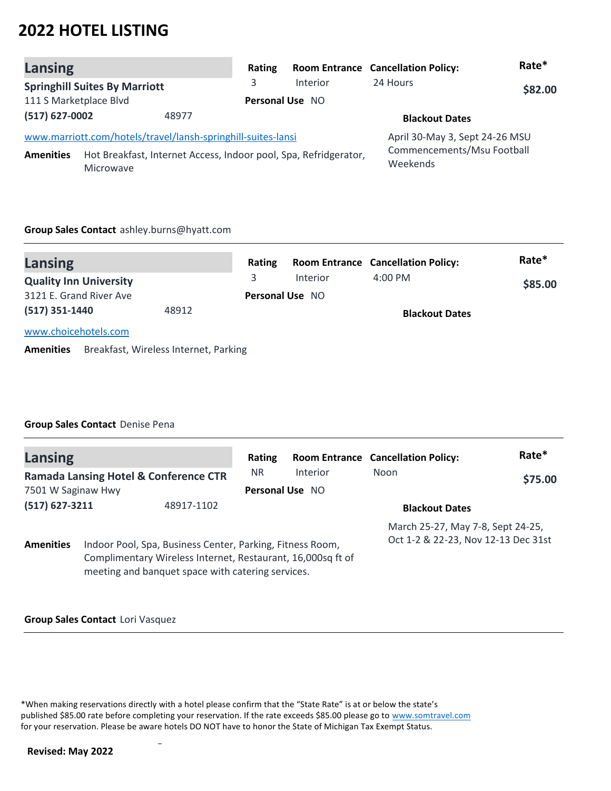| Lansing                 |                                                                                      | Rating |                        | <b>Room Entrance Cancellation Policy:</b> | Rate*   |
|-------------------------|--------------------------------------------------------------------------------------|--------|------------------------|-------------------------------------------|---------|
|                         | <b>Springhill Suites By Marriott</b>                                                 | 3      | Interior               | 24 Hours                                  | \$82.00 |
| 111 S Marketplace Blvd  |                                                                                      |        | <b>Personal Use NO</b> |                                           |         |
| (517) 627-0002<br>48977 |                                                                                      |        |                        | <b>Blackout Dates</b>                     |         |
|                         | www.marriott.com/hotels/travel/lansh-springhill-suites-lansi                         |        |                        | April 30-May 3, Sept 24-26 MSU            |         |
| <b>Amenities</b>        | Hot Breakfast, Internet Access, Indoor pool, Spa, Refridgerator,<br><b>Microwave</b> |        |                        | Commencements/Msu Football<br>Weekends    |         |

#### **Group Sales Contact** ashley.burns@hyatt.com

| Lansing                       |       | Rating                 |          | <b>Room Entrance Cancellation Policy:</b> | Rate*   |
|-------------------------------|-------|------------------------|----------|-------------------------------------------|---------|
| <b>Quality Inn University</b> |       |                        | Interior | $4:00 \text{ PM}$                         | \$85.00 |
| 3121 E. Grand River Ave       |       | <b>Personal Use NO</b> |          |                                           |         |
| $(517)$ 351-1440              | 48912 |                        |          | <b>Blackout Dates</b>                     |         |
| www.choicehotels.com          |       |                        |          |                                           |         |

**Amenities** Breakfast, Wireless Internet, Parking

### **Group Sales Contact** Denise Pena

| Lansing                        |                                                  |                                                                                                                                                                               | Rating    |                       | <b>Room Entrance Cancellation Policy:</b>                                | Rate*   |
|--------------------------------|--------------------------------------------------|-------------------------------------------------------------------------------------------------------------------------------------------------------------------------------|-----------|-----------------------|--------------------------------------------------------------------------|---------|
|                                | <b>Ramada Lansing Hotel &amp; Conference CTR</b> |                                                                                                                                                                               | <b>NR</b> | Interior              | Noon                                                                     | \$75.00 |
| 7501 W Saginaw Hwy             |                                                  | <b>Personal Use NO</b>                                                                                                                                                        |           |                       |                                                                          |         |
| $(517)$ 627-3211<br>48917-1102 |                                                  |                                                                                                                                                                               |           | <b>Blackout Dates</b> |                                                                          |         |
| <b>Amenities</b>               |                                                  | Indoor Pool, Spa, Business Center, Parking, Fitness Room,<br>Complimentary Wireless Internet, Restaurant, 16,000sq ft of<br>meeting and banquet space with catering services. |           |                       | March 25-27, May 7-8, Sept 24-25,<br>Oct 1-2 & 22-23, Nov 12-13 Dec 31st |         |

#### **Group Sales Contact** Lori Vasquez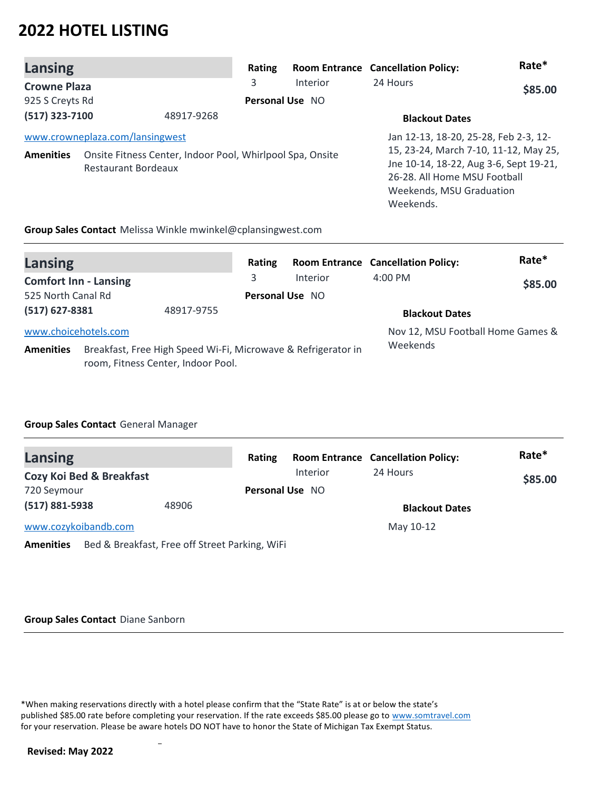| Lansing             |                                                                                                                     | Rating |                 | <b>Room Entrance Cancellation Policy:</b>                                                                                                                                                         | Rate*   |
|---------------------|---------------------------------------------------------------------------------------------------------------------|--------|-----------------|---------------------------------------------------------------------------------------------------------------------------------------------------------------------------------------------------|---------|
| <b>Crowne Plaza</b> |                                                                                                                     | 3      | Interior        | 24 Hours                                                                                                                                                                                          | \$85.00 |
| 925 S Creyts Rd     |                                                                                                                     |        | Personal Use NO |                                                                                                                                                                                                   |         |
| $(517)$ 323-7100    | 48917-9268                                                                                                          |        |                 | <b>Blackout Dates</b>                                                                                                                                                                             |         |
| <b>Amenities</b>    | www.crowneplaza.com/lansingwest<br>Onsite Fitness Center, Indoor Pool, Whirlpool Spa, Onsite<br>Restaurant Bordeaux |        |                 | Jan 12-13, 18-20, 25-28, Feb 2-3, 12-<br>15, 23-24, March 7-10, 11-12, May 25,<br>Jne 10-14, 18-22, Aug 3-6, Sept 19-21,<br>26-28. All Home MSU Football<br>Weekends, MSU Graduation<br>Weekends. |         |
|                     | Group Sales Contact Melissa Winkle mwinkel@cplansingwest.com                                                        |        |                 |                                                                                                                                                                                                   |         |

| <b>Lansing</b>               |                                                                                                     |            | Rating                 |                 | <b>Room Entrance Cancellation Policy:</b> | Rate*   |
|------------------------------|-----------------------------------------------------------------------------------------------------|------------|------------------------|-----------------|-------------------------------------------|---------|
| <b>Comfort Inn - Lansing</b> |                                                                                                     |            | 3                      | <b>Interior</b> | $4:00$ PM                                 | \$85.00 |
| 525 North Canal Rd           |                                                                                                     |            | <b>Personal Use NO</b> |                 |                                           |         |
| $(517)$ 627-8381             |                                                                                                     | 48917-9755 |                        |                 | <b>Blackout Dates</b>                     |         |
| www.choicehotels.com         |                                                                                                     |            |                        |                 | Nov 12, MSU Football Home Games &         |         |
| <b>Amenities</b>             | Breakfast, Free High Speed Wi-Fi, Microwave & Refrigerator in<br>room, Fitness Center, Indoor Pool. |            |                        |                 | Weekends                                  |         |

## **Group Sales Contact** General Manager

| <b>Lansing</b>                      |                                                | Rating                 |                 | <b>Room Entrance Cancellation Policy:</b> | Rate*   |
|-------------------------------------|------------------------------------------------|------------------------|-----------------|-------------------------------------------|---------|
| <b>Cozy Koi Bed &amp; Breakfast</b> |                                                |                        | <b>Interior</b> | 24 Hours                                  | \$85.00 |
| 720 Seymour                         |                                                | <b>Personal Use NO</b> |                 |                                           |         |
| $(517) 881 - 5938$                  | 48906                                          |                        |                 | <b>Blackout Dates</b>                     |         |
| www.cozykoibandb.com                |                                                |                        |                 | May 10-12                                 |         |
| <b>Amenities</b>                    | Bed & Breakfast, Free off Street Parking, WiFi |                        |                 |                                           |         |

#### **Group Sales Contact** Diane Sanborn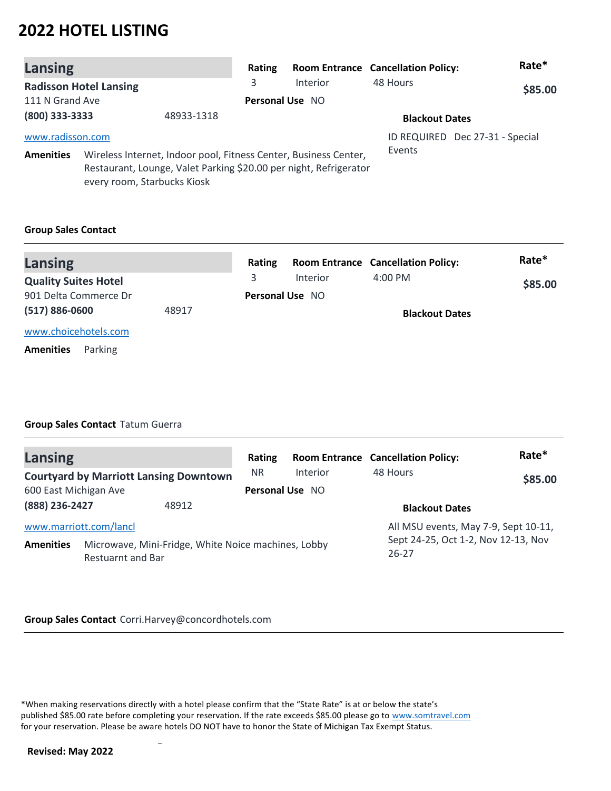| Lansing          |                               |                                                                                                                                       | Rating |                 | <b>Room Entrance Cancellation Policy:</b> | Rate*                           |
|------------------|-------------------------------|---------------------------------------------------------------------------------------------------------------------------------------|--------|-----------------|-------------------------------------------|---------------------------------|
|                  | <b>Radisson Hotel Lansing</b> |                                                                                                                                       | 3      | Interior        | 48 Hours                                  | \$85.00                         |
| 111 N Grand Ave  |                               |                                                                                                                                       |        | Personal Use NO |                                           |                                 |
| (800) 333-3333   |                               | 48933-1318                                                                                                                            |        |                 | <b>Blackout Dates</b>                     |                                 |
| www.radisson.com |                               |                                                                                                                                       |        |                 |                                           | ID REQUIRED Dec 27-31 - Special |
| <b>Amenities</b> | every room, Starbucks Kiosk   | Wireless Internet, Indoor pool, Fitness Center, Business Center,<br>Restaurant, Lounge, Valet Parking \$20.00 per night, Refrigerator |        |                 | Events                                    |                                 |

### **Group Sales Contact**

| <b>Lansing</b>              |       | Rating                 |          | <b>Room Entrance Cancellation Policy:</b> | Rate*   |
|-----------------------------|-------|------------------------|----------|-------------------------------------------|---------|
| <b>Quality Suites Hotel</b> |       |                        | Interior | $4:00 \text{ PM}$                         | \$85.00 |
| 901 Delta Commerce Dr       |       | <b>Personal Use NO</b> |          |                                           |         |
| $(517) 886 - 0600$          | 48917 |                        |          | <b>Blackout Dates</b>                     |         |
| www.choicehotels.com        |       |                        |          |                                           |         |
| Parking<br><b>Amenities</b> |       |                        |          |                                           |         |

### **Group Sales Contact** Tatum Guerra

| <b>Lansing</b>         |                                                                                 | Rating          |          | <b>Room Entrance Cancellation Policy:</b>        | Rate*   |
|------------------------|---------------------------------------------------------------------------------|-----------------|----------|--------------------------------------------------|---------|
|                        | <b>Courtyard by Marriott Lansing Downtown</b>                                   | <b>NR</b>       | Interior | 48 Hours                                         | \$85.00 |
| 600 East Michigan Ave  |                                                                                 | Personal Use NO |          |                                                  |         |
| (888) 236-2427         | 48912                                                                           |                 |          | <b>Blackout Dates</b>                            |         |
| www.marriott.com/lancl |                                                                                 |                 |          | All MSU events, May 7-9, Sept 10-11,             |         |
| <b>Amenities</b>       | Microwave, Mini-Fridge, White Noice machines, Lobby<br><b>Restuarnt and Bar</b> |                 |          | Sept 24-25, Oct 1-2, Nov 12-13, Nov<br>$26 - 27$ |         |

#### **Group Sales Contact** Corri.Harvey@concordhotels.com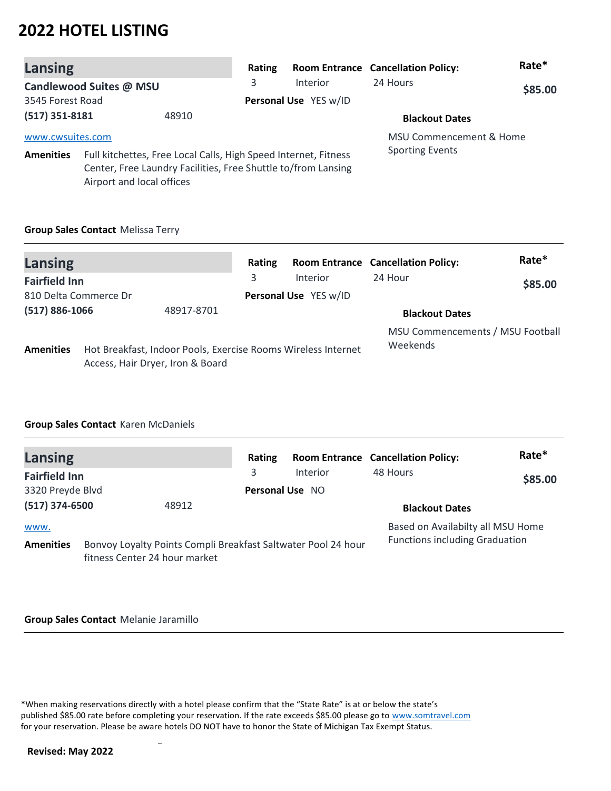| Lansing          |                           |                                                                                                                                  | Rating |                       | <b>Room Entrance Cancellation Policy:</b> | Rate*   |
|------------------|---------------------------|----------------------------------------------------------------------------------------------------------------------------------|--------|-----------------------|-------------------------------------------|---------|
|                  | Candlewood Suites @ MSU   |                                                                                                                                  | 3      | Interior              | 24 Hours                                  | \$85.00 |
| 3545 Forest Road |                           |                                                                                                                                  |        | Personal Use YES w/ID |                                           |         |
| $(517)$ 351-8181 |                           | 48910                                                                                                                            |        |                       | <b>Blackout Dates</b>                     |         |
| www.cwsuites.com |                           |                                                                                                                                  |        |                       | <b>MSU Commencement &amp; Home</b>        |         |
| <b>Amenities</b> | Airport and local offices | Full kitchettes, Free Local Calls, High Speed Internet, Fitness<br>Center, Free Laundry Facilities, Free Shuttle to/from Lansing |        |                       | <b>Sporting Events</b>                    |         |

## **Group Sales Contact** Melissa Terry

| <b>Lansing</b>        |                                  |                                                               | Rating |                       | <b>Room Entrance Cancellation Policy:</b> | Rate*                            |
|-----------------------|----------------------------------|---------------------------------------------------------------|--------|-----------------------|-------------------------------------------|----------------------------------|
| <b>Fairfield Inn</b>  |                                  |                                                               | 3      | Interior              | 24 Hour                                   | \$85.00                          |
| 810 Delta Commerce Dr |                                  |                                                               |        | Personal Use YES w/ID |                                           |                                  |
| $(517) 886 - 1066$    |                                  | 48917-8701                                                    |        |                       | <b>Blackout Dates</b>                     |                                  |
| <b>Amenities</b>      | Access, Hair Dryer, Iron & Board | Hot Breakfast, Indoor Pools, Exercise Rooms Wireless Internet |        |                       | Weekends                                  | MSU Commencements / MSU Football |

## **Group Sales Contact** Karen McDaniels

| Lansing                  |                                                                                                | Rating          |          | <b>Room Entrance Cancellation Policy:</b>                                  | Rate*   |
|--------------------------|------------------------------------------------------------------------------------------------|-----------------|----------|----------------------------------------------------------------------------|---------|
| <b>Fairfield Inn</b>     |                                                                                                | 3               | Interior | 48 Hours                                                                   | \$85.00 |
| 3320 Preyde Blvd         |                                                                                                | Personal Use NO |          |                                                                            |         |
| $(517)$ 374-6500         | 48912                                                                                          |                 |          | <b>Blackout Dates</b>                                                      |         |
| www.<br><b>Amenities</b> | Bonvoy Loyalty Points Compli Breakfast Saltwater Pool 24 hour<br>fitness Center 24 hour market |                 |          | Based on Availabilty all MSU Home<br><b>Functions including Graduation</b> |         |

#### **Group Sales Contact** Melanie Jaramillo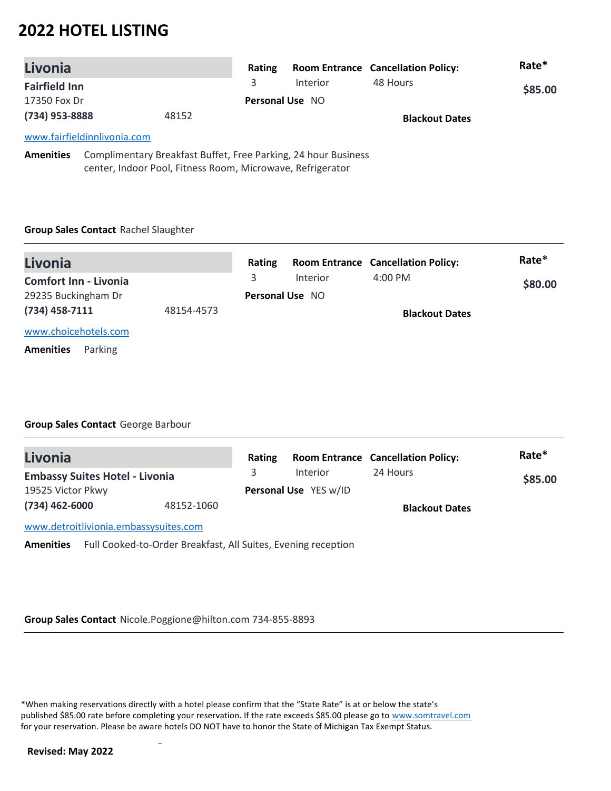| Livonia                                                                                 |       | Rating |                        | <b>Room Entrance Cancellation Policy:</b> | Rate*   |
|-----------------------------------------------------------------------------------------|-------|--------|------------------------|-------------------------------------------|---------|
| <b>Fairfield Inn</b>                                                                    |       |        | <b>Interior</b>        | 48 Hours                                  | \$85.00 |
| 17350 Fox Dr                                                                            |       |        | <b>Personal Use NO</b> |                                           |         |
| (734) 953-8888                                                                          | 48152 |        |                        | <b>Blackout Dates</b>                     |         |
| www.fairfieldinnlivonia.com                                                             |       |        |                        |                                           |         |
| Approximately Constantinoperation Department Duffet, From Devision 24 January Duningson |       |        |                        |                                           |         |

**Amenities** Complimentary Breakfast Buffet, Free Parking, 24 hour Business center, Indoor Pool, Fitness Room, Microwave, Refrigerator

### **Group Sales Contact** Rachel Slaughter

| Livonia                      |            | Rating                 |          | <b>Room Entrance Cancellation Policy:</b> | Rate*   |
|------------------------------|------------|------------------------|----------|-------------------------------------------|---------|
| <b>Comfort Inn - Livonia</b> |            | 3.                     | Interior | $4:00$ PM                                 | \$80.00 |
| 29235 Buckingham Dr          |            | <b>Personal Use NO</b> |          |                                           |         |
| $(734)$ 458-7111             | 48154-4573 |                        |          | <b>Blackout Dates</b>                     |         |
| www.choicehotels.com         |            |                        |          |                                           |         |

**Amenities** Parking

## **Group Sales Contact** George Barbour

| Livonia                                                                           | Rating |                       | <b>Room Entrance Cancellation Policy:</b> | Rate*   |
|-----------------------------------------------------------------------------------|--------|-----------------------|-------------------------------------------|---------|
| <b>Embassy Suites Hotel - Livonia</b>                                             | 3.     | <b>Interior</b>       | 24 Hours                                  | \$85.00 |
| 19525 Victor Pkwy                                                                 |        | Personal Use YES w/ID |                                           |         |
| $(734)$ 462-6000<br>48152-1060                                                    |        |                       | <b>Blackout Dates</b>                     |         |
| www.detroitlivionia.embassysuites.com                                             |        |                       |                                           |         |
| Full Cooked-to-Order Breakfast, All Suites, Evening reception<br><b>Amenities</b> |        |                       |                                           |         |

**Group Sales Contact** Nicole.Poggione@hilton.com 734-855-8893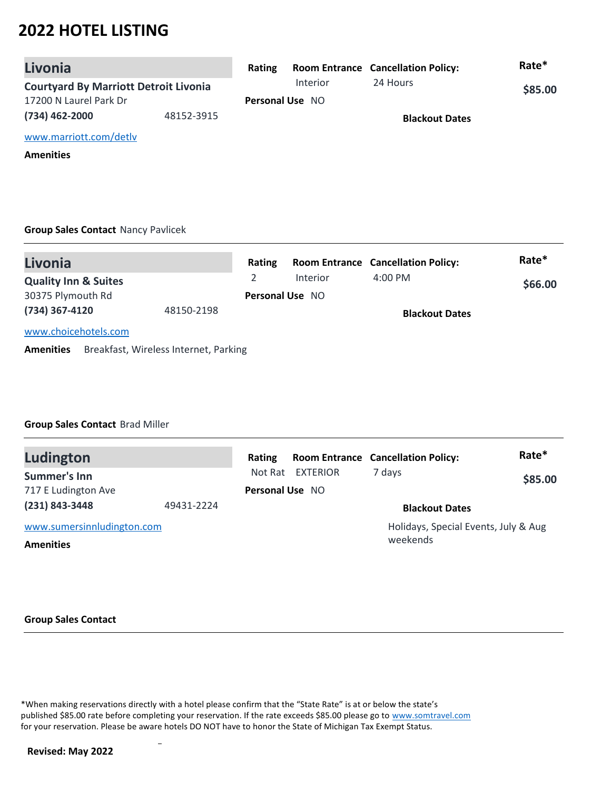| Livonia                                      |            | Rating |                        | <b>Room Entrance Cancellation Policy:</b> | Rate*   |
|----------------------------------------------|------------|--------|------------------------|-------------------------------------------|---------|
| <b>Courtyard By Marriott Detroit Livonia</b> |            |        | Interior               | 24 Hours                                  | \$85.00 |
| 17200 N Laurel Park Dr                       |            |        | <b>Personal Use NO</b> |                                           |         |
| (734) 462-2000                               | 48152-3915 |        |                        | <b>Blackout Dates</b>                     |         |
| www.marriott.com/detly                       |            |        |                        |                                           |         |

**Amenities**

### **Group Sales Contact** Nancy Pavlicek

| Livonia                         |                                       | Rating |                        | <b>Room Entrance Cancellation Policy:</b> | Rate*   |
|---------------------------------|---------------------------------------|--------|------------------------|-------------------------------------------|---------|
| <b>Quality Inn &amp; Suites</b> |                                       |        | Interior               | $4:00 \text{ PM}$                         | \$66.00 |
| 30375 Plymouth Rd               |                                       |        | <b>Personal Use NO</b> |                                           |         |
| (734) 367-4120                  | 48150-2198                            |        |                        | <b>Blackout Dates</b>                     |         |
| www.choicehotels.com            |                                       |        |                        |                                           |         |
| <b>Amenities</b>                | Breakfast, Wireless Internet, Parking |        |                        |                                           |         |

#### **Group Sales Contact** Brad Miller

| Ludington                  |            | Rating          |          | <b>Room Entrance Cancellation Policy:</b>        | Rate*   |
|----------------------------|------------|-----------------|----------|--------------------------------------------------|---------|
| Summer's Inn               |            | Not Rat         | EXTERIOR | 7 days                                           | \$85.00 |
| 717 E Ludington Ave        |            | Personal Use NO |          |                                                  |         |
| $(231) 843 - 3448$         | 49431-2224 |                 |          | <b>Blackout Dates</b>                            |         |
| www.sumersinnludington.com |            |                 |          | Holidays, Special Events, July & Aug<br>weekends |         |
| <b>Amenities</b>           |            |                 |          |                                                  |         |

#### **Group Sales Contact**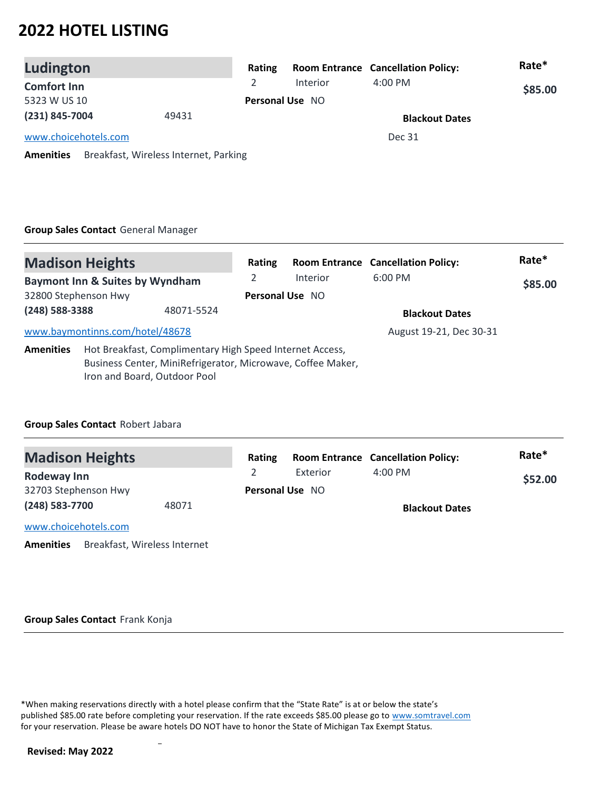| Ludington            |                                       | Rating |                        | <b>Room Entrance Cancellation Policy:</b> | Rate*   |
|----------------------|---------------------------------------|--------|------------------------|-------------------------------------------|---------|
| <b>Comfort Inn</b>   |                                       |        | <b>Interior</b>        | $4:00$ PM                                 | \$85.00 |
| 5323 W US 10         |                                       |        | <b>Personal Use NO</b> |                                           |         |
| (231) 845-7004       | 49431                                 |        |                        | <b>Blackout Dates</b>                     |         |
| www.choicehotels.com |                                       |        |                        | Dec 31                                    |         |
| <b>Amenities</b>     | Breakfast, Wireless Internet, Parking |        |                        |                                           |         |

# **Group Sales Contact** General Manager

| <b>Madison Heights</b> |                                                                                                                                                         |            | Rating          |          | <b>Room Entrance Cancellation Policy:</b> | Rate*   |
|------------------------|---------------------------------------------------------------------------------------------------------------------------------------------------------|------------|-----------------|----------|-------------------------------------------|---------|
|                        | <b>Baymont Inn &amp; Suites by Wyndham</b>                                                                                                              |            |                 | Interior | $6:00$ PM                                 | \$85.00 |
| 32800 Stephenson Hwy   |                                                                                                                                                         |            | Personal Use NO |          |                                           |         |
| (248) 588-3388         |                                                                                                                                                         | 48071-5524 |                 |          | <b>Blackout Dates</b>                     |         |
|                        | www.baymontinns.com/hotel/48678                                                                                                                         |            |                 |          | August 19-21, Dec 30-31                   |         |
| <b>Amenities</b>       | Hot Breakfast, Complimentary High Speed Internet Access,<br>Business Center, MiniRefrigerator, Microwave, Coffee Maker,<br>Iron and Board, Outdoor Pool |            |                 |          |                                           |         |

### **Group Sales Contact** Robert Jabara

| <b>Madison Heights</b>                           | Rating          |          | <b>Room Entrance Cancellation Policy:</b> | Rate*   |
|--------------------------------------------------|-----------------|----------|-------------------------------------------|---------|
| <b>Rodeway Inn</b>                               |                 | Exterior | $4:00$ PM                                 | \$52.00 |
| 32703 Stephenson Hwy                             | Personal Use NO |          |                                           |         |
| (248) 583-7700<br>48071                          |                 |          | <b>Blackout Dates</b>                     |         |
| www.choicehotels.com                             |                 |          |                                           |         |
| Breakfast, Wireless Internet<br><b>Amenities</b> |                 |          |                                           |         |

#### **Group Sales Contact** Frank Konja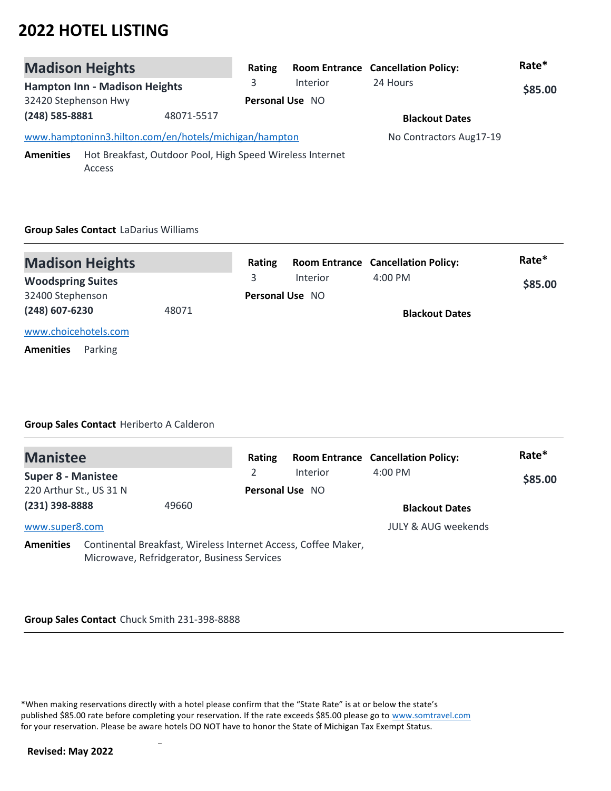| <b>Madison Heights</b> |                                                                     | Rating |                 | <b>Room Entrance Cancellation Policy:</b> | Rate*   |
|------------------------|---------------------------------------------------------------------|--------|-----------------|-------------------------------------------|---------|
|                        | <b>Hampton Inn - Madison Heights</b>                                | 3      | <b>Interior</b> | 24 Hours                                  | \$85.00 |
| 32420 Stephenson Hwy   |                                                                     |        | Personal Use NO |                                           |         |
| (248) 585-8881         | 48071-5517                                                          |        |                 | <b>Blackout Dates</b>                     |         |
|                        | www.hamptoninn3.hilton.com/en/hotels/michigan/hampton               |        |                 | No Contractors Aug17-19                   |         |
| <b>Amenities</b>       | Hot Breakfast, Outdoor Pool, High Speed Wireless Internet<br>Access |        |                 |                                           |         |

# **Group Sales Contact** LaDarius Williams

| <b>Madison Heights</b>      |       | Rating   |                        | <b>Room Entrance Cancellation Policy:</b> | Rate* |
|-----------------------------|-------|----------|------------------------|-------------------------------------------|-------|
| <b>Woodspring Suites</b>    |       | Interior | $4:00 \text{ PM}$      | \$85.00                                   |       |
| 32400 Stephenson            |       |          | <b>Personal Use NO</b> |                                           |       |
| (248) 607-6230              | 48071 |          |                        | <b>Blackout Dates</b>                     |       |
| www.choicehotels.com        |       |          |                        |                                           |       |
| Parking<br><b>Amenities</b> |       |          |                        |                                           |       |

## **Group Sales Contact** Heriberto A Calderon

| <b>Manistee</b>           |                                                                                                               | Rating                 |          | <b>Room Entrance Cancellation Policy:</b> | Rate*   |
|---------------------------|---------------------------------------------------------------------------------------------------------------|------------------------|----------|-------------------------------------------|---------|
| <b>Super 8 - Manistee</b> |                                                                                                               |                        | Interior | $4:00$ PM                                 | \$85.00 |
| 220 Arthur St., US 31 N   |                                                                                                               | <b>Personal Use NO</b> |          |                                           |         |
| (231) 398-8888            | 49660                                                                                                         |                        |          | <b>Blackout Dates</b>                     |         |
| www.super8.com            |                                                                                                               |                        |          | <b>JULY &amp; AUG weekends</b>            |         |
| <b>Amenities</b>          | Continental Breakfast, Wireless Internet Access, Coffee Maker,<br>Microwave, Refridgerator, Business Services |                        |          |                                           |         |

#### **Group Sales Contact** Chuck Smith 231-398-8888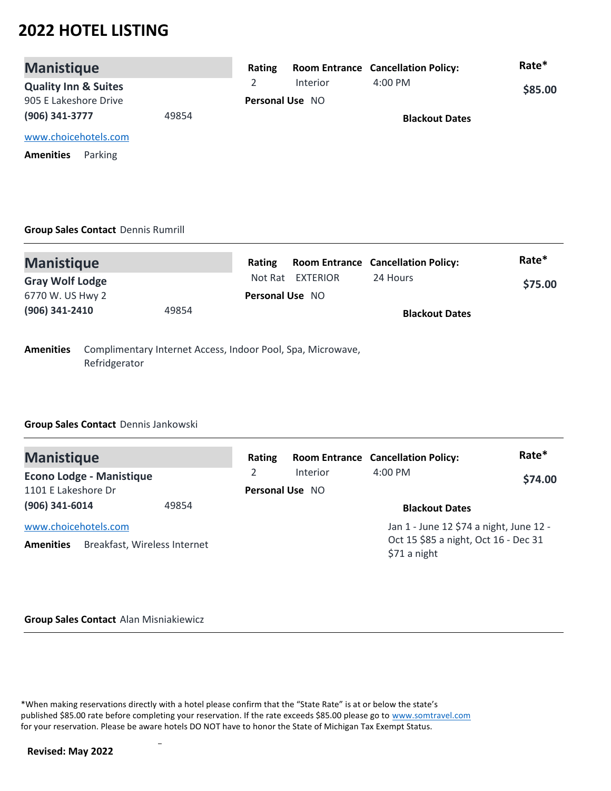| <b>Manistique</b>               |       | Rating                 |          | <b>Room Entrance Cancellation Policy:</b> | Rate*   |
|---------------------------------|-------|------------------------|----------|-------------------------------------------|---------|
| <b>Quality Inn &amp; Suites</b> |       |                        | Interior | $4:00 \text{ PM}$                         | \$85.00 |
| 905 E Lakeshore Drive           |       | <b>Personal Use NO</b> |          |                                           |         |
| (906) 341-3777                  | 49854 |                        |          | <b>Blackout Dates</b>                     |         |
| www.choicehotels.com            |       |                        |          |                                           |         |
| Parking<br><b>Amenities</b>     |       |                        |          |                                           |         |

## **Group Sales Contact** Dennis Rumrill

| <b>Manistique</b>      |       | Rating                 |                  | <b>Room Entrance Cancellation Policy:</b> | Rate*   |
|------------------------|-------|------------------------|------------------|-------------------------------------------|---------|
| <b>Gray Wolf Lodge</b> |       |                        | Not Rat EXTERIOR | 24 Hours                                  | \$75.00 |
| 6770 W. US Hwy 2       |       | <b>Personal Use NO</b> |                  |                                           |         |
| (906) 341-2410         | 49854 |                        |                  | <b>Blackout Dates</b>                     |         |
|                        |       |                        |                  |                                           |         |

**Amenities** Complimentary Internet Access, Indoor Pool, Spa, Microwave, Refridgerator

### **Group Sales Contact** Dennis Jankowski

| <b>Manistique</b>                                                        | Rating          |          | <b>Room Entrance Cancellation Policy:</b>                                                       | Rate*   |
|--------------------------------------------------------------------------|-----------------|----------|-------------------------------------------------------------------------------------------------|---------|
| <b>Econo Lodge - Manistique</b>                                          | $\mathcal{L}$   | Interior | $4:00$ PM                                                                                       | \$74.00 |
| 1101 E Lakeshore Dr                                                      | Personal Use NO |          |                                                                                                 |         |
| (906) 341-6014<br>49854                                                  |                 |          | <b>Blackout Dates</b>                                                                           |         |
| www.choicehotels.com<br>Breakfast, Wireless Internet<br><b>Amenities</b> |                 |          | Jan 1 - June 12 \$74 a night, June 12 -<br>Oct 15 \$85 a night, Oct 16 - Dec 31<br>\$71 a night |         |

#### **Group Sales Contact** Alan Misniakiewicz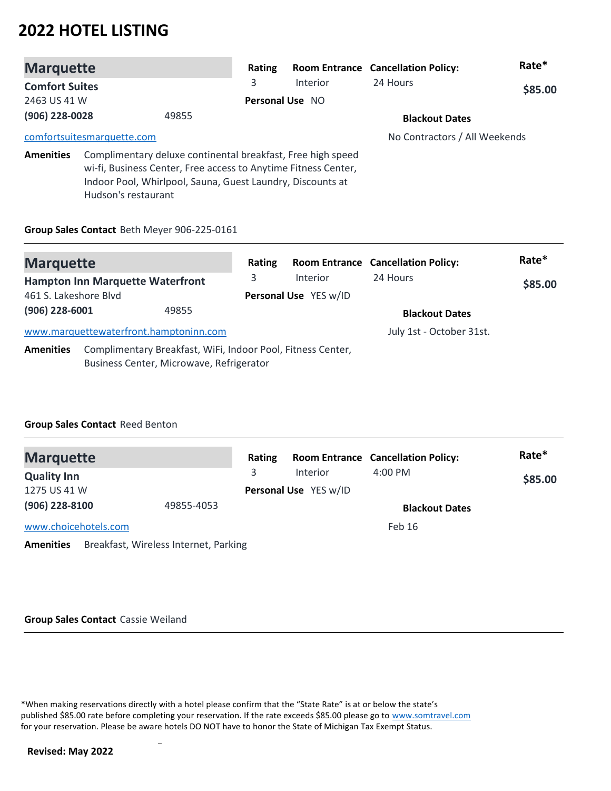| <b>Marquette</b>           |                     |                                                                                                                                                                                             | Rating          |                 | <b>Room Entrance Cancellation Policy:</b> | Rate*   |
|----------------------------|---------------------|---------------------------------------------------------------------------------------------------------------------------------------------------------------------------------------------|-----------------|-----------------|-------------------------------------------|---------|
| <b>Comfort Suites</b>      |                     |                                                                                                                                                                                             | 3               | <b>Interior</b> | 24 Hours                                  | \$85.00 |
| 2463 US 41 W               |                     |                                                                                                                                                                                             | Personal Use NO |                 |                                           |         |
| (906) 228-0028             |                     | 49855                                                                                                                                                                                       |                 |                 | <b>Blackout Dates</b>                     |         |
| comfortsuitesmarquette.com |                     |                                                                                                                                                                                             |                 |                 | No Contractors / All Weekends             |         |
| <b>Amenities</b>           | Hudson's restaurant | Complimentary deluxe continental breakfast, Free high speed<br>wi-fi, Business Center, Free access to Anytime Fitness Center,<br>Indoor Pool, Whirlpool, Sauna, Guest Laundry, Discounts at |                 |                 |                                           |         |

#### **Group Sales Contact** Beth Meyer 906-225-0161

| <b>Marquette</b>                        |  |                                                                                                         | Rating                |                       | <b>Room Entrance Cancellation Policy:</b> | Rate* |
|-----------------------------------------|--|---------------------------------------------------------------------------------------------------------|-----------------------|-----------------------|-------------------------------------------|-------|
| <b>Hampton Inn Marquette Waterfront</b> |  | 3                                                                                                       | <b>Interior</b>       | 24 Hours              | \$85.00                                   |       |
| 461 S. Lakeshore Blvd                   |  |                                                                                                         | Personal Use YES w/ID |                       |                                           |       |
| (906) 228-6001<br>49855                 |  |                                                                                                         |                       | <b>Blackout Dates</b> |                                           |       |
|                                         |  | www.marquettewaterfront.hamptoninn.com                                                                  |                       |                       | July 1st - October 31st.                  |       |
| <b>Amenities</b>                        |  | Complimentary Breakfast, WiFi, Indoor Pool, Fitness Center,<br>Business Center, Microwave, Refrigerator |                       |                       |                                           |       |

### **Group Sales Contact** Reed Benton

| <b>Marquette</b>     |                                       | Rating |                       | <b>Room Entrance Cancellation Policy:</b> | Rate*   |
|----------------------|---------------------------------------|--------|-----------------------|-------------------------------------------|---------|
| <b>Quality Inn</b>   |                                       | 3      | <b>Interior</b>       | $4:00 \text{ PM}$                         | \$85.00 |
| 1275 US 41 W         |                                       |        | Personal Use YES w/ID |                                           |         |
| (906) 228-8100       | 49855-4053                            |        |                       | <b>Blackout Dates</b>                     |         |
| www.choicehotels.com |                                       |        |                       | Feb 16                                    |         |
| <b>Amenities</b>     | Breakfast, Wireless Internet, Parking |        |                       |                                           |         |

#### **Group Sales Contact** Cassie Weiland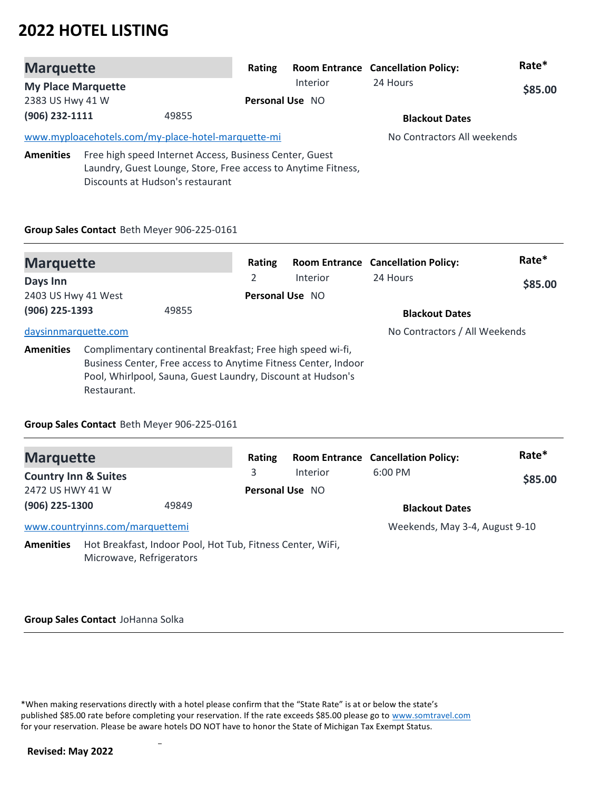| <b>Marquette</b>          |                                  | Rating                                                                                                                   |                        | <b>Room Entrance Cancellation Policy:</b> | Rate*   |
|---------------------------|----------------------------------|--------------------------------------------------------------------------------------------------------------------------|------------------------|-------------------------------------------|---------|
| <b>My Place Marquette</b> |                                  |                                                                                                                          | Interior               | 24 Hours                                  | \$85.00 |
| 2383 US Hwy 41 W          |                                  |                                                                                                                          | <b>Personal Use NO</b> |                                           |         |
| (906) 232-1111<br>49855   |                                  |                                                                                                                          |                        | <b>Blackout Dates</b>                     |         |
|                           |                                  | www.myploacehotels.com/my-place-hotel-marquette-mi                                                                       |                        | No Contractors All weekends               |         |
| <b>Amenities</b>          | Discounts at Hudson's restaurant | Free high speed Internet Access, Business Center, Guest<br>Laundry, Guest Lounge, Store, Free access to Anytime Fitness, |                        |                                           |         |

#### **Group Sales Contact** Beth Meyer 906-225-0161

| <b>Marquette</b>     |             |                                                                                                                                                                                              | Rating          |          | <b>Room Entrance Cancellation Policy:</b> | Rate*   |
|----------------------|-------------|----------------------------------------------------------------------------------------------------------------------------------------------------------------------------------------------|-----------------|----------|-------------------------------------------|---------|
| Days Inn             |             |                                                                                                                                                                                              | 2               | Interior | 24 Hours                                  | \$85.00 |
| 2403 US Hwy 41 West  |             |                                                                                                                                                                                              | Personal Use NO |          |                                           |         |
| (906) 225-1393       |             | 49855                                                                                                                                                                                        |                 |          | <b>Blackout Dates</b>                     |         |
| daysinnmarquette.com |             |                                                                                                                                                                                              |                 |          | No Contractors / All Weekends             |         |
| <b>Amenities</b>     | Restaurant. | Complimentary continental Breakfast; Free high speed wi-fi,<br>Business Center, Free access to Anytime Fitness Center, Indoor<br>Pool, Whirlpool, Sauna, Guest Laundry, Discount at Hudson's |                 |          |                                           |         |

### **Group Sales Contact** Beth Meyer 906-225-0161

| <b>Marquette</b>                |                                                                                        | Rating                 |          | <b>Room Entrance Cancellation Policy:</b> | Rate*   |
|---------------------------------|----------------------------------------------------------------------------------------|------------------------|----------|-------------------------------------------|---------|
| <b>Country Inn &amp; Suites</b> |                                                                                        | 3                      | Interior | $6:00$ PM                                 | \$85.00 |
| 2472 US HWY 41 W                |                                                                                        | <b>Personal Use NO</b> |          |                                           |         |
| (906) 225-1300                  | 49849                                                                                  |                        |          | <b>Blackout Dates</b>                     |         |
|                                 | www.countryinns.com/marquettemi                                                        |                        |          | Weekends, May 3-4, August 9-10            |         |
| <b>Amenities</b>                | Hot Breakfast, Indoor Pool, Hot Tub, Fitness Center, WiFi,<br>Microwave, Refrigerators |                        |          |                                           |         |

#### **Group Sales Contact** JoHanna Solka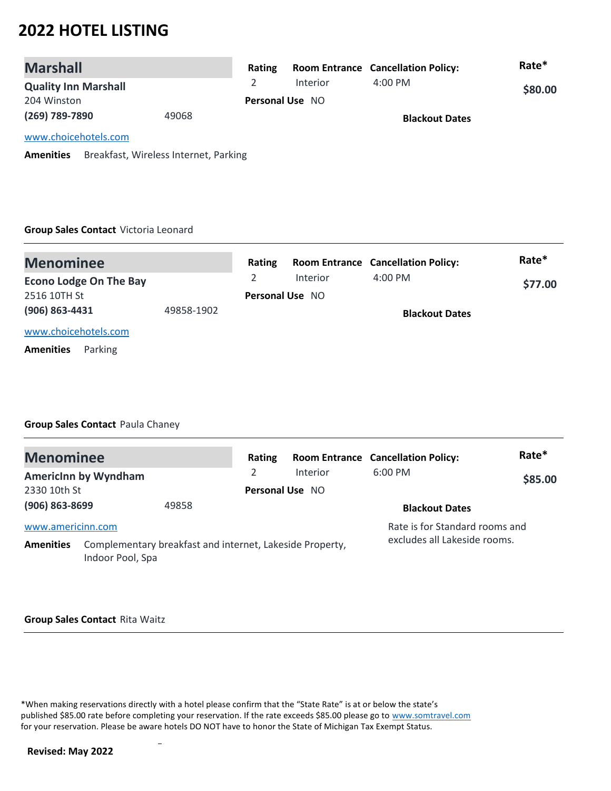| <b>Marshall</b>             |       | Rating |                        | <b>Room Entrance Cancellation Policy:</b> | Rate*   |
|-----------------------------|-------|--------|------------------------|-------------------------------------------|---------|
| <b>Quality Inn Marshall</b> |       |        | Interior               | $4:00 \, \text{PM}$                       | \$80.00 |
| 204 Winston                 |       |        | <b>Personal Use NO</b> |                                           |         |
| (269) 789-7890              | 49068 |        |                        | <b>Blackout Dates</b>                     |         |
| www.choicehotels.com        |       |        |                        |                                           |         |

**Amenities** Breakfast, Wireless Internet, Parking

#### **Group Sales Contact** Victoria Leonard

| <b>Menominee</b>              |            | Rating                 |          | <b>Room Entrance Cancellation Policy:</b> | Rate*   |
|-------------------------------|------------|------------------------|----------|-------------------------------------------|---------|
| <b>Econo Lodge On The Bay</b> |            |                        | Interior | $4:00 \text{ PM}$                         | \$77.00 |
| 2516 10TH St                  |            | <b>Personal Use NO</b> |          |                                           |         |
| (906) 863-4431                | 49858-1902 |                        |          | <b>Blackout Dates</b>                     |         |
| www.choicehotels.com          |            |                        |          |                                           |         |
| Parking<br><b>Amenities</b>   |            |                        |          |                                           |         |

### **Group Sales Contact** Paula Chaney

| <b>Menominee</b>  |                                                                              |       | Rating                 |          | <b>Room Entrance Cancellation Policy:</b> | Rate*   |
|-------------------|------------------------------------------------------------------------------|-------|------------------------|----------|-------------------------------------------|---------|
|                   | <b>Americinn by Wyndham</b>                                                  |       |                        | Interior | $6:00$ PM                                 | \$85.00 |
| 2330 10th St      |                                                                              |       | <b>Personal Use NO</b> |          |                                           |         |
| (906) 863-8699    |                                                                              | 49858 |                        |          | <b>Blackout Dates</b>                     |         |
| www.americinn.com |                                                                              |       |                        |          | Rate is for Standard rooms and            |         |
| <b>Amenities</b>  | Complementary breakfast and internet, Lakeside Property,<br>Indoor Pool, Spa |       |                        |          | excludes all Lakeside rooms.              |         |

#### **Group Sales Contact** Rita Waitz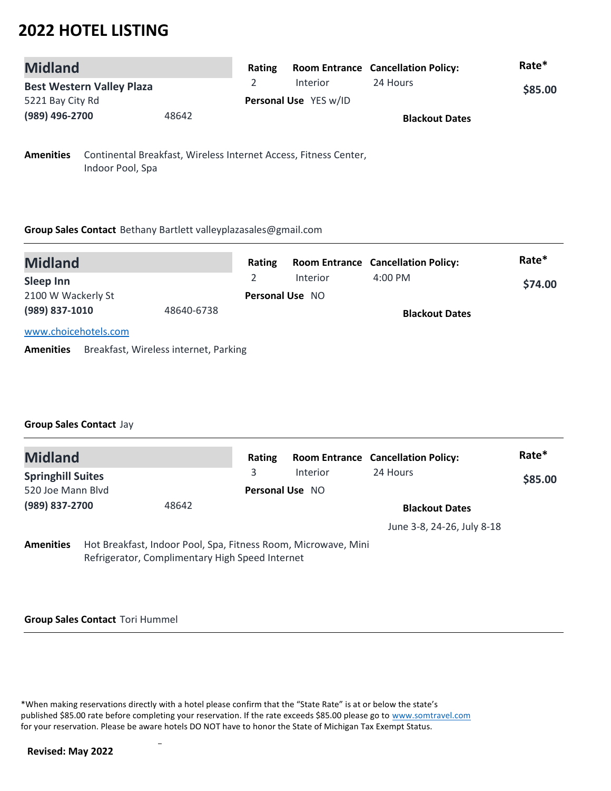| <b>Midland</b>                   | <b>Rating</b> |                       | <b>Room Entrance Cancellation Policy:</b> | Rate*   |
|----------------------------------|---------------|-----------------------|-------------------------------------------|---------|
| <b>Best Western Valley Plaza</b> |               | Interior              | 24 Hours                                  | \$85.00 |
| 5221 Bay City Rd                 |               | Personal Use YES w/ID |                                           |         |
| (989) 496-2700<br>48642          |               |                       | <b>Blackout Dates</b>                     |         |

**Amenities** Continental Breakfast, Wireless Internet Access, Fitness Center, Indoor Pool, Spa

#### **Group Sales Contact** Bethany Bartlett valleyplazasales@gmail.com

| <b>Midland</b>       |            | <b>Rating</b> |                        | <b>Room Entrance Cancellation Policy:</b> | Rate*   |
|----------------------|------------|---------------|------------------------|-------------------------------------------|---------|
| Sleep Inn            |            |               | Interior               | $4:00 \text{ PM}$                         | \$74.00 |
| 2100 W Wackerly St   |            |               | <b>Personal Use NO</b> |                                           |         |
| (989) 837-1010       | 48640-6738 |               |                        | <b>Blackout Dates</b>                     |         |
| www.choicehotels.com |            |               |                        |                                           |         |

**Amenities** Breakfast, Wireless internet, Parking

### **Group Sales Contact** Jay

| <b>Midland</b>           |  |                                                                                                                   | Rating                 |                       | <b>Room Entrance Cancellation Policy:</b> | Rate*   |
|--------------------------|--|-------------------------------------------------------------------------------------------------------------------|------------------------|-----------------------|-------------------------------------------|---------|
| <b>Springhill Suites</b> |  |                                                                                                                   | 3                      | Interior              | 24 Hours                                  | \$85.00 |
| 520 Joe Mann Blvd        |  |                                                                                                                   | <b>Personal Use NO</b> |                       |                                           |         |
| (989) 837-2700<br>48642  |  |                                                                                                                   |                        | <b>Blackout Dates</b> |                                           |         |
|                          |  |                                                                                                                   |                        |                       | June 3-8, 24-26, July 8-18                |         |
| <b>Amenities</b>         |  | Hot Breakfast, Indoor Pool, Spa, Fitness Room, Microwave, Mini<br>Refrigerator, Complimentary High Speed Internet |                        |                       |                                           |         |

#### **Group Sales Contact** Tori Hummel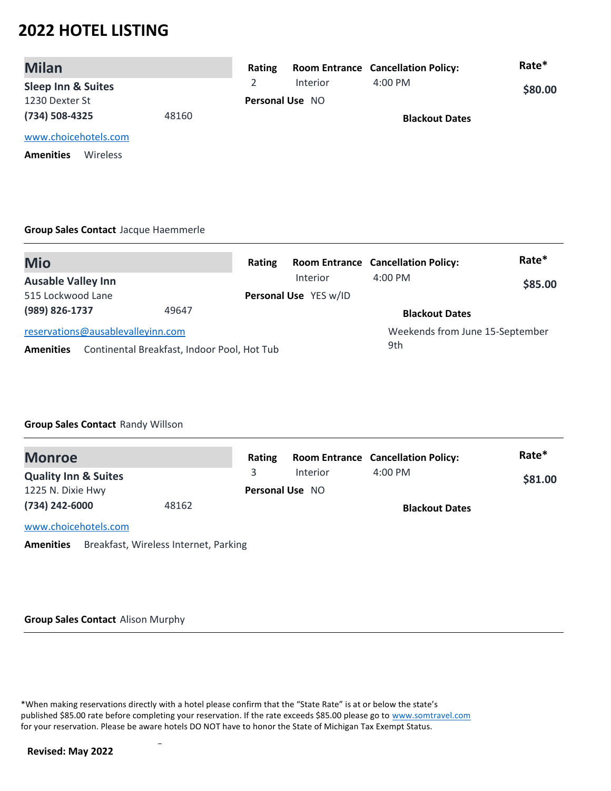| <b>Milan</b>                  |       | Rating |                        | <b>Room Entrance Cancellation Policy:</b> | Rate*   |
|-------------------------------|-------|--------|------------------------|-------------------------------------------|---------|
| <b>Sleep Inn &amp; Suites</b> |       |        | <b>Interior</b>        | $4:00 \text{ PM}$                         | \$80.00 |
| 1230 Dexter St                |       |        | <b>Personal Use NO</b> |                                           |         |
| (734) 508-4325                | 48160 |        |                        | <b>Blackout Dates</b>                     |         |
| www.choicehotels.com          |       |        |                        |                                           |         |
| <b>Amenities</b><br>Wireless  |       |        |                        |                                           |         |

#### **Group Sales Contact** Jacque Haemmerle

| <b>Mio</b>                        |                                             | Rating |                                 | <b>Room Entrance Cancellation Policy:</b> | Rate*   |
|-----------------------------------|---------------------------------------------|--------|---------------------------------|-------------------------------------------|---------|
| <b>Ausable Valley Inn</b>         |                                             |        | Interior                        | $4:00$ PM                                 | \$85.00 |
| 515 Lockwood Lane                 |                                             |        | Personal Use YES w/ID           |                                           |         |
| (989) 826-1737                    | 49647                                       |        |                                 | <b>Blackout Dates</b>                     |         |
| reservations@ausablevalleyinn.com |                                             |        | Weekends from June 15-September |                                           |         |
| <b>Amenities</b>                  | Continental Breakfast, Indoor Pool, Hot Tub |        |                                 | 9th                                       |         |

### **Group Sales Contact** Randy Willson

| <b>Monroe</b>                   |       | Rating |                        | <b>Room Entrance Cancellation Policy:</b> | Rate*   |
|---------------------------------|-------|--------|------------------------|-------------------------------------------|---------|
| <b>Quality Inn &amp; Suites</b> |       | 3      | Interior               | $4:00 \text{ PM}$                         | \$81.00 |
| 1225 N. Dixie Hwy               |       |        | <b>Personal Use NO</b> |                                           |         |
| (734) 242-6000                  | 48162 |        |                        | <b>Blackout Dates</b>                     |         |
| www.choicehotels.com            |       |        |                        |                                           |         |

**Amenities** Breakfast, Wireless Internet, Parking

#### **Group Sales Contact** Alison Murphy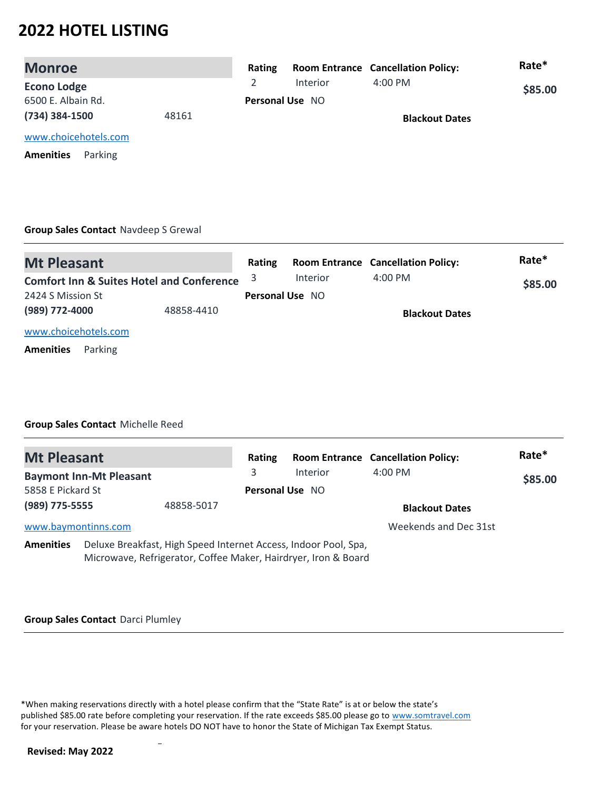| <b>Monroe</b>               |       | Rating |                 | <b>Room Entrance Cancellation Policy:</b> | Rate*   |
|-----------------------------|-------|--------|-----------------|-------------------------------------------|---------|
| <b>Econo Lodge</b>          |       |        | <b>Interior</b> | $4:00 \text{ PM}$                         | \$85.00 |
| 6500 E. Albain Rd.          |       |        | Personal Use NO |                                           |         |
| (734) 384-1500              | 48161 |        |                 | <b>Blackout Dates</b>                     |         |
| www.choicehotels.com        |       |        |                 |                                           |         |
| Parking<br><b>Amenities</b> |       |        |                 |                                           |         |

### **Group Sales Contact** Navdeep S Grewal

| <b>Mt Pleasant</b>                                   | Rating                 |          | <b>Room Entrance Cancellation Policy:</b> | Rate*   |
|------------------------------------------------------|------------------------|----------|-------------------------------------------|---------|
| <b>Comfort Inn &amp; Suites Hotel and Conference</b> |                        | Interior | 4:00 PM                                   | \$85.00 |
| 2424 S Mission St                                    | <b>Personal Use NO</b> |          |                                           |         |
| (989) 772-4000<br>48858-4410                         |                        |          | <b>Blackout Dates</b>                     |         |
| www.choicehotels.com                                 |                        |          |                                           |         |
| Parking<br><b>Amenities</b>                          |                        |          |                                           |         |

### **Group Sales Contact** Michelle Reed

| <b>Mt Pleasant</b>  |                                |            | Rating                 |                                                                                                                                   | <b>Room Entrance Cancellation Policy:</b> | Rate*   |
|---------------------|--------------------------------|------------|------------------------|-----------------------------------------------------------------------------------------------------------------------------------|-------------------------------------------|---------|
|                     | <b>Baymont Inn-Mt Pleasant</b> |            | 3                      | <b>Interior</b>                                                                                                                   | $4:00$ PM                                 | \$85.00 |
| 5858 E Pickard St   |                                |            | <b>Personal Use NO</b> |                                                                                                                                   |                                           |         |
| (989) 775-5555      |                                | 48858-5017 |                        |                                                                                                                                   | <b>Blackout Dates</b>                     |         |
| www.baymontinns.com |                                |            |                        |                                                                                                                                   | Weekends and Dec 31st                     |         |
| <b>Amenities</b>    |                                |            |                        | Deluxe Breakfast, High Speed Internet Access, Indoor Pool, Spa,<br>Microwave, Refrigerator, Coffee Maker, Hairdryer, Iron & Board |                                           |         |

# **Group Sales Contact** Darci Plumley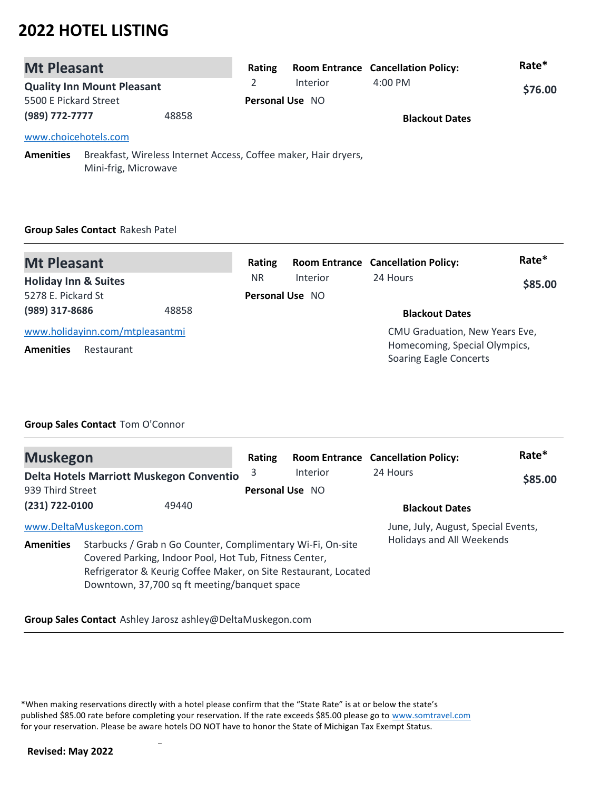| <b>Mt Pleasant</b>    |                                                                                         |       | Rating                 |                 | <b>Room Entrance Cancellation Policy:</b> | Rate*   |
|-----------------------|-----------------------------------------------------------------------------------------|-------|------------------------|-----------------|-------------------------------------------|---------|
|                       | <b>Quality Inn Mount Pleasant</b>                                                       |       | $\mathcal{L}$          | <b>Interior</b> | $4:00 \text{ PM}$                         | \$76.00 |
| 5500 E Pickard Street |                                                                                         |       | <b>Personal Use NO</b> |                 |                                           |         |
| (989) 772-7777        |                                                                                         | 48858 |                        |                 | <b>Blackout Dates</b>                     |         |
| www.choicehotels.com  |                                                                                         |       |                        |                 |                                           |         |
| <b>Amenities</b>      | Breakfast, Wireless Internet Access, Coffee maker, Hair dryers,<br>Mini-frig, Microwave |       |                        |                 |                                           |         |

# **Group Sales Contact** Rakesh Patel

| <b>Mt Pleasant</b>              |                                 | Rating                 |          | <b>Room Entrance Cancellation Policy:</b>                      | Rate*   |
|---------------------------------|---------------------------------|------------------------|----------|----------------------------------------------------------------|---------|
| <b>Holiday Inn &amp; Suites</b> |                                 | <b>NR</b>              | Interior | 24 Hours                                                       | \$85.00 |
| 5278 E. Pickard St              |                                 | <b>Personal Use NO</b> |          |                                                                |         |
| (989) 317-8686                  | 48858                           |                        |          | <b>Blackout Dates</b>                                          |         |
|                                 | www.holidayinn.com/mtpleasantmi |                        |          | CMU Graduation, New Years Eve,                                 |         |
| <b>Amenities</b>                | Restaurant                      |                        |          | Homecoming, Special Olympics,<br><b>Soaring Eagle Concerts</b> |         |

## **Group Sales Contact** Tom O'Connor

| <b>Muskegon</b>       |  |                                                                                                                                                                                                                                          | Rating          |          | <b>Room Entrance Cancellation Policy:</b> | Rate*   |
|-----------------------|--|------------------------------------------------------------------------------------------------------------------------------------------------------------------------------------------------------------------------------------------|-----------------|----------|-------------------------------------------|---------|
|                       |  | Delta Hotels Marriott Muskegon Conventio                                                                                                                                                                                                 | 3               | Interior | 24 Hours                                  | \$85.00 |
| 939 Third Street      |  |                                                                                                                                                                                                                                          | Personal Use NO |          |                                           |         |
| $(231) 722 - 0100$    |  | 49440                                                                                                                                                                                                                                    |                 |          | <b>Blackout Dates</b>                     |         |
| www.DeltaMuskegon.com |  | June, July, August, Special Events,                                                                                                                                                                                                      |                 |          |                                           |         |
| <b>Amenities</b>      |  | Starbucks / Grab n Go Counter, Complimentary Wi-Fi, On-site<br>Covered Parking, Indoor Pool, Hot Tub, Fitness Center,<br>Refrigerator & Keurig Coffee Maker, on Site Restaurant, Located<br>Downtown, 37,700 sq ft meeting/banquet space |                 |          | Holidays and All Weekends                 |         |

**Group Sales Contact** Ashley Jarosz ashley@DeltaMuskegon.com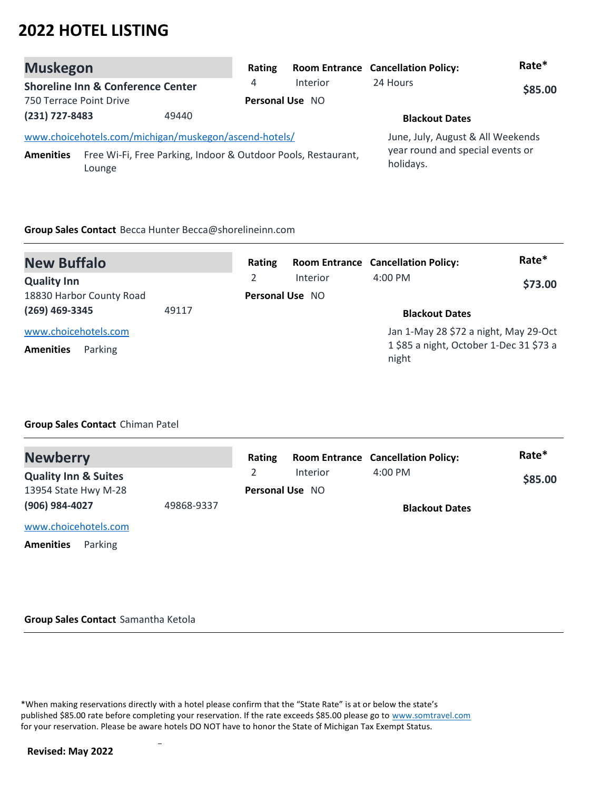| <b>Muskegon</b>         |                                                                         | Rating                 |                 | <b>Room Entrance Cancellation Policy:</b>     | Rate*   |
|-------------------------|-------------------------------------------------------------------------|------------------------|-----------------|-----------------------------------------------|---------|
|                         | <b>Shoreline Inn &amp; Conference Center</b>                            | 4                      | <b>Interior</b> | 24 Hours                                      | \$85.00 |
| 750 Terrace Point Drive |                                                                         | <b>Personal Use NO</b> |                 |                                               |         |
| (231) 727-8483          | 49440                                                                   |                        |                 | <b>Blackout Dates</b>                         |         |
|                         | www.choicehotels.com/michigan/muskegon/ascend-hotels/                   |                        |                 | June, July, August & All Weekends             |         |
| <b>Amenities</b>        | Free Wi-Fi, Free Parking, Indoor & Outdoor Pools, Restaurant,<br>Lounge |                        |                 | year round and special events or<br>holidays. |         |

### **Group Sales Contact** Becca Hunter Becca@shorelineinn.com

| <b>New Buffalo</b>                                  |       | Rating          |          | <b>Room Entrance Cancellation Policy:</b>                                                 | Rate*   |
|-----------------------------------------------------|-------|-----------------|----------|-------------------------------------------------------------------------------------------|---------|
| <b>Quality Inn</b>                                  |       | 2               | Interior | $4:00$ PM                                                                                 | \$73.00 |
| 18830 Harbor County Road                            |       | Personal Use NO |          |                                                                                           |         |
| (269) 469-3345                                      | 49117 |                 |          | <b>Blackout Dates</b>                                                                     |         |
| www.choicehotels.com<br><b>Amenities</b><br>Parking |       |                 |          | Jan 1-May 28 \$72 a night, May 29-Oct<br>1 \$85 a night, October 1-Dec 31 \$73 a<br>night |         |

### **Group Sales Contact** Chiman Patel

| <b>Newberry</b>                 |            | Rating |                        | <b>Room Entrance Cancellation Policy:</b> | Rate*   |
|---------------------------------|------------|--------|------------------------|-------------------------------------------|---------|
| <b>Quality Inn &amp; Suites</b> |            |        | Interior               | $4:00 \, \text{PM}$                       | \$85.00 |
| 13954 State Hwy M-28            |            |        | <b>Personal Use NO</b> |                                           |         |
| (906) 984-4027                  | 49868-9337 |        |                        | <b>Blackout Dates</b>                     |         |
| www.choicehotels.com            |            |        |                        |                                           |         |

**Amenities** Parking

#### **Group Sales Contact** Samantha Ketola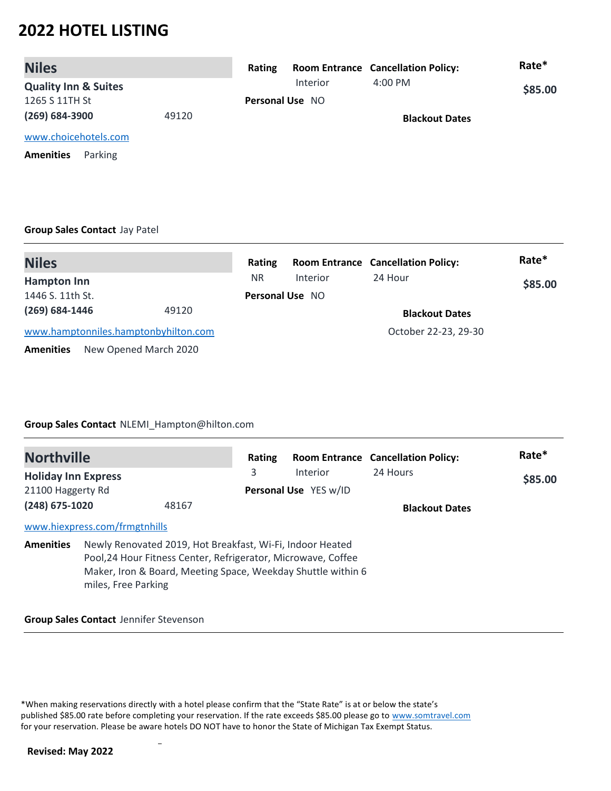| <b>Niles</b>                    |       | Rating |                        | <b>Room Entrance Cancellation Policy:</b> | Rate*   |
|---------------------------------|-------|--------|------------------------|-------------------------------------------|---------|
| <b>Quality Inn &amp; Suites</b> |       |        | Interior               | $4:00$ PM                                 | \$85.00 |
| 1265 S 11TH St                  |       |        | <b>Personal Use NO</b> |                                           |         |
| $(269) 684 - 3900$              | 49120 |        |                        | <b>Blackout Dates</b>                     |         |
| www.choicehotels.com            |       |        |                        |                                           |         |

**Amenities** Parking

### **Group Sales Contact** Jay Patel

| <b>Niles</b>                         |                       | Rating    |                        | <b>Room Entrance Cancellation Policy:</b> | Rate*   |
|--------------------------------------|-----------------------|-----------|------------------------|-------------------------------------------|---------|
| <b>Hampton Inn</b>                   |                       | <b>NR</b> | Interior               | 24 Hour                                   | \$85.00 |
| 1446 S. 11th St.                     |                       |           | <b>Personal Use NO</b> |                                           |         |
| $(269) 684 - 1446$                   | 49120                 |           |                        | <b>Blackout Dates</b>                     |         |
| www.hamptonniles.hamptonbyhilton.com |                       |           |                        | October 22-23, 29-30                      |         |
| <b>Amenities</b>                     | New Opened March 2020 |           |                        |                                           |         |

### **Group Sales Contact** NLEMI\_Hampton@hilton.com

| <b>Northville</b>          |                               |                                                                                                                            | Rating                |                                                              | <b>Room Entrance Cancellation Policy:</b> | Rate*   |
|----------------------------|-------------------------------|----------------------------------------------------------------------------------------------------------------------------|-----------------------|--------------------------------------------------------------|-------------------------------------------|---------|
| <b>Holiday Inn Express</b> |                               |                                                                                                                            | 3                     | Interior                                                     | 24 Hours                                  | \$85.00 |
| 21100 Haggerty Rd          |                               |                                                                                                                            | Personal Use YES w/ID |                                                              |                                           |         |
| $(248)$ 675-1020<br>48167  |                               |                                                                                                                            |                       |                                                              | <b>Blackout Dates</b>                     |         |
|                            | www.hiexpress.com/frmgtnhills |                                                                                                                            |                       |                                                              |                                           |         |
| <b>Amenities</b>           | miles, Free Parking           | Newly Renovated 2019, Hot Breakfast, Wi-Fi, Indoor Heated<br>Pool, 24 Hour Fitness Center, Refrigerator, Microwave, Coffee |                       | Maker, Iron & Board, Meeting Space, Weekday Shuttle within 6 |                                           |         |

### **Group Sales Contact** Jennifer Stevenson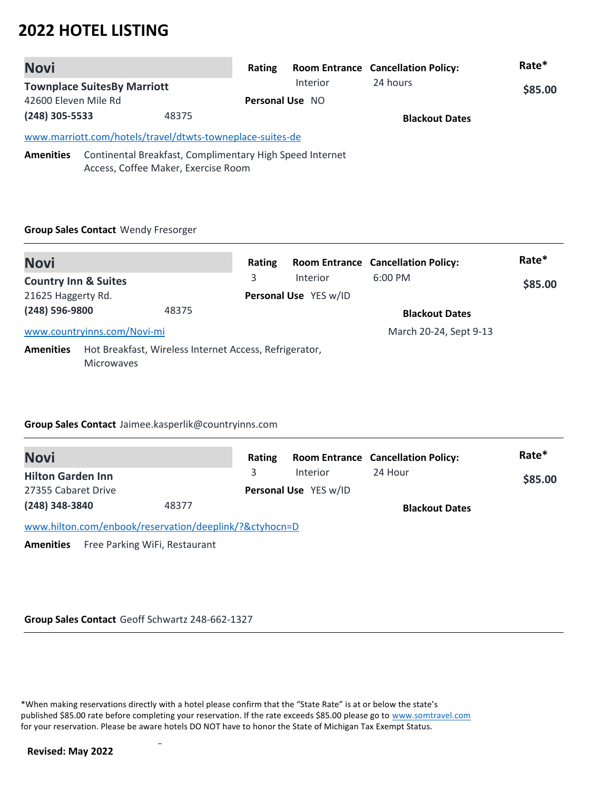| <b>Novi</b>          |                                                                                                 | Rating |                        | <b>Room Entrance Cancellation Policy:</b> | Rate*   |
|----------------------|-------------------------------------------------------------------------------------------------|--------|------------------------|-------------------------------------------|---------|
|                      | <b>Townplace SuitesBy Marriott</b>                                                              |        | <b>Interior</b>        | 24 hours                                  | \$85.00 |
| 42600 Eleven Mile Rd |                                                                                                 |        | <b>Personal Use NO</b> |                                           |         |
| (248) 305-5533       | 48375                                                                                           |        |                        | <b>Blackout Dates</b>                     |         |
|                      | www.marriott.com/hotels/travel/dtwts-towneplace-suites-de                                       |        |                        |                                           |         |
| <b>Amenities</b>     | Continental Breakfast, Complimentary High Speed Internet<br>Access, Coffee Maker, Exercise Room |        |                        |                                           |         |

### **Group Sales Contact** Wendy Fresorger

| <b>Novi</b>                     |                                                                             |       | Rating                |           | <b>Room Entrance Cancellation Policy:</b> | Rate* |
|---------------------------------|-----------------------------------------------------------------------------|-------|-----------------------|-----------|-------------------------------------------|-------|
| <b>Country Inn &amp; Suites</b> |                                                                             | 3     | Interior              | $6:00$ PM | \$85.00                                   |       |
| 21625 Haggerty Rd.              |                                                                             |       | Personal Use YES w/ID |           |                                           |       |
| (248) 596-9800                  |                                                                             | 48375 |                       |           | <b>Blackout Dates</b>                     |       |
|                                 | www.countryinns.com/Novi-mi                                                 |       |                       |           | March 20-24, Sept 9-13                    |       |
| <b>Amenities</b>                | Hot Breakfast, Wireless Internet Access, Refrigerator,<br><b>Microwaves</b> |       |                       |           |                                           |       |

### **Group Sales Contact** Jaimee.kasperlik@countryinns.com

| <b>Novi</b>                                            |       | Rating |                       | <b>Room Entrance Cancellation Policy:</b> | Rate*   |
|--------------------------------------------------------|-------|--------|-----------------------|-------------------------------------------|---------|
| <b>Hilton Garden Inn</b>                               |       |        | <b>Interior</b>       | 24 Hour                                   | \$85.00 |
| 27355 Cabaret Drive                                    |       |        | Personal Use YES w/ID |                                           |         |
| (248) 348-3840                                         | 48377 |        |                       | <b>Blackout Dates</b>                     |         |
| www.hilton.com/enbook/reservation/deeplink/?&ctyhocn=D |       |        |                       |                                           |         |
|                                                        |       |        |                       |                                           |         |

**Amenities** Free Parking WiFi, Restaurant

### **Group Sales Contact** Geoff Schwartz 248-662-1327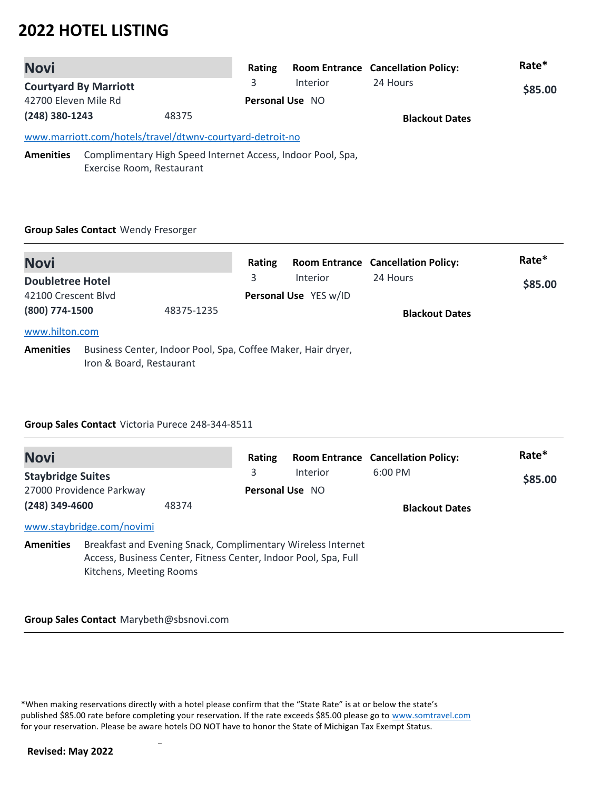| <b>Novi</b>          |                              |                                                           | Rating                 |                                                             | <b>Room Entrance Cancellation Policy:</b> | Rate*   |
|----------------------|------------------------------|-----------------------------------------------------------|------------------------|-------------------------------------------------------------|-------------------------------------------|---------|
|                      | <b>Courtyard By Marriott</b> |                                                           | 3                      | Interior                                                    | 24 Hours                                  | \$85.00 |
| 42700 Eleven Mile Rd |                              |                                                           | <b>Personal Use NO</b> |                                                             |                                           |         |
| (248) 380-1243       |                              | 48375                                                     |                        |                                                             | <b>Blackout Dates</b>                     |         |
|                      |                              | www.marriott.com/hotels/travel/dtwnv-courtyard-detroit-no |                        |                                                             |                                           |         |
| <b>Amenities</b>     |                              |                                                           |                        | Complimentary High Speed Internet Access, Indoor Pool, Spa, |                                           |         |
|                      | Exercise Room, Restaurant    |                                                           |                        |                                                             |                                           |         |

### **Group Sales Contact** Wendy Fresorger

| <b>Novi</b>                                    |                          |                                                              | Rating |                                   | <b>Room Entrance Cancellation Policy:</b> | Rate*   |
|------------------------------------------------|--------------------------|--------------------------------------------------------------|--------|-----------------------------------|-------------------------------------------|---------|
| <b>Doubletree Hotel</b><br>42100 Crescent Blyd |                          |                                                              | 3      | Interior<br>Personal Use YES w/ID | 24 Hours                                  | \$85.00 |
| (800) 774-1500                                 |                          | 48375-1235                                                   |        |                                   | <b>Blackout Dates</b>                     |         |
| www.hilton.com<br><b>Amenities</b>             | Iron & Board, Restaurant | Business Center, Indoor Pool, Spa, Coffee Maker, Hair dryer, |        |                                   |                                           |         |

### **Group Sales Contact** Victoria Purece 248-344-8511

| <b>Novi</b>              |                                                                                                                                                            |                 | Rating |                 | <b>Room Entrance Cancellation Policy:</b> | Rate*   |
|--------------------------|------------------------------------------------------------------------------------------------------------------------------------------------------------|-----------------|--------|-----------------|-------------------------------------------|---------|
| <b>Staybridge Suites</b> |                                                                                                                                                            |                 | 3      | <b>Interior</b> | $6:00 \, \text{PM}$                       | \$85.00 |
| 27000 Providence Parkway |                                                                                                                                                            | Personal Use NO |        |                 |                                           |         |
| $(248)$ 349-4600         |                                                                                                                                                            | 48374           |        |                 | <b>Blackout Dates</b>                     |         |
|                          | www.staybridge.com/novimi                                                                                                                                  |                 |        |                 |                                           |         |
| <b>Amenities</b>         | Breakfast and Evening Snack, Complimentary Wireless Internet<br>Access, Business Center, Fitness Center, Indoor Pool, Spa, Full<br>Kitchens, Meeting Rooms |                 |        |                 |                                           |         |

#### **Group Sales Contact** Marybeth@sbsnovi.com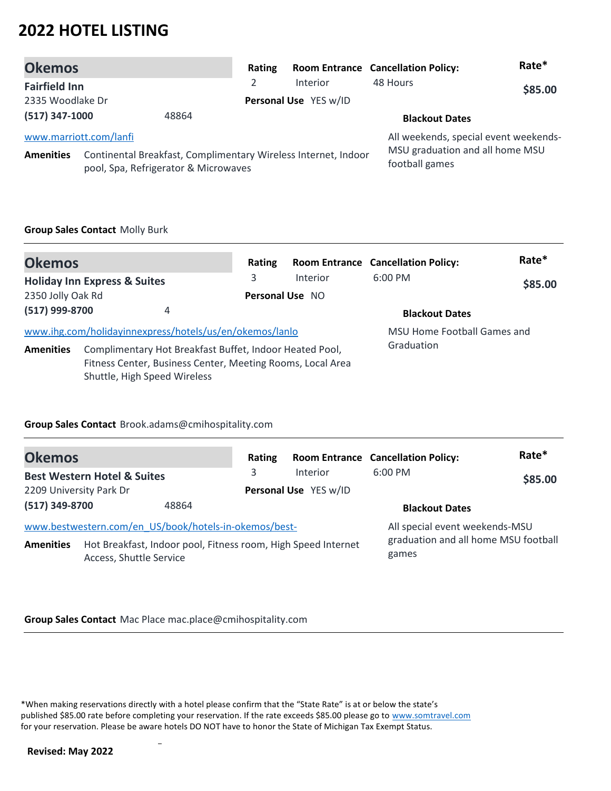| <b>Okemos</b>        |                        |                                                                                                        | Rating |                       | <b>Room Entrance Cancellation Policy:</b>         | Rate*   |
|----------------------|------------------------|--------------------------------------------------------------------------------------------------------|--------|-----------------------|---------------------------------------------------|---------|
| <b>Fairfield Inn</b> |                        |                                                                                                        |        | <b>Interior</b>       | 48 Hours                                          | \$85.00 |
| 2335 Woodlake Dr     |                        |                                                                                                        |        | Personal Use YES w/ID |                                                   |         |
| $(517)$ 347-1000     |                        | 48864                                                                                                  |        |                       | <b>Blackout Dates</b>                             |         |
|                      | www.marriott.com/lanfi |                                                                                                        |        |                       | All weekends, special event weekends-             |         |
| <b>Amenities</b>     |                        | Continental Breakfast, Complimentary Wireless Internet, Indoor<br>pool, Spa, Refrigerator & Microwaves |        |                       | MSU graduation and all home MSU<br>football games |         |

### **Group Sales Contact** Molly Burk

| <b>Okemos</b>     |                                                            | Rating          |          | <b>Room Entrance Cancellation Policy:</b> | Rate*   |
|-------------------|------------------------------------------------------------|-----------------|----------|-------------------------------------------|---------|
|                   | <b>Holiday Inn Express &amp; Suites</b>                    | 3               | Interior | $6:00$ PM                                 | \$85.00 |
| 2350 Jolly Oak Rd |                                                            | Personal Use NO |          |                                           |         |
| (517) 999-8700    | 4                                                          |                 |          | <b>Blackout Dates</b>                     |         |
|                   | www.ihg.com/holidayinnexpress/hotels/us/en/okemos/lanlo    |                 |          | MSU Home Football Games and               |         |
| <b>Amenities</b>  | Complimentary Hot Breakfast Buffet, Indoor Heated Pool,    |                 |          | Graduation                                |         |
|                   | Fitness Center, Business Center, Meeting Rooms, Local Area |                 |          |                                           |         |
|                   | Shuttle, High Speed Wireless                               |                 |          |                                           |         |

### **Group Sales Contact** Brook.adams@cmihospitality.com

| <b>Okemos</b>                          |                                                                                          | Rating |                       | <b>Room Entrance Cancellation Policy:</b>     | Rate*   |
|----------------------------------------|------------------------------------------------------------------------------------------|--------|-----------------------|-----------------------------------------------|---------|
| <b>Best Western Hotel &amp; Suites</b> |                                                                                          | 3      | Interior              | $6:00$ PM                                     | \$85.00 |
| 2209 University Park Dr                |                                                                                          |        | Personal Use YES w/ID |                                               |         |
| (517) 349-8700                         | 48864                                                                                    |        |                       | <b>Blackout Dates</b>                         |         |
|                                        | www.bestwestern.com/en_US/book/hotels-in-okemos/best-                                    |        |                       | All special event weekends-MSU                |         |
| <b>Amenities</b>                       | Hot Breakfast, Indoor pool, Fitness room, High Speed Internet<br>Access, Shuttle Service |        |                       | graduation and all home MSU football<br>games |         |

### **Group Sales Contact** Mac Place mac.place@cmihospitality.com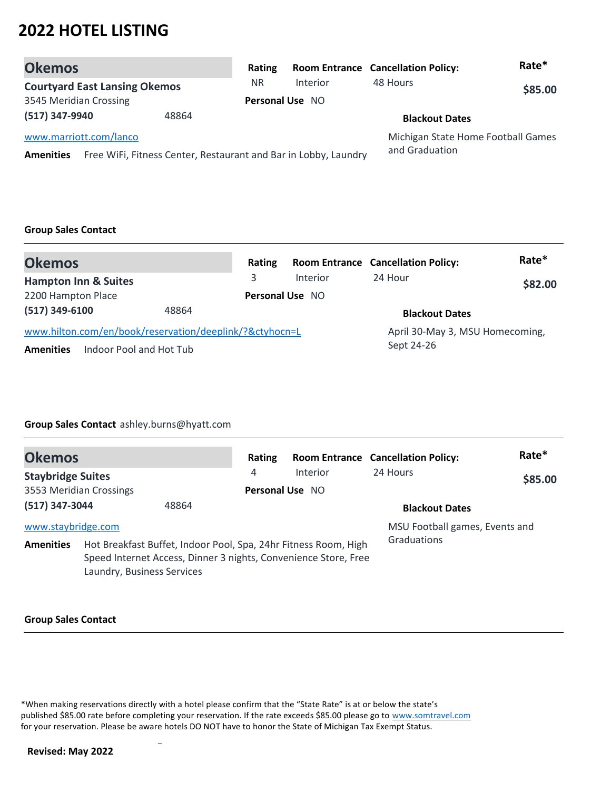| <b>Okemos</b>                        |       | Rating    |                                                                 | <b>Room Entrance Cancellation Policy:</b>            | Rate*   |
|--------------------------------------|-------|-----------|-----------------------------------------------------------------|------------------------------------------------------|---------|
| <b>Courtyard East Lansing Okemos</b> |       | <b>NR</b> | Interior                                                        | 48 Hours                                             | \$85.00 |
| 3545 Meridian Crossing               |       |           | Personal Use NO                                                 |                                                      |         |
| (517) 347-9940                       | 48864 |           |                                                                 | <b>Blackout Dates</b>                                |         |
| www.marriott.com/lanco               |       |           |                                                                 | Michigan State Home Football Games<br>and Graduation |         |
| <b>Amenities</b>                     |       |           | Free WiFi, Fitness Center, Restaurant and Bar in Lobby, Laundry |                                                      |         |

### **Group Sales Contact**

| <b>Okemos</b>                                           | Rating |                        | <b>Room Entrance Cancellation Policy:</b> | Rate*   |
|---------------------------------------------------------|--------|------------------------|-------------------------------------------|---------|
| <b>Hampton Inn &amp; Suites</b>                         | 3      | <b>Interior</b>        | 24 Hour                                   | \$82.00 |
| 2200 Hampton Place                                      |        | <b>Personal Use NO</b> |                                           |         |
| $(517)$ 349-6100<br>48864                               |        |                        | <b>Blackout Dates</b>                     |         |
| www.hilton.com/en/book/reservation/deeplink/?&ctyhocn=L |        |                        | April 30-May 3, MSU Homecoming,           |         |
| Indoor Pool and Hot Tub<br><b>Amenities</b>             |        |                        | Sept 24-26                                |         |

### **Group Sales Contact** ashley.burns@hyatt.com

| <b>Okemos</b>                          |                            |                                                                                                                                    | Rating          |          | <b>Room Entrance Cancellation Policy:</b>     | Rate*   |
|----------------------------------------|----------------------------|------------------------------------------------------------------------------------------------------------------------------------|-----------------|----------|-----------------------------------------------|---------|
| <b>Staybridge Suites</b>               |                            |                                                                                                                                    | 4               | Interior | 24 Hours                                      | \$85.00 |
| 3553 Meridian Crossings                |                            |                                                                                                                                    | Personal Use NO |          |                                               |         |
| (517) 347-3044                         |                            | 48864                                                                                                                              |                 |          | <b>Blackout Dates</b>                         |         |
| www.staybridge.com<br><b>Amenities</b> | Laundry, Business Services | Hot Breakfast Buffet, Indoor Pool, Spa, 24hr Fitness Room, High<br>Speed Internet Access, Dinner 3 nights, Convenience Store, Free |                 |          | MSU Football games, Events and<br>Graduations |         |

#### **Group Sales Contact**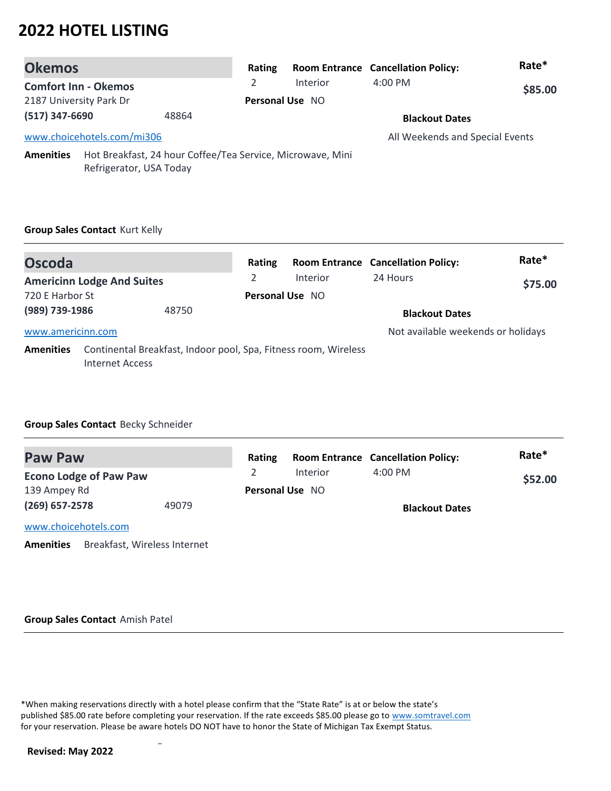| <b>Okemos</b>                                                                                             |                                       |       | Rating          |          | <b>Room Entrance Cancellation Policy:</b> | Rate*   |
|-----------------------------------------------------------------------------------------------------------|---------------------------------------|-------|-----------------|----------|-------------------------------------------|---------|
|                                                                                                           | <b>Comfort Inn - Okemos</b>           |       | $\overline{2}$  | Interior | $4:00$ PM                                 | \$85.00 |
| 2187 University Park Dr                                                                                   |                                       |       | Personal Use NO |          |                                           |         |
| (517) 347-6690                                                                                            |                                       | 48864 |                 |          | <b>Blackout Dates</b>                     |         |
|                                                                                                           | www.choicehotels.com/mi306            |       |                 |          | All Weekends and Special Events           |         |
| Hot Breakfast, 24 hour Coffee/Tea Service, Microwave, Mini<br><b>Amenities</b><br>Refrigerator, USA Today |                                       |       |                 |          |                                           |         |
|                                                                                                           | <b>Group Sales Contact Kurt Kelly</b> |       |                 |          |                                           |         |

| <b>Oscoda</b>     |                                                                                    | Rating                 |                 | <b>Room Entrance Cancellation Policy:</b> | Rate*   |
|-------------------|------------------------------------------------------------------------------------|------------------------|-----------------|-------------------------------------------|---------|
|                   | <b>Americinn Lodge And Suites</b>                                                  | 2                      | <b>Interior</b> | 24 Hours                                  | \$75.00 |
| 720 E Harbor St   |                                                                                    | <b>Personal Use NO</b> |                 |                                           |         |
| (989) 739-1986    | 48750                                                                              |                        |                 | <b>Blackout Dates</b>                     |         |
| www.americinn.com |                                                                                    |                        |                 | Not available weekends or holidays        |         |
| <b>Amenities</b>  | Continental Breakfast, Indoor pool, Spa, Fitness room, Wireless<br>Internet Access |                        |                 |                                           |         |

## **Group Sales Contact** Becky Schneider

| <b>Paw Paw</b>                |                              | Rating |                        | <b>Room Entrance Cancellation Policy:</b> | Rate*   |
|-------------------------------|------------------------------|--------|------------------------|-------------------------------------------|---------|
| <b>Econo Lodge of Paw Paw</b> |                              |        | Interior               | $4:00$ PM                                 | \$52.00 |
| 139 Ampey Rd                  |                              |        | <b>Personal Use NO</b> |                                           |         |
| $(269)$ 657-2578              | 49079                        |        |                        | <b>Blackout Dates</b>                     |         |
| www.choicehotels.com          |                              |        |                        |                                           |         |
| <b>Amenities</b>              | Breakfast, Wireless Internet |        |                        |                                           |         |

### **Group Sales Contact** Amish Patel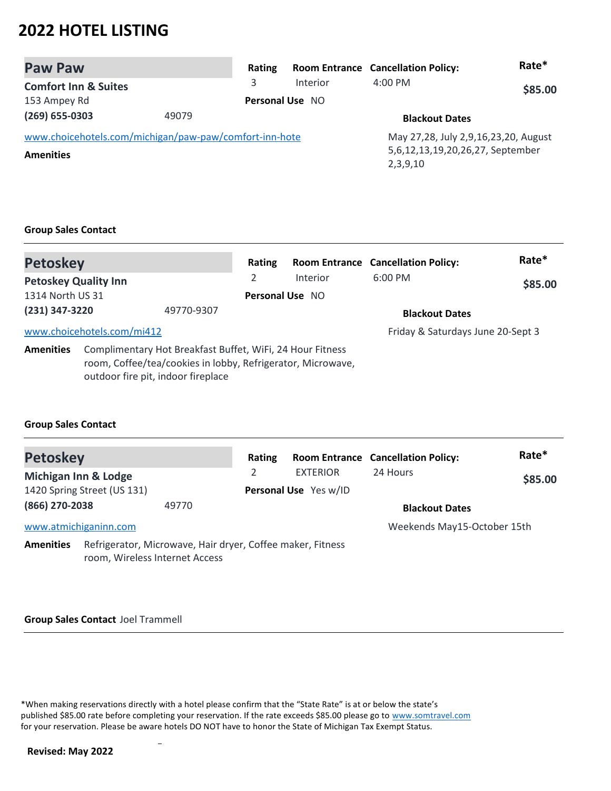| <b>Paw Paw</b>                                         |       | Rating |                        | <b>Room Entrance Cancellation Policy:</b>    | Rate*   |
|--------------------------------------------------------|-------|--------|------------------------|----------------------------------------------|---------|
| <b>Comfort Inn &amp; Suites</b>                        |       | 3      | Interior               | $4:00 \text{ PM}$                            | \$85.00 |
| 153 Ampey Rd                                           |       |        | <b>Personal Use NO</b> |                                              |         |
| $(269)$ 655-0303                                       | 49079 |        |                        | <b>Blackout Dates</b>                        |         |
| www.choicehotels.com/michigan/paw-paw/comfort-inn-hote |       |        |                        | May 27,28, July 2,9,16,23,20, August         |         |
| <b>Amenities</b>                                       |       |        |                        | 5,6,12,13,19,20,26,27, September<br>2,3,9,10 |         |

### **Group Sales Contact**

| <b>Petoskey</b>                                                                                                                                                                    |                            |                 | Rating   |                       | <b>Room Entrance Cancellation Policy:</b> | Rate* |
|------------------------------------------------------------------------------------------------------------------------------------------------------------------------------------|----------------------------|-----------------|----------|-----------------------|-------------------------------------------|-------|
| <b>Petoskey Quality Inn</b><br>1314 North US 31                                                                                                                                    |                            | 2               | Interior | $6:00$ PM             | \$85.00                                   |       |
|                                                                                                                                                                                    |                            | Personal Use NO |          |                       |                                           |       |
| (231) 347-3220<br>49770-9307                                                                                                                                                       |                            |                 |          | <b>Blackout Dates</b> |                                           |       |
|                                                                                                                                                                                    | www.choicehotels.com/mi412 |                 |          |                       | Friday & Saturdays June 20-Sept 3         |       |
| Complimentary Hot Breakfast Buffet, WiFi, 24 Hour Fitness<br><b>Amenities</b><br>room, Coffee/tea/cookies in lobby, Refrigerator, Microwave,<br>outdoor fire pit, indoor fireplace |                            |                 |          |                       |                                           |       |

### **Group Sales Contact**

| <b>Petoskey</b>       |                                                                                              |       | Rating |                       | <b>Room Entrance Cancellation Policy:</b> | Rate*   |
|-----------------------|----------------------------------------------------------------------------------------------|-------|--------|-----------------------|-------------------------------------------|---------|
| Michigan Inn & Lodge  |                                                                                              |       |        | <b>EXTERIOR</b>       | 24 Hours                                  | \$85.00 |
|                       | 1420 Spring Street (US 131)                                                                  |       |        | Personal Use Yes w/ID |                                           |         |
| (866) 270-2038        |                                                                                              | 49770 |        |                       | <b>Blackout Dates</b>                     |         |
| www.atmichiganinn.com |                                                                                              |       |        |                       | Weekends May15-October 15th               |         |
| <b>Amenities</b>      | Refrigerator, Microwave, Hair dryer, Coffee maker, Fitness<br>room, Wireless Internet Access |       |        |                       |                                           |         |

#### **Group Sales Contact** Joel Trammell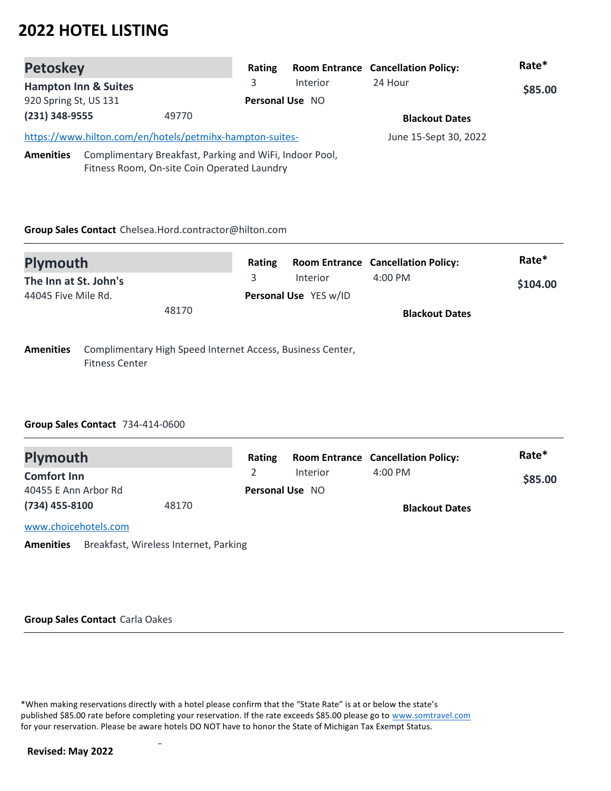| <b>Petoskey</b>                 |                                                          | Rating |                        | <b>Room Entrance Cancellation Policy:</b> | Rate*   |
|---------------------------------|----------------------------------------------------------|--------|------------------------|-------------------------------------------|---------|
| <b>Hampton Inn &amp; Suites</b> |                                                          | 3      | Interior               | 24 Hour                                   | \$85.00 |
| 920 Spring St, US 131           |                                                          |        | <b>Personal Use NO</b> |                                           |         |
| $(231)$ 348-9555                | 49770                                                    |        |                        | <b>Blackout Dates</b>                     |         |
|                                 | https://www.hilton.com/en/hotels/petmihx-hampton-suites- |        |                        | June 15-Sept 30, 2022                     |         |
| <b>Amenities</b>                | Complimentary Breakfast, Parking and WiFi, Indoor Pool,  |        |                        |                                           |         |
|                                 | Fitness Room, On-site Coin Operated Laundry              |        |                        |                                           |         |

### **Group Sales Contact** Chelsea.Hord.contractor@hilton.com

| <b>Plymouth</b>                                                                | Rating |                       | <b>Room Entrance Cancellation Policy:</b> | Rate*    |
|--------------------------------------------------------------------------------|--------|-----------------------|-------------------------------------------|----------|
| The Inn at St. John's                                                          |        | Interior              | $4:00 \text{ PM}$                         | \$104.00 |
| 44045 Five Mile Rd.                                                            |        | Personal Use YES w/ID |                                           |          |
| 48170                                                                          |        |                       | <b>Blackout Dates</b>                     |          |
| Complimentary High Speed Internet Access, Business Center,<br><b>Amenities</b> |        |                       |                                           |          |

Fitness Center

### **Group Sales Contact** 734-414-0600

| <b>Plymouth</b>                            |                                       | Rating |                        | <b>Room Entrance Cancellation Policy:</b> | Rate*   |
|--------------------------------------------|---------------------------------------|--------|------------------------|-------------------------------------------|---------|
| <b>Comfort Inn</b><br>40455 E Ann Arbor Rd |                                       |        | Interior               | $4:00$ PM                                 | \$85.00 |
|                                            |                                       |        | <b>Personal Use NO</b> |                                           |         |
| $(734)$ 455-8100                           | 48170                                 |        |                        | <b>Blackout Dates</b>                     |         |
| www.choicehotels.com                       |                                       |        |                        |                                           |         |
| <b>Amenities</b>                           | Breakfast, Wireless Internet, Parking |        |                        |                                           |         |

#### **Group Sales Contact** Carla Oakes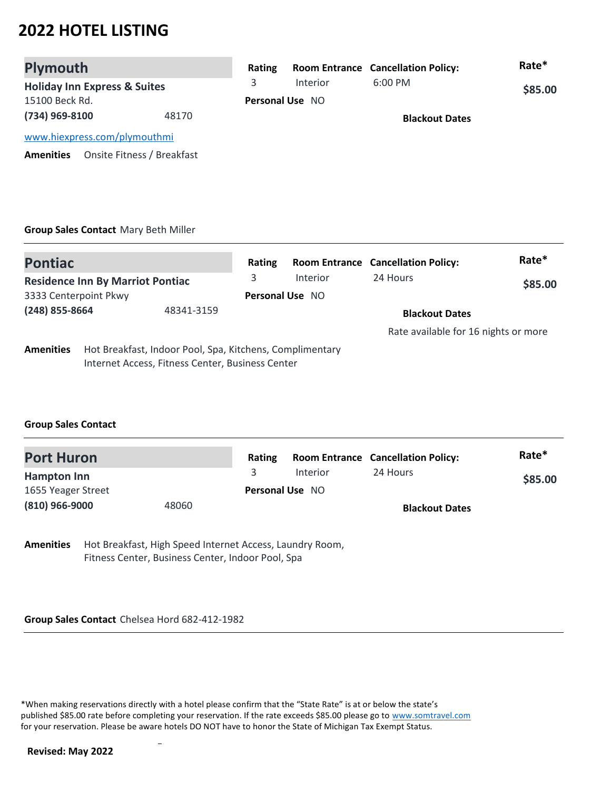| <b>Plymouth</b>                         |                            | Rating |                        | <b>Room Entrance Cancellation Policy:</b> | Rate*   |
|-----------------------------------------|----------------------------|--------|------------------------|-------------------------------------------|---------|
| <b>Holiday Inn Express &amp; Suites</b> |                            |        | Interior               | $6:00$ PM                                 | \$85.00 |
| 15100 Beck Rd.                          |                            |        | <b>Personal Use NO</b> |                                           |         |
| (734) 969-8100                          | 48170                      |        |                        | <b>Blackout Dates</b>                     |         |
| www.hiexpress.com/plymouthmi            |                            |        |                        |                                           |         |
| <b>Amenities</b>                        | Onsite Fitness / Breakfast |        |                        |                                           |         |

### **Group Sales Contact** Mary Beth Miller

| <b>Pontiac</b>        |                                                          |                                                  | Rating                 |          | <b>Room Entrance Cancellation Policy:</b> | Rate*   |
|-----------------------|----------------------------------------------------------|--------------------------------------------------|------------------------|----------|-------------------------------------------|---------|
|                       | <b>Residence Inn By Marriot Pontiac</b>                  |                                                  | 3                      | Interior | 24 Hours                                  | \$85.00 |
| 3333 Centerpoint Pkwy |                                                          |                                                  | <b>Personal Use NO</b> |          |                                           |         |
| (248) 855-8664        |                                                          | 48341-3159                                       |                        |          | <b>Blackout Dates</b>                     |         |
|                       |                                                          |                                                  |                        |          | Rate available for 16 nights or more      |         |
| <b>Amenities</b>      | Hot Breakfast, Indoor Pool, Spa, Kitchens, Complimentary | Internet Access, Fitness Center, Business Center |                        |          |                                           |         |

### **Group Sales Contact**

| <b>Port Huron</b>  |       | Rating |                        | <b>Room Entrance Cancellation Policy:</b> | Rate*   |
|--------------------|-------|--------|------------------------|-------------------------------------------|---------|
| <b>Hampton Inn</b> |       |        | Interior               | 24 Hours                                  | \$85.00 |
| 1655 Yeager Street |       |        | <b>Personal Use NO</b> |                                           |         |
| (810) 966-9000     | 48060 |        |                        | <b>Blackout Dates</b>                     |         |

**Amenities** Hot Breakfast, High Speed Internet Access, Laundry Room, Fitness Center, Business Center, Indoor Pool, Spa

**Group Sales Contact** Chelsea Hord 682-412-1982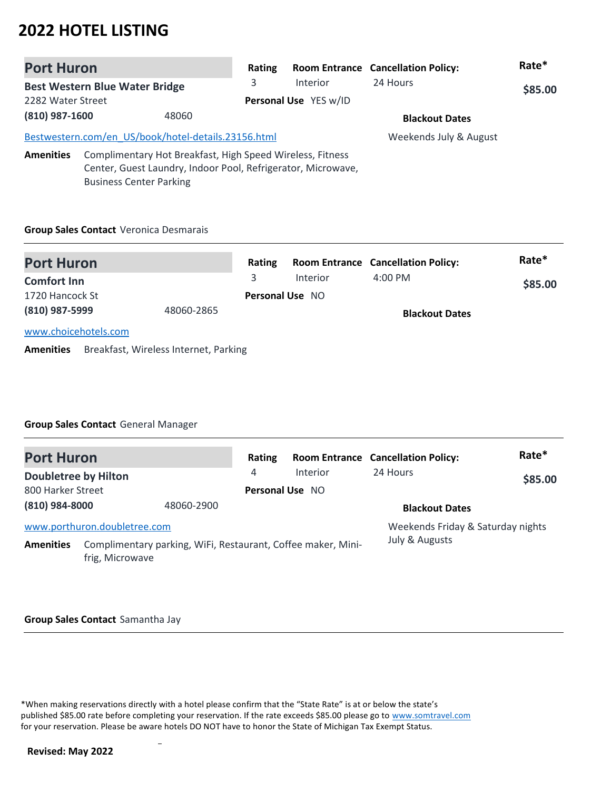| <b>Port Huron</b> |                                                     |                                                           | Rating |                                                              | <b>Room Entrance Cancellation Policy:</b> | Rate*   |
|-------------------|-----------------------------------------------------|-----------------------------------------------------------|--------|--------------------------------------------------------------|-------------------------------------------|---------|
|                   | <b>Best Western Blue Water Bridge</b>               |                                                           | 3      | <b>Interior</b>                                              | 24 Hours                                  | \$85.00 |
| 2282 Water Street |                                                     |                                                           |        | Personal Use YES w/ID                                        |                                           |         |
| (810) 987-1600    |                                                     | 48060                                                     |        |                                                              | <b>Blackout Dates</b>                     |         |
|                   | Bestwestern.com/en US/book/hotel-details.23156.html |                                                           |        |                                                              | Weekends July & August                    |         |
| <b>Amenities</b>  | <b>Business Center Parking</b>                      | Complimentary Hot Breakfast, High Speed Wireless, Fitness |        | Center, Guest Laundry, Indoor Pool, Refrigerator, Microwave, |                                           |         |

### **Group Sales Contact** Veronica Desmarais

| <b>Port Huron</b>    |            | Rating                 |          | <b>Room Entrance Cancellation Policy:</b> | Rate*   |
|----------------------|------------|------------------------|----------|-------------------------------------------|---------|
| <b>Comfort Inn</b>   |            |                        | Interior | $4:00 \text{ PM}$                         | \$85.00 |
| 1720 Hancock St      |            | <b>Personal Use NO</b> |          |                                           |         |
| (810) 987-5999       | 48060-2865 |                        |          | <b>Blackout Dates</b>                     |         |
| www.choicehotels.com |            |                        |          |                                           |         |

**Amenities** Breakfast, Wireless Internet, Parking

### **Group Sales Contact** General Manager

| <b>Port Huron</b>           |                                                                                 |            | Rating          |          | <b>Room Entrance Cancellation Policy:</b> | Rate*   |
|-----------------------------|---------------------------------------------------------------------------------|------------|-----------------|----------|-------------------------------------------|---------|
| <b>Doubletree by Hilton</b> |                                                                                 |            | 4               | Interior | 24 Hours                                  | \$85.00 |
| 800 Harker Street           |                                                                                 |            | Personal Use NO |          |                                           |         |
| (810) 984-8000              |                                                                                 | 48060-2900 |                 |          | <b>Blackout Dates</b>                     |         |
|                             | www.porthuron.doubletree.com                                                    |            |                 |          | Weekends Friday & Saturday nights         |         |
| <b>Amenities</b>            | Complimentary parking, WiFi, Restaurant, Coffee maker, Mini-<br>frig, Microwave |            |                 |          | July & Augusts                            |         |

#### **Group Sales Contact** Samantha Jay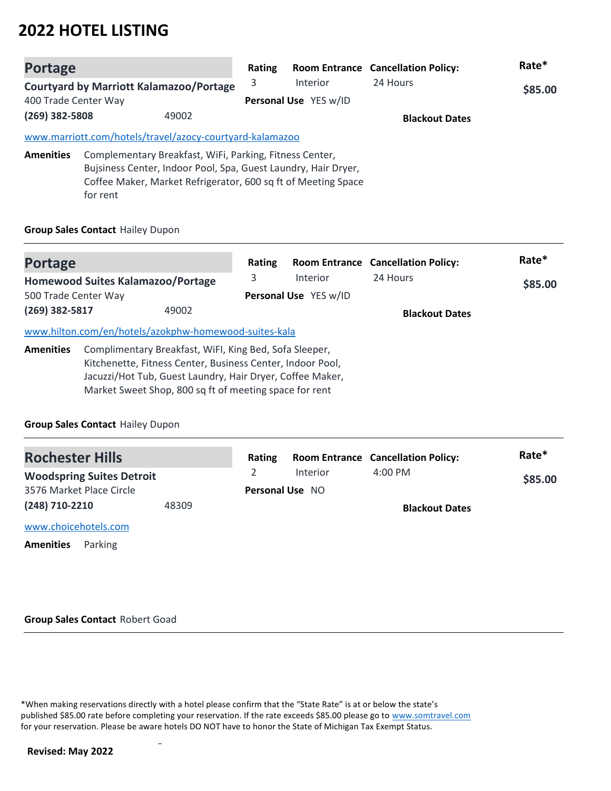| <b>Portage</b>       |          |                                                                                                                                                                                            | Rating                |                 | <b>Room Entrance Cancellation Policy:</b> | Rate*   |
|----------------------|----------|--------------------------------------------------------------------------------------------------------------------------------------------------------------------------------------------|-----------------------|-----------------|-------------------------------------------|---------|
|                      |          | <b>Courtyard by Marriott Kalamazoo/Portage</b>                                                                                                                                             | 3                     | <b>Interior</b> | 24 Hours                                  | \$85.00 |
| 400 Trade Center Way |          |                                                                                                                                                                                            | Personal Use YES w/ID |                 |                                           |         |
| (269) 382-5808       |          | 49002                                                                                                                                                                                      |                       |                 | <b>Blackout Dates</b>                     |         |
|                      |          | www.marriott.com/hotels/travel/azocy-courtyard-kalamazoo                                                                                                                                   |                       |                 |                                           |         |
| <b>Amenities</b>     | for rent | Complementary Breakfast, WiFi, Parking, Fitness Center,<br>Bujsiness Center, Indoor Pool, Spa, Guest Laundry, Hair Dryer,<br>Coffee Maker, Market Refrigerator, 600 sq ft of Meeting Space |                       |                 |                                           |         |

### **Group Sales Contact** Hailey Dupon

| Portage                                  |                                                            |                       | Rating   |          | <b>Room Entrance Cancellation Policy:</b> | Rate* |
|------------------------------------------|------------------------------------------------------------|-----------------------|----------|----------|-------------------------------------------|-------|
| <b>Homewood Suites Kalamazoo/Portage</b> |                                                            | 3                     | Interior | 24 Hours | \$85.00                                   |       |
| 500 Trade Center Way                     |                                                            | Personal Use YES w/ID |          |          |                                           |       |
| $(269)$ 382-5817                         |                                                            | 49002                 |          |          | <b>Blackout Dates</b>                     |       |
|                                          | www.hilton.com/en/hotels/azokphw-homewood-suites-kala      |                       |          |          |                                           |       |
| <b>Amenities</b>                         | Complimentary Breakfast, WiFI, King Bed, Sofa Sleeper,     |                       |          |          |                                           |       |
|                                          | Kitchenette, Fitness Center, Business Center, Indoor Pool, |                       |          |          |                                           |       |
|                                          | Jacuzzi/Hot Tub, Guest Laundry, Hair Dryer, Coffee Maker,  |                       |          |          |                                           |       |
|                                          | Market Sweet Shop, 800 sq ft of meeting space for rent     |                       |          |          |                                           |       |

### **Group Sales Contact** Hailey Dupon

| <b>Rochester Hills</b>           |       | Rating                 |          | <b>Room Entrance Cancellation Policy:</b> | Rate*   |
|----------------------------------|-------|------------------------|----------|-------------------------------------------|---------|
| <b>Woodspring Suites Detroit</b> |       |                        | Interior | $4:00$ PM                                 | \$85.00 |
| 3576 Market Place Circle         |       | <b>Personal Use NO</b> |          |                                           |         |
| (248) 710-2210                   | 48309 |                        |          | <b>Blackout Dates</b>                     |         |
| www.choicehotels.com             |       |                        |          |                                           |         |
| <b>Amenities</b><br>Parking      |       |                        |          |                                           |         |

#### **Group Sales Contact** Robert Goad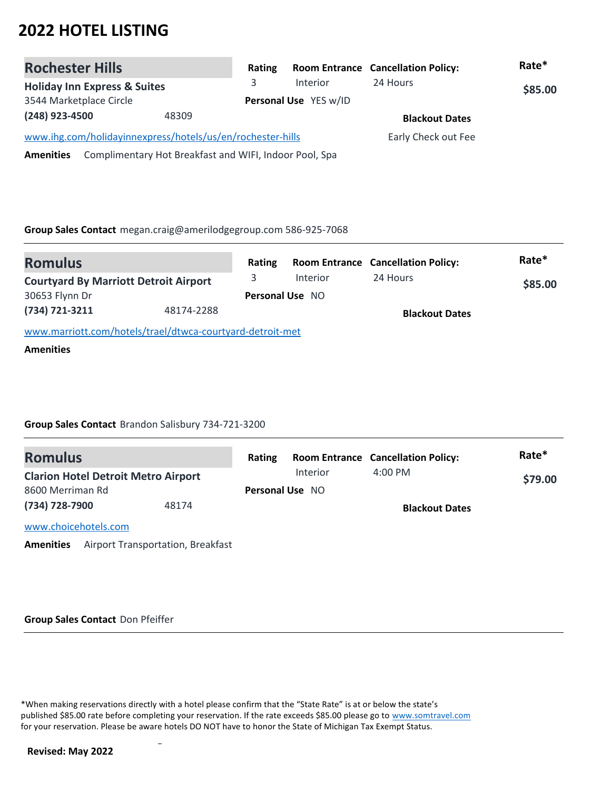| <b>Rochester Hills</b>                                                     | Rating |                       | <b>Room Entrance Cancellation Policy:</b> | Rate*   |
|----------------------------------------------------------------------------|--------|-----------------------|-------------------------------------------|---------|
| <b>Holiday Inn Express &amp; Suites</b>                                    |        | <b>Interior</b>       | 24 Hours                                  | \$85.00 |
| 3544 Marketplace Circle                                                    |        | Personal Use YES w/ID |                                           |         |
| (248) 923-4500<br>48309                                                    |        |                       | <b>Blackout Dates</b>                     |         |
| www.ihg.com/holidayinnexpress/hotels/us/en/rochester-hills                 |        |                       | Early Check out Fee                       |         |
| Complimentary Hot Breakfast and WIFI, Indoor Pool, Spa<br><b>Amenities</b> |        |                       |                                           |         |

**Group Sales Contact** megan.craig@amerilodgegroup.com 586-925-7068

| <b>Romulus</b>                                            |            | Rating |                        | <b>Room Entrance Cancellation Policy:</b> | Rate*   |
|-----------------------------------------------------------|------------|--------|------------------------|-------------------------------------------|---------|
| <b>Courtyard By Marriott Detroit Airport</b>              |            |        | <b>Interior</b>        | 24 Hours                                  | \$85.00 |
| 30653 Flynn Dr                                            |            |        | <b>Personal Use NO</b> |                                           |         |
| (734) 721-3211                                            | 48174-2288 |        |                        | <b>Blackout Dates</b>                     |         |
| www.marriott.com/hotels/trael/dtwca-courtyard-detroit-met |            |        |                        |                                           |         |
| <b>Amenities</b>                                          |            |        |                        |                                           |         |

**Group Sales Contact** Brandon Salisbury 734-721-3200

| <b>Romulus</b>                             |       | Rating |                        | <b>Room Entrance Cancellation Policy:</b> | Rate*   |
|--------------------------------------------|-------|--------|------------------------|-------------------------------------------|---------|
| <b>Clarion Hotel Detroit Metro Airport</b> |       |        | Interior               | $4:00$ PM                                 | \$79.00 |
| 8600 Merriman Rd                           |       |        | <b>Personal Use NO</b> |                                           |         |
| (734) 728-7900                             | 48174 |        |                        | <b>Blackout Dates</b>                     |         |
| www.choicehotels.com                       |       |        |                        |                                           |         |
|                                            |       |        |                        |                                           |         |

**Amenities** Airport Transportation, Breakfast

**Group Sales Contact** Don Pfeiffer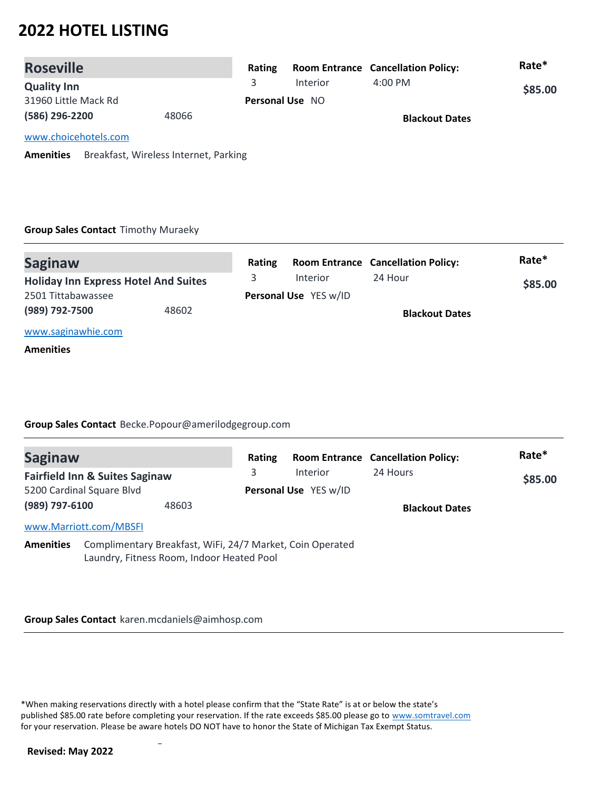| <b>Roseville</b>     |       | Rating |                        | <b>Room Entrance Cancellation Policy:</b> | Rate*   |  |
|----------------------|-------|--------|------------------------|-------------------------------------------|---------|--|
| <b>Quality Inn</b>   |       |        | Interior               | $4:00 \text{ PM}$                         | \$85.00 |  |
| 31960 Little Mack Rd |       |        | <b>Personal Use NO</b> |                                           |         |  |
| (586) 296-2200       | 48066 |        |                        | <b>Blackout Dates</b>                     |         |  |
| www.choicehotels.com |       |        |                        |                                           |         |  |

**Amenities** Breakfast, Wireless Internet, Parking

### **Group Sales Contact** Timothy Muraeky

| <b>Saginaw</b>                              |       | Rating |                       | <b>Room Entrance Cancellation Policy:</b> | Rate*   |  |
|---------------------------------------------|-------|--------|-----------------------|-------------------------------------------|---------|--|
| <b>Holiday Inn Express Hotel And Suites</b> |       |        | <b>Interior</b>       | 24 Hour                                   | \$85.00 |  |
| 2501 Tittabawassee                          |       |        | Personal Use YES w/ID |                                           |         |  |
| (989) 792-7500                              | 48602 |        |                       | <b>Blackout Dates</b>                     |         |  |
| www.saginawhie.com                          |       |        |                       |                                           |         |  |
| <b>Amenities</b>                            |       |        |                       |                                           |         |  |

### **Group Sales Contact** Becke.Popour@amerilodgegroup.com

| <b>Saginaw</b>   |                                                                                                        |       | Rating |                       | <b>Room Entrance Cancellation Policy:</b> | Rate*   |
|------------------|--------------------------------------------------------------------------------------------------------|-------|--------|-----------------------|-------------------------------------------|---------|
|                  | <b>Fairfield Inn &amp; Suites Saginaw</b>                                                              |       | 3      | Interior              | 24 Hours                                  | \$85.00 |
|                  | 5200 Cardinal Square Blvd                                                                              |       |        | Personal Use YES w/ID |                                           |         |
| (989) 797-6100   |                                                                                                        | 48603 |        |                       | <b>Blackout Dates</b>                     |         |
|                  | www.Marriott.com/MBSFI                                                                                 |       |        |                       |                                           |         |
| <b>Amenities</b> | Complimentary Breakfast, WiFi, 24/7 Market, Coin Operated<br>Laundry, Fitness Room, Indoor Heated Pool |       |        |                       |                                           |         |

#### **Group Sales Contact** karen.mcdaniels@aimhosp.com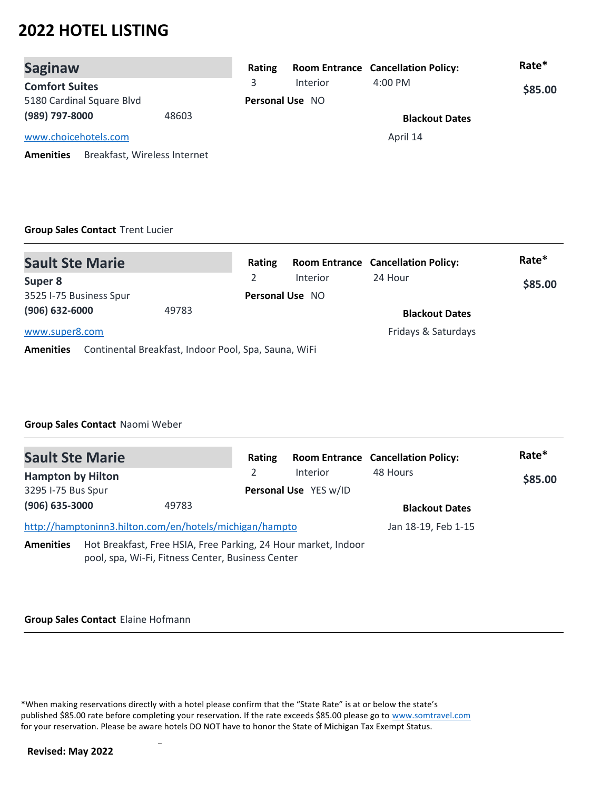| <b>Saginaw</b>                                   | Rating |                        | <b>Room Entrance Cancellation Policy:</b> | Rate*   |
|--------------------------------------------------|--------|------------------------|-------------------------------------------|---------|
| <b>Comfort Suites</b>                            | 3      | Interior               | $4:00$ PM                                 | \$85.00 |
| 5180 Cardinal Square Blvd                        |        | <b>Personal Use NO</b> |                                           |         |
| (989) 797-8000<br>48603                          |        |                        | <b>Blackout Dates</b>                     |         |
| www.choicehotels.com                             |        |                        | April 14                                  |         |
| Breakfast, Wireless Internet<br><b>Amenities</b> |        |                        |                                           |         |

### **Group Sales Contact** Trent Lucier

| <b>Sault Ste Marie</b>  |                                                      | Rating                 |          | <b>Room Entrance Cancellation Policy:</b> | Rate*   |
|-------------------------|------------------------------------------------------|------------------------|----------|-------------------------------------------|---------|
| Super 8                 |                                                      |                        | Interior | 24 Hour                                   | \$85.00 |
| 3525 I-75 Business Spur |                                                      | <b>Personal Use NO</b> |          |                                           |         |
| $(906) 632 - 6000$      | 49783                                                |                        |          | <b>Blackout Dates</b>                     |         |
| www.super8.com          |                                                      |                        |          | Fridays & Saturdays                       |         |
| <b>Amenities</b>        | Continental Breakfast, Indoor Pool, Spa, Sauna, WiFi |                        |          |                                           |         |

### **Group Sales Contact** Naomi Weber

| <b>Sault Ste Marie</b>   |                                                                                                                     | Rating |                       | <b>Room Entrance Cancellation Policy:</b> | Rate*   |
|--------------------------|---------------------------------------------------------------------------------------------------------------------|--------|-----------------------|-------------------------------------------|---------|
| <b>Hampton by Hilton</b> |                                                                                                                     | 2      | Interior              | 48 Hours                                  | \$85.00 |
| 3295 I-75 Bus Spur       |                                                                                                                     |        | Personal Use YES w/ID |                                           |         |
| $(906)$ 635-3000         | 49783                                                                                                               |        |                       | <b>Blackout Dates</b>                     |         |
|                          | http://hamptoninn3.hilton.com/en/hotels/michigan/hampto                                                             |        |                       | Jan 18-19, Feb 1-15                       |         |
| <b>Amenities</b>         | Hot Breakfast, Free HSIA, Free Parking, 24 Hour market, Indoor<br>pool, spa, Wi-Fi, Fitness Center, Business Center |        |                       |                                           |         |

#### **Group Sales Contact** Elaine Hofmann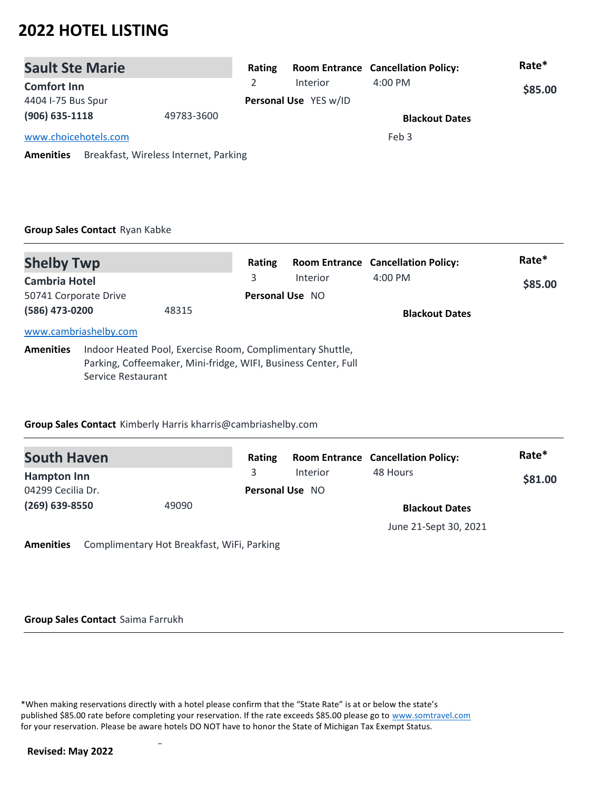| <b>Sault Ste Marie</b>                                    | Rating |                       | <b>Room Entrance Cancellation Policy:</b> | Rate*   |
|-----------------------------------------------------------|--------|-----------------------|-------------------------------------------|---------|
| <b>Comfort Inn</b>                                        |        | Interior              | $4:00$ PM                                 | \$85.00 |
| 4404 I-75 Bus Spur                                        |        | Personal Use YES w/ID |                                           |         |
| $(906)$ 635-1118<br>49783-3600                            |        |                       | <b>Blackout Dates</b>                     |         |
| www.choicehotels.com                                      |        |                       | Feb 3                                     |         |
| Breakfast, Wireless Internet, Parking<br><b>Amenities</b> |        |                       |                                           |         |

### **Group Sales Contact** Ryan Kabke

| <b>Shelby Twp</b>                                                                                                                                                     |                       |       | Rating          |          | <b>Room Entrance Cancellation Policy:</b> | Rate*   |
|-----------------------------------------------------------------------------------------------------------------------------------------------------------------------|-----------------------|-------|-----------------|----------|-------------------------------------------|---------|
| <b>Cambria Hotel</b>                                                                                                                                                  |                       |       | 3               | Interior | $4:00 \text{ PM}$                         | \$85.00 |
| 50741 Corporate Drive                                                                                                                                                 |                       |       | Personal Use NO |          |                                           |         |
| (586) 473-0200                                                                                                                                                        |                       | 48315 |                 |          | <b>Blackout Dates</b>                     |         |
|                                                                                                                                                                       | www.cambriashelby.com |       |                 |          |                                           |         |
| Indoor Heated Pool, Exercise Room, Complimentary Shuttle,<br><b>Amenities</b><br>Parking, Coffeemaker, Mini-fridge, WIFI, Business Center, Full<br>Service Restaurant |                       |       |                 |          |                                           |         |

### **Group Sales Contact** Kimberly Harris kharris@cambriashelby.com

| <b>South Haven</b> |       | Rating |                        | <b>Room Entrance Cancellation Policy:</b> | Rate*   |  |
|--------------------|-------|--------|------------------------|-------------------------------------------|---------|--|
| Hampton Inn        |       | 3.     | <b>Interior</b>        | 48 Hours                                  | \$81.00 |  |
| 04299 Cecilia Dr.  |       |        | <b>Personal Use NO</b> |                                           |         |  |
| $(269)$ 639-8550   | 49090 |        |                        | <b>Blackout Dates</b>                     |         |  |
|                    |       |        |                        | June 21-Sept 30, 2021                     |         |  |

**Amenities** Complimentary Hot Breakfast, WiFi, Parking

**Group Sales Contact** Saima Farrukh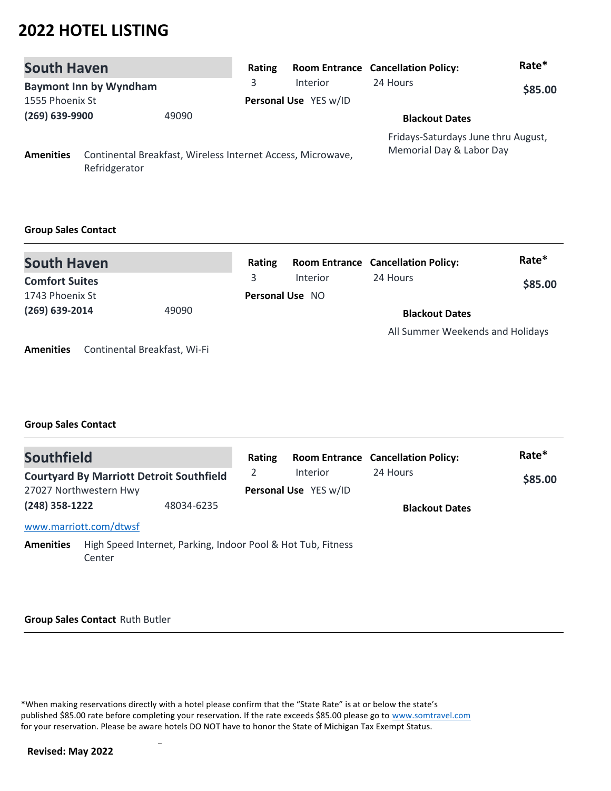| <b>South Haven</b>      |                               |                                                             | Rating |                       | <b>Room Entrance Cancellation Policy:</b>                       | Rate*   |
|-------------------------|-------------------------------|-------------------------------------------------------------|--------|-----------------------|-----------------------------------------------------------------|---------|
|                         | <b>Baymont Inn by Wyndham</b> |                                                             | 3      | <b>Interior</b>       | 24 Hours                                                        | \$85.00 |
| 1555 Phoenix St         |                               |                                                             |        | Personal Use YES w/ID |                                                                 |         |
| (269) 639-9900<br>49090 |                               |                                                             |        | <b>Blackout Dates</b> |                                                                 |         |
| <b>Amenities</b>        | Refridgerator                 | Continental Breakfast, Wireless Internet Access, Microwave, |        |                       | Fridays-Saturdays June thru August,<br>Memorial Day & Labor Day |         |

### **Group Sales Contact**

| <b>South Haven</b>        | Rating |                        | <b>Room Entrance Cancellation Policy:</b> | Rate*   |
|---------------------------|--------|------------------------|-------------------------------------------|---------|
| <b>Comfort Suites</b>     |        | <b>Interior</b>        | 24 Hours                                  | \$85.00 |
| 1743 Phoenix St           |        | <b>Personal Use NO</b> |                                           |         |
| $(269)$ 639-2014<br>49090 |        |                        | <b>Blackout Dates</b>                     |         |
|                           |        |                        | All Summer Weekends and Holidays          |         |

**Amenities** Continental Breakfast, Wi-Fi

### **Group Sales Contact**

| <b>Southfield</b> |                                                                        |            | Rating |                       | <b>Room Entrance Cancellation Policy:</b> | Rate*   |
|-------------------|------------------------------------------------------------------------|------------|--------|-----------------------|-------------------------------------------|---------|
|                   | <b>Courtyard By Marriott Detroit Southfield</b>                        |            | 2      | <b>Interior</b>       | 24 Hours                                  | \$85.00 |
|                   | 27027 Northwestern Hwy                                                 |            |        | Personal Use YES w/ID |                                           |         |
| (248) 358-1222    |                                                                        | 48034-6235 |        |                       | <b>Blackout Dates</b>                     |         |
|                   | www.marriott.com/dtwsf                                                 |            |        |                       |                                           |         |
| <b>Amenities</b>  | High Speed Internet, Parking, Indoor Pool & Hot Tub, Fitness<br>Center |            |        |                       |                                           |         |

#### **Group Sales Contact** Ruth Butler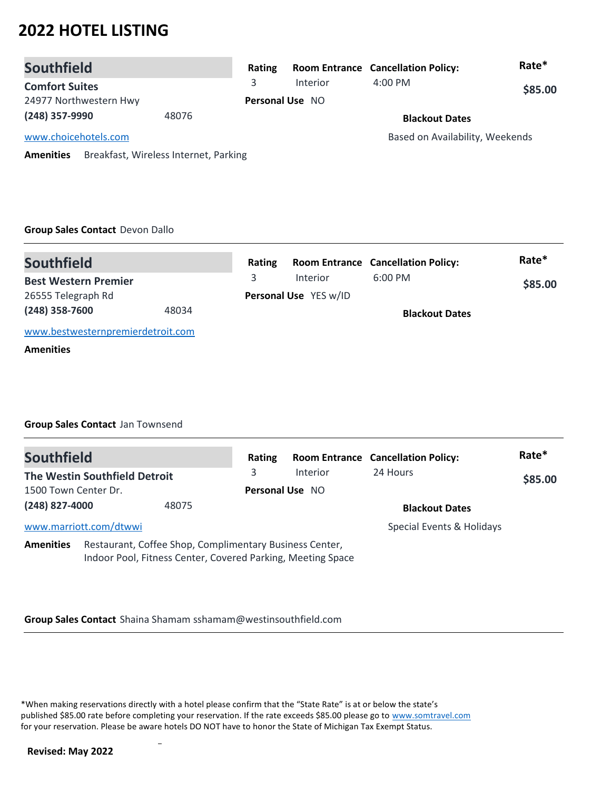| <b>Southfield</b>      |                                       | Rating                 |                 | <b>Room Entrance Cancellation Policy:</b> | Rate*   |
|------------------------|---------------------------------------|------------------------|-----------------|-------------------------------------------|---------|
| <b>Comfort Suites</b>  |                                       | 3                      | <b>Interior</b> | $4:00$ PM                                 | \$85.00 |
| 24977 Northwestern Hwy |                                       | <b>Personal Use NO</b> |                 |                                           |         |
| (248) 357-9990         | 48076                                 |                        |                 | <b>Blackout Dates</b>                     |         |
| www.choicehotels.com   |                                       |                        |                 | Based on Availability, Weekends           |         |
| <b>Amenities</b>       | Breakfast, Wireless Internet, Parking |                        |                 |                                           |         |

### **Group Sales Contact** Devon Dallo

| <b>Southfield</b>                 |       | Rating |                              | <b>Room Entrance Cancellation Policy:</b> | Rate*   |
|-----------------------------------|-------|--------|------------------------------|-------------------------------------------|---------|
| <b>Best Western Premier</b>       |       | 3.     | <b>Interior</b>              | $6:00$ PM                                 | \$85.00 |
| 26555 Telegraph Rd                |       |        | <b>Personal Use</b> YES w/ID |                                           |         |
| $(248)$ 358-7600                  | 48034 |        |                              | <b>Blackout Dates</b>                     |         |
| www.bestwesternpremierdetroit.com |       |        |                              |                                           |         |
| <b>Amenities</b>                  |       |        |                              |                                           |         |

### **Group Sales Contact** Jan Townsend

| <b>Southfield</b>    |                                                                                                                        |       | Rating                 |          | <b>Room Entrance Cancellation Policy:</b> | Rate*   |
|----------------------|------------------------------------------------------------------------------------------------------------------------|-------|------------------------|----------|-------------------------------------------|---------|
|                      | The Westin Southfield Detroit                                                                                          |       | 3                      | Interior | 24 Hours                                  | \$85.00 |
| 1500 Town Center Dr. |                                                                                                                        |       | <b>Personal Use NO</b> |          |                                           |         |
| (248) 827-4000       |                                                                                                                        | 48075 |                        |          | <b>Blackout Dates</b>                     |         |
|                      | www.marriott.com/dtwwi                                                                                                 |       |                        |          | Special Events & Holidays                 |         |
| <b>Amenities</b>     | Restaurant, Coffee Shop, Complimentary Business Center,<br>Indoor Pool, Fitness Center, Covered Parking, Meeting Space |       |                        |          |                                           |         |

### **Group Sales Contact** Shaina Shamam sshamam@westinsouthfield.com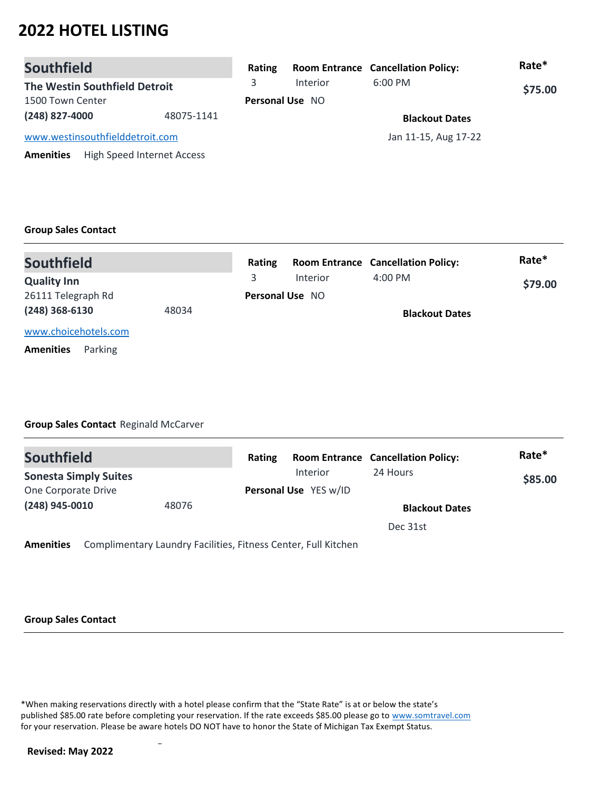| <b>Southfield</b>               |                            | Rating                 |          | <b>Room Entrance Cancellation Policy:</b> | Rate*   |
|---------------------------------|----------------------------|------------------------|----------|-------------------------------------------|---------|
| The Westin Southfield Detroit   |                            | 3.                     | Interior | $6:00$ PM                                 | \$75.00 |
| 1500 Town Center                |                            | <b>Personal Use NO</b> |          |                                           |         |
| (248) 827-4000                  | 48075-1141                 |                        |          | <b>Blackout Dates</b>                     |         |
| www.westinsouthfielddetroit.com |                            | Jan 11-15, Aug 17-22   |          |                                           |         |
| <b>Amenities</b>                | High Speed Internet Access |                        |          |                                           |         |

### **Group Sales Contact**

| <b>Southfield</b>           |       | Rating |                        | <b>Room Entrance Cancellation Policy:</b> | Rate*   |  |
|-----------------------------|-------|--------|------------------------|-------------------------------------------|---------|--|
| <b>Quality Inn</b>          |       | 3.     | Interior               | $4:00 \text{ PM}$                         | \$79.00 |  |
| 26111 Telegraph Rd          |       |        | <b>Personal Use NO</b> |                                           |         |  |
| $(248)$ 368-6130            | 48034 |        |                        | <b>Blackout Dates</b>                     |         |  |
| www.choicehotels.com        |       |        |                        |                                           |         |  |
| Parking<br><b>Amenities</b> |       |        |                        |                                           |         |  |

### **Group Sales Contact** Reginald McCarver

| Rating |                 |                       | Rate*                                     |
|--------|-----------------|-----------------------|-------------------------------------------|
|        | <b>Interior</b> | 24 Hours              | \$85.00                                   |
|        |                 |                       |                                           |
|        |                 | <b>Blackout Dates</b> |                                           |
|        |                 | Dec 31st              |                                           |
|        |                 | Personal Use YES w/ID | <b>Room Entrance Cancellation Policy:</b> |

**Amenities** Complimentary Laundry Facilities, Fitness Center, Full Kitchen

### **Group Sales Contact**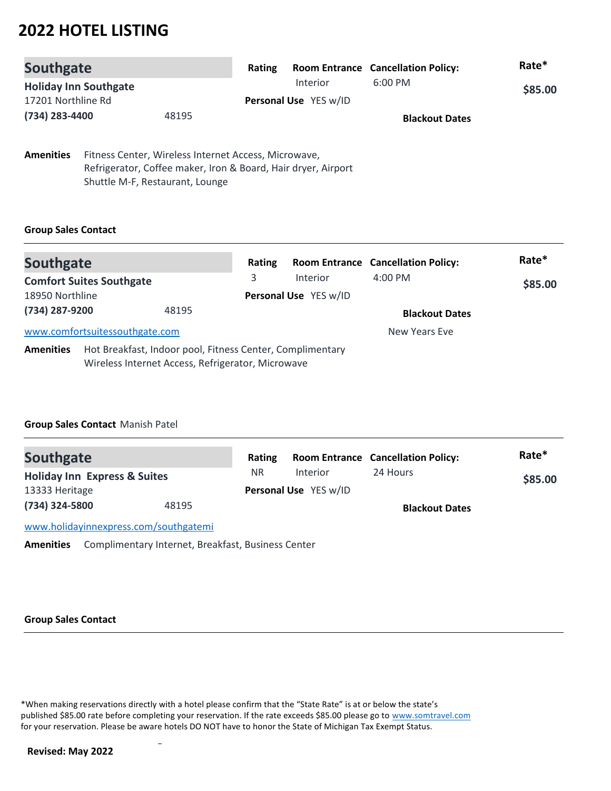| <b>Southgate</b>             |       | Rating                |                 | <b>Room Entrance Cancellation Policy:</b> | Rate*   |
|------------------------------|-------|-----------------------|-----------------|-------------------------------------------|---------|
| <b>Holiday Inn Southgate</b> |       |                       | <b>Interior</b> | $6:00 \text{ PM}$                         | \$85.00 |
| 17201 Northline Rd           |       | Personal Use YES w/ID |                 |                                           |         |
| (734) 283-4400               | 48195 |                       |                 | <b>Blackout Dates</b>                     |         |
|                              |       |                       |                 |                                           |         |

**Amenities** Fitness Center, Wireless Internet Access, Microwave, Refrigerator, Coffee maker, Iron & Board, Hair dryer, Airport Shuttle M-F, Restaurant, Lounge

### **Group Sales Contact**

| Southgate        |                                                                                                                | Rating |                                   | <b>Room Entrance Cancellation Policy:</b> | Rate*   |
|------------------|----------------------------------------------------------------------------------------------------------------|--------|-----------------------------------|-------------------------------------------|---------|
| 18950 Northline  | <b>Comfort Suites Southgate</b>                                                                                | 3      | Interior<br>Personal Use YES w/ID | $4:00$ PM                                 | \$85.00 |
| (734) 287-9200   | 48195                                                                                                          |        |                                   | <b>Blackout Dates</b>                     |         |
|                  | www.comfortsuitessouthgate.com                                                                                 |        |                                   | New Years Eve                             |         |
| <b>Amenities</b> | Hot Breakfast, Indoor pool, Fitness Center, Complimentary<br>Wireless Internet Access, Refrigerator, Microwave |        |                                   |                                           |         |

### **Group Sales Contact** Manish Patel

| <b>Southgate</b>                        |       | Rating |                       | <b>Room Entrance Cancellation Policy:</b> | Rate*   |
|-----------------------------------------|-------|--------|-----------------------|-------------------------------------------|---------|
| <b>Holiday Inn Express &amp; Suites</b> |       | NR.    | <b>Interior</b>       | 24 Hours                                  | \$85.00 |
| 13333 Heritage                          |       |        | Personal Use YES w/ID |                                           |         |
| (734) 324-5800                          | 48195 |        |                       | <b>Blackout Dates</b>                     |         |
| www.holidayinnexpress.com/southgatemi   |       |        |                       |                                           |         |

**Amenities** Complimentary Internet, Breakfast, Business Center

### **Group Sales Contact**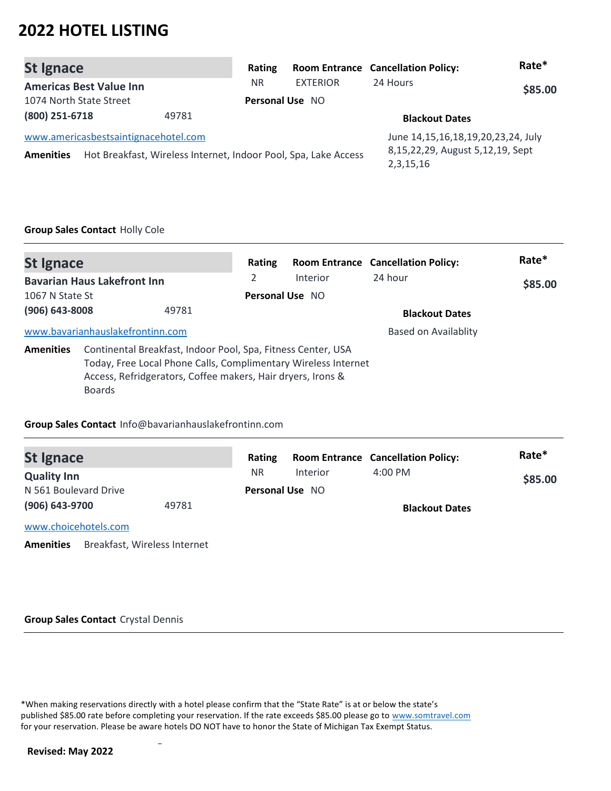| <b>St Ignace</b>                                         |                                                                 | Rating          |                 | <b>Room Entrance Cancellation Policy:</b>                                                  | Rate*   |
|----------------------------------------------------------|-----------------------------------------------------------------|-----------------|-----------------|--------------------------------------------------------------------------------------------|---------|
| <b>Americas Best Value Inn</b>                           |                                                                 | NR.             | <b>EXTERIOR</b> | 24 Hours                                                                                   | \$85.00 |
| 1074 North State Street                                  |                                                                 | Personal Use NO |                 |                                                                                            |         |
| (800) 251-6718                                           | 49781                                                           |                 |                 | <b>Blackout Dates</b>                                                                      |         |
| www.americasbestsaintignacehotel.com<br><b>Amenities</b> | Hot Breakfast, Wireless Internet, Indoor Pool, Spa, Lake Access |                 |                 | June 14, 15, 16, 18, 19, 20, 23, 24, July<br>8,15,22,29, August 5,12,19, Sept<br>2,3,15,16 |         |

## **Group Sales Contact** Holly Cole

| <b>St Ignace</b>   |                                    |                                                                                                                                                                                               | Rating          |          | <b>Room Entrance Cancellation Policy:</b> | Rate*   |
|--------------------|------------------------------------|-----------------------------------------------------------------------------------------------------------------------------------------------------------------------------------------------|-----------------|----------|-------------------------------------------|---------|
|                    | <b>Bavarian Haus Lakefront Inn</b> |                                                                                                                                                                                               | 2               | Interior | 24 hour                                   | \$85.00 |
| 1067 N State St    |                                    |                                                                                                                                                                                               | Personal Use NO |          |                                           |         |
| $(906) 643 - 8008$ |                                    | 49781                                                                                                                                                                                         |                 |          | <b>Blackout Dates</b>                     |         |
|                    | www.bavarianhauslakefrontinn.com   |                                                                                                                                                                                               |                 |          | Based on Availablity                      |         |
| <b>Amenities</b>   | <b>Boards</b>                      | Continental Breakfast, Indoor Pool, Spa, Fitness Center, USA<br>Today, Free Local Phone Calls, Complimentary Wireless Internet<br>Access, Refridgerators, Coffee makers, Hair dryers, Irons & |                 |          |                                           |         |

### **Group Sales Contact** Info@bavarianhauslakefrontinn.com

| <b>St Ignace</b>                                 |       | Rating                 |          | <b>Room Entrance Cancellation Policy:</b> | Rate*   |
|--------------------------------------------------|-------|------------------------|----------|-------------------------------------------|---------|
| <b>Quality Inn</b>                               |       | NR.                    | Interior | $4:00 \text{ PM}$                         | \$85.00 |
| N 561 Boulevard Drive                            |       | <b>Personal Use NO</b> |          |                                           |         |
| (906) 643-9700                                   | 49781 |                        |          | <b>Blackout Dates</b>                     |         |
| www.choicehotels.com                             |       |                        |          |                                           |         |
| Breakfast, Wireless Internet<br><b>Amenities</b> |       |                        |          |                                           |         |

#### **Group Sales Contact** Crystal Dennis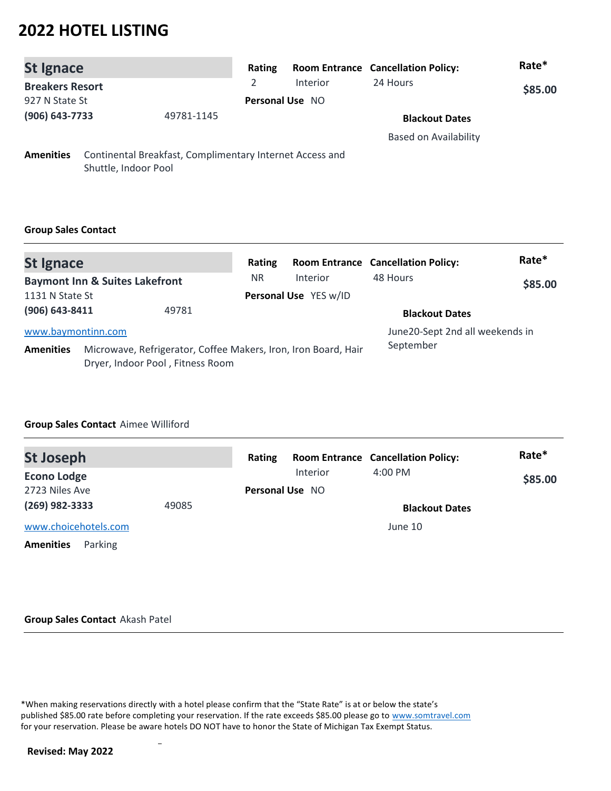| <b>St Ignace</b>             |                      |                                                          | Rating |                       | <b>Room Entrance Cancellation Policy:</b> | Rate*   |
|------------------------------|----------------------|----------------------------------------------------------|--------|-----------------------|-------------------------------------------|---------|
| <b>Breakers Resort</b>       |                      |                                                          |        | Interior              | 24 Hours                                  | \$85.00 |
| 927 N State St               |                      | Personal Use NO                                          |        |                       |                                           |         |
| (906) 643-7733<br>49781-1145 |                      |                                                          |        | <b>Blackout Dates</b> |                                           |         |
|                              |                      |                                                          |        |                       | <b>Based on Availability</b>              |         |
| <b>Amenities</b>             | Shuttle, Indoor Pool | Continental Breakfast, Complimentary Internet Access and |        |                       |                                           |         |

### **Group Sales Contact**

| <b>St Ignace</b>   |                                                                                                    | Rating |                       | <b>Room Entrance Cancellation Policy:</b> | Rate*   |
|--------------------|----------------------------------------------------------------------------------------------------|--------|-----------------------|-------------------------------------------|---------|
|                    | <b>Baymont Inn &amp; Suites Lakefront</b>                                                          | NR.    | Interior              | 48 Hours                                  | \$85.00 |
| 1131 N State St    |                                                                                                    |        | Personal Use YES w/ID |                                           |         |
| (906) 643-8411     | 49781                                                                                              |        |                       | <b>Blackout Dates</b>                     |         |
| www.baymontinn.com |                                                                                                    |        |                       | June20-Sept 2nd all weekends in           |         |
| <b>Amenities</b>   | Microwave, Refrigerator, Coffee Makers, Iron, Iron Board, Hair<br>Dryer, Indoor Pool, Fitness Room |        |                       | September                                 |         |

### **Group Sales Contact** Aimee Williford

| <b>St Joseph</b>            |       | <b>Room Entrance Cancellation Policy:</b><br>Rating | Rate*   |
|-----------------------------|-------|-----------------------------------------------------|---------|
| <b>Econo Lodge</b>          |       | $4:00$ PM<br><b>Interior</b>                        | \$85.00 |
| 2723 Niles Ave              |       | <b>Personal Use NO</b>                              |         |
| $(269)$ 982-3333            | 49085 | <b>Blackout Dates</b>                               |         |
| www.choicehotels.com        |       | June 10                                             |         |
| <b>Amenities</b><br>Parking |       |                                                     |         |

#### **Group Sales Contact** Akash Patel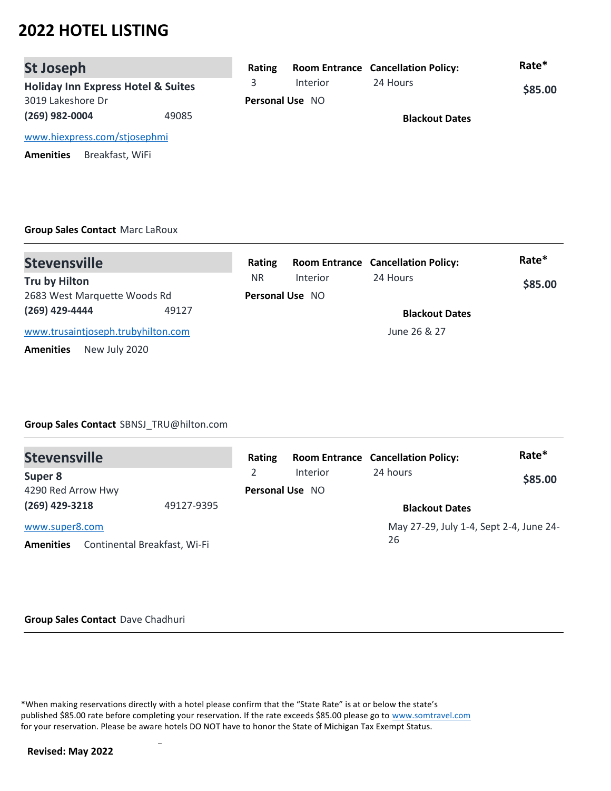| <b>St Joseph</b>                              |       | Rating |                        | <b>Room Entrance Cancellation Policy:</b> | Rate*   |  |
|-----------------------------------------------|-------|--------|------------------------|-------------------------------------------|---------|--|
| <b>Holiday Inn Express Hotel &amp; Suites</b> |       | 3      | <b>Interior</b>        | 24 Hours                                  | \$85.00 |  |
| 3019 Lakeshore Dr                             |       |        | <b>Personal Use NO</b> |                                           |         |  |
| (269) 982-0004                                | 49085 |        |                        | <b>Blackout Dates</b>                     |         |  |
| www.hiexpress.com/stjosephmi                  |       |        |                        |                                           |         |  |
| Breakfast, WiFi<br><b>Amenities</b>           |       |        |                        |                                           |         |  |

### **Group Sales Contact** Marc LaRoux

| <b>Stevensville</b>                | Rating    |                        | <b>Room Entrance Cancellation Policy:</b> | Rate*   |
|------------------------------------|-----------|------------------------|-------------------------------------------|---------|
| Tru by Hilton                      | <b>NR</b> | Interior               | 24 Hours                                  | \$85.00 |
| 2683 West Marquette Woods Rd       |           | <b>Personal Use NO</b> |                                           |         |
| (269) 429-4444<br>49127            |           |                        | <b>Blackout Dates</b>                     |         |
| www.trusaintjoseph.trubyhilton.com |           |                        | June 26 & 27                              |         |
| New July 2020<br><b>Amenities</b>  |           |                        |                                           |         |

### **Group Sales Contact** SBNSJ\_TRU@hilton.com

| <b>Stevensville</b> |                              | Rating                 |                 | <b>Room Entrance Cancellation Policy:</b> | Rate*   |
|---------------------|------------------------------|------------------------|-----------------|-------------------------------------------|---------|
| Super 8             |                              | 2                      | <b>Interior</b> | 24 hours                                  | \$85.00 |
| 4290 Red Arrow Hwy  |                              | <b>Personal Use NO</b> |                 |                                           |         |
| (269) 429-3218      | 49127-9395                   |                        |                 | <b>Blackout Dates</b>                     |         |
| www.super8.com      |                              |                        |                 | May 27-29, July 1-4, Sept 2-4, June 24-   |         |
| <b>Amenities</b>    | Continental Breakfast, Wi-Fi |                        |                 | 26                                        |         |

#### **Group Sales Contact** Dave Chadhuri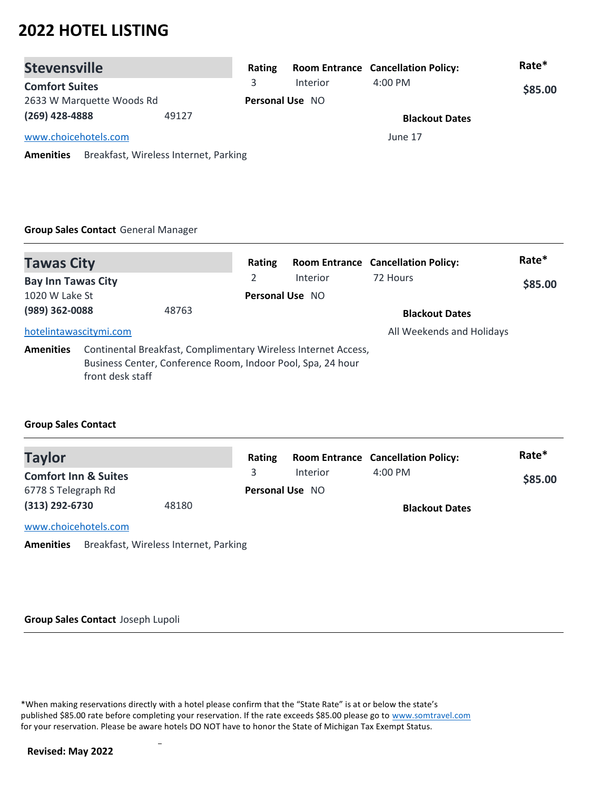| <b>Stevensville</b>                                       | Rating |                        | <b>Room Entrance Cancellation Policy:</b> | Rate*   |
|-----------------------------------------------------------|--------|------------------------|-------------------------------------------|---------|
| <b>Comfort Suites</b>                                     | 3.     | Interior               | $4:00$ PM                                 | \$85.00 |
| 2633 W Marquette Woods Rd                                 |        | <b>Personal Use NO</b> |                                           |         |
| $(269)$ 428-4888<br>49127                                 |        |                        | <b>Blackout Dates</b>                     |         |
| www.choicehotels.com                                      |        |                        | June 17                                   |         |
| Breakfast, Wireless Internet, Parking<br><b>Amenities</b> |        |                        |                                           |         |

### **Group Sales Contact** General Manager

| <b>Tawas City</b>                           |                                                                                                                                                   | Rating                      |                 | <b>Room Entrance Cancellation Policy:</b> | Rate*   |
|---------------------------------------------|---------------------------------------------------------------------------------------------------------------------------------------------------|-----------------------------|-----------------|-------------------------------------------|---------|
| <b>Bay Inn Tawas City</b><br>1020 W Lake St |                                                                                                                                                   | 2<br><b>Personal Use NO</b> | <b>Interior</b> | 72 Hours                                  | \$85.00 |
| (989) 362-0088                              | 48763                                                                                                                                             |                             |                 | <b>Blackout Dates</b>                     |         |
| hotelintawascitymi.com                      |                                                                                                                                                   |                             |                 | All Weekends and Holidays                 |         |
| <b>Amenities</b>                            | Continental Breakfast, Complimentary Wireless Internet Access,<br>Business Center, Conference Room, Indoor Pool, Spa, 24 hour<br>front desk staff |                             |                 |                                           |         |

### **Group Sales Contact**

| <b>Taylor</b>                   |                                       | Rating |                        | <b>Room Entrance Cancellation Policy:</b> | Rate*   |  |
|---------------------------------|---------------------------------------|--------|------------------------|-------------------------------------------|---------|--|
| <b>Comfort Inn &amp; Suites</b> |                                       |        | Interior               | $4:00$ PM                                 | \$85.00 |  |
| 6778 S Telegraph Rd             |                                       |        | <b>Personal Use NO</b> |                                           |         |  |
| $(313)$ 292-6730<br>48180       |                                       |        |                        | <b>Blackout Dates</b>                     |         |  |
| www.choicehotels.com            |                                       |        |                        |                                           |         |  |
| <b>Amenities</b>                | Breakfast, Wireless Internet, Parking |        |                        |                                           |         |  |

#### **Group Sales Contact** Joseph Lupoli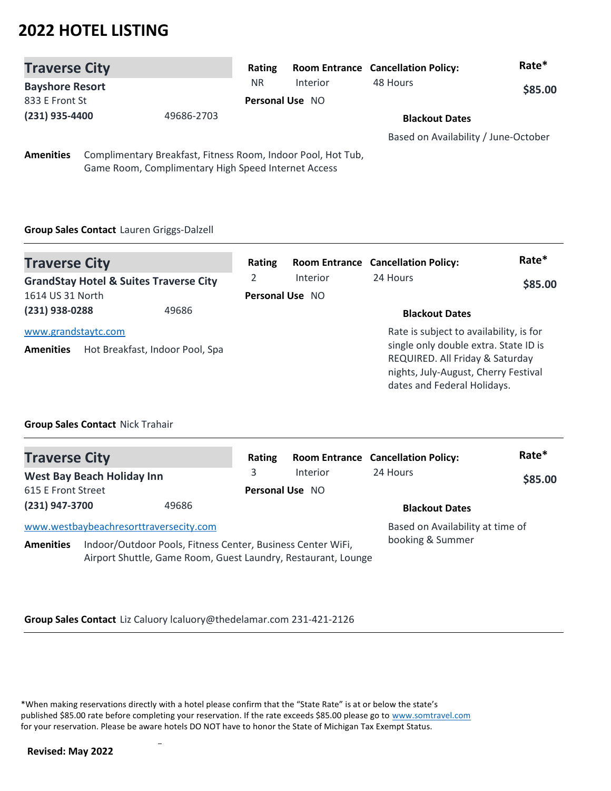| <b>Traverse City</b>         |  |                                                              | Rating                 |                       | <b>Room Entrance Cancellation Policy:</b> | Rate*   |
|------------------------------|--|--------------------------------------------------------------|------------------------|-----------------------|-------------------------------------------|---------|
| <b>Bayshore Resort</b>       |  |                                                              | NR.                    | Interior              | 48 Hours                                  | \$85.00 |
| 833 E Front St               |  |                                                              | <b>Personal Use NO</b> |                       |                                           |         |
| (231) 935-4400<br>49686-2703 |  |                                                              |                        | <b>Blackout Dates</b> |                                           |         |
|                              |  |                                                              |                        |                       | Based on Availability / June-October      |         |
| <b>Amenities</b>             |  | Complimentary Breakfast, Fitness Room, Indoor Pool, Hot Tub, |                        |                       |                                           |         |
|                              |  | Game Room, Complimentary High Speed Internet Access          |                        |                       |                                           |         |

## **Group Sales Contact** Lauren Griggs-Dalzell

| <b>Traverse City</b>                                                  |  |                                                        | Rating                      |                 | <b>Room Entrance Cancellation Policy:</b>                                                                                                                                                  | Rate*   |
|-----------------------------------------------------------------------|--|--------------------------------------------------------|-----------------------------|-----------------|--------------------------------------------------------------------------------------------------------------------------------------------------------------------------------------------|---------|
| <b>GrandStay Hotel &amp; Suites Traverse City</b><br>1614 US 31 North |  |                                                        | 2<br><b>Personal Use NO</b> | <b>Interior</b> | 24 Hours                                                                                                                                                                                   | \$85.00 |
| (231) 938-0288                                                        |  | 49686                                                  |                             |                 | <b>Blackout Dates</b>                                                                                                                                                                      |         |
| <b>Amenities</b>                                                      |  | www.grandstaytc.com<br>Hot Breakfast, Indoor Pool, Spa |                             |                 | Rate is subject to availability, is for<br>single only double extra. State ID is<br>REQUIRED. All Friday & Saturday<br>nights, July-August, Cherry Festival<br>dates and Federal Holidays. |         |

### **Group Sales Contact** Nick Trahair

| <b>Traverse City</b>                   |                                                                                                                              | Rating |                        | <b>Room Entrance Cancellation Policy:</b> | Rate*   |
|----------------------------------------|------------------------------------------------------------------------------------------------------------------------------|--------|------------------------|-------------------------------------------|---------|
|                                        | <b>West Bay Beach Holiday Inn</b>                                                                                            | 3      | Interior               | 24 Hours                                  | \$85.00 |
| 615 E Front Street                     |                                                                                                                              |        | <b>Personal Use NO</b> |                                           |         |
| (231) 947-3700                         | 49686                                                                                                                        |        |                        | <b>Blackout Dates</b>                     |         |
| www.westbaybeachresorttraversecity.com |                                                                                                                              |        |                        | Based on Availability at time of          |         |
| <b>Amenities</b>                       | Indoor/Outdoor Pools, Fitness Center, Business Center WiFi,<br>Airport Shuttle, Game Room, Guest Laundry, Restaurant, Lounge |        |                        | booking & Summer                          |         |

### **Group Sales Contact** Liz Caluory lcaluory@thedelamar.com 231-421-2126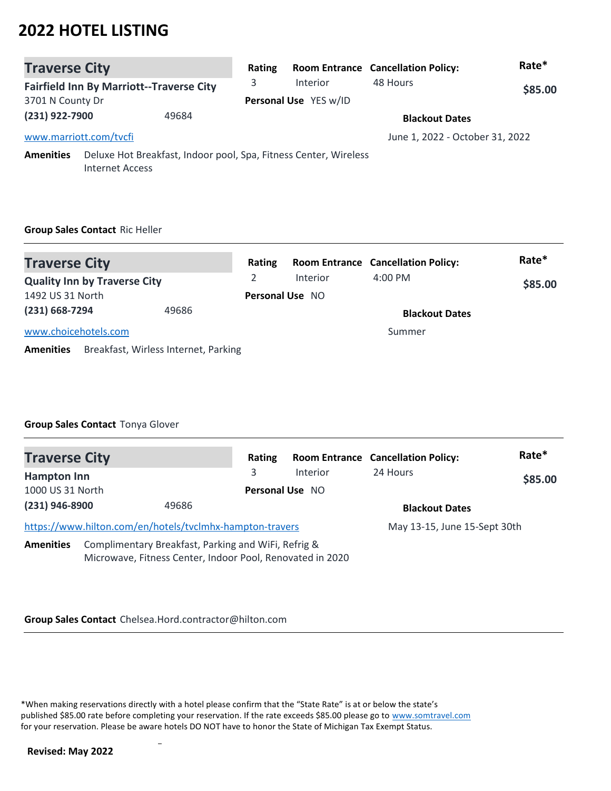| <b>Traverse City</b>                            |                        |   | Rating                |                                                                  | <b>Room Entrance Cancellation Policy:</b> | Rate* |
|-------------------------------------------------|------------------------|---|-----------------------|------------------------------------------------------------------|-------------------------------------------|-------|
| <b>Fairfield Inn By Marriott--Traverse City</b> |                        | 3 | Interior              | 48 Hours                                                         | \$85.00                                   |       |
| 3701 N County Dr                                |                        |   | Personal Use YES w/ID |                                                                  |                                           |       |
| (231) 922-7900<br>49684                         |                        |   |                       |                                                                  | <b>Blackout Dates</b>                     |       |
|                                                 | www.marriott.com/tvcfi |   |                       |                                                                  | June 1, 2022 - October 31, 2022           |       |
| <b>Amenities</b>                                | <b>Internet Access</b> |   |                       | Deluxe Hot Breakfast, Indoor pool, Spa, Fitness Center, Wireless |                                           |       |

## **Group Sales Contact** Ric Heller

| <b>Traverse City</b>                                     | Rating |                        | <b>Room Entrance Cancellation Policy:</b> | Rate*   |
|----------------------------------------------------------|--------|------------------------|-------------------------------------------|---------|
| <b>Quality Inn by Traverse City</b>                      |        | Interior               | $4:00 \text{ PM}$                         | \$85.00 |
| 1492 US 31 North                                         |        | <b>Personal Use NO</b> |                                           |         |
| $(231) 668 - 7294$<br>49686                              |        |                        | <b>Blackout Dates</b>                     |         |
| www.choicehotels.com                                     |        |                        | Summer                                    |         |
| Breakfast, Wirless Internet, Parking<br><b>Amenities</b> |        |                        |                                           |         |

### **Group Sales Contact** Tonya Glover

| <b>Traverse City</b> |                                                                                                                  |   | Rating |                        | <b>Room Entrance Cancellation Policy:</b> | Rate*   |
|----------------------|------------------------------------------------------------------------------------------------------------------|---|--------|------------------------|-------------------------------------------|---------|
| <b>Hampton Inn</b>   |                                                                                                                  | 3 |        | <b>Interior</b>        | 24 Hours                                  | \$85.00 |
| 1000 US 31 North     |                                                                                                                  |   |        | <b>Personal Use NO</b> |                                           |         |
| (231) 946-8900       | 49686                                                                                                            |   |        |                        | <b>Blackout Dates</b>                     |         |
|                      | https://www.hilton.com/en/hotels/tvclmhx-hampton-travers                                                         |   |        |                        | May 13-15, June 15-Sept 30th              |         |
| <b>Amenities</b>     | Complimentary Breakfast, Parking and WiFi, Refrig &<br>Microwave, Fitness Center, Indoor Pool, Renovated in 2020 |   |        |                        |                                           |         |

**Group Sales Contact** Chelsea.Hord.contractor@hilton.com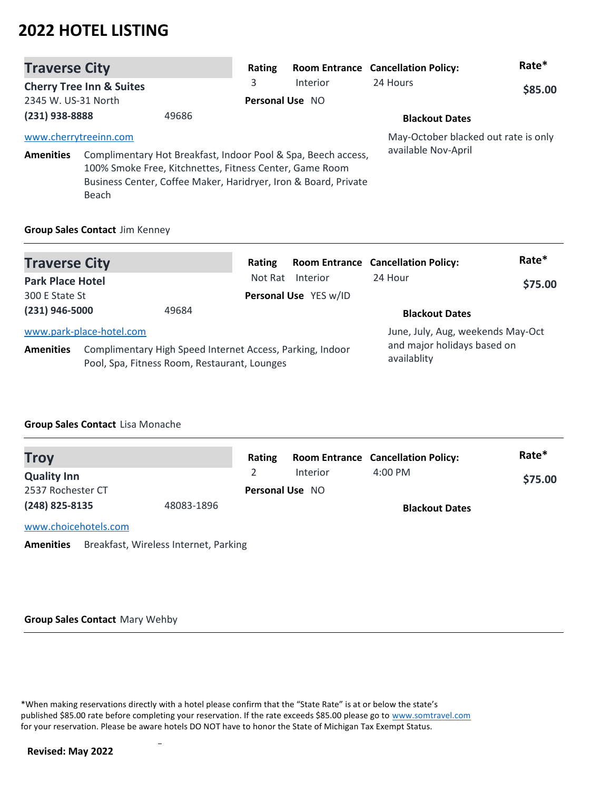| <b>Traverse City</b>  |                                                                  |       | Rating                 |                                                                                                                                  | <b>Room Entrance Cancellation Policy:</b> | Rate*   |
|-----------------------|------------------------------------------------------------------|-------|------------------------|----------------------------------------------------------------------------------------------------------------------------------|-------------------------------------------|---------|
|                       | <b>Cherry Tree Inn &amp; Suites</b>                              |       | 3                      | Interior                                                                                                                         | 24 Hours                                  | \$85.00 |
| 2345 W. US-31 North   |                                                                  |       | <b>Personal Use NO</b> |                                                                                                                                  |                                           |         |
| (231) 938-8888        |                                                                  | 49686 |                        |                                                                                                                                  | <b>Blackout Dates</b>                     |         |
| www.cherrytreeinn.com |                                                                  |       |                        |                                                                                                                                  | May-October blacked out rate is only      |         |
| <b>Amenities</b>      | 100% Smoke Free, Kitchnettes, Fitness Center, Game Room<br>Beach |       |                        | Complimentary Hot Breakfast, Indoor Pool & Spa, Beech access,<br>Business Center, Coffee Maker, Haridryer, Iron & Board, Private | available Nov-April                       |         |

### **Group Sales Contact** Jim Kenney

| <b>Traverse City</b>      |                          |                                                                                                           | Rating                |                       | <b>Room Entrance Cancellation Policy:</b>  | Rate*   |
|---------------------------|--------------------------|-----------------------------------------------------------------------------------------------------------|-----------------------|-----------------------|--------------------------------------------|---------|
| <b>Park Place Hotel</b>   |                          |                                                                                                           | Not Rat               | Interior              | 24 Hour                                    | \$75.00 |
| 300 E State St            |                          |                                                                                                           |                       | Personal Use YES w/ID |                                            |         |
| $(231)$ 946-5000<br>49684 |                          |                                                                                                           | <b>Blackout Dates</b> |                       |                                            |         |
|                           | www.park-place-hotel.com |                                                                                                           |                       |                       | June, July, Aug, weekends May-Oct          |         |
| <b>Amenities</b>          |                          | Complimentary High Speed Internet Access, Parking, Indoor<br>Pool, Spa, Fitness Room, Restaurant, Lounges |                       |                       | and major holidays based on<br>availablity |         |

### **Group Sales Contact** Lisa Monache

| <b>Troy</b>          |            | Rating |                        | <b>Room Entrance Cancellation Policy:</b> | Rate*   |
|----------------------|------------|--------|------------------------|-------------------------------------------|---------|
| <b>Quality Inn</b>   |            |        | Interior               | $4:00 \text{ PM}$                         | \$75.00 |
| 2537 Rochester CT    |            |        | <b>Personal Use NO</b> |                                           |         |
| (248) 825-8135       | 48083-1896 |        |                        | <b>Blackout Dates</b>                     |         |
| www.choicehotels.com |            |        |                        |                                           |         |

**Amenities** Breakfast, Wireless Internet, Parking

#### **Group Sales Contact** Mary Wehby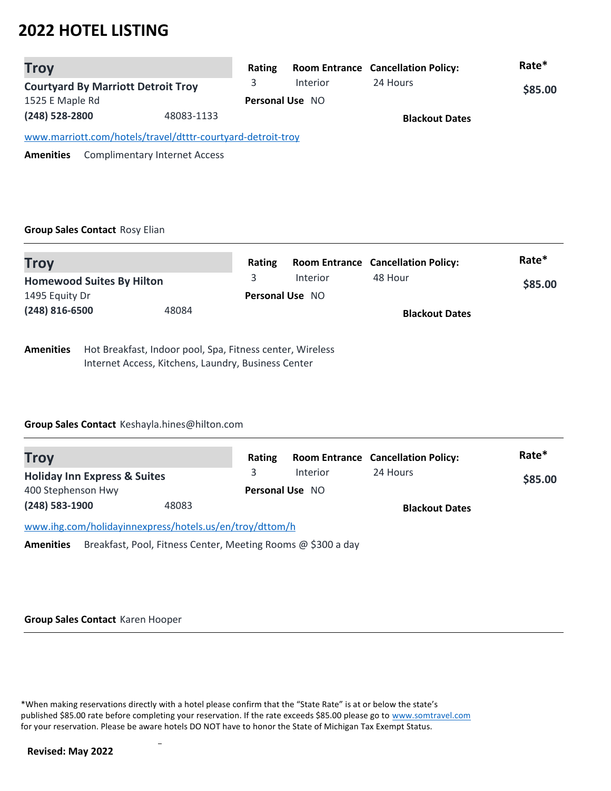| <b>Troy</b>                                                 | Rating                 |          | <b>Room Entrance Cancellation Policy:</b> | Rate*   |
|-------------------------------------------------------------|------------------------|----------|-------------------------------------------|---------|
| <b>Courtyard By Marriott Detroit Troy</b>                   | 3                      | Interior | 24 Hours                                  | \$85.00 |
| 1525 E Maple Rd                                             | <b>Personal Use NO</b> |          |                                           |         |
| (248) 528-2800<br>48083-1133                                |                        |          | <b>Blackout Dates</b>                     |         |
| www.marriott.com/hotels/travel/dtttr-courtyard-detroit-troy |                        |          |                                           |         |
| <b>Complimentary Internet Access</b><br><b>Amenities</b>    |                        |          |                                           |         |

### **Group Sales Contact** Rosy Elian

| <b>Troy</b>                      |                                                       | <b>Rating</b> |                        | <b>Room Entrance Cancellation Policy:</b> | Rate*   |
|----------------------------------|-------------------------------------------------------|---------------|------------------------|-------------------------------------------|---------|
| <b>Homewood Suites By Hilton</b> |                                                       | 3             | Interior               | 48 Hour                                   | \$85.00 |
| 1495 Equity Dr                   |                                                       |               | <b>Personal Use NO</b> |                                           |         |
| $(248)$ 816-6500                 | 48084                                                 |               |                        | <b>Blackout Dates</b>                     |         |
| Amonition                        | Hot Proakfast Indoor nool Can Eitness senter Wireless |               |                        |                                           |         |

**Amenities** Hot Breakfast, Indoor pool, Spa, Fitness center, Wireless Internet Access, Kitchens, Laundry, Business Center

### **Group Sales Contact** Keshayla.hines@hilton.com

| <b>Troy</b>                                             |       | Rating |                        | <b>Room Entrance Cancellation Policy:</b> | Rate*   |
|---------------------------------------------------------|-------|--------|------------------------|-------------------------------------------|---------|
| <b>Holiday Inn Express &amp; Suites</b>                 |       |        | Interior               | 24 Hours                                  | \$85.00 |
| 400 Stephenson Hwy                                      |       |        | <b>Personal Use NO</b> |                                           |         |
| $(248)$ 583-1900                                        | 48083 |        |                        | <b>Blackout Dates</b>                     |         |
| www.ihg.com/holidayinnexpress/hotels.us/en/troy/dttom/h |       |        |                        |                                           |         |

**Amenities** Breakfast, Pool, Fitness Center, Meeting Rooms @ \$300 a day

#### **Group Sales Contact** Karen Hooper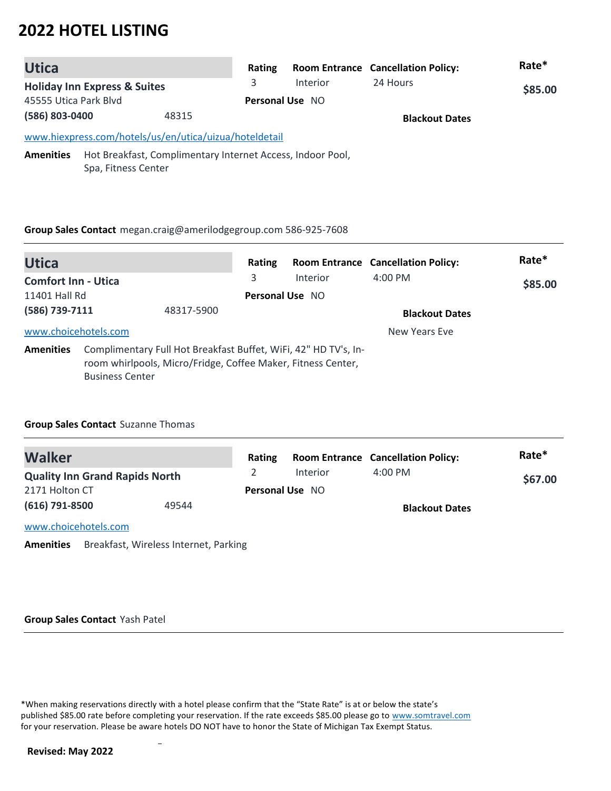| <b>Utica</b>                                                                                |                                                                                   | Rating |                        | <b>Room Entrance Cancellation Policy:</b> | Rate*   |
|---------------------------------------------------------------------------------------------|-----------------------------------------------------------------------------------|--------|------------------------|-------------------------------------------|---------|
| <b>Holiday Inn Express &amp; Suites</b><br>45555 Utica Park Blvd<br>(586) 803-0400<br>48315 |                                                                                   | 3      | Interior               | 24 Hours                                  | \$85.00 |
|                                                                                             |                                                                                   |        | <b>Personal Use NO</b> |                                           |         |
|                                                                                             |                                                                                   |        |                        | <b>Blackout Dates</b>                     |         |
|                                                                                             | www.hiexpress.com/hotels/us/en/utica/uizua/hoteldetail                            |        |                        |                                           |         |
| <b>Amenities</b>                                                                            | Hot Breakfast, Complimentary Internet Access, Indoor Pool,<br>Spa, Fitness Center |        |                        |                                           |         |

### **Group Sales Contact** megan.craig@amerilodgegroup.com 586-925-7608

| <b>Utica</b>               |                        |                                                                                                                                 | Rating                 |                 | <b>Room Entrance Cancellation Policy:</b> | Rate*   |
|----------------------------|------------------------|---------------------------------------------------------------------------------------------------------------------------------|------------------------|-----------------|-------------------------------------------|---------|
| <b>Comfort Inn - Utica</b> |                        |                                                                                                                                 | 3                      | <b>Interior</b> | $4:00 \text{ PM}$                         | \$85.00 |
| 11401 Hall Rd              |                        |                                                                                                                                 | <b>Personal Use NO</b> |                 |                                           |         |
| (586) 739-7111             |                        | 48317-5900                                                                                                                      |                        |                 | <b>Blackout Dates</b>                     |         |
| www.choicehotels.com       |                        |                                                                                                                                 |                        |                 | New Years Eve                             |         |
| <b>Amenities</b>           | <b>Business Center</b> | Complimentary Full Hot Breakfast Buffet, WiFi, 42" HD TV's, In-<br>room whirlpools, Micro/Fridge, Coffee Maker, Fitness Center, |                        |                 |                                           |         |

### **Group Sales Contact** Suzanne Thomas

| <b>Walker</b>                         |       | Rating |                        | <b>Room Entrance Cancellation Policy:</b> | Rate*   |
|---------------------------------------|-------|--------|------------------------|-------------------------------------------|---------|
| <b>Quality Inn Grand Rapids North</b> |       |        | Interior               | $4:00$ PM                                 | \$67.00 |
| 2171 Holton CT                        |       |        | <b>Personal Use NO</b> |                                           |         |
| $(616)$ 791-8500                      | 49544 |        |                        | <b>Blackout Dates</b>                     |         |
| www.choicehotels.com                  |       |        |                        |                                           |         |

**Amenities** Breakfast, Wireless Internet, Parking

#### **Group Sales Contact** Yash Patel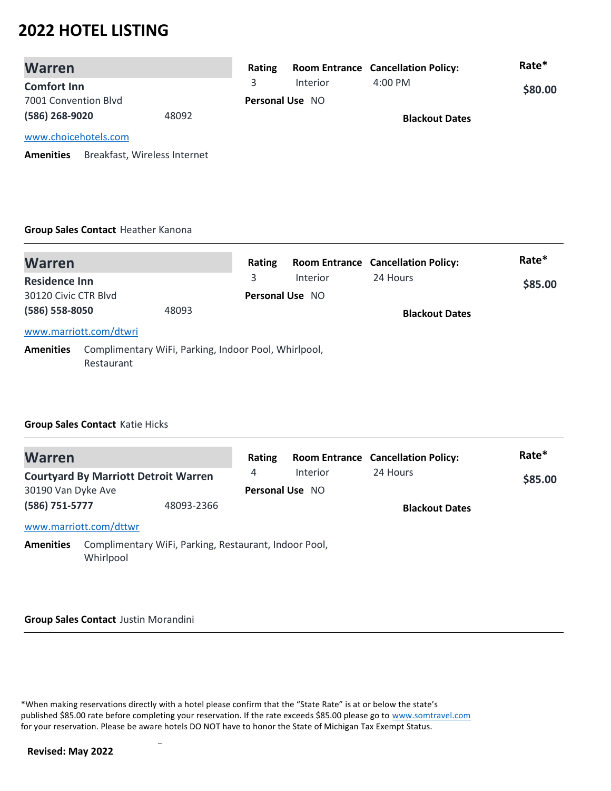| <b>Warren</b>                                    | Rating |                        | <b>Room Entrance Cancellation Policy:</b> | Rate*   |
|--------------------------------------------------|--------|------------------------|-------------------------------------------|---------|
| <b>Comfort Inn</b>                               | 3      | Interior               | $4:00 \text{ PM}$                         | \$80.00 |
| 7001 Convention Blyd                             |        | <b>Personal Use NO</b> |                                           |         |
| (586) 268-9020<br>48092                          |        |                        | <b>Blackout Dates</b>                     |         |
| www.choicehotels.com                             |        |                        |                                           |         |
| Breakfast, Wireless Internet<br><b>Amenities</b> |        |                        |                                           |         |

### **Group Sales Contact** Heather Kanona

| <b>Warren</b>        |                        |                                                      | Rating |                        | <b>Room Entrance Cancellation Policy:</b> | Rate*   |
|----------------------|------------------------|------------------------------------------------------|--------|------------------------|-------------------------------------------|---------|
| <b>Residence Inn</b> |                        |                                                      | 3      | <b>Interior</b>        | 24 Hours                                  | \$85.00 |
| 30120 Civic CTR Blyd |                        |                                                      |        | <b>Personal Use NO</b> |                                           |         |
| (586) 558-8050       |                        | 48093                                                |        |                        | <b>Blackout Dates</b>                     |         |
|                      | www.marriott.com/dtwri |                                                      |        |                        |                                           |         |
| <b>Amenities</b>     | Restaurant             | Complimentary WiFi, Parking, Indoor Pool, Whirlpool, |        |                        |                                           |         |

### **Group Sales Contact** Katie Hicks

| <b>Warren</b>      |                                                                    |            | Rating          |          | <b>Room Entrance Cancellation Policy:</b> | Rate*   |
|--------------------|--------------------------------------------------------------------|------------|-----------------|----------|-------------------------------------------|---------|
|                    | <b>Courtyard By Marriott Detroit Warren</b>                        |            | 4               | Interior | 24 Hours                                  | \$85.00 |
| 30190 Van Dyke Ave |                                                                    |            | Personal Use NO |          |                                           |         |
| (586) 751-5777     |                                                                    | 48093-2366 |                 |          | <b>Blackout Dates</b>                     |         |
|                    | www.marriott.com/dttwr                                             |            |                 |          |                                           |         |
| <b>Amenities</b>   | Complimentary WiFi, Parking, Restaurant, Indoor Pool,<br>Whirlpool |            |                 |          |                                           |         |

#### **Group Sales Contact** Justin Morandini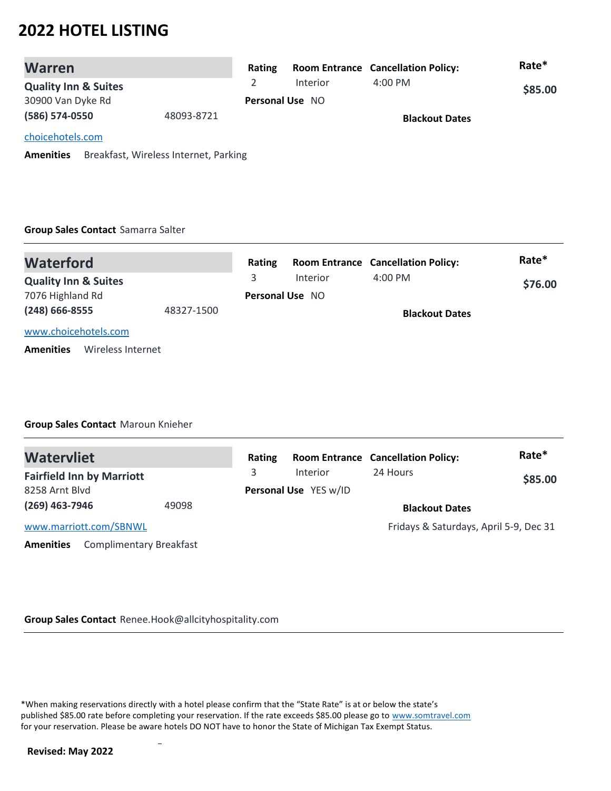| <b>Warren</b>                   |            | Rating                 |          | <b>Room Entrance Cancellation Policy:</b> | Rate*   |
|---------------------------------|------------|------------------------|----------|-------------------------------------------|---------|
| <b>Quality Inn &amp; Suites</b> |            |                        | Interior | $4:00 \, \text{PM}$                       | \$85.00 |
| 30900 Van Dyke Rd               |            | <b>Personal Use NO</b> |          |                                           |         |
| (586) 574-0550                  | 48093-8721 |                        |          | <b>Blackout Dates</b>                     |         |
| choicehotels.com                |            |                        |          |                                           |         |

**Amenities** Breakfast, Wireless Internet, Parking

### **Group Sales Contact** Samarra Salter

| <b>Waterford</b>                      |  | Rating |                        | <b>Room Entrance Cancellation Policy:</b> | Rate*   |
|---------------------------------------|--|--------|------------------------|-------------------------------------------|---------|
| <b>Quality Inn &amp; Suites</b>       |  |        | Interior               | $4:00 \text{ PM}$                         | \$76.00 |
| 7076 Highland Rd                      |  |        | <b>Personal Use NO</b> |                                           |         |
| $(248)$ 666-8555<br>48327-1500        |  |        |                        | <b>Blackout Dates</b>                     |         |
| www.choicehotels.com                  |  |        |                        |                                           |         |
| Wireless Internet<br><b>Amenities</b> |  |        |                        |                                           |         |

### **Group Sales Contact** Maroun Knieher

| <b>Watervliet</b>                                  | Rating |                       | <b>Room Entrance Cancellation Policy:</b> | Rate*   |
|----------------------------------------------------|--------|-----------------------|-------------------------------------------|---------|
| <b>Fairfield Inn by Marriott</b>                   | 3.     | Interior              | 24 Hours                                  | \$85.00 |
| 8258 Arnt Blvd                                     |        | Personal Use YES w/ID |                                           |         |
| $(269)$ 463-7946                                   | 49098  |                       | <b>Blackout Dates</b>                     |         |
| www.marriott.com/SBNWL                             |        |                       | Fridays & Saturdays, April 5-9, Dec 31    |         |
| <b>Complimentary Breakfast</b><br><b>Amenities</b> |        |                       |                                           |         |

**Group Sales Contact** Renee.Hook@allcityhospitality.com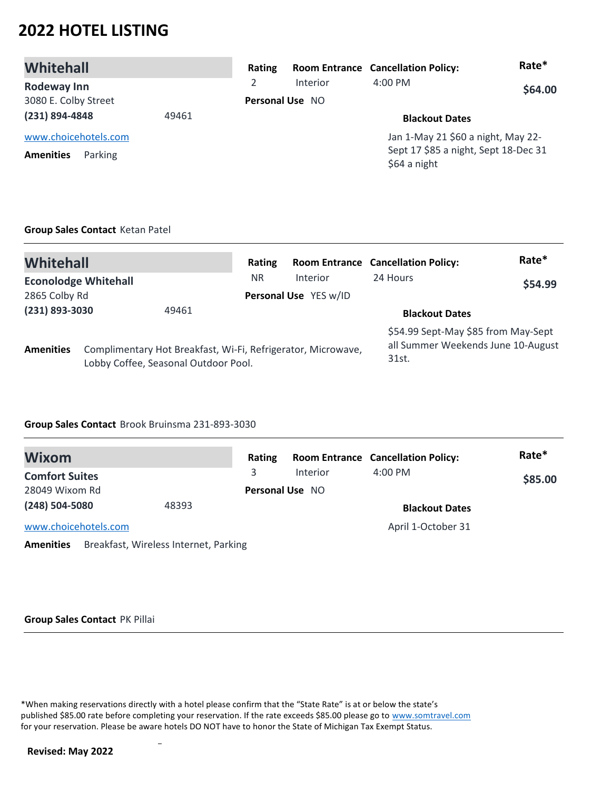| Whitehall                                           | Rating                 |          | <b>Room Entrance Cancellation Policy:</b>                                                  | Rate*   |
|-----------------------------------------------------|------------------------|----------|--------------------------------------------------------------------------------------------|---------|
| <b>Rodeway Inn</b>                                  | 2                      | Interior | $4:00 \text{ PM}$                                                                          | \$64.00 |
| 3080 E. Colby Street                                | <b>Personal Use NO</b> |          |                                                                                            |         |
| (231) 894-4848<br>49461                             |                        |          | <b>Blackout Dates</b>                                                                      |         |
| www.choicehotels.com<br><b>Amenities</b><br>Parking |                        |          | Jan 1-May 21 \$60 a night, May 22-<br>Sept 17 \$85 a night, Sept 18-Dec 31<br>\$64 a night |         |

### **Group Sales Contact** Ketan Patel

| Whitehall                   |  |                                                                                                      | Rating    |                       | <b>Room Entrance Cancellation Policy:</b>                                          | Rate*   |
|-----------------------------|--|------------------------------------------------------------------------------------------------------|-----------|-----------------------|------------------------------------------------------------------------------------|---------|
| <b>Econolodge Whitehall</b> |  |                                                                                                      | <b>NR</b> | Interior              | 24 Hours                                                                           | \$54.99 |
| 2865 Colby Rd               |  |                                                                                                      |           | Personal Use YES w/ID |                                                                                    |         |
| (231) 893-3030<br>49461     |  |                                                                                                      |           | <b>Blackout Dates</b> |                                                                                    |         |
| <b>Amenities</b>            |  | Complimentary Hot Breakfast, Wi-Fi, Refrigerator, Microwave,<br>Lobby Coffee, Seasonal Outdoor Pool. |           |                       | \$54.99 Sept-May \$85 from May-Sept<br>all Summer Weekends June 10-August<br>31st. |         |

### **Group Sales Contact** Brook Bruinsma 231-893-3030

| Wixom                 |                                       | Rating          |                 | <b>Room Entrance Cancellation Policy:</b> | Rate*   |
|-----------------------|---------------------------------------|-----------------|-----------------|-------------------------------------------|---------|
| <b>Comfort Suites</b> |                                       | 3               | <b>Interior</b> | $4:00 \text{ PM}$                         | \$85.00 |
| 28049 Wixom Rd        |                                       | Personal Use NO |                 |                                           |         |
| (248) 504-5080        | 48393                                 |                 |                 | <b>Blackout Dates</b>                     |         |
| www.choicehotels.com  |                                       |                 |                 | April 1-October 31                        |         |
| <b>Amenities</b>      | Breakfast, Wireless Internet, Parking |                 |                 |                                           |         |

#### **Group Sales Contact** PK Pillai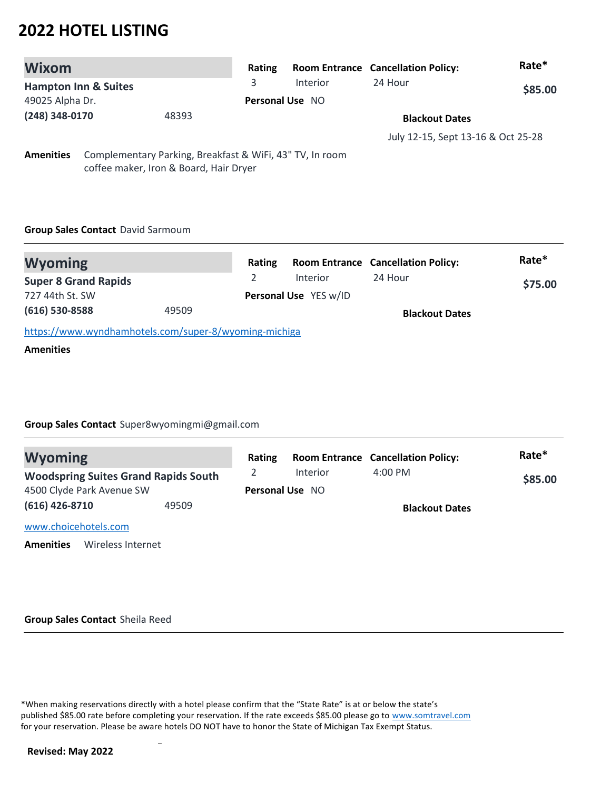| <b>Wixom</b>                    |  |                                                                                                    | Rating |                        | <b>Room Entrance Cancellation Policy:</b> | Rate*   |
|---------------------------------|--|----------------------------------------------------------------------------------------------------|--------|------------------------|-------------------------------------------|---------|
| <b>Hampton Inn &amp; Suites</b> |  |                                                                                                    | 3      | Interior               | 24 Hour                                   | \$85.00 |
| 49025 Alpha Dr.                 |  |                                                                                                    |        | <b>Personal Use NO</b> |                                           |         |
| (248) 348-0170<br>48393         |  |                                                                                                    |        | <b>Blackout Dates</b>  |                                           |         |
|                                 |  |                                                                                                    |        |                        | July 12-15, Sept 13-16 & Oct 25-28        |         |
| <b>Amenities</b>                |  | Complementary Parking, Breakfast & WiFi, 43" TV, In room<br>coffee maker, Iron & Board, Hair Dryer |        |                        |                                           |         |

### **Group Sales Contact** David Sarmoum

| <b>Wyoming</b>                                        |       | Rating                |          | <b>Room Entrance Cancellation Policy:</b> | Rate*   |
|-------------------------------------------------------|-------|-----------------------|----------|-------------------------------------------|---------|
| <b>Super 8 Grand Rapids</b>                           |       |                       | Interior | 24 Hour                                   | \$75.00 |
| 727 44th St. SW                                       |       | Personal Use YES w/ID |          |                                           |         |
| $(616)$ 530-8588                                      | 49509 |                       |          | <b>Blackout Dates</b>                     |         |
| https://www.wyndhamhotels.com/super-8/wyoming-michiga |       |                       |          |                                           |         |
|                                                       |       |                       |          |                                           |         |

### **Amenities**

### **Group Sales Contact** Super8wyomingmi@gmail.com

| <b>Wyoming</b>                              | Rating |                        | <b>Room Entrance Cancellation Policy:</b> | Rate*   |
|---------------------------------------------|--------|------------------------|-------------------------------------------|---------|
| <b>Woodspring Suites Grand Rapids South</b> | 2      | <b>Interior</b>        | $4:00 \text{ PM}$                         | \$85.00 |
| 4500 Clyde Park Avenue SW                   |        | <b>Personal Use NO</b> |                                           |         |
| $(616)$ 426-8710<br>49509                   |        |                        | <b>Blackout Dates</b>                     |         |
| www.choicehotels.com                        |        |                        |                                           |         |
| Wireless Internet<br><b>Amenities</b>       |        |                        |                                           |         |

#### **Group Sales Contact** Sheila Reed